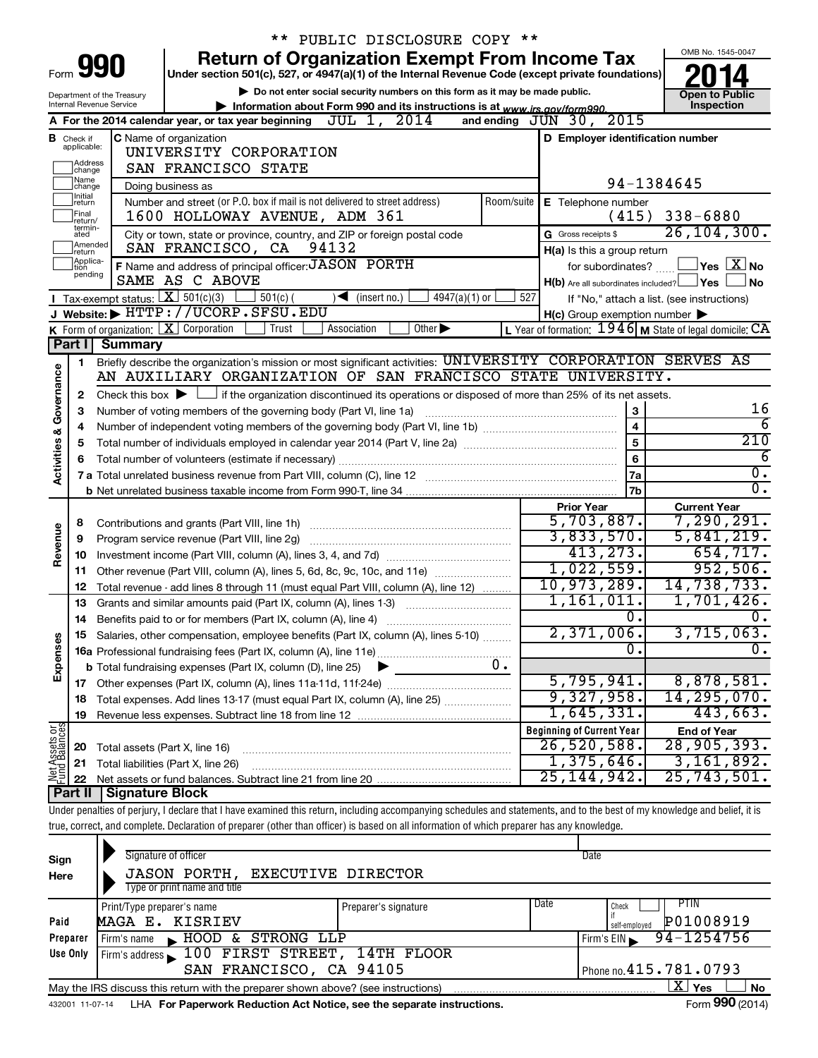|                         |                                  |                                                                   | ** PUBLIC DISCLOSURE COPY **                                                                                                                                               |           |                                                     |                                                                        |
|-------------------------|----------------------------------|-------------------------------------------------------------------|----------------------------------------------------------------------------------------------------------------------------------------------------------------------------|-----------|-----------------------------------------------------|------------------------------------------------------------------------|
|                         |                                  |                                                                   | <b>Return of Organization Exempt From Income Tax</b>                                                                                                                       |           |                                                     | OMB No. 1545-0047                                                      |
| 990<br>Form             |                                  |                                                                   | Under section 501(c), 527, or 4947(a)(1) of the Internal Revenue Code (except private foundations)                                                                         |           |                                                     |                                                                        |
|                         |                                  | Department of the Treasury                                        | Do not enter social security numbers on this form as it may be made public.                                                                                                |           |                                                     | <b>Open to Public</b>                                                  |
|                         |                                  | Internal Revenue Service                                          | Information about Form 990 and its instructions is at www.irs.gov/form990.                                                                                                 |           |                                                     | Inspection                                                             |
|                         |                                  |                                                                   | A For the 2014 calendar year, or tax year beginning $JUL$ 1, $2014$                                                                                                        |           | and ending $JUN$ 30, $2015$                         |                                                                        |
|                         | <b>B</b> Check if<br>applicable: |                                                                   | C Name of organization                                                                                                                                                     |           | D Employer identification number                    |                                                                        |
|                         | Address<br> change               |                                                                   | UNIVERSITY CORPORATION                                                                                                                                                     |           |                                                     |                                                                        |
|                         | Name                             |                                                                   | SAN FRANCISCO STATE                                                                                                                                                        |           |                                                     | 94-1384645                                                             |
|                         | change<br>Initial                |                                                                   | Doing business as<br>Number and street (or P.O. box if mail is not delivered to street address)                                                                            |           | Room/suite   E Telephone number                     |                                                                        |
|                         | return<br>Final                  |                                                                   | 1600 HOLLOWAY AVENUE, ADM 361                                                                                                                                              |           |                                                     | $(415)$ 338-6880                                                       |
|                         | return/<br>termin-<br>ated       |                                                                   | City or town, state or province, country, and ZIP or foreign postal code                                                                                                   |           | G Gross receipts \$                                 | 26, 104, 300.                                                          |
|                         | Amended<br>return                |                                                                   | SAN FRANCISCO, CA 94132                                                                                                                                                    |           | H(a) Is this a group return                         |                                                                        |
|                         | Applica-<br>tion                 |                                                                   | F Name and address of principal officer: JASON PORTH                                                                                                                       |           |                                                     | for subordinates? $\begin{array}{c} \boxed{\mathbf{X}} \end{array}$ No |
|                         | pending                          |                                                                   | SAME AS C ABOVE                                                                                                                                                            |           | $H(b)$ Are all subordinates included? $\Box$ Yes    | <b>No</b>                                                              |
|                         |                                  | <b>I</b> Tax-exempt status: $X \ 501(c)(3)$                       | $501(c)$ (<br>$\sqrt{\frac{1}{1}}$ (insert no.)<br>$4947(a)(1)$ or                                                                                                         | 527       |                                                     | If "No," attach a list. (see instructions)                             |
|                         |                                  |                                                                   | J Website: FITTP://UCORP.SFSU.EDU                                                                                                                                          |           | $H(c)$ Group exemption number $\blacktriangleright$ |                                                                        |
|                         |                                  |                                                                   | <b>K</b> Form of organization: $\boxed{\textbf{X}}$ Corporation<br>Trust<br>Association<br>Other $\blacktriangleright$                                                     |           |                                                     | L Year of formation: $1946$ M State of legal domicile: CA              |
|                         | Part I                           | <b>Summary</b>                                                    |                                                                                                                                                                            |           |                                                     |                                                                        |
|                         | 1                                |                                                                   | Briefly describe the organization's mission or most significant activities: UNIVERSITY CORPORATION SERVES AS                                                               |           |                                                     |                                                                        |
|                         |                                  |                                                                   | AN AUXILIARY ORGANIZATION OF SAN FRANCISCO STATE UNIVERSITY.                                                                                                               |           |                                                     |                                                                        |
| Activities & Governance | 2                                |                                                                   | Check this box $\blacktriangleright \Box$ if the organization discontinued its operations or disposed of more than 25% of its net assets.                                  |           |                                                     |                                                                        |
|                         | 3                                | Number of voting members of the governing body (Part VI, line 1a) | 16                                                                                                                                                                         |           |                                                     |                                                                        |
|                         | 4                                | $\overline{\mathbf{4}}$                                           |                                                                                                                                                                            |           |                                                     | $\overline{6}$                                                         |
|                         | 5                                |                                                                   |                                                                                                                                                                            |           | 5                                                   | $\overline{210}$                                                       |
|                         | 6                                |                                                                   |                                                                                                                                                                            |           | 6                                                   | 6<br>σ.                                                                |
|                         |                                  |                                                                   |                                                                                                                                                                            |           | 7a                                                  | σ.                                                                     |
|                         |                                  |                                                                   |                                                                                                                                                                            |           | 7 <sub>b</sub>                                      |                                                                        |
|                         | 8                                |                                                                   |                                                                                                                                                                            |           | <b>Prior Year</b><br>5,703,887.                     | <b>Current Year</b><br>7,290,291.                                      |
| Revenue                 | 9                                |                                                                   | Program service revenue (Part VIII, line 2g)                                                                                                                               |           | 3,833,570.                                          | 5,841,219.                                                             |
|                         | 10                               |                                                                   |                                                                                                                                                                            |           | 413,273.                                            | 654,717.                                                               |
|                         | 11                               |                                                                   | Other revenue (Part VIII, column (A), lines 5, 6d, 8c, 9c, 10c, and 11e)                                                                                                   |           | 1,022,559.                                          | 952,506.                                                               |
|                         | 12                               |                                                                   | Total revenue - add lines 8 through 11 (must equal Part VIII, column (A), line 12)                                                                                         |           | 10,973,289.                                         | 14,738,733.                                                            |
|                         | 13                               |                                                                   | Grants and similar amounts paid (Part IX, column (A), lines 1-3)                                                                                                           |           | 1,161,011.                                          | $1,701,426$ .                                                          |
|                         | 14                               |                                                                   | Benefits paid to or for members (Part IX, column (A), line 4)                                                                                                              |           | 0.                                                  | $\overline{0}$ .                                                       |
|                         |                                  |                                                                   | 15 Salaries, other compensation, employee benefits (Part IX, column (A), lines 5-10)                                                                                       |           | 2,371,006.                                          | 3,715,063.                                                             |
| Expenses                |                                  |                                                                   |                                                                                                                                                                            |           | 0.                                                  | σ.                                                                     |
|                         |                                  |                                                                   | <b>b</b> Total fundraising expenses (Part IX, column (D), line 25)<br>▸                                                                                                    | $0 \cdot$ |                                                     |                                                                        |
|                         |                                  |                                                                   |                                                                                                                                                                            |           | 5,795,941.                                          | 8,878,581.                                                             |
|                         | 18                               |                                                                   | Total expenses. Add lines 13-17 (must equal Part IX, column (A), line 25)                                                                                                  |           | 9,327,958.                                          | 14,295,070.                                                            |
|                         | 19                               |                                                                   |                                                                                                                                                                            |           | 1,645,331.                                          | 443,663.                                                               |
|                         |                                  |                                                                   |                                                                                                                                                                            |           | <b>Beginning of Current Year</b>                    | <b>End of Year</b>                                                     |
|                         | 20                               |                                                                   | Total assets (Part X, line 16)                                                                                                                                             |           | 26,520,588.                                         | 28,905,393.                                                            |
| Met Assets or           | 21                               |                                                                   | Total liabilities (Part X, line 26)                                                                                                                                        |           | $1,375,646$ .                                       | 3,161,892.                                                             |
|                         | 22                               |                                                                   |                                                                                                                                                                            |           | 25, 144, 942.                                       | 25,743,501.                                                            |
|                         | Part II                          | <b>Signature Block</b>                                            | Under penalties of perjury, I declare that I have examined this return, including accompanying schedules and statements, and to the best of my knowledge and belief, it is |           |                                                     |                                                                        |
|                         |                                  |                                                                   | true, correct, and complete. Declaration of preparer (other than officer) is based on all information of which preparer has any knowledge.                                 |           |                                                     |                                                                        |
|                         |                                  |                                                                   |                                                                                                                                                                            |           |                                                     |                                                                        |

| Sign<br>Here | Signature of officer<br>JASON PORTH, EXECUTIVE DIRECTOR<br>Type or print name and title |                              | Date                       |
|--------------|-----------------------------------------------------------------------------------------|------------------------------|----------------------------|
|              | Print/Type preparer's name                                                              | Date<br>Preparer's signature | <b>PTIN</b><br>Check       |
| Paid         | MAGA E. KISRIEV                                                                         |                              | P01008919<br>self-emploved |
| Preparer     | HOOD & STRONG LLP<br>Firm's name                                                        |                              | 94-1254756<br>Firm's $EIN$ |
| Use Only     | Firm's address 100 FIRST STREET,                                                        | 14TH FLOOR                   |                            |
|              | SAN FRANCISCO, CA 94105                                                                 |                              | Phone no. $415.781.0793$   |
|              | May the IRS discuss this return with the preparer shown above? (see instructions)       |                              | x.<br>Yes<br><b>No</b>     |
|              |                                                                                         |                              | $\sim$                     |

432001 11-07-14 **For Paperwork Reduction Act Notice, see the separate instructions.** LHA Form (2014)

Form **990** (2014)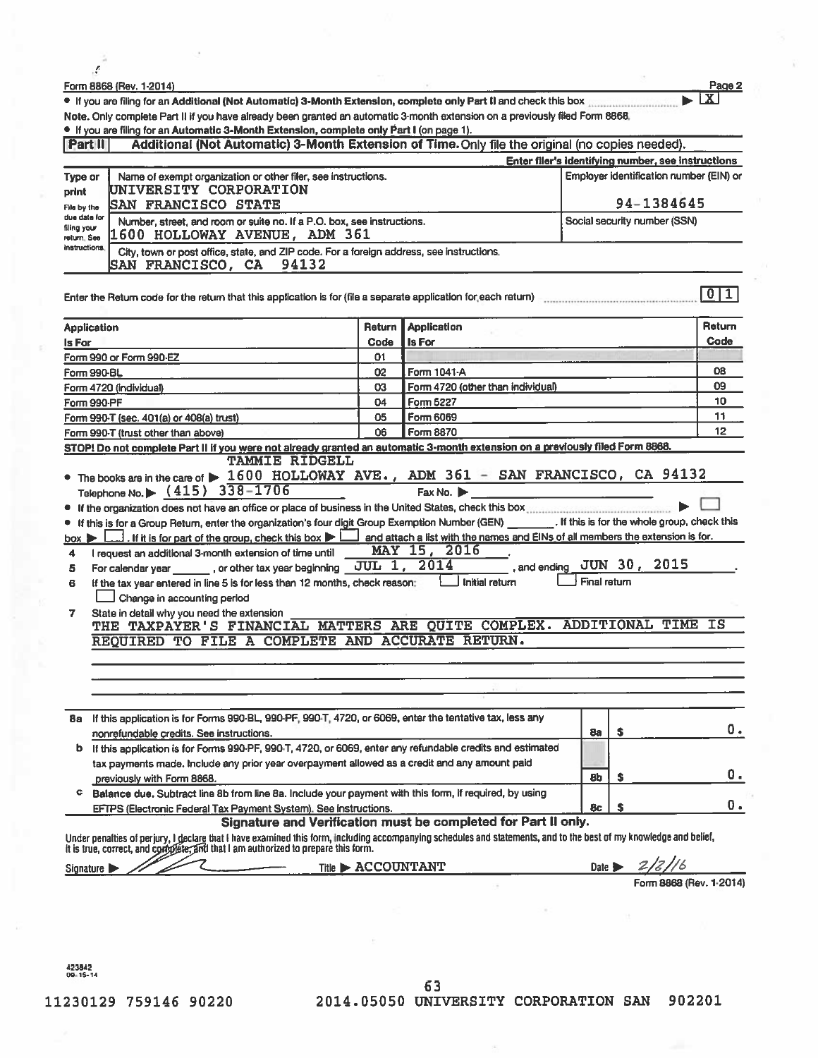|                                                                                                                                                                    |          |                                                                                |                            |                              | Page 2                                             |
|--------------------------------------------------------------------------------------------------------------------------------------------------------------------|----------|--------------------------------------------------------------------------------|----------------------------|------------------------------|----------------------------------------------------|
| Form 8868 (Rev. 1-2014)<br>. If you are filing for an Additional (Not Automatic) 3-Month Extension, complete only Part II and check this box                       |          |                                                                                |                            |                              |                                                    |
| Note. Only complete Part II if you have already been granted an automatic 3-month extension on a previously filed Form 8868.                                       |          |                                                                                |                            |                              |                                                    |
| • If you are filing for an Automatic 3-Month Extension, complete only Part I (on page 1).                                                                          |          |                                                                                |                            |                              |                                                    |
| Additional (Not Automatic) 3-Month Extension of Time. Only file the original (no copies needed).<br><b>Part II</b>                                                 |          |                                                                                |                            |                              |                                                    |
|                                                                                                                                                                    |          |                                                                                |                            |                              |                                                    |
|                                                                                                                                                                    |          |                                                                                |                            |                              | Enter filer's identifying number, see instructions |
| Name of exempt organization or other filer, see instructions.<br>Type or<br><b>UNIVERSITY CORPORATION</b>                                                          |          |                                                                                |                            |                              | Employer identification number (EIN) or            |
| print<br><b>SAN FRANCISCO STATE</b>                                                                                                                                |          |                                                                                |                            | 94-1384645                   |                                                    |
| File by the<br>due date for                                                                                                                                        |          |                                                                                |                            |                              |                                                    |
| Number, street, and room or suite no. If a P.O. box, see instructions.<br>filing your<br><b>1600 HOLLOWAY AVENUE, ADM 361</b>                                      |          |                                                                                |                            | Social security number (SSN) |                                                    |
| return. See<br>instructions                                                                                                                                        |          |                                                                                |                            |                              |                                                    |
| City, town or post office, state, and ZIP code. For a foreign address, see instructions.<br>SAN FRANCISCO, CA 94132                                                |          |                                                                                |                            |                              |                                                    |
|                                                                                                                                                                    |          |                                                                                |                            |                              |                                                    |
|                                                                                                                                                                    |          |                                                                                |                            |                              | $011$                                              |
| Enter the Return code for the return that this application is for (file a separate application for each return)                                                    |          |                                                                                |                            |                              |                                                    |
|                                                                                                                                                                    |          |                                                                                |                            |                              |                                                    |
| <b>Application</b>                                                                                                                                                 | Return   | <b>Application</b>                                                             |                            |                              | Return                                             |
| Is For                                                                                                                                                             | Code     | <b>Is For</b>                                                                  |                            |                              | Code                                               |
| Form 990 or Form 990-EZ                                                                                                                                            | 01       |                                                                                |                            |                              | 08                                                 |
| Form 990-BL                                                                                                                                                        | 02       | Form 1041-A                                                                    |                            |                              | 09                                                 |
| Form 4720 (individual)                                                                                                                                             | OЗ<br>04 | Form 4720 (other than individual)                                              |                            |                              | 10                                                 |
| Form 990-PF                                                                                                                                                        | 05       | Form 5227<br>Form 6069                                                         |                            |                              | 11                                                 |
| Form 990-T (sec. 401(a) or 408(a) trust)<br>Form 990-T (trust other than above)                                                                                    | 06       | Form 8870                                                                      |                            |                              | 12                                                 |
| STOP! Do not complete Part II if you were not already granted an automatic 3-month extension on a previously filed Form 8868.                                      |          |                                                                                |                            |                              |                                                    |
| <b>TAMMIE RIDGELL</b>                                                                                                                                              |          |                                                                                |                            |                              |                                                    |
| • The books are in the care of $\triangleright$ 1600 HOLLOWAY AVE., ADM 361 - SAN FRANCISCO, CA 94132                                                              |          |                                                                                |                            |                              |                                                    |
| Telephone No. $\blacktriangleright$ (415) 338-1706                                                                                                                 |          | Fax No. $\blacktriangleright$                                                  |                            |                              |                                                    |
| • If the organization does not have an office or place of business in the United States, check this box                                                            |          |                                                                                |                            |                              |                                                    |
| • If this is for a Group Return, enter the organization's four digit Group Exemption Number (GEN) ________. If this is for the whole group, check this             |          |                                                                                |                            |                              |                                                    |
| $\Box$ . If it is for part of the group, check this box $\blacktriangleright\bot$                                                                                  |          | and attach a list with the names and EINs of all members the extension is for. |                            |                              |                                                    |
| $box \triangleright$<br>I request an additional 3-month extension of time until<br>4                                                                               |          | <b>MAY 15, 2016</b>                                                            |                            |                              |                                                    |
| For calendar year _________, or other tax year beginning JUL 1, 2014<br>5                                                                                          |          | , and ending $JUN$ 30, $2015$                                                  |                            |                              |                                                    |
| If the tax year entered in line 5 is for less than 12 months, check reason:<br>6                                                                                   |          | Initial return                                                                 | <b>Final return</b>        |                              |                                                    |
| Change in accounting period                                                                                                                                        |          |                                                                                |                            |                              |                                                    |
| State in detail why you need the extension<br>7.                                                                                                                   |          |                                                                                |                            |                              |                                                    |
| THE TAXPAYER'S FINANCIAL MATTERS ARE QUITE COMPLEX. ADDITIONAL TIME                                                                                                |          |                                                                                |                            |                              | ΙS                                                 |
| REQUIRED TO FILE A COMPLETE AND ACCURATE RETURN.                                                                                                                   |          |                                                                                |                            |                              |                                                    |
|                                                                                                                                                                    |          |                                                                                |                            |                              |                                                    |
|                                                                                                                                                                    |          |                                                                                |                            |                              |                                                    |
|                                                                                                                                                                    |          |                                                                                |                            |                              |                                                    |
|                                                                                                                                                                    |          |                                                                                |                            |                              |                                                    |
| 8a If this application is for Forms 990-BL, 990-PF, 990-T, 4720, or 6069, enter the tentative tax, less any                                                        |          |                                                                                |                            |                              |                                                    |
| nonrefundable credits. See instructions.                                                                                                                           |          |                                                                                | 8a                         | s.                           | 0.                                                 |
| If this application is for Forms 990-PF, 990-T, 4720, or 6069, enter any refundable credits and estimated<br>b                                                     |          |                                                                                |                            |                              |                                                    |
| tax payments made. Include any prior year overpayment allowed as a credit and any amount paid                                                                      |          |                                                                                |                            |                              |                                                    |
| previously with Form 8868.                                                                                                                                         |          |                                                                                | 8b                         | S                            | 0.                                                 |
| Balance due. Subtract line 8b from line 8a. Include your payment with this form, if required, by using<br>c                                                        |          |                                                                                |                            |                              |                                                    |
| EFTPS (Electronic Federal Tax Payment System). See instructions.                                                                                                   |          |                                                                                | <b>8c</b>                  | s                            | 0.                                                 |
|                                                                                                                                                                    |          | Signature and Verification must be completed for Part II only.                 |                            |                              |                                                    |
| Under penalties of perjury, I declare that I have examined this form, including accompanying schedules and statements, and to the best of my knowledge and belief, |          |                                                                                |                            |                              |                                                    |
| it is true, correct, and complete, and that I am authorized to prepare this form.                                                                                  |          |                                                                                |                            |                              |                                                    |
| Signature $\blacktriangleright$                                                                                                                                    |          | Title ACCOUNTANT                                                               | Date $\blacktriangleright$ |                              |                                                    |
|                                                                                                                                                                    |          |                                                                                |                            |                              | Form 8868 (Rev. 1-2014)                            |
|                                                                                                                                                                    |          |                                                                                |                            |                              |                                                    |

423842<br>09-15-14

63<br>2014.05050 UNIVERSITY CORPORATION SAN 902201

 $\left\langle \hat{a} \right\rangle$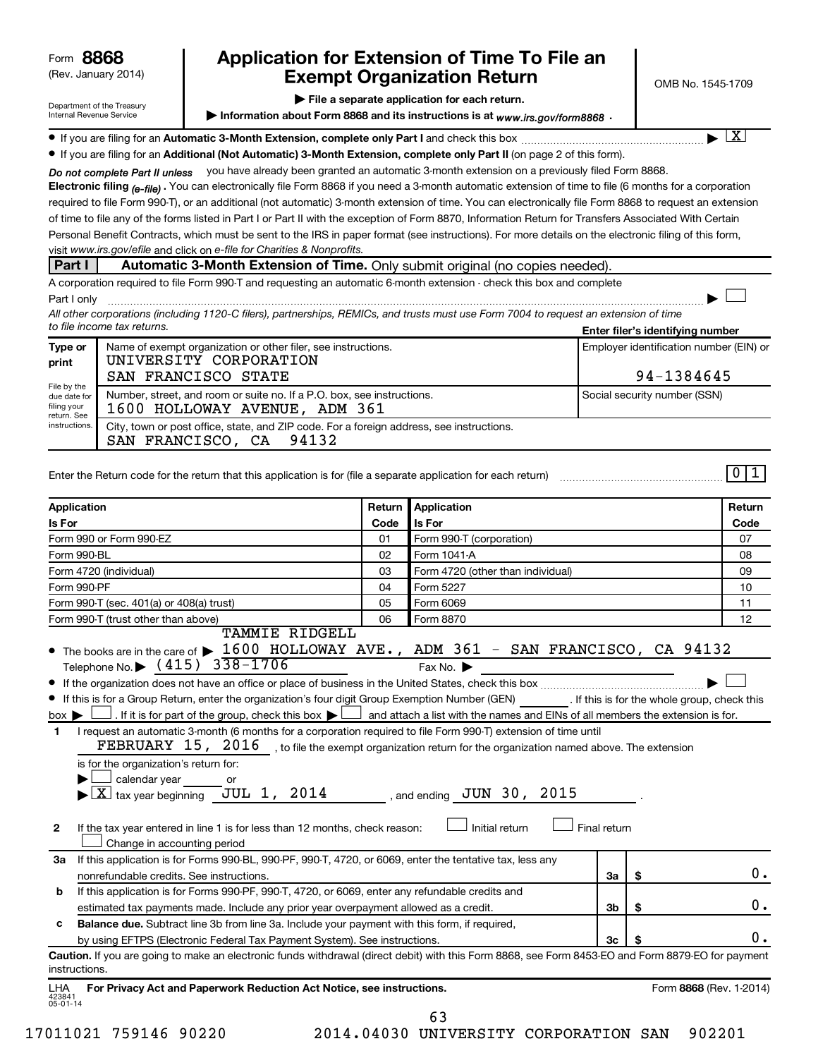| 8868<br>Form |  |
|--------------|--|
|--------------|--|

### (Rev. January 2014) **Cxempt Organization Return** Manuary 2014) **CMB No. 1545-1709 Rorm 8868 18868 Application for Extension of Time To File an<br>Rev. January 2014) <b>Application Fyempt Organization Return**

† X

 $\Box$ 

| Department of the Treasury      |
|---------------------------------|
| <b>Internal Revenue Service</b> |

#### **| File a separate application for each return.**

▶ Information about Form 8868 and its instructions is at www*.irs.gov/form8868* ⋅

**If you are filing for an Automatic 3-Month Extension, complete only Part I** and check this box  $\ldots$  $\ldots$  $\ldots$  $\ldots$  $\ldots$ 

**• If you are filing for an Additional (Not Automatic) 3-Month Extension, complete only Part II (on page 2 of this form).** 

Do not complete Part II unless vou have already been granted an automatic 3-month extension on a previously filed Form 8868.

**Electronic filing .**  You can electronically file Form 8868 if you need a 3-month automatic extension of time to file (6 months for a corporation  *(e-file)* visit www.irs.gov/efile and click on e-file for Charities & Nonprofits. required to file Form 990-T), or an additional (not automatic) 3-month extension of time. You can electronically file Form 8868 to request an extension of time to file any of the forms listed in Part I or Part II with the exception of Form 8870, Information Return for Transfers Associated With Certain Personal Benefit Contracts, which must be sent to the IRS in paper format (see instructions). For more details on the electronic filing of this form,

#### **Part I Automatic 3-Month Extension of Time.** Only submit original (no copies needed)

A corporation required to file Form 990-T and requesting an automatic 6-month extension - check this box and complete

*All other corporations (including 1120-C filers), partnerships, REMICs, and trusts must use Form 7004 to request an extension of time* Part I only ~~~~~~~~~~~~~~~~~~~~~~~~~~~~~~~~~~~~~~~~~~~~~~~~~~~~~~~~~~~~~~ |

**Enter filer's identifying number Type or print** *to file income tax returns.* Name of exempt organization or other filer, see instructions. The exempt of exempt or other filer, see instructions. UNIVERSITY CORPORATION SAN FRANCISCO STATE 1994-1384645

File by the due date for filing your return. See instructions. Number, street, and room or suite no. If a P.O. box, see instructions. City, town or post office, state, and ZIP code. For a foreign address, see instructions. Social security number (SSN) 1600 HOLLOWAY AVENUE, ADM 361

SAN FRANCISCO, CA 94132

| Enter the Return code for the return that this application is for (file a separate application for each return) |  |  |
|-----------------------------------------------------------------------------------------------------------------|--|--|
|                                                                                                                 |  |  |

| Application                                                                                                                                                                                                                                                                                                                                                                                                                                                                                                                                                                                                                                                                                                                                                                                                                                                                                                                                                                                                                                                                        |      | Application<br>Return             |    |                         | Return |  |  |
|------------------------------------------------------------------------------------------------------------------------------------------------------------------------------------------------------------------------------------------------------------------------------------------------------------------------------------------------------------------------------------------------------------------------------------------------------------------------------------------------------------------------------------------------------------------------------------------------------------------------------------------------------------------------------------------------------------------------------------------------------------------------------------------------------------------------------------------------------------------------------------------------------------------------------------------------------------------------------------------------------------------------------------------------------------------------------------|------|-----------------------------------|----|-------------------------|--------|--|--|
| Is For                                                                                                                                                                                                                                                                                                                                                                                                                                                                                                                                                                                                                                                                                                                                                                                                                                                                                                                                                                                                                                                                             | Code | <b>Is For</b>                     |    |                         |        |  |  |
| Form 990 or Form 990-EZ                                                                                                                                                                                                                                                                                                                                                                                                                                                                                                                                                                                                                                                                                                                                                                                                                                                                                                                                                                                                                                                            | 01   | Form 990-T (corporation)          |    |                         | 07     |  |  |
| Form 990-BL                                                                                                                                                                                                                                                                                                                                                                                                                                                                                                                                                                                                                                                                                                                                                                                                                                                                                                                                                                                                                                                                        | 02   | Form 1041-A                       |    |                         |        |  |  |
| Form 4720 (individual)                                                                                                                                                                                                                                                                                                                                                                                                                                                                                                                                                                                                                                                                                                                                                                                                                                                                                                                                                                                                                                                             | 03   | Form 4720 (other than individual) |    |                         | 09     |  |  |
| Form 990-PF                                                                                                                                                                                                                                                                                                                                                                                                                                                                                                                                                                                                                                                                                                                                                                                                                                                                                                                                                                                                                                                                        | 04   | Form 5227                         |    |                         | 10     |  |  |
| Form 990-T (sec. 401(a) or 408(a) trust)                                                                                                                                                                                                                                                                                                                                                                                                                                                                                                                                                                                                                                                                                                                                                                                                                                                                                                                                                                                                                                           | 05   | Form 6069                         |    |                         | 11     |  |  |
| Form 990-T (trust other than above)                                                                                                                                                                                                                                                                                                                                                                                                                                                                                                                                                                                                                                                                                                                                                                                                                                                                                                                                                                                                                                                | 06   | Form 8870                         |    |                         | 12     |  |  |
| <b>TAMMIE RIDGELL</b><br>$\bullet$ The books are in the care of $\triangleright$ 1600 HOLLOWAY AVE., ADM 361 - SAN FRANCISCO, CA 94132<br>Telephone No. $\triangleright$ (415) 338-1706<br>Fax No. $\blacktriangleright$<br>If this is for a Group Return, enter the organization's four digit Group Exemption Number (GEN) [If this is for the whole group, check this<br>. If it is for part of the group, check this box $\blacktriangleright$ and attach a list with the names and EINs of all members the extension is for.<br>$box \blacktriangleright$<br>I request an automatic 3-month (6 months for a corporation required to file Form 990-T) extension of time until<br>1.<br>FEBRUARY $15$ , $2016$ , to file the exempt organization return for the organization named above. The extension<br>is for the organization's return for:<br>calendar year or<br>$\overline{X}$ tax year beginning JUL 1, 2014 , and ending JUN 30, 2015<br>Initial return<br>Final return<br>If the tax year entered in line 1 is for less than 12 months, check reason:<br>$\mathbf{2}$ |      |                                   |    |                         |        |  |  |
| If this application is for Forms 990-BL, 990-PF, 990-T, 4720, or 6069, enter the tentative tax, less any<br>За                                                                                                                                                                                                                                                                                                                                                                                                                                                                                                                                                                                                                                                                                                                                                                                                                                                                                                                                                                     |      |                                   |    |                         |        |  |  |
| nonrefundable credits. See instructions.                                                                                                                                                                                                                                                                                                                                                                                                                                                                                                                                                                                                                                                                                                                                                                                                                                                                                                                                                                                                                                           |      |                                   | За | \$                      | 0.     |  |  |
| If this application is for Forms 990-PF, 990-T, 4720, or 6069, enter any refundable credits and<br>b                                                                                                                                                                                                                                                                                                                                                                                                                                                                                                                                                                                                                                                                                                                                                                                                                                                                                                                                                                               |      |                                   |    |                         |        |  |  |
| estimated tax payments made. Include any prior year overpayment allowed as a credit.                                                                                                                                                                                                                                                                                                                                                                                                                                                                                                                                                                                                                                                                                                                                                                                                                                                                                                                                                                                               |      |                                   | 3b | \$                      | 0.     |  |  |
| Balance due. Subtract line 3b from line 3a. Include your payment with this form, if required,<br>c                                                                                                                                                                                                                                                                                                                                                                                                                                                                                                                                                                                                                                                                                                                                                                                                                                                                                                                                                                                 |      |                                   |    |                         |        |  |  |
| by using EFTPS (Electronic Federal Tax Payment System). See instructions.                                                                                                                                                                                                                                                                                                                                                                                                                                                                                                                                                                                                                                                                                                                                                                                                                                                                                                                                                                                                          |      |                                   | 3c | \$                      | 0.     |  |  |
| Caution. If you are going to make an electronic funds withdrawal (direct debit) with this Form 8868, see Form 8453-EO and Form 8879-EO for payment<br>instructions.                                                                                                                                                                                                                                                                                                                                                                                                                                                                                                                                                                                                                                                                                                                                                                                                                                                                                                                |      |                                   |    |                         |        |  |  |
| For Privacy Act and Paperwork Reduction Act Notice, see instructions.<br>LHA<br>423841<br>$05 - 01 - 14$                                                                                                                                                                                                                                                                                                                                                                                                                                                                                                                                                                                                                                                                                                                                                                                                                                                                                                                                                                           |      |                                   |    | Form 8868 (Rev. 1-2014) |        |  |  |

17011021 759146 90220 2014.04030 UNIVERSITY CORPORATION SAN 902201 63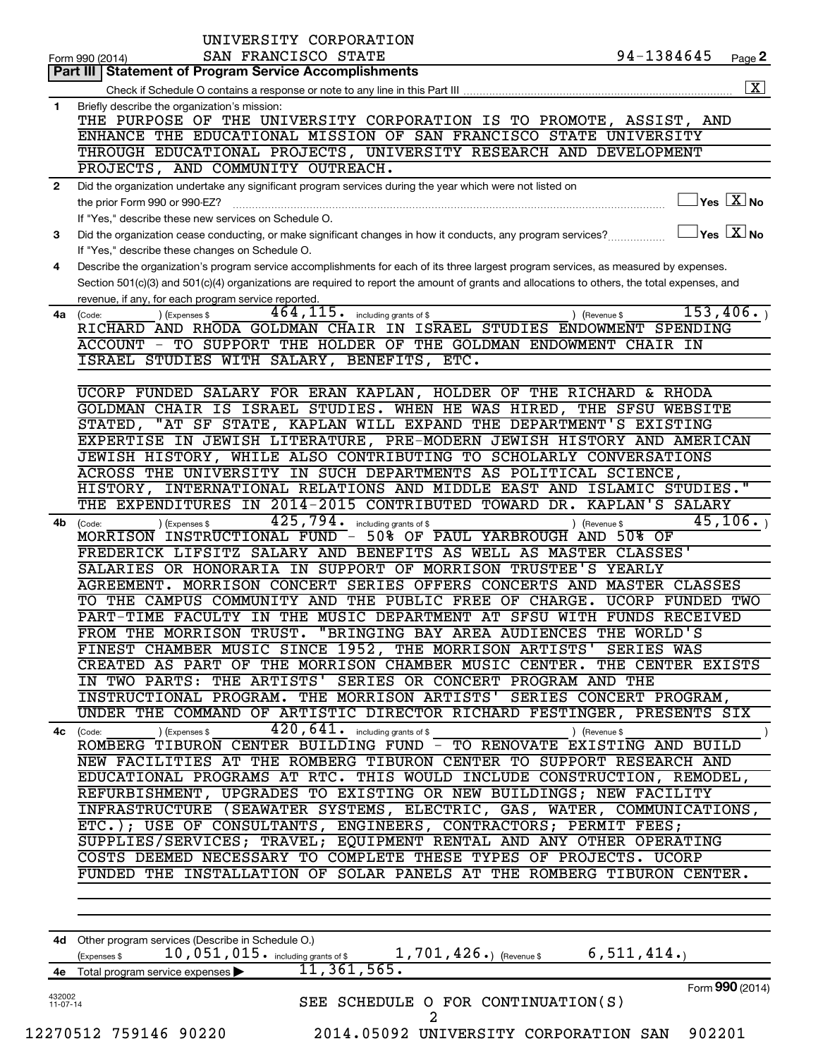|              | UNIVERSITY CORPORATION                                                                                                                       |               |                                                  |
|--------------|----------------------------------------------------------------------------------------------------------------------------------------------|---------------|--------------------------------------------------|
|              | SAN FRANCISCO STATE<br>Form 990 (2014)                                                                                                       | 94-1384645    | Page 2                                           |
|              | Part III   Statement of Program Service Accomplishments                                                                                      |               | $\boxed{\text{X}}$                               |
|              |                                                                                                                                              |               |                                                  |
| 1.           | Briefly describe the organization's mission:<br>THE PURPOSE OF THE UNIVERSITY CORPORATION IS TO PROMOTE, ASSIST, AND                         |               |                                                  |
|              | ENHANCE THE EDUCATIONAL MISSION OF SAN FRANCISCO STATE UNIVERSITY                                                                            |               |                                                  |
|              | THROUGH EDUCATIONAL PROJECTS, UNIVERSITY RESEARCH AND DEVELOPMENT                                                                            |               |                                                  |
|              | PROJECTS, AND COMMUNITY OUTREACH.                                                                                                            |               |                                                  |
|              |                                                                                                                                              |               |                                                  |
| $\mathbf{2}$ | Did the organization undertake any significant program services during the year which were not listed on                                     |               | $\overline{\ }$ Yes $\overline{\phantom{a}X}$ No |
|              | the prior Form 990 or 990-EZ?                                                                                                                |               |                                                  |
|              | If "Yes," describe these new services on Schedule O.                                                                                         |               |                                                  |
| 3            | Did the organization cease conducting, or make significant changes in how it conducts, any program services?                                 |               | $\Box$ Yes $\boxed{\text{X}}$ No                 |
|              | If "Yes," describe these changes on Schedule O.                                                                                              |               |                                                  |
| 4            | Describe the organization's program service accomplishments for each of its three largest program services, as measured by expenses.         |               |                                                  |
|              | Section 501(c)(3) and 501(c)(4) organizations are required to report the amount of grants and allocations to others, the total expenses, and |               |                                                  |
|              | revenue, if any, for each program service reported.                                                                                          |               |                                                  |
| 4a           | $464, 115$ $\cdot$ including grants of \$<br>(Code:<br>(Expenses \$                                                                          | ) (Revenue \$ | 153, 406.                                        |
|              | RICHARD AND RHODA GOLDMAN CHAIR IN ISRAEL STUDIES ENDOWMENT SPENDING                                                                         |               |                                                  |
|              | ACCOUNT - TO SUPPORT THE HOLDER OF THE GOLDMAN ENDOWMENT CHAIR IN                                                                            |               |                                                  |
|              | ISRAEL STUDIES WITH SALARY, BENEFITS, ETC.                                                                                                   |               |                                                  |
|              |                                                                                                                                              |               |                                                  |
|              | UCORP FUNDED SALARY FOR ERAN KAPLAN, HOLDER OF THE RICHARD & RHODA                                                                           |               |                                                  |
|              | GOLDMAN CHAIR IS ISRAEL STUDIES. WHEN HE WAS HIRED, THE SFSU WEBSITE                                                                         |               |                                                  |
|              | STATED, "AT SF STATE, KAPLAN WILL EXPAND THE DEPARTMENT'S EXISTING                                                                           |               |                                                  |
|              | EXPERTISE IN JEWISH LITERATURE, PRE-MODERN JEWISH HISTORY AND AMERICAN                                                                       |               |                                                  |
|              | JEWISH HISTORY, WHILE ALSO CONTRIBUTING TO SCHOLARLY CONVERSATIONS                                                                           |               |                                                  |
|              | ACROSS THE UNIVERSITY IN SUCH DEPARTMENTS AS POLITICAL SCIENCE,                                                                              |               |                                                  |
|              | HISTORY, INTERNATIONAL RELATIONS AND MIDDLE EAST AND ISLAMIC STUDIES."                                                                       |               |                                                  |
|              | THE EXPENDITURES IN 2014-2015 CONTRIBUTED TOWARD DR. KAPLAN'S SALARY                                                                         |               |                                                  |
|              | 425,794.<br>including grants of \$<br>4b (Code:<br>(Expenses \$                                                                              | (Revenue \$   | 45, 106.                                         |
|              | MORRISON INSTRUCTIONAL FUND - 50% OF PAUL YARBROUGH AND 50% OF                                                                               |               |                                                  |
|              | FREDERICK LIFSITZ SALARY AND BENEFITS AS WELL AS MASTER CLASSES'                                                                             |               |                                                  |
|              | SALARIES OR HONORARIA IN SUPPORT OF MORRISON TRUSTEE'S YEARLY                                                                                |               |                                                  |
|              | AGREEMENT. MORRISON CONCERT SERIES OFFERS CONCERTS AND MASTER CLASSES                                                                        |               |                                                  |
|              | TO THE CAMPUS COMMUNITY AND THE PUBLIC FREE OF CHARGE. UCORP FUNDED TWO                                                                      |               |                                                  |
|              | PART-TIME FACULTY IN THE MUSIC DEPARTMENT AT SFSU WITH FUNDS RECEIVED                                                                        |               |                                                  |
|              | "BRINGING BAY AREA AUDIENCES THE WORLD'S<br>FROM THE MORRISON TRUST.                                                                         |               |                                                  |
|              | FINEST CHAMBER MUSIC SINCE 1952, THE MORRISON ARTISTS' SERIES WAS                                                                            |               |                                                  |
|              | CREATED AS PART OF THE MORRISON CHAMBER MUSIC CENTER. THE CENTER EXISTS                                                                      |               |                                                  |
|              | IN TWO PARTS: THE ARTISTS' SERIES OR CONCERT PROGRAM AND THE                                                                                 |               |                                                  |
|              | INSTRUCTIONAL PROGRAM. THE MORRISON ARTISTS' SERIES CONCERT PROGRAM,                                                                         |               |                                                  |
|              | UNDER THE COMMAND OF ARTISTIC DIRECTOR RICHARD FESTINGER, PRESENTS SIX                                                                       |               |                                                  |
|              | $420$ , $641$ $\cdot$ including grants of \$<br>) (Expenses \$<br>4c (Code:                                                                  | ) (Revenue \$ |                                                  |
|              | ROMBERG TIBURON CENTER BUILDING FUND - TO RENOVATE EXISTING AND BUILD                                                                        |               |                                                  |
|              | NEW FACILITIES AT THE ROMBERG TIBURON CENTER TO SUPPORT RESEARCH AND                                                                         |               |                                                  |
|              | EDUCATIONAL PROGRAMS AT RTC. THIS WOULD INCLUDE CONSTRUCTION, REMODEL,                                                                       |               |                                                  |
|              | REFURBISHMENT, UPGRADES TO EXISTING OR NEW BUILDINGS; NEW FACILITY                                                                           |               |                                                  |
|              | INFRASTRUCTURE (SEAWATER SYSTEMS, ELECTRIC, GAS, WATER, COMMUNICATIONS,                                                                      |               |                                                  |
|              | ETC.); USE OF CONSULTANTS, ENGINEERS, CONTRACTORS; PERMIT FEES;                                                                              |               |                                                  |
|              | SUPPLIES/SERVICES; TRAVEL; EQUIPMENT RENTAL AND ANY OTHER OPERATING                                                                          |               |                                                  |
|              | COSTS DEEMED NECESSARY TO COMPLETE THESE TYPES OF PROJECTS. UCORP                                                                            |               |                                                  |
|              | FUNDED THE INSTALLATION OF SOLAR PANELS AT THE ROMBERG TIBURON CENTER.                                                                       |               |                                                  |
|              |                                                                                                                                              |               |                                                  |
|              |                                                                                                                                              |               |                                                  |
|              |                                                                                                                                              |               |                                                  |
|              |                                                                                                                                              |               |                                                  |
|              | 4d Other program services (Describe in Schedule O.)                                                                                          |               |                                                  |
|              | 10,051,015. including grants of \$<br>$1,701,426.$ (Revenue \$<br>(Expenses \$                                                               | 6,511,414.    |                                                  |
| 4e           | 11, 361, 565.<br>Total program service expenses >                                                                                            |               |                                                  |
| 432002       |                                                                                                                                              |               | Form 990 (2014)                                  |
| $11-07-14$   | SEE SCHEDULE O FOR CONTINUATION(S)                                                                                                           |               |                                                  |
|              | 2                                                                                                                                            |               |                                                  |
|              | 12270512 759146 90220<br>2014.05092 UNIVERSITY CORPORATION SAN                                                                               |               | 902201                                           |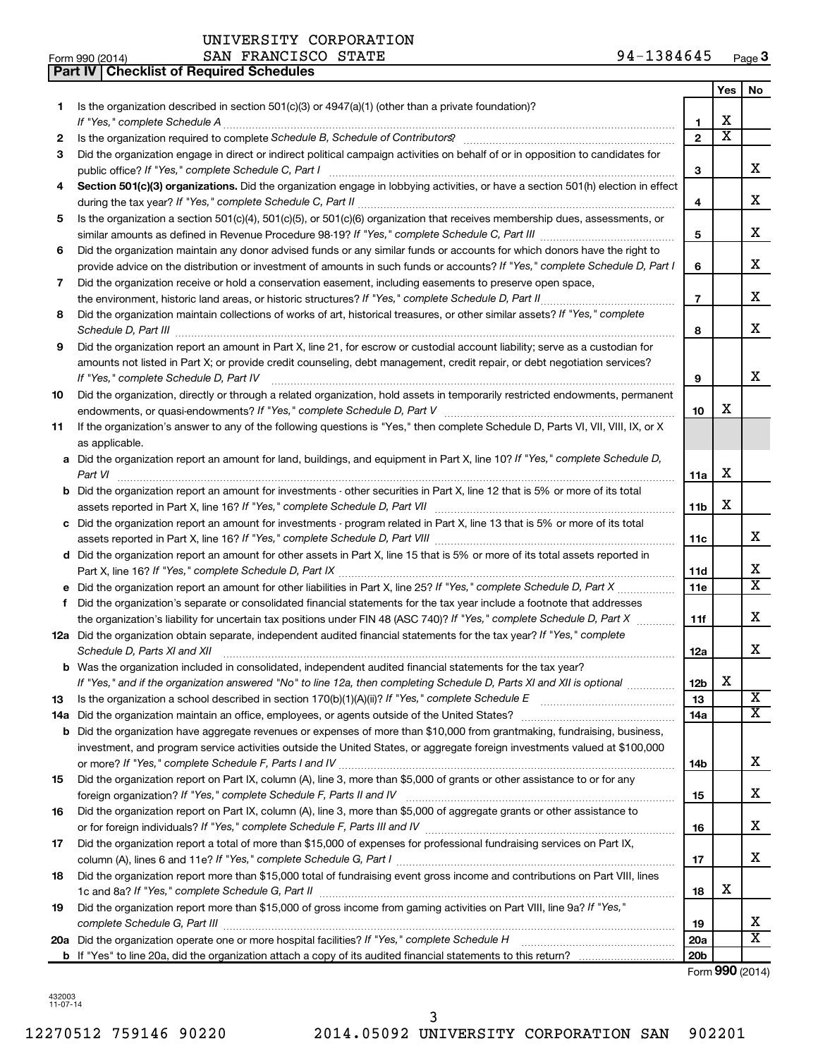**Part IV Checklist of Required Schedules**

Form 990 (2014) Page SAN FRANCISCO STATE 94-1384645 94-1384645 Page 3

|     |                                                                                                                                                                                                                                |                 | Yes                   | No                      |
|-----|--------------------------------------------------------------------------------------------------------------------------------------------------------------------------------------------------------------------------------|-----------------|-----------------------|-------------------------|
| 1   | Is the organization described in section $501(c)(3)$ or $4947(a)(1)$ (other than a private foundation)?                                                                                                                        |                 |                       |                         |
|     | If "Yes," complete Schedule A                                                                                                                                                                                                  | 1               | х                     |                         |
| 2   | Is the organization required to complete Schedule B, Schedule of Contributors? [11] [12] the organization required to complete Schedule B, Schedule of Contributors? [11] [12] [12] the organization required to complete Sche | $\mathbf{2}$    | $\overline{\text{x}}$ |                         |
| З   | Did the organization engage in direct or indirect political campaign activities on behalf of or in opposition to candidates for                                                                                                |                 |                       |                         |
|     | public office? If "Yes," complete Schedule C, Part I                                                                                                                                                                           | 3               |                       | x                       |
| 4   | Section 501(c)(3) organizations. Did the organization engage in lobbying activities, or have a section 501(h) election in effect                                                                                               |                 |                       | x                       |
|     |                                                                                                                                                                                                                                | 4               |                       |                         |
| 5   | Is the organization a section 501(c)(4), 501(c)(5), or 501(c)(6) organization that receives membership dues, assessments, or                                                                                                   | 5               |                       | x                       |
| 6   | Did the organization maintain any donor advised funds or any similar funds or accounts for which donors have the right to                                                                                                      |                 |                       |                         |
|     | provide advice on the distribution or investment of amounts in such funds or accounts? If "Yes," complete Schedule D, Part I                                                                                                   | 6               |                       | x                       |
| 7   | Did the organization receive or hold a conservation easement, including easements to preserve open space,                                                                                                                      |                 |                       |                         |
|     |                                                                                                                                                                                                                                | $\overline{7}$  |                       | x                       |
| 8   | Did the organization maintain collections of works of art, historical treasures, or other similar assets? If "Yes," complete                                                                                                   |                 |                       |                         |
|     |                                                                                                                                                                                                                                | 8               |                       | x                       |
| 9   | Did the organization report an amount in Part X, line 21, for escrow or custodial account liability; serve as a custodian for                                                                                                  |                 |                       |                         |
|     | amounts not listed in Part X; or provide credit counseling, debt management, credit repair, or debt negotiation services?                                                                                                      |                 |                       |                         |
|     | If "Yes," complete Schedule D, Part IV                                                                                                                                                                                         | 9               |                       | x                       |
| 10  | Did the organization, directly or through a related organization, hold assets in temporarily restricted endowments, permanent                                                                                                  |                 |                       |                         |
|     |                                                                                                                                                                                                                                | 10              | х                     |                         |
| 11  | If the organization's answer to any of the following questions is "Yes," then complete Schedule D, Parts VI, VII, VIII, IX, or X                                                                                               |                 |                       |                         |
|     | as applicable.                                                                                                                                                                                                                 |                 |                       |                         |
|     | a Did the organization report an amount for land, buildings, and equipment in Part X, line 10? If "Yes," complete Schedule D,                                                                                                  |                 |                       |                         |
|     |                                                                                                                                                                                                                                | 11a             | X                     |                         |
|     | <b>b</b> Did the organization report an amount for investments - other securities in Part X, line 12 that is 5% or more of its total                                                                                           |                 |                       |                         |
|     |                                                                                                                                                                                                                                | 11 <sub>b</sub> | х                     |                         |
|     | c Did the organization report an amount for investments - program related in Part X, line 13 that is 5% or more of its total                                                                                                   |                 |                       | x                       |
|     |                                                                                                                                                                                                                                | 11c             |                       |                         |
|     | d Did the organization report an amount for other assets in Part X, line 15 that is 5% or more of its total assets reported in                                                                                                 | 11d             |                       | х                       |
|     |                                                                                                                                                                                                                                | 11 <sub>c</sub> |                       | $\overline{\mathtt{x}}$ |
| f   | Did the organization's separate or consolidated financial statements for the tax year include a footnote that addresses                                                                                                        |                 |                       |                         |
|     | the organization's liability for uncertain tax positions under FIN 48 (ASC 740)? If "Yes," complete Schedule D, Part X                                                                                                         | 11f             |                       | x                       |
|     | 12a Did the organization obtain separate, independent audited financial statements for the tax year? If "Yes," complete                                                                                                        |                 |                       |                         |
|     | Schedule D, Parts XI and XII                                                                                                                                                                                                   | 12a             |                       | x                       |
|     | <b>b</b> Was the organization included in consolidated, independent audited financial statements for the tax year?                                                                                                             |                 |                       |                         |
|     | If "Yes," and if the organization answered "No" to line 12a, then completing Schedule D, Parts XI and XII is optional                                                                                                          | 12 <sub>b</sub> | х                     |                         |
| 13  |                                                                                                                                                                                                                                | 13              |                       | $\overline{\textbf{x}}$ |
| 14a |                                                                                                                                                                                                                                | 14a             |                       | $\overline{\mathbf{X}}$ |
| b   | Did the organization have aggregate revenues or expenses of more than \$10,000 from grantmaking, fundraising, business,                                                                                                        |                 |                       |                         |
|     | investment, and program service activities outside the United States, or aggregate foreign investments valued at \$100,000                                                                                                     |                 |                       |                         |
|     |                                                                                                                                                                                                                                | 14b             |                       | x                       |
| 15  | Did the organization report on Part IX, column (A), line 3, more than \$5,000 of grants or other assistance to or for any                                                                                                      |                 |                       |                         |
|     |                                                                                                                                                                                                                                | 15              |                       | x                       |
| 16  | Did the organization report on Part IX, column (A), line 3, more than \$5,000 of aggregate grants or other assistance to                                                                                                       |                 |                       | x                       |
|     |                                                                                                                                                                                                                                | 16              |                       |                         |
| 17  | Did the organization report a total of more than \$15,000 of expenses for professional fundraising services on Part IX,                                                                                                        | 17              |                       | x                       |
| 18  | Did the organization report more than \$15,000 total of fundraising event gross income and contributions on Part VIII, lines                                                                                                   |                 |                       |                         |
|     |                                                                                                                                                                                                                                | 18              | х                     |                         |
| 19  | Did the organization report more than \$15,000 of gross income from gaming activities on Part VIII, line 9a? If "Yes,"                                                                                                         |                 |                       |                         |
|     |                                                                                                                                                                                                                                | 19              |                       | х                       |
|     |                                                                                                                                                                                                                                | 20a             |                       | $\overline{\mathbf{X}}$ |
|     |                                                                                                                                                                                                                                | 20 <sub>b</sub> |                       |                         |
|     |                                                                                                                                                                                                                                |                 |                       | Form 990 (2014)         |

432003 11-07-14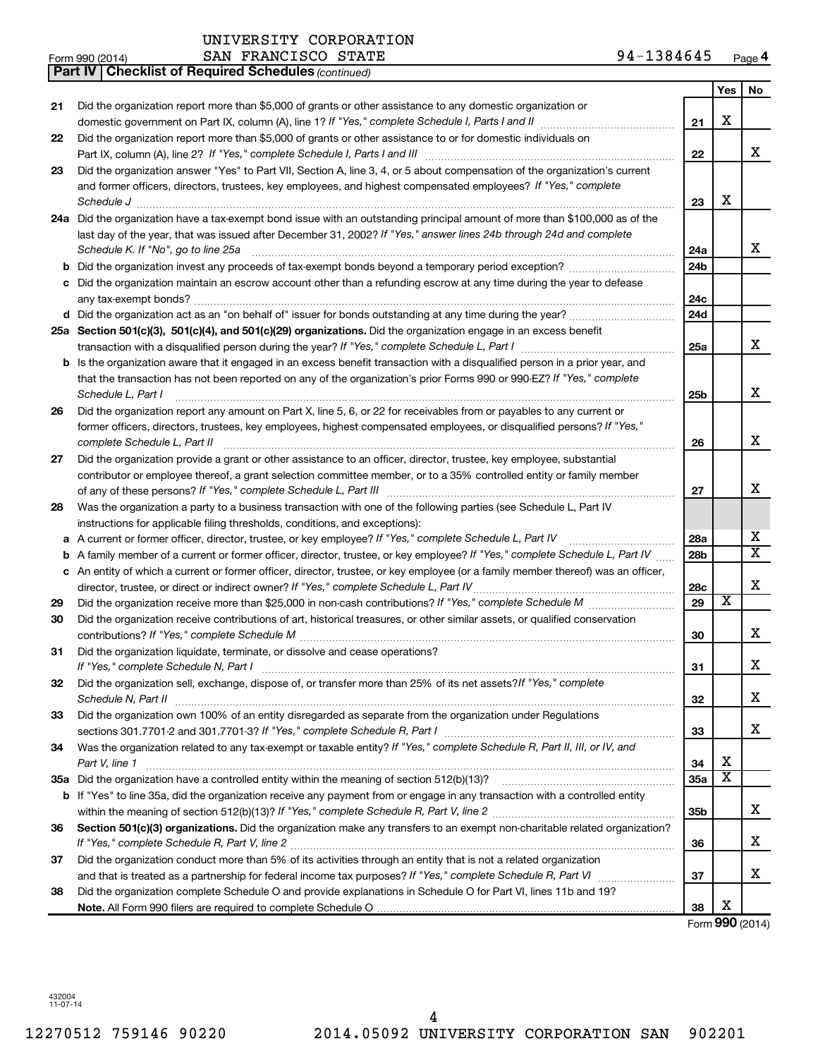|    | <b>Part IV   Checklist of Required Schedules (continued)</b>                                                                                                                |                 |                         |                       |
|----|-----------------------------------------------------------------------------------------------------------------------------------------------------------------------------|-----------------|-------------------------|-----------------------|
|    |                                                                                                                                                                             |                 | Yes                     | No                    |
| 21 | Did the organization report more than \$5,000 of grants or other assistance to any domestic organization or                                                                 |                 |                         |                       |
|    |                                                                                                                                                                             | 21              | X                       |                       |
| 22 | Did the organization report more than \$5,000 of grants or other assistance to or for domestic individuals on                                                               |                 |                         |                       |
|    |                                                                                                                                                                             | 22              |                         | x                     |
| 23 | Did the organization answer "Yes" to Part VII, Section A, line 3, 4, or 5 about compensation of the organization's current                                                  |                 |                         |                       |
|    |                                                                                                                                                                             |                 |                         |                       |
|    | and former officers, directors, trustees, key employees, and highest compensated employees? If "Yes," complete                                                              |                 | X                       |                       |
|    | Schedule J <b>Execute Schedule J Execute Schedule J</b>                                                                                                                     | 23              |                         |                       |
|    | 24a Did the organization have a tax-exempt bond issue with an outstanding principal amount of more than \$100,000 as of the                                                 |                 |                         |                       |
|    | last day of the year, that was issued after December 31, 2002? If "Yes," answer lines 24b through 24d and complete                                                          |                 |                         |                       |
|    | Schedule K. If "No", go to line 25a                                                                                                                                         | 24a             |                         | x                     |
|    |                                                                                                                                                                             | 24 <sub>b</sub> |                         |                       |
|    | c Did the organization maintain an escrow account other than a refunding escrow at any time during the year to defease                                                      |                 |                         |                       |
|    |                                                                                                                                                                             | 24c             |                         |                       |
|    |                                                                                                                                                                             | 24d             |                         |                       |
|    | 25a Section 501(c)(3), 501(c)(4), and 501(c)(29) organizations. Did the organization engage in an excess benefit                                                            |                 |                         |                       |
|    |                                                                                                                                                                             | 25a             |                         | x                     |
|    | <b>b</b> Is the organization aware that it engaged in an excess benefit transaction with a disqualified person in a prior year, and                                         |                 |                         |                       |
|    | that the transaction has not been reported on any of the organization's prior Forms 990 or 990-EZ? If "Yes," complete                                                       |                 |                         |                       |
|    | Schedule L, Part I                                                                                                                                                          | 25b             |                         | х                     |
| 26 | Did the organization report any amount on Part X, line 5, 6, or 22 for receivables from or payables to any current or                                                       |                 |                         |                       |
|    | former officers, directors, trustees, key employees, highest compensated employees, or disqualified persons? If "Yes,"                                                      |                 |                         |                       |
|    | complete Schedule L, Part II                                                                                                                                                | 26              |                         | х                     |
| 27 | Did the organization provide a grant or other assistance to an officer, director, trustee, key employee, substantial                                                        |                 |                         |                       |
|    | contributor or employee thereof, a grant selection committee member, or to a 35% controlled entity or family member                                                         |                 |                         |                       |
|    |                                                                                                                                                                             | 27              |                         | х                     |
| 28 | Was the organization a party to a business transaction with one of the following parties (see Schedule L, Part IV                                                           |                 |                         |                       |
|    | instructions for applicable filing thresholds, conditions, and exceptions):                                                                                                 |                 |                         |                       |
|    | A current or former officer, director, trustee, or key employee? If "Yes," complete Schedule L, Part IV                                                                     | 28a             |                         | х                     |
| а  |                                                                                                                                                                             | 28b             |                         | $\overline{\text{X}}$ |
| b  | A family member of a current or former officer, director, trustee, or key employee? If "Yes," complete Schedule L, Part IV                                                  |                 |                         |                       |
|    | c An entity of which a current or former officer, director, trustee, or key employee (or a family member thereof) was an officer,                                           |                 |                         | х                     |
|    | director, trustee, or direct or indirect owner? If "Yes," complete Schedule L, Part IV                                                                                      | 28c             | $\overline{\textbf{x}}$ |                       |
| 29 |                                                                                                                                                                             | 29              |                         |                       |
| 30 | Did the organization receive contributions of art, historical treasures, or other similar assets, or qualified conservation                                                 |                 |                         |                       |
|    |                                                                                                                                                                             | 30              |                         | x                     |
| 31 | Did the organization liquidate, terminate, or dissolve and cease operations?                                                                                                |                 |                         |                       |
|    | If "Yes," complete Schedule N, Part I                                                                                                                                       | 31              |                         | Χ                     |
| 32 | Did the organization sell, exchange, dispose of, or transfer more than 25% of its net assets?/f "Yes," complete                                                             |                 |                         |                       |
|    |                                                                                                                                                                             | 32              |                         | x                     |
| 33 | Did the organization own 100% of an entity disregarded as separate from the organization under Regulations                                                                  |                 |                         |                       |
|    | sections 301.7701-2 and 301.7701-3? If "Yes," complete Schedule R, Part I [1] [1] [1] [1] [1] [1] sections 301.7701-2 and 301.7701-3? If "Yes," complete Schedule R, Part I | 33              |                         | x                     |
| 34 | Was the organization related to any tax-exempt or taxable entity? If "Yes," complete Schedule R, Part II, III, or IV, and                                                   |                 |                         |                       |
|    | Part V, line 1                                                                                                                                                              | 34              | х                       |                       |
|    |                                                                                                                                                                             | 35a             | $\overline{\textbf{X}}$ |                       |
|    | b If "Yes" to line 35a, did the organization receive any payment from or engage in any transaction with a controlled entity                                                 |                 |                         |                       |
|    |                                                                                                                                                                             | 35b             |                         | x                     |
| 36 | Section 501(c)(3) organizations. Did the organization make any transfers to an exempt non-charitable related organization?                                                  |                 |                         |                       |
|    |                                                                                                                                                                             | 36              |                         | x                     |
| 37 | Did the organization conduct more than 5% of its activities through an entity that is not a related organization                                                            |                 |                         |                       |
|    |                                                                                                                                                                             | 37              |                         | x                     |
| 38 | Did the organization complete Schedule O and provide explanations in Schedule O for Part VI, lines 11b and 19?                                                              |                 |                         |                       |
|    |                                                                                                                                                                             | 38              | х                       |                       |
|    |                                                                                                                                                                             |                 |                         | Form 990 (2014)       |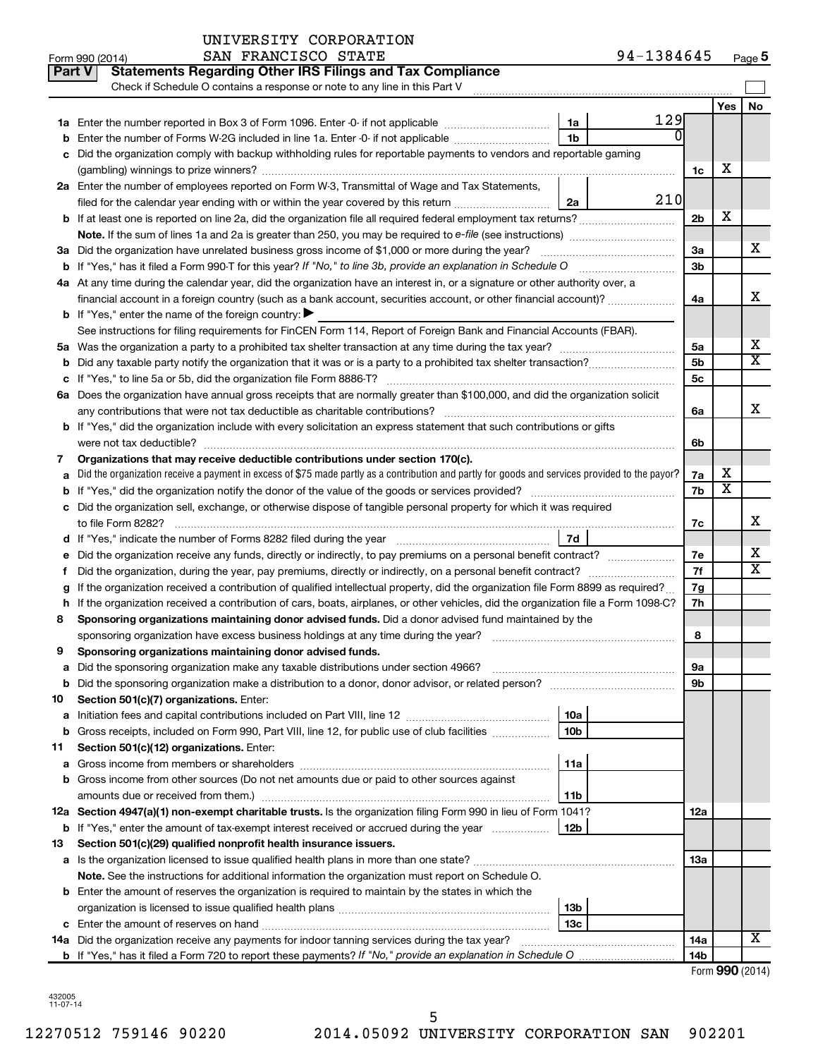|               | SAN FRANCISCO STATE<br>Form 990 (2014)                                                                                                                                                                                                           | 94-1384645                                                                                                                                                                                                                                                                                                                                                    |                |                         | Page 5                  |
|---------------|--------------------------------------------------------------------------------------------------------------------------------------------------------------------------------------------------------------------------------------------------|---------------------------------------------------------------------------------------------------------------------------------------------------------------------------------------------------------------------------------------------------------------------------------------------------------------------------------------------------------------|----------------|-------------------------|-------------------------|
| <b>Part V</b> | <b>Statements Regarding Other IRS Filings and Tax Compliance</b>                                                                                                                                                                                 |                                                                                                                                                                                                                                                                                                                                                               |                |                         |                         |
|               | Check if Schedule O contains a response or note to any line in this Part V                                                                                                                                                                       |                                                                                                                                                                                                                                                                                                                                                               |                |                         |                         |
|               |                                                                                                                                                                                                                                                  |                                                                                                                                                                                                                                                                                                                                                               |                | Yes                     | No                      |
|               |                                                                                                                                                                                                                                                  | 129<br>1a                                                                                                                                                                                                                                                                                                                                                     |                |                         |                         |
|               |                                                                                                                                                                                                                                                  | 1 <sub>b</sub>                                                                                                                                                                                                                                                                                                                                                |                |                         |                         |
|               | c Did the organization comply with backup withholding rules for reportable payments to vendors and reportable gaming                                                                                                                             |                                                                                                                                                                                                                                                                                                                                                               |                |                         |                         |
|               |                                                                                                                                                                                                                                                  |                                                                                                                                                                                                                                                                                                                                                               | 1c             | х                       |                         |
|               | 2a Enter the number of employees reported on Form W-3, Transmittal of Wage and Tax Statements,                                                                                                                                                   |                                                                                                                                                                                                                                                                                                                                                               |                |                         |                         |
|               | filed for the calendar year ending with or within the year covered by this return                                                                                                                                                                | 210<br>2a                                                                                                                                                                                                                                                                                                                                                     |                |                         |                         |
|               | <b>b</b> If at least one is reported on line 2a, did the organization file all required federal employment tax returns?                                                                                                                          |                                                                                                                                                                                                                                                                                                                                                               | 2 <sub>b</sub> | х                       |                         |
|               | <b>Note.</b> If the sum of lines 1a and 2a is greater than 250, you may be required to e-file (see instructions)                                                                                                                                 |                                                                                                                                                                                                                                                                                                                                                               |                |                         |                         |
|               | 3a Did the organization have unrelated business gross income of \$1,000 or more during the year?                                                                                                                                                 |                                                                                                                                                                                                                                                                                                                                                               | 3a             |                         | x                       |
|               | <b>b</b> If "Yes," has it filed a Form 990-T for this year? If "No," to line 3b, provide an explanation in Schedule O                                                                                                                            |                                                                                                                                                                                                                                                                                                                                                               | 3b             |                         |                         |
|               | 4a At any time during the calendar year, did the organization have an interest in, or a signature or other authority over, a                                                                                                                     |                                                                                                                                                                                                                                                                                                                                                               |                |                         |                         |
|               | financial account in a foreign country (such as a bank account, securities account, or other financial account)?                                                                                                                                 |                                                                                                                                                                                                                                                                                                                                                               | 4a             |                         | х                       |
|               | <b>b</b> If "Yes," enter the name of the foreign country: $\blacktriangleright$                                                                                                                                                                  |                                                                                                                                                                                                                                                                                                                                                               |                |                         |                         |
|               | See instructions for filing requirements for FinCEN Form 114, Report of Foreign Bank and Financial Accounts (FBAR).                                                                                                                              |                                                                                                                                                                                                                                                                                                                                                               |                |                         |                         |
|               |                                                                                                                                                                                                                                                  |                                                                                                                                                                                                                                                                                                                                                               | 5a             |                         | х                       |
|               |                                                                                                                                                                                                                                                  |                                                                                                                                                                                                                                                                                                                                                               | 5 <sub>b</sub> |                         | $\overline{\texttt{x}}$ |
|               |                                                                                                                                                                                                                                                  |                                                                                                                                                                                                                                                                                                                                                               | 5c             |                         |                         |
|               | 6a Does the organization have annual gross receipts that are normally greater than \$100,000, and did the organization solicit                                                                                                                   |                                                                                                                                                                                                                                                                                                                                                               |                |                         |                         |
|               | any contributions that were not tax deductible as charitable contributions?                                                                                                                                                                      |                                                                                                                                                                                                                                                                                                                                                               | 6a             |                         | x                       |
|               | b If "Yes," did the organization include with every solicitation an express statement that such contributions or gifts                                                                                                                           |                                                                                                                                                                                                                                                                                                                                                               |                |                         |                         |
|               | were not tax deductible?                                                                                                                                                                                                                         |                                                                                                                                                                                                                                                                                                                                                               | 6b             |                         |                         |
| 7             | Organizations that may receive deductible contributions under section 170(c).                                                                                                                                                                    |                                                                                                                                                                                                                                                                                                                                                               |                |                         |                         |
|               | a Did the organization receive a payment in excess of \$75 made partly as a contribution and partly for goods and services provided to the payor?                                                                                                |                                                                                                                                                                                                                                                                                                                                                               | 7a             | х                       |                         |
|               | <b>b</b> If "Yes," did the organization notify the donor of the value of the goods or services provided?                                                                                                                                         |                                                                                                                                                                                                                                                                                                                                                               | 7b             | $\overline{\textbf{x}}$ |                         |
|               | c Did the organization sell, exchange, or otherwise dispose of tangible personal property for which it was required                                                                                                                              |                                                                                                                                                                                                                                                                                                                                                               |                |                         | x                       |
|               | to file Form 8282?                                                                                                                                                                                                                               |                                                                                                                                                                                                                                                                                                                                                               | 7c             |                         |                         |
|               | d If "Yes," indicate the number of Forms 8282 filed during the year manufactured in the set of the number of Forms 8282 filed during the year                                                                                                    | 7d                                                                                                                                                                                                                                                                                                                                                            |                |                         | х                       |
|               | e Did the organization receive any funds, directly or indirectly, to pay premiums on a personal benefit contract?                                                                                                                                |                                                                                                                                                                                                                                                                                                                                                               | 7e<br>7f       |                         | $\overline{\texttt{x}}$ |
| Ť.            | Did the organization, during the year, pay premiums, directly or indirectly, on a personal benefit contract?<br>If the organization received a contribution of qualified intellectual property, did the organization file Form 8899 as required? |                                                                                                                                                                                                                                                                                                                                                               | 7g             |                         |                         |
| g             | h If the organization received a contribution of cars, boats, airplanes, or other vehicles, did the organization file a Form 1098-C?                                                                                                             |                                                                                                                                                                                                                                                                                                                                                               | 7h             |                         |                         |
| 8             | Sponsoring organizations maintaining donor advised funds. Did a donor advised fund maintained by the                                                                                                                                             |                                                                                                                                                                                                                                                                                                                                                               |                |                         |                         |
|               | sponsoring organization have excess business holdings at any time during the year?                                                                                                                                                               |                                                                                                                                                                                                                                                                                                                                                               | 8              |                         |                         |
| 9             | Sponsoring organizations maintaining donor advised funds.                                                                                                                                                                                        |                                                                                                                                                                                                                                                                                                                                                               |                |                         |                         |
| а             | Did the sponsoring organization make any taxable distributions under section 4966?                                                                                                                                                               | $\mathcal{L} = \{1, 2, \ldots, 2, \ldots, 2, \ldots, 2, \ldots, 2, \ldots, 2, \ldots, 2, \ldots, 2, \ldots, 2, \ldots, 2, \ldots, 2, \ldots, 2, \ldots, 2, \ldots, 2, \ldots, 2, \ldots, 2, \ldots, 2, \ldots, 2, \ldots, 2, \ldots, 2, \ldots, 2, \ldots, 2, \ldots, 2, \ldots, 2, \ldots, 2, \ldots, 2, \ldots, 2, \ldots, 2, \ldots, 2, \ldots, 2, \ldots$ | 9а             |                         |                         |
|               |                                                                                                                                                                                                                                                  |                                                                                                                                                                                                                                                                                                                                                               | 9b             |                         |                         |
| 10            | Section 501(c)(7) organizations. Enter:                                                                                                                                                                                                          |                                                                                                                                                                                                                                                                                                                                                               |                |                         |                         |
|               |                                                                                                                                                                                                                                                  | 10a                                                                                                                                                                                                                                                                                                                                                           |                |                         |                         |
| b             | Gross receipts, included on Form 990, Part VIII, line 12, for public use of club facilities                                                                                                                                                      | 10b                                                                                                                                                                                                                                                                                                                                                           |                |                         |                         |
| 11            | Section 501(c)(12) organizations. Enter:                                                                                                                                                                                                         |                                                                                                                                                                                                                                                                                                                                                               |                |                         |                         |
|               |                                                                                                                                                                                                                                                  | 11a                                                                                                                                                                                                                                                                                                                                                           |                |                         |                         |
|               | b Gross income from other sources (Do not net amounts due or paid to other sources against                                                                                                                                                       |                                                                                                                                                                                                                                                                                                                                                               |                |                         |                         |
|               | amounts due or received from them.)                                                                                                                                                                                                              | 11b                                                                                                                                                                                                                                                                                                                                                           |                |                         |                         |
|               | 12a Section 4947(a)(1) non-exempt charitable trusts. Is the organization filing Form 990 in lieu of Form 1041?                                                                                                                                   |                                                                                                                                                                                                                                                                                                                                                               | 12a            |                         |                         |
|               | <b>b</b> If "Yes," enter the amount of tax-exempt interest received or accrued during the year                                                                                                                                                   | 12b                                                                                                                                                                                                                                                                                                                                                           |                |                         |                         |
| 13            | Section 501(c)(29) qualified nonprofit health insurance issuers.                                                                                                                                                                                 |                                                                                                                                                                                                                                                                                                                                                               |                |                         |                         |
|               |                                                                                                                                                                                                                                                  |                                                                                                                                                                                                                                                                                                                                                               | 13a            |                         |                         |
|               | <b>Note.</b> See the instructions for additional information the organization must report on Schedule O.                                                                                                                                         |                                                                                                                                                                                                                                                                                                                                                               |                |                         |                         |
|               | <b>b</b> Enter the amount of reserves the organization is required to maintain by the states in which the                                                                                                                                        |                                                                                                                                                                                                                                                                                                                                                               |                |                         |                         |
|               |                                                                                                                                                                                                                                                  | 13b                                                                                                                                                                                                                                                                                                                                                           |                |                         |                         |
|               |                                                                                                                                                                                                                                                  | 13c                                                                                                                                                                                                                                                                                                                                                           |                |                         |                         |
|               | 14a Did the organization receive any payments for indoor tanning services during the tax year?                                                                                                                                                   |                                                                                                                                                                                                                                                                                                                                                               | 14a            |                         | X                       |
|               |                                                                                                                                                                                                                                                  |                                                                                                                                                                                                                                                                                                                                                               | 14b            |                         |                         |

UNIVERSITY CORPORATION

| Form 990 (2014) |  |
|-----------------|--|
|-----------------|--|

432005 11-07-14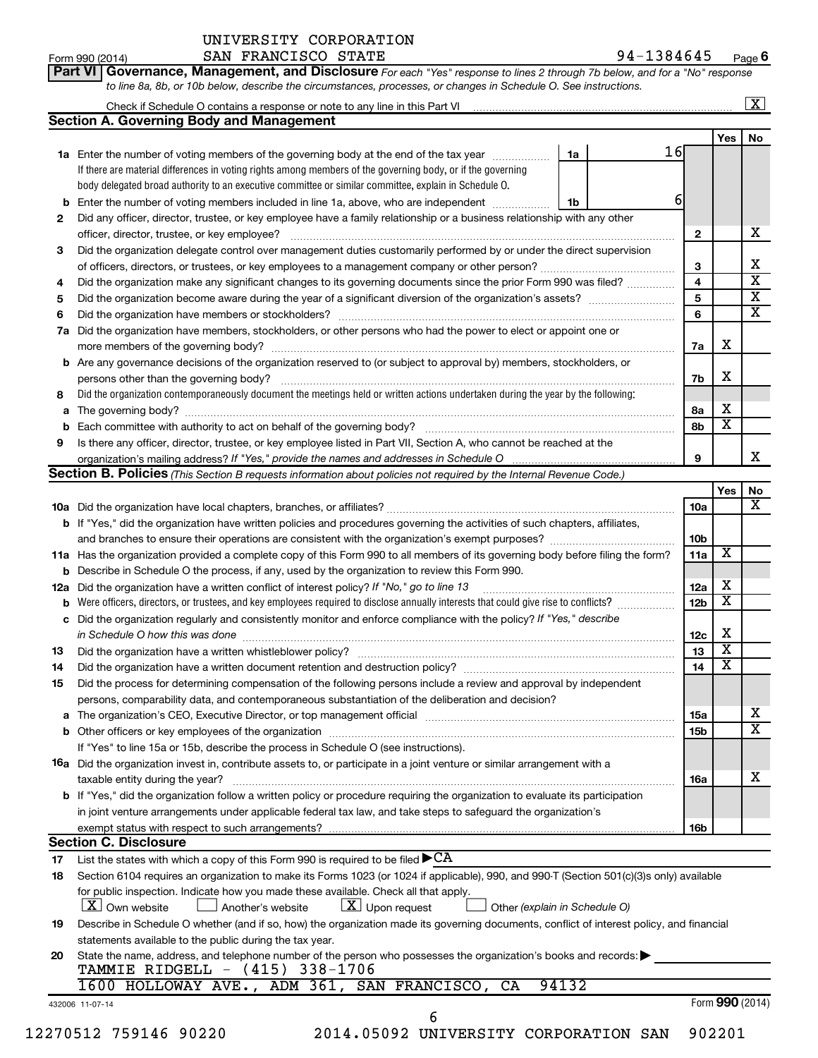| <b>FRANCISCO</b><br><b>STATE</b><br>SAN<br>94.<br>Form 990 (2014)<br>384645 | Page 6 |
|-----------------------------------------------------------------------------|--------|
|-----------------------------------------------------------------------------|--------|

| Part VI   Governance, Management, and Disclosure For each "Yes" response to lines 2 through 7b below, and for a "No" response |  |
|-------------------------------------------------------------------------------------------------------------------------------|--|
| to line 8a, 8b, or 10b below, describe the circumstances, processes, or changes in Schedule O. See instructions.              |  |

|     |                                                                                                                                                                                                                                |       |    |                 |                         | $\mathbf{X}$            |
|-----|--------------------------------------------------------------------------------------------------------------------------------------------------------------------------------------------------------------------------------|-------|----|-----------------|-------------------------|-------------------------|
|     | <b>Section A. Governing Body and Management</b>                                                                                                                                                                                |       |    |                 |                         |                         |
|     |                                                                                                                                                                                                                                |       |    |                 | Yes                     | No                      |
|     | <b>1a</b> Enter the number of voting members of the governing body at the end of the tax year                                                                                                                                  | 1a    | 16 |                 |                         |                         |
|     | If there are material differences in voting rights among members of the governing body, or if the governing                                                                                                                    |       |    |                 |                         |                         |
|     | body delegated broad authority to an executive committee or similar committee, explain in Schedule O.                                                                                                                          |       |    |                 |                         |                         |
| b   | Enter the number of voting members included in line 1a, above, who are independent                                                                                                                                             | 1b    |    |                 |                         |                         |
| 2   | Did any officer, director, trustee, or key employee have a family relationship or a business relationship with any other                                                                                                       |       |    |                 |                         |                         |
|     | officer, director, trustee, or key employee?                                                                                                                                                                                   |       |    | $\mathbf{2}$    |                         | х                       |
| 3   | Did the organization delegate control over management duties customarily performed by or under the direct supervision                                                                                                          |       |    |                 |                         |                         |
|     |                                                                                                                                                                                                                                |       |    | 3               |                         | х                       |
| 4   | Did the organization make any significant changes to its governing documents since the prior Form 990 was filed?                                                                                                               |       |    | 4               |                         | $\overline{\mathbf{x}}$ |
| 5   |                                                                                                                                                                                                                                |       |    | 5               |                         | $\overline{\mathbf{X}}$ |
| 6   | Did the organization have members or stockholders?                                                                                                                                                                             |       |    | 6               |                         | $\overline{\mathbf{X}}$ |
| 7a  | Did the organization have members, stockholders, or other persons who had the power to elect or appoint one or                                                                                                                 |       |    |                 |                         |                         |
|     | more members of the governing body?                                                                                                                                                                                            |       |    | 7a              | х                       |                         |
|     | <b>b</b> Are any governance decisions of the organization reserved to (or subject to approval by) members, stockholders, or                                                                                                    |       |    |                 |                         |                         |
|     | persons other than the governing body?                                                                                                                                                                                         |       |    | 7b              | X                       |                         |
| 8   | Did the organization contemporaneously document the meetings held or written actions undertaken during the year by the following:                                                                                              |       |    |                 |                         |                         |
| a   |                                                                                                                                                                                                                                |       |    | 8а              | х                       |                         |
| b   |                                                                                                                                                                                                                                |       |    | 8b              | $\overline{\mathbf{x}}$ |                         |
| 9   | Is there any officer, director, trustee, or key employee listed in Part VII, Section A, who cannot be reached at the                                                                                                           |       |    |                 |                         |                         |
|     |                                                                                                                                                                                                                                |       |    | 9               |                         | X.                      |
|     | <b>Section B. Policies</b> (This Section B requests information about policies not required by the Internal Revenue Code.)                                                                                                     |       |    |                 |                         |                         |
|     |                                                                                                                                                                                                                                |       |    |                 | Yes                     | No                      |
|     |                                                                                                                                                                                                                                |       |    | 10a             |                         | $\overline{\mathbf{x}}$ |
|     | b If "Yes," did the organization have written policies and procedures governing the activities of such chapters, affiliates,                                                                                                   |       |    |                 |                         |                         |
|     |                                                                                                                                                                                                                                |       |    | 10 <sub>b</sub> |                         |                         |
|     | 11a Has the organization provided a complete copy of this Form 990 to all members of its governing body before filing the form?                                                                                                |       |    | 11a             | $\overline{\mathbf{X}}$ |                         |
| b   | Describe in Schedule O the process, if any, used by the organization to review this Form 990.                                                                                                                                  |       |    |                 |                         |                         |
| 12a | Did the organization have a written conflict of interest policy? If "No," go to line 13                                                                                                                                        |       |    | 12a             | х                       |                         |
| b   | Were officers, directors, or trustees, and key employees required to disclose annually interests that could give rise to conflicts?                                                                                            |       |    | 12 <sub>b</sub> | х                       |                         |
| c   | Did the organization regularly and consistently monitor and enforce compliance with the policy? If "Yes," describe                                                                                                             |       |    |                 |                         |                         |
|     | in Schedule O how this was done manufactured and the state of the state of the state of the state of the state of the state of the state of the state of the state of the state of the state of the state of the state of the  |       |    | 12c             | х                       |                         |
| 13  | Did the organization have a written whistleblower policy?                                                                                                                                                                      |       |    | 13              | $\overline{\textbf{X}}$ |                         |
| 14  | Did the organization have a written document retention and destruction policy? [11] manuscription materials and destruction policy? [11] manuscription materials and the organization have a written document retention and de |       |    | 14              | X                       |                         |
| 15  | Did the process for determining compensation of the following persons include a review and approval by independent                                                                                                             |       |    |                 |                         |                         |
|     | persons, comparability data, and contemporaneous substantiation of the deliberation and decision?                                                                                                                              |       |    |                 |                         |                         |
|     | The organization's CEO, Executive Director, or top management official manufactured content of the organization's CEO, Executive Director, or top management official manufactured content of the state of the state of the st |       |    | 15a             |                         | х                       |
| b   | Other officers or key employees of the organization                                                                                                                                                                            |       |    | 15 <sub>b</sub> |                         | $\overline{\texttt{x}}$ |
|     | If "Yes" to line 15a or 15b, describe the process in Schedule O (see instructions).                                                                                                                                            |       |    |                 |                         |                         |
|     | 16a Did the organization invest in, contribute assets to, or participate in a joint venture or similar arrangement with a                                                                                                      |       |    |                 |                         |                         |
|     | taxable entity during the year?                                                                                                                                                                                                |       |    | 16a             |                         | х                       |
|     | b If "Yes," did the organization follow a written policy or procedure requiring the organization to evaluate its participation                                                                                                 |       |    |                 |                         |                         |
|     | in joint venture arrangements under applicable federal tax law, and take steps to safequard the organization's                                                                                                                 |       |    |                 |                         |                         |
|     | exempt status with respect to such arrangements?                                                                                                                                                                               |       |    | 16b             |                         |                         |
|     | <b>Section C. Disclosure</b>                                                                                                                                                                                                   |       |    |                 |                         |                         |
| 17  | List the states with which a copy of this Form 990 is required to be filed $\blacktriangleright$ CA                                                                                                                            |       |    |                 |                         |                         |
| 18  | Section 6104 requires an organization to make its Forms 1023 (or 1024 if applicable), 990, and 990-T (Section 501(c)(3)s only) available                                                                                       |       |    |                 |                         |                         |
|     | for public inspection. Indicate how you made these available. Check all that apply.                                                                                                                                            |       |    |                 |                         |                         |
|     | $\lfloor x \rfloor$ Upon request<br>  X   Own website<br>Another's website<br>Other (explain in Schedule O)                                                                                                                    |       |    |                 |                         |                         |
| 19  | Describe in Schedule O whether (and if so, how) the organization made its governing documents, conflict of interest policy, and financial                                                                                      |       |    |                 |                         |                         |
|     | statements available to the public during the tax year.                                                                                                                                                                        |       |    |                 |                         |                         |
| 20  | State the name, address, and telephone number of the person who possesses the organization's books and records:                                                                                                                |       |    |                 |                         |                         |
|     | TAMMIE RIDGELL - (415) 338-1706                                                                                                                                                                                                |       |    |                 |                         |                         |
|     | 1600 HOLLOWAY AVE., ADM 361, SAN FRANCISCO,<br>CA                                                                                                                                                                              | 94132 |    |                 |                         |                         |
|     | 432006 11-07-14                                                                                                                                                                                                                |       |    |                 |                         | Form 990 (2014)         |
|     | 6                                                                                                                                                                                                                              |       |    |                 |                         |                         |

12270512 759146 90220 2014.05092 UNIVERSITY CORPORATION SAN 902201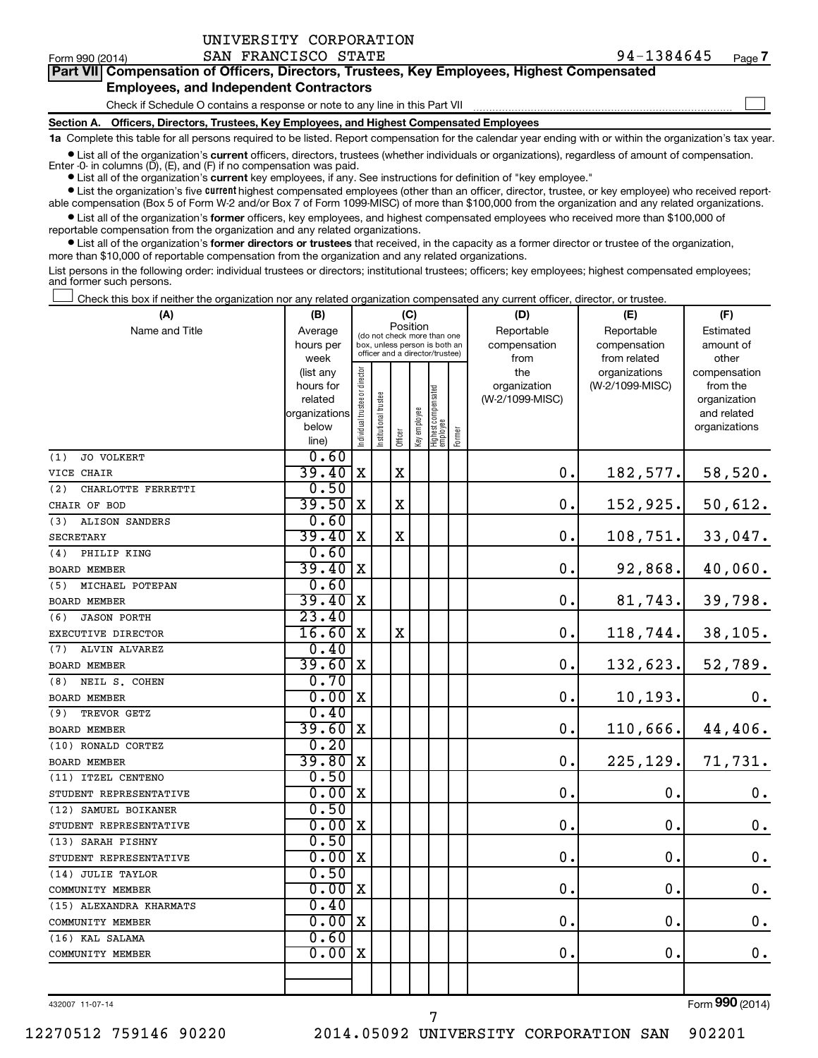$\Box$ 

| Part VII Compensation of Officers, Directors, Trustees, Key Employees, Highest Compensated |
|--------------------------------------------------------------------------------------------|
| <b>Employees, and Independent Contractors</b>                                              |

Check if Schedule O contains a response or note to any line in this Part VII

**Section A. Officers, Directors, Trustees, Key Employees, and Highest Compensated Employees**

**1a**  Complete this table for all persons required to be listed. Report compensation for the calendar year ending with or within the organization's tax year.

**•** List all of the organization's current officers, directors, trustees (whether individuals or organizations), regardless of amount of compensation.

**•** List all of the organization's **current** key employees, if any. See instructions for definition of "key employee." Enter -0- in columns  $(D)$ ,  $(E)$ , and  $(F)$  if no compensation was paid.

**•** List the organization's five current highest compensated employees (other than an officer, director, trustee, or key employee) who received report-

**•** List all of the organization's former officers, key employees, and highest compensated employees who received more than \$100,000 of able compensation (Box 5 of Form W-2 and/or Box 7 of Form 1099-MISC) of more than \$100,000 from the organization and any related organizations. reportable compensation from the organization and any related organizations.

**•** List all of the organization's former directors or trustees that received, in the capacity as a former director or trustee of the organization, more than \$10,000 of reportable compensation from the organization and any related organizations.

List persons in the following order: individual trustees or directors; institutional trustees; officers; key employees; highest compensated employees; and former such persons.

Check this box if neither the organization nor any related organization compensated any current officer, director, or trustee.  $\Box$ 

| (A)                          | (B)                    |                                                                  |                      | (C)         |              |                                 |        | (D)             | (E)             | (F)                          |
|------------------------------|------------------------|------------------------------------------------------------------|----------------------|-------------|--------------|---------------------------------|--------|-----------------|-----------------|------------------------------|
| Name and Title               | Average                | Position<br>(do not check more than one                          |                      |             |              |                                 |        | Reportable      | Reportable      | Estimated                    |
|                              | hours per              | box, unless person is both an<br>officer and a director/trustee) |                      |             |              |                                 |        | compensation    | compensation    | amount of                    |
|                              | week                   |                                                                  |                      |             |              |                                 |        | from            | from related    | other                        |
|                              | (list any              |                                                                  |                      |             |              |                                 |        | the             | organizations   | compensation                 |
|                              | hours for              |                                                                  |                      |             |              |                                 |        | organization    | (W-2/1099-MISC) | from the                     |
|                              | related                |                                                                  |                      |             |              |                                 |        | (W-2/1099-MISC) |                 | organization                 |
|                              | organizations<br>below |                                                                  |                      |             |              |                                 |        |                 |                 | and related<br>organizations |
|                              | line)                  | Individual trustee or director                                   | nstitutional trustee | Officer     | Key employee | Highest compensated<br>employee | Former |                 |                 |                              |
| JO VOLKERT<br>(1)            | 0.60                   |                                                                  |                      |             |              |                                 |        |                 |                 |                              |
| VICE CHAIR                   | 39.40                  | X                                                                |                      | $\mathbf X$ |              |                                 |        | 0.              | 182, 577.       | 58,520.                      |
| (2)<br>CHARLOTTE FERRETTI    | 0.50                   |                                                                  |                      |             |              |                                 |        |                 |                 |                              |
| CHAIR OF BOD                 | 39.50                  | $\mathbf X$                                                      |                      | $\mathbf X$ |              |                                 |        | 0.              |                 | $152, 925.$ 50,612.          |
| <b>ALISON SANDERS</b><br>(3) | 0.60                   |                                                                  |                      |             |              |                                 |        |                 |                 |                              |
| <b>SECRETARY</b>             | 39.40                  | $\mathbf X$                                                      |                      | $\mathbf X$ |              |                                 |        | 0.              |                 | $108, 751.$ 33,047.          |
| PHILIP KING<br>(4)           | 0.60                   |                                                                  |                      |             |              |                                 |        |                 |                 |                              |
| <b>BOARD MEMBER</b>          | 39.40                  | X                                                                |                      |             |              |                                 |        | 0.              | 92,868.         | 40,060.                      |
| MICHAEL POTEPAN<br>(5)       | 0.60                   |                                                                  |                      |             |              |                                 |        |                 |                 |                              |
| <b>BOARD MEMBER</b>          | 39.40                  | X                                                                |                      |             |              |                                 |        | 0.              | 81, 743.        | 39,798.                      |
| <b>JASON PORTH</b><br>(6)    | 23.40                  |                                                                  |                      |             |              |                                 |        |                 |                 |                              |
| EXECUTIVE DIRECTOR           | 16.60                  | X                                                                |                      | $\mathbf X$ |              |                                 |        | 0.              |                 | $118, 744.$ 38, 105.         |
| ALVIN ALVAREZ<br>(7)         | 0.40                   |                                                                  |                      |             |              |                                 |        |                 |                 |                              |
| <b>BOARD MEMBER</b>          | 39.60                  | X                                                                |                      |             |              |                                 |        | 0.              | 132,623.        | 52,789.                      |
| NEIL S. COHEN<br>(8)         | 0.70                   |                                                                  |                      |             |              |                                 |        |                 |                 |                              |
| <b>BOARD MEMBER</b>          | 0.00                   | $\mathbf X$                                                      |                      |             |              |                                 |        | 0.              | 10, 193.        | 0.                           |
| TREVOR GETZ<br>(9)           | 0.40                   |                                                                  |                      |             |              |                                 |        |                 |                 |                              |
| <b>BOARD MEMBER</b>          | 39.60                  | X                                                                |                      |             |              |                                 |        | 0.              | 110,666.        | 44,406.                      |
| (10) RONALD CORTEZ           | 0.20                   |                                                                  |                      |             |              |                                 |        |                 |                 |                              |
| <b>BOARD MEMBER</b>          | 39.80                  | X                                                                |                      |             |              |                                 |        | $\mathbf 0$ .   | 225, 129.       | 71,731.                      |
| (11) ITZEL CENTENO           | 0.50                   |                                                                  |                      |             |              |                                 |        |                 |                 |                              |
| STUDENT REPRESENTATIVE       | 0.00                   | X                                                                |                      |             |              |                                 |        | $\mathbf 0$ .   | 0.              | 0.                           |
| (12) SAMUEL BOIKANER         | 0.50                   |                                                                  |                      |             |              |                                 |        |                 |                 |                              |
| STUDENT REPRESENTATIVE       | 0.00                   | X                                                                |                      |             |              |                                 |        | 0               | 0.              | 0.                           |
| (13) SARAH PISHNY            | 0.50                   |                                                                  |                      |             |              |                                 |        |                 |                 |                              |
| STUDENT REPRESENTATIVE       | 0.00                   | $\mathbf X$                                                      |                      |             |              |                                 |        | $\mathbf 0$ .   | 0.              | $0$ .                        |
| (14) JULIE TAYLOR            | 0.50                   |                                                                  |                      |             |              |                                 |        |                 |                 |                              |
| COMMUNITY MEMBER             | 0.00                   | X                                                                |                      |             |              |                                 |        | $\mathbf 0$ .   | $\mathbf 0$ .   | $0$ .                        |
| (15) ALEXANDRA KHARMATS      | 0.40                   |                                                                  |                      |             |              |                                 |        |                 |                 |                              |
| COMMUNITY MEMBER             | 0.00                   | $\mathbf X$                                                      |                      |             |              |                                 |        | $\mathbf 0$ .   | 0.              | $0$ .                        |
| (16) KAL SALAMA              | 0.60                   |                                                                  |                      |             |              |                                 |        |                 |                 |                              |
| COMMUNITY MEMBER             | 0.00                   | X                                                                |                      |             |              |                                 |        | $\mathbf 0$ .   | 0.              | 0.                           |
|                              |                        |                                                                  |                      |             |              |                                 |        |                 |                 |                              |
|                              |                        |                                                                  |                      |             |              |                                 |        |                 |                 |                              |

432007 11-07-14

12270512 759146 90220 2014.05092 UNIVERSITY CORPORATION SAN 902201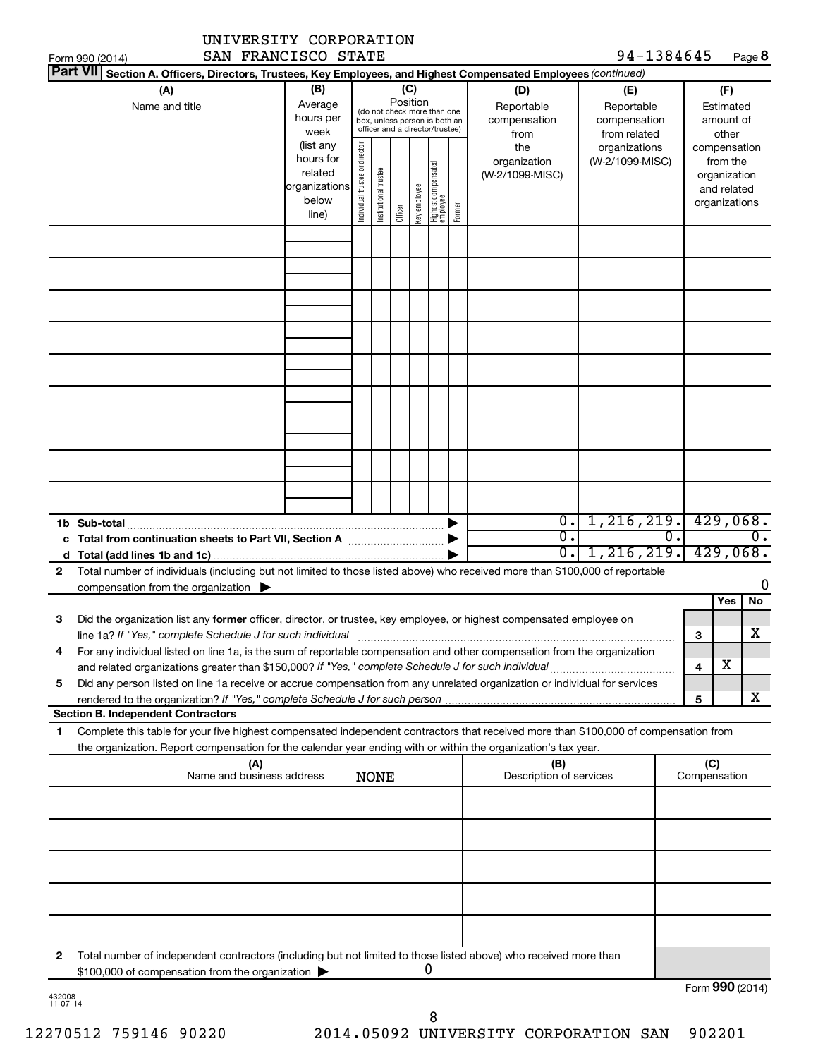|                                    | UNIVERSITY CORPORATION                                                                                                                                                                                                                                 |                                                                               |                                |                       |                 |              |                                                                    |        |                                                              |                                                  |                     |                                                                                   |                      |         |
|------------------------------------|--------------------------------------------------------------------------------------------------------------------------------------------------------------------------------------------------------------------------------------------------------|-------------------------------------------------------------------------------|--------------------------------|-----------------------|-----------------|--------------|--------------------------------------------------------------------|--------|--------------------------------------------------------------|--------------------------------------------------|---------------------|-----------------------------------------------------------------------------------|----------------------|---------|
| Form 990 (2014)<br><b>Part VII</b> | SAN FRANCISCO STATE                                                                                                                                                                                                                                    |                                                                               |                                |                       |                 |              |                                                                    |        |                                                              | 94-1384645                                       |                     |                                                                                   | Page 8               |         |
|                                    | Section A. Officers, Directors, Trustees, Key Employees, and Highest Compensated Employees (continued)<br>(B)<br>(A)<br>Average<br>Name and title<br>hours per                                                                                         |                                                                               |                                |                       | (C)<br>Position |              | (do not check more than one<br>box, unless person is both an       |        | (D)<br>Reportable<br>compensation                            | (E)<br>Reportable<br>compensation                |                     | (F)<br>Estimated<br>amount of                                                     |                      |         |
|                                    |                                                                                                                                                                                                                                                        | week<br>(list any<br>hours for<br>related<br> organizations<br>below<br>line) | Individual trustee or director | Institutional trustee | Officer         | Key employee | officer and a director/trustee)<br>Highest compensated<br>employee | Former | from<br>the<br>organization<br>(W-2/1099-MISC)               | from related<br>organizations<br>(W-2/1099-MISC) |                     | other<br>compensation<br>from the<br>organization<br>and related<br>organizations |                      |         |
|                                    |                                                                                                                                                                                                                                                        |                                                                               |                                |                       |                 |              |                                                                    |        |                                                              |                                                  |                     |                                                                                   |                      |         |
|                                    |                                                                                                                                                                                                                                                        |                                                                               |                                |                       |                 |              |                                                                    |        |                                                              |                                                  |                     |                                                                                   |                      |         |
|                                    |                                                                                                                                                                                                                                                        |                                                                               |                                |                       |                 |              |                                                                    |        |                                                              |                                                  |                     |                                                                                   |                      |         |
|                                    |                                                                                                                                                                                                                                                        |                                                                               |                                |                       |                 |              |                                                                    |        |                                                              |                                                  |                     |                                                                                   |                      |         |
|                                    |                                                                                                                                                                                                                                                        |                                                                               |                                |                       |                 |              |                                                                    |        |                                                              |                                                  |                     |                                                                                   |                      |         |
| 1b Sub-total                       |                                                                                                                                                                                                                                                        |                                                                               |                                |                       |                 |              |                                                                    |        | $\overline{\bullet}$<br>$\overline{0}$ .<br>$\overline{0}$ . | 1, 216, 219.<br>1, 216, 219.                     | $\overline{0}$ .    |                                                                                   | 429,068.<br>429,068. | $0$ .   |
| $\mathbf{2}$                       | Total number of individuals (including but not limited to those listed above) who received more than \$100,000 of reportable<br>compensation from the organization $\blacktriangleright$                                                               |                                                                               |                                |                       |                 |              |                                                                    |        |                                                              |                                                  |                     |                                                                                   | Yes                  | 0<br>No |
| З                                  | Did the organization list any former officer, director, or trustee, key employee, or highest compensated employee on<br>line 1a? If "Yes," complete Schedule J for such individual                                                                     |                                                                               |                                |                       |                 |              |                                                                    |        |                                                              |                                                  |                     | 3                                                                                 |                      | X       |
| 4<br>5                             | For any individual listed on line 1a, is the sum of reportable compensation and other compensation from the organization<br>Did any person listed on line 1a receive or accrue compensation from any unrelated organization or individual for services |                                                                               |                                |                       |                 |              |                                                                    |        |                                                              |                                                  |                     | 4                                                                                 | х                    |         |
|                                    | <b>Section B. Independent Contractors</b>                                                                                                                                                                                                              |                                                                               |                                |                       |                 |              |                                                                    |        |                                                              |                                                  |                     | 5                                                                                 |                      | x       |
| 1                                  | Complete this table for your five highest compensated independent contractors that received more than \$100,000 of compensation from                                                                                                                   |                                                                               |                                |                       |                 |              |                                                                    |        |                                                              |                                                  |                     |                                                                                   |                      |         |
|                                    | the organization. Report compensation for the calendar year ending with or within the organization's tax year.<br>(A)<br>(B)<br>Name and business address<br>Description of services<br><b>NONE</b>                                                    |                                                                               |                                |                       |                 |              |                                                                    |        |                                                              |                                                  | (C)<br>Compensation |                                                                                   |                      |         |
|                                    |                                                                                                                                                                                                                                                        |                                                                               |                                |                       |                 |              |                                                                    |        |                                                              |                                                  |                     |                                                                                   |                      |         |
|                                    |                                                                                                                                                                                                                                                        |                                                                               |                                |                       |                 |              |                                                                    |        |                                                              |                                                  |                     |                                                                                   |                      |         |
|                                    |                                                                                                                                                                                                                                                        |                                                                               |                                |                       |                 |              |                                                                    |        |                                                              |                                                  |                     |                                                                                   |                      |         |
| 2                                  | Total number of independent contractors (including but not limited to those listed above) who received more than<br>\$100,000 of compensation from the organization                                                                                    |                                                                               |                                |                       |                 |              | 0                                                                  |        |                                                              |                                                  |                     |                                                                                   |                      |         |
|                                    |                                                                                                                                                                                                                                                        |                                                                               |                                |                       |                 |              |                                                                    |        |                                                              |                                                  |                     |                                                                                   | Form 990 (2014)      |         |

| 432008   |  |
|----------|--|
| 11-07-14 |  |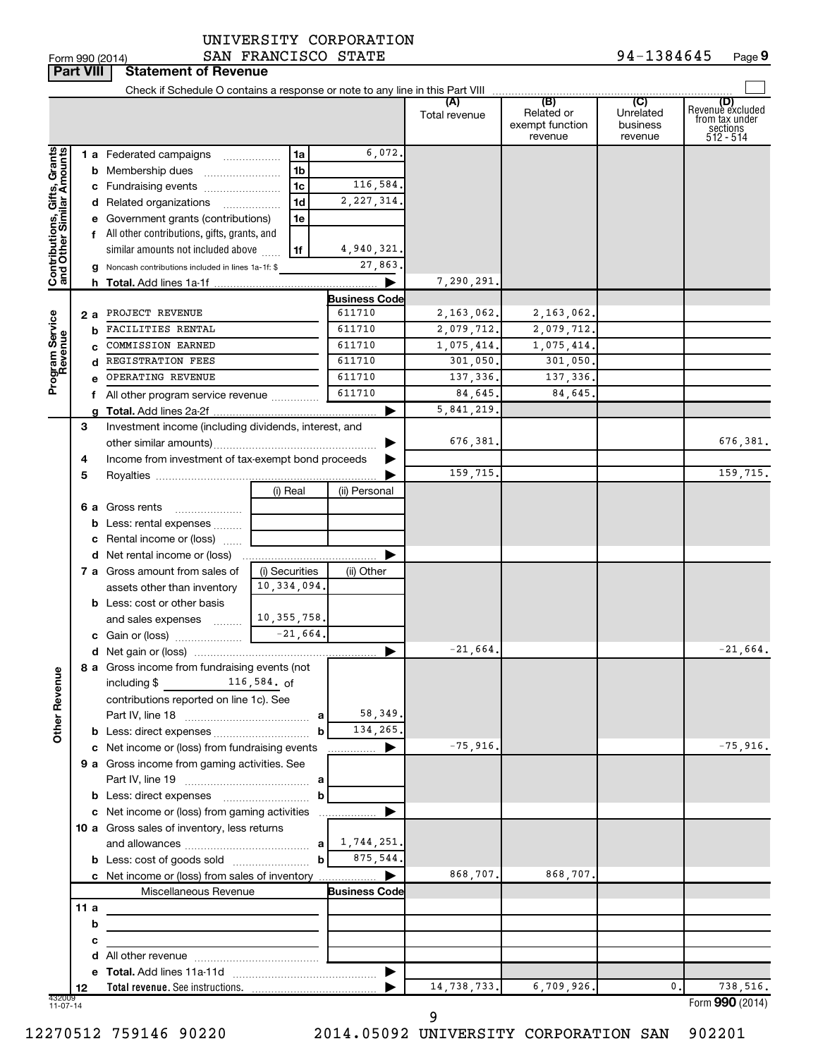#### UNIVERSITY CORPORATION SAN FRANCISCO STATE

| Form 990 (2014) | SAN FRANCISCO STATE | 1384645<br>94–<br>Page 9 |
|-----------------|---------------------|--------------------------|
|-----------------|---------------------|--------------------------|

| (B)<br>$\mathbf{C}$<br>(A)<br>(D)<br>Revenue excluded<br>Related or<br>Unrelated<br>Total revenue<br>from tax under<br>exempt function<br>business<br>sections<br>512 - 514<br>revenue<br>revenue<br>Contributions, Gifts, Grants<br>and Other Similar Amounts<br>6,072.<br>1 a Federated campaigns<br>1a<br>1b<br><b>b</b> Membership dues<br>116,584.<br>1c<br>c Fundraising events<br>2, 227, 314.<br>1d<br>d Related organizations<br>.<br>e Government grants (contributions)<br>1e<br>f All other contributions, gifts, grants, and<br>4,940,321.<br>similar amounts not included above<br>1f<br>27,863<br>g Noncash contributions included in lines 1a-1f: \$<br>7,290,291<br><b>Business Code</b><br>611710<br>PROJECT REVENUE<br>2,163,062.<br>2,163,062.<br>Program Service<br>Revenue<br>2 a<br>FACILITIES RENTAL<br>611710<br>2,079,712.<br>2,079,712.<br>b<br>611710<br>COMMISSION EARNED<br>1,075,414.<br>1,075,414.<br>REGISTRATION FEES<br>611710<br>301,050<br>301,050.<br>d<br>611710<br>137,336.<br>OPERATING REVENUE<br>137,336<br>611710<br>84,645<br>84,645<br>f All other program service revenue<br>5,841,219<br>3<br>Investment income (including dividends, interest, and<br>676,381<br>Income from investment of tax-exempt bond proceeds<br>4<br>159,715<br>5<br>(i) Real<br>(ii) Personal<br>Gross rents<br>6а<br><b>b</b> Less: rental expenses<br>c Rental income or (loss)<br>7 a Gross amount from sales of<br>(i) Securities<br>(ii) Other<br>10,334,094.<br>assets other than inventory<br><b>b</b> Less: cost or other basis<br>10, 355, 758.<br>and sales expenses<br>$-21,664.$<br>$-21,664$<br>$-21,664.$<br>8 a Gross income from fundraising events (not<br><b>Other Revenue</b><br>$116,584.$ of<br>including \$<br>contributions reported on line 1c). See<br>58,349.<br>134,265.<br>$\mathbf b$<br>$-75,916.$<br>c Net income or (loss) from fundraising events<br>9 a Gross income from gaming activities. See<br>b<br>c Net income or (loss) from gaming activities<br>10 a Gross sales of inventory, less returns<br>1,744,251.<br>and allowances $\ldots$ , $\ldots$ , $\ldots$ , $\ldots$ , $\ldots$ , $\ldots$ , $\ldots$<br>875,544.<br>$\mathbf{b}$<br>868,707.<br>868,707.<br>c Net income or (loss) from sales of inventory<br>▶<br>Miscellaneous Revenue<br><b>Business Code</b><br>11 a<br>the control of the control of the control of the control of<br>b<br>с<br><u> 1989 - Johann Barbara, martin a</u><br>d<br>$\blacktriangleright$<br>14,738,733.<br>6,709,926.<br>0.<br>12<br>432009<br>11-07-14 |  | <b>Part VIII</b> | <b>Statement of Revenue</b> |  |  |  |  |                 |
|------------------------------------------------------------------------------------------------------------------------------------------------------------------------------------------------------------------------------------------------------------------------------------------------------------------------------------------------------------------------------------------------------------------------------------------------------------------------------------------------------------------------------------------------------------------------------------------------------------------------------------------------------------------------------------------------------------------------------------------------------------------------------------------------------------------------------------------------------------------------------------------------------------------------------------------------------------------------------------------------------------------------------------------------------------------------------------------------------------------------------------------------------------------------------------------------------------------------------------------------------------------------------------------------------------------------------------------------------------------------------------------------------------------------------------------------------------------------------------------------------------------------------------------------------------------------------------------------------------------------------------------------------------------------------------------------------------------------------------------------------------------------------------------------------------------------------------------------------------------------------------------------------------------------------------------------------------------------------------------------------------------------------------------------------------------------------------------------------------------------------------------------------------------------------------------------------------------------------------------------------------------------------------------------------------------------------------------------------------------------------------------------------------------------------------------------------------------------------------------------------------------------------------------------------------------|--|------------------|-----------------------------|--|--|--|--|-----------------|
|                                                                                                                                                                                                                                                                                                                                                                                                                                                                                                                                                                                                                                                                                                                                                                                                                                                                                                                                                                                                                                                                                                                                                                                                                                                                                                                                                                                                                                                                                                                                                                                                                                                                                                                                                                                                                                                                                                                                                                                                                                                                                                                                                                                                                                                                                                                                                                                                                                                                                                                                                                  |  |                  |                             |  |  |  |  |                 |
|                                                                                                                                                                                                                                                                                                                                                                                                                                                                                                                                                                                                                                                                                                                                                                                                                                                                                                                                                                                                                                                                                                                                                                                                                                                                                                                                                                                                                                                                                                                                                                                                                                                                                                                                                                                                                                                                                                                                                                                                                                                                                                                                                                                                                                                                                                                                                                                                                                                                                                                                                                  |  |                  |                             |  |  |  |  |                 |
|                                                                                                                                                                                                                                                                                                                                                                                                                                                                                                                                                                                                                                                                                                                                                                                                                                                                                                                                                                                                                                                                                                                                                                                                                                                                                                                                                                                                                                                                                                                                                                                                                                                                                                                                                                                                                                                                                                                                                                                                                                                                                                                                                                                                                                                                                                                                                                                                                                                                                                                                                                  |  |                  |                             |  |  |  |  |                 |
|                                                                                                                                                                                                                                                                                                                                                                                                                                                                                                                                                                                                                                                                                                                                                                                                                                                                                                                                                                                                                                                                                                                                                                                                                                                                                                                                                                                                                                                                                                                                                                                                                                                                                                                                                                                                                                                                                                                                                                                                                                                                                                                                                                                                                                                                                                                                                                                                                                                                                                                                                                  |  |                  |                             |  |  |  |  |                 |
|                                                                                                                                                                                                                                                                                                                                                                                                                                                                                                                                                                                                                                                                                                                                                                                                                                                                                                                                                                                                                                                                                                                                                                                                                                                                                                                                                                                                                                                                                                                                                                                                                                                                                                                                                                                                                                                                                                                                                                                                                                                                                                                                                                                                                                                                                                                                                                                                                                                                                                                                                                  |  |                  |                             |  |  |  |  |                 |
|                                                                                                                                                                                                                                                                                                                                                                                                                                                                                                                                                                                                                                                                                                                                                                                                                                                                                                                                                                                                                                                                                                                                                                                                                                                                                                                                                                                                                                                                                                                                                                                                                                                                                                                                                                                                                                                                                                                                                                                                                                                                                                                                                                                                                                                                                                                                                                                                                                                                                                                                                                  |  |                  |                             |  |  |  |  |                 |
|                                                                                                                                                                                                                                                                                                                                                                                                                                                                                                                                                                                                                                                                                                                                                                                                                                                                                                                                                                                                                                                                                                                                                                                                                                                                                                                                                                                                                                                                                                                                                                                                                                                                                                                                                                                                                                                                                                                                                                                                                                                                                                                                                                                                                                                                                                                                                                                                                                                                                                                                                                  |  |                  |                             |  |  |  |  |                 |
|                                                                                                                                                                                                                                                                                                                                                                                                                                                                                                                                                                                                                                                                                                                                                                                                                                                                                                                                                                                                                                                                                                                                                                                                                                                                                                                                                                                                                                                                                                                                                                                                                                                                                                                                                                                                                                                                                                                                                                                                                                                                                                                                                                                                                                                                                                                                                                                                                                                                                                                                                                  |  |                  |                             |  |  |  |  |                 |
|                                                                                                                                                                                                                                                                                                                                                                                                                                                                                                                                                                                                                                                                                                                                                                                                                                                                                                                                                                                                                                                                                                                                                                                                                                                                                                                                                                                                                                                                                                                                                                                                                                                                                                                                                                                                                                                                                                                                                                                                                                                                                                                                                                                                                                                                                                                                                                                                                                                                                                                                                                  |  |                  |                             |  |  |  |  |                 |
|                                                                                                                                                                                                                                                                                                                                                                                                                                                                                                                                                                                                                                                                                                                                                                                                                                                                                                                                                                                                                                                                                                                                                                                                                                                                                                                                                                                                                                                                                                                                                                                                                                                                                                                                                                                                                                                                                                                                                                                                                                                                                                                                                                                                                                                                                                                                                                                                                                                                                                                                                                  |  |                  |                             |  |  |  |  |                 |
|                                                                                                                                                                                                                                                                                                                                                                                                                                                                                                                                                                                                                                                                                                                                                                                                                                                                                                                                                                                                                                                                                                                                                                                                                                                                                                                                                                                                                                                                                                                                                                                                                                                                                                                                                                                                                                                                                                                                                                                                                                                                                                                                                                                                                                                                                                                                                                                                                                                                                                                                                                  |  |                  |                             |  |  |  |  |                 |
|                                                                                                                                                                                                                                                                                                                                                                                                                                                                                                                                                                                                                                                                                                                                                                                                                                                                                                                                                                                                                                                                                                                                                                                                                                                                                                                                                                                                                                                                                                                                                                                                                                                                                                                                                                                                                                                                                                                                                                                                                                                                                                                                                                                                                                                                                                                                                                                                                                                                                                                                                                  |  |                  |                             |  |  |  |  |                 |
|                                                                                                                                                                                                                                                                                                                                                                                                                                                                                                                                                                                                                                                                                                                                                                                                                                                                                                                                                                                                                                                                                                                                                                                                                                                                                                                                                                                                                                                                                                                                                                                                                                                                                                                                                                                                                                                                                                                                                                                                                                                                                                                                                                                                                                                                                                                                                                                                                                                                                                                                                                  |  |                  |                             |  |  |  |  |                 |
|                                                                                                                                                                                                                                                                                                                                                                                                                                                                                                                                                                                                                                                                                                                                                                                                                                                                                                                                                                                                                                                                                                                                                                                                                                                                                                                                                                                                                                                                                                                                                                                                                                                                                                                                                                                                                                                                                                                                                                                                                                                                                                                                                                                                                                                                                                                                                                                                                                                                                                                                                                  |  |                  |                             |  |  |  |  |                 |
|                                                                                                                                                                                                                                                                                                                                                                                                                                                                                                                                                                                                                                                                                                                                                                                                                                                                                                                                                                                                                                                                                                                                                                                                                                                                                                                                                                                                                                                                                                                                                                                                                                                                                                                                                                                                                                                                                                                                                                                                                                                                                                                                                                                                                                                                                                                                                                                                                                                                                                                                                                  |  |                  |                             |  |  |  |  |                 |
|                                                                                                                                                                                                                                                                                                                                                                                                                                                                                                                                                                                                                                                                                                                                                                                                                                                                                                                                                                                                                                                                                                                                                                                                                                                                                                                                                                                                                                                                                                                                                                                                                                                                                                                                                                                                                                                                                                                                                                                                                                                                                                                                                                                                                                                                                                                                                                                                                                                                                                                                                                  |  |                  |                             |  |  |  |  |                 |
|                                                                                                                                                                                                                                                                                                                                                                                                                                                                                                                                                                                                                                                                                                                                                                                                                                                                                                                                                                                                                                                                                                                                                                                                                                                                                                                                                                                                                                                                                                                                                                                                                                                                                                                                                                                                                                                                                                                                                                                                                                                                                                                                                                                                                                                                                                                                                                                                                                                                                                                                                                  |  |                  |                             |  |  |  |  |                 |
|                                                                                                                                                                                                                                                                                                                                                                                                                                                                                                                                                                                                                                                                                                                                                                                                                                                                                                                                                                                                                                                                                                                                                                                                                                                                                                                                                                                                                                                                                                                                                                                                                                                                                                                                                                                                                                                                                                                                                                                                                                                                                                                                                                                                                                                                                                                                                                                                                                                                                                                                                                  |  |                  |                             |  |  |  |  |                 |
|                                                                                                                                                                                                                                                                                                                                                                                                                                                                                                                                                                                                                                                                                                                                                                                                                                                                                                                                                                                                                                                                                                                                                                                                                                                                                                                                                                                                                                                                                                                                                                                                                                                                                                                                                                                                                                                                                                                                                                                                                                                                                                                                                                                                                                                                                                                                                                                                                                                                                                                                                                  |  |                  |                             |  |  |  |  |                 |
|                                                                                                                                                                                                                                                                                                                                                                                                                                                                                                                                                                                                                                                                                                                                                                                                                                                                                                                                                                                                                                                                                                                                                                                                                                                                                                                                                                                                                                                                                                                                                                                                                                                                                                                                                                                                                                                                                                                                                                                                                                                                                                                                                                                                                                                                                                                                                                                                                                                                                                                                                                  |  |                  |                             |  |  |  |  | 676,381.        |
|                                                                                                                                                                                                                                                                                                                                                                                                                                                                                                                                                                                                                                                                                                                                                                                                                                                                                                                                                                                                                                                                                                                                                                                                                                                                                                                                                                                                                                                                                                                                                                                                                                                                                                                                                                                                                                                                                                                                                                                                                                                                                                                                                                                                                                                                                                                                                                                                                                                                                                                                                                  |  |                  |                             |  |  |  |  |                 |
|                                                                                                                                                                                                                                                                                                                                                                                                                                                                                                                                                                                                                                                                                                                                                                                                                                                                                                                                                                                                                                                                                                                                                                                                                                                                                                                                                                                                                                                                                                                                                                                                                                                                                                                                                                                                                                                                                                                                                                                                                                                                                                                                                                                                                                                                                                                                                                                                                                                                                                                                                                  |  |                  |                             |  |  |  |  | 159,715.        |
|                                                                                                                                                                                                                                                                                                                                                                                                                                                                                                                                                                                                                                                                                                                                                                                                                                                                                                                                                                                                                                                                                                                                                                                                                                                                                                                                                                                                                                                                                                                                                                                                                                                                                                                                                                                                                                                                                                                                                                                                                                                                                                                                                                                                                                                                                                                                                                                                                                                                                                                                                                  |  |                  |                             |  |  |  |  |                 |
|                                                                                                                                                                                                                                                                                                                                                                                                                                                                                                                                                                                                                                                                                                                                                                                                                                                                                                                                                                                                                                                                                                                                                                                                                                                                                                                                                                                                                                                                                                                                                                                                                                                                                                                                                                                                                                                                                                                                                                                                                                                                                                                                                                                                                                                                                                                                                                                                                                                                                                                                                                  |  |                  |                             |  |  |  |  |                 |
|                                                                                                                                                                                                                                                                                                                                                                                                                                                                                                                                                                                                                                                                                                                                                                                                                                                                                                                                                                                                                                                                                                                                                                                                                                                                                                                                                                                                                                                                                                                                                                                                                                                                                                                                                                                                                                                                                                                                                                                                                                                                                                                                                                                                                                                                                                                                                                                                                                                                                                                                                                  |  |                  |                             |  |  |  |  |                 |
|                                                                                                                                                                                                                                                                                                                                                                                                                                                                                                                                                                                                                                                                                                                                                                                                                                                                                                                                                                                                                                                                                                                                                                                                                                                                                                                                                                                                                                                                                                                                                                                                                                                                                                                                                                                                                                                                                                                                                                                                                                                                                                                                                                                                                                                                                                                                                                                                                                                                                                                                                                  |  |                  |                             |  |  |  |  |                 |
|                                                                                                                                                                                                                                                                                                                                                                                                                                                                                                                                                                                                                                                                                                                                                                                                                                                                                                                                                                                                                                                                                                                                                                                                                                                                                                                                                                                                                                                                                                                                                                                                                                                                                                                                                                                                                                                                                                                                                                                                                                                                                                                                                                                                                                                                                                                                                                                                                                                                                                                                                                  |  |                  |                             |  |  |  |  |                 |
|                                                                                                                                                                                                                                                                                                                                                                                                                                                                                                                                                                                                                                                                                                                                                                                                                                                                                                                                                                                                                                                                                                                                                                                                                                                                                                                                                                                                                                                                                                                                                                                                                                                                                                                                                                                                                                                                                                                                                                                                                                                                                                                                                                                                                                                                                                                                                                                                                                                                                                                                                                  |  |                  |                             |  |  |  |  |                 |
|                                                                                                                                                                                                                                                                                                                                                                                                                                                                                                                                                                                                                                                                                                                                                                                                                                                                                                                                                                                                                                                                                                                                                                                                                                                                                                                                                                                                                                                                                                                                                                                                                                                                                                                                                                                                                                                                                                                                                                                                                                                                                                                                                                                                                                                                                                                                                                                                                                                                                                                                                                  |  |                  |                             |  |  |  |  |                 |
|                                                                                                                                                                                                                                                                                                                                                                                                                                                                                                                                                                                                                                                                                                                                                                                                                                                                                                                                                                                                                                                                                                                                                                                                                                                                                                                                                                                                                                                                                                                                                                                                                                                                                                                                                                                                                                                                                                                                                                                                                                                                                                                                                                                                                                                                                                                                                                                                                                                                                                                                                                  |  |                  |                             |  |  |  |  |                 |
|                                                                                                                                                                                                                                                                                                                                                                                                                                                                                                                                                                                                                                                                                                                                                                                                                                                                                                                                                                                                                                                                                                                                                                                                                                                                                                                                                                                                                                                                                                                                                                                                                                                                                                                                                                                                                                                                                                                                                                                                                                                                                                                                                                                                                                                                                                                                                                                                                                                                                                                                                                  |  |                  |                             |  |  |  |  |                 |
|                                                                                                                                                                                                                                                                                                                                                                                                                                                                                                                                                                                                                                                                                                                                                                                                                                                                                                                                                                                                                                                                                                                                                                                                                                                                                                                                                                                                                                                                                                                                                                                                                                                                                                                                                                                                                                                                                                                                                                                                                                                                                                                                                                                                                                                                                                                                                                                                                                                                                                                                                                  |  |                  |                             |  |  |  |  |                 |
|                                                                                                                                                                                                                                                                                                                                                                                                                                                                                                                                                                                                                                                                                                                                                                                                                                                                                                                                                                                                                                                                                                                                                                                                                                                                                                                                                                                                                                                                                                                                                                                                                                                                                                                                                                                                                                                                                                                                                                                                                                                                                                                                                                                                                                                                                                                                                                                                                                                                                                                                                                  |  |                  |                             |  |  |  |  |                 |
|                                                                                                                                                                                                                                                                                                                                                                                                                                                                                                                                                                                                                                                                                                                                                                                                                                                                                                                                                                                                                                                                                                                                                                                                                                                                                                                                                                                                                                                                                                                                                                                                                                                                                                                                                                                                                                                                                                                                                                                                                                                                                                                                                                                                                                                                                                                                                                                                                                                                                                                                                                  |  |                  |                             |  |  |  |  |                 |
|                                                                                                                                                                                                                                                                                                                                                                                                                                                                                                                                                                                                                                                                                                                                                                                                                                                                                                                                                                                                                                                                                                                                                                                                                                                                                                                                                                                                                                                                                                                                                                                                                                                                                                                                                                                                                                                                                                                                                                                                                                                                                                                                                                                                                                                                                                                                                                                                                                                                                                                                                                  |  |                  |                             |  |  |  |  |                 |
|                                                                                                                                                                                                                                                                                                                                                                                                                                                                                                                                                                                                                                                                                                                                                                                                                                                                                                                                                                                                                                                                                                                                                                                                                                                                                                                                                                                                                                                                                                                                                                                                                                                                                                                                                                                                                                                                                                                                                                                                                                                                                                                                                                                                                                                                                                                                                                                                                                                                                                                                                                  |  |                  |                             |  |  |  |  |                 |
|                                                                                                                                                                                                                                                                                                                                                                                                                                                                                                                                                                                                                                                                                                                                                                                                                                                                                                                                                                                                                                                                                                                                                                                                                                                                                                                                                                                                                                                                                                                                                                                                                                                                                                                                                                                                                                                                                                                                                                                                                                                                                                                                                                                                                                                                                                                                                                                                                                                                                                                                                                  |  |                  |                             |  |  |  |  |                 |
|                                                                                                                                                                                                                                                                                                                                                                                                                                                                                                                                                                                                                                                                                                                                                                                                                                                                                                                                                                                                                                                                                                                                                                                                                                                                                                                                                                                                                                                                                                                                                                                                                                                                                                                                                                                                                                                                                                                                                                                                                                                                                                                                                                                                                                                                                                                                                                                                                                                                                                                                                                  |  |                  |                             |  |  |  |  | $-75,916.$      |
|                                                                                                                                                                                                                                                                                                                                                                                                                                                                                                                                                                                                                                                                                                                                                                                                                                                                                                                                                                                                                                                                                                                                                                                                                                                                                                                                                                                                                                                                                                                                                                                                                                                                                                                                                                                                                                                                                                                                                                                                                                                                                                                                                                                                                                                                                                                                                                                                                                                                                                                                                                  |  |                  |                             |  |  |  |  |                 |
|                                                                                                                                                                                                                                                                                                                                                                                                                                                                                                                                                                                                                                                                                                                                                                                                                                                                                                                                                                                                                                                                                                                                                                                                                                                                                                                                                                                                                                                                                                                                                                                                                                                                                                                                                                                                                                                                                                                                                                                                                                                                                                                                                                                                                                                                                                                                                                                                                                                                                                                                                                  |  |                  |                             |  |  |  |  |                 |
|                                                                                                                                                                                                                                                                                                                                                                                                                                                                                                                                                                                                                                                                                                                                                                                                                                                                                                                                                                                                                                                                                                                                                                                                                                                                                                                                                                                                                                                                                                                                                                                                                                                                                                                                                                                                                                                                                                                                                                                                                                                                                                                                                                                                                                                                                                                                                                                                                                                                                                                                                                  |  |                  |                             |  |  |  |  |                 |
|                                                                                                                                                                                                                                                                                                                                                                                                                                                                                                                                                                                                                                                                                                                                                                                                                                                                                                                                                                                                                                                                                                                                                                                                                                                                                                                                                                                                                                                                                                                                                                                                                                                                                                                                                                                                                                                                                                                                                                                                                                                                                                                                                                                                                                                                                                                                                                                                                                                                                                                                                                  |  |                  |                             |  |  |  |  |                 |
|                                                                                                                                                                                                                                                                                                                                                                                                                                                                                                                                                                                                                                                                                                                                                                                                                                                                                                                                                                                                                                                                                                                                                                                                                                                                                                                                                                                                                                                                                                                                                                                                                                                                                                                                                                                                                                                                                                                                                                                                                                                                                                                                                                                                                                                                                                                                                                                                                                                                                                                                                                  |  |                  |                             |  |  |  |  |                 |
|                                                                                                                                                                                                                                                                                                                                                                                                                                                                                                                                                                                                                                                                                                                                                                                                                                                                                                                                                                                                                                                                                                                                                                                                                                                                                                                                                                                                                                                                                                                                                                                                                                                                                                                                                                                                                                                                                                                                                                                                                                                                                                                                                                                                                                                                                                                                                                                                                                                                                                                                                                  |  |                  |                             |  |  |  |  |                 |
|                                                                                                                                                                                                                                                                                                                                                                                                                                                                                                                                                                                                                                                                                                                                                                                                                                                                                                                                                                                                                                                                                                                                                                                                                                                                                                                                                                                                                                                                                                                                                                                                                                                                                                                                                                                                                                                                                                                                                                                                                                                                                                                                                                                                                                                                                                                                                                                                                                                                                                                                                                  |  |                  |                             |  |  |  |  |                 |
|                                                                                                                                                                                                                                                                                                                                                                                                                                                                                                                                                                                                                                                                                                                                                                                                                                                                                                                                                                                                                                                                                                                                                                                                                                                                                                                                                                                                                                                                                                                                                                                                                                                                                                                                                                                                                                                                                                                                                                                                                                                                                                                                                                                                                                                                                                                                                                                                                                                                                                                                                                  |  |                  |                             |  |  |  |  |                 |
|                                                                                                                                                                                                                                                                                                                                                                                                                                                                                                                                                                                                                                                                                                                                                                                                                                                                                                                                                                                                                                                                                                                                                                                                                                                                                                                                                                                                                                                                                                                                                                                                                                                                                                                                                                                                                                                                                                                                                                                                                                                                                                                                                                                                                                                                                                                                                                                                                                                                                                                                                                  |  |                  |                             |  |  |  |  |                 |
|                                                                                                                                                                                                                                                                                                                                                                                                                                                                                                                                                                                                                                                                                                                                                                                                                                                                                                                                                                                                                                                                                                                                                                                                                                                                                                                                                                                                                                                                                                                                                                                                                                                                                                                                                                                                                                                                                                                                                                                                                                                                                                                                                                                                                                                                                                                                                                                                                                                                                                                                                                  |  |                  |                             |  |  |  |  |                 |
|                                                                                                                                                                                                                                                                                                                                                                                                                                                                                                                                                                                                                                                                                                                                                                                                                                                                                                                                                                                                                                                                                                                                                                                                                                                                                                                                                                                                                                                                                                                                                                                                                                                                                                                                                                                                                                                                                                                                                                                                                                                                                                                                                                                                                                                                                                                                                                                                                                                                                                                                                                  |  |                  |                             |  |  |  |  |                 |
|                                                                                                                                                                                                                                                                                                                                                                                                                                                                                                                                                                                                                                                                                                                                                                                                                                                                                                                                                                                                                                                                                                                                                                                                                                                                                                                                                                                                                                                                                                                                                                                                                                                                                                                                                                                                                                                                                                                                                                                                                                                                                                                                                                                                                                                                                                                                                                                                                                                                                                                                                                  |  |                  |                             |  |  |  |  |                 |
|                                                                                                                                                                                                                                                                                                                                                                                                                                                                                                                                                                                                                                                                                                                                                                                                                                                                                                                                                                                                                                                                                                                                                                                                                                                                                                                                                                                                                                                                                                                                                                                                                                                                                                                                                                                                                                                                                                                                                                                                                                                                                                                                                                                                                                                                                                                                                                                                                                                                                                                                                                  |  |                  |                             |  |  |  |  |                 |
|                                                                                                                                                                                                                                                                                                                                                                                                                                                                                                                                                                                                                                                                                                                                                                                                                                                                                                                                                                                                                                                                                                                                                                                                                                                                                                                                                                                                                                                                                                                                                                                                                                                                                                                                                                                                                                                                                                                                                                                                                                                                                                                                                                                                                                                                                                                                                                                                                                                                                                                                                                  |  |                  |                             |  |  |  |  | 738,516.        |
| $\Omega$                                                                                                                                                                                                                                                                                                                                                                                                                                                                                                                                                                                                                                                                                                                                                                                                                                                                                                                                                                                                                                                                                                                                                                                                                                                                                                                                                                                                                                                                                                                                                                                                                                                                                                                                                                                                                                                                                                                                                                                                                                                                                                                                                                                                                                                                                                                                                                                                                                                                                                                                                         |  |                  |                             |  |  |  |  | Form 990 (2014) |

9

12270512 759146 90220 2014.05092 UNIVERSITY CORPORATION SAN 902201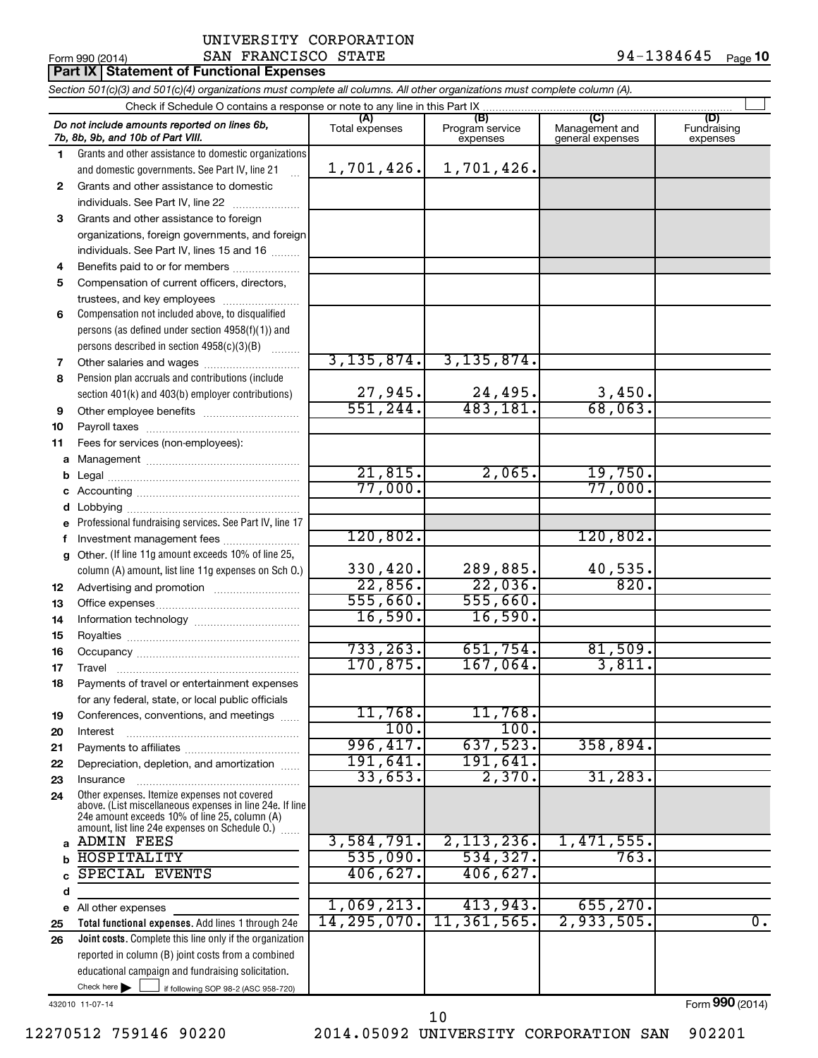#### Form 990 (2014) Page UNIVERSITY CORPORATION SAN FRANCISCO STATE 36 and 34-1384645

|              |                                                                                                                            | <b>Part IX Statement of Functional Expenses</b>                                                                                                                                                               |                          |                                    |                                           |                                |  |  |  |  |  |
|--------------|----------------------------------------------------------------------------------------------------------------------------|---------------------------------------------------------------------------------------------------------------------------------------------------------------------------------------------------------------|--------------------------|------------------------------------|-------------------------------------------|--------------------------------|--|--|--|--|--|
|              | Section 501(c)(3) and 501(c)(4) organizations must complete all columns. All other organizations must complete column (A). |                                                                                                                                                                                                               |                          |                                    |                                           |                                |  |  |  |  |  |
|              | Check if Schedule O contains a response or note to any line in this Part IX                                                |                                                                                                                                                                                                               |                          |                                    |                                           |                                |  |  |  |  |  |
|              |                                                                                                                            | Do not include amounts reported on lines 6b,<br>7b, 8b, 9b, and 10b of Part VIII.                                                                                                                             | (A)<br>Total expenses    | (B)<br>Program service<br>expenses | (C)<br>Management and<br>general expenses | (D)<br>Fundraising<br>expenses |  |  |  |  |  |
| 1            |                                                                                                                            | Grants and other assistance to domestic organizations                                                                                                                                                         |                          |                                    |                                           |                                |  |  |  |  |  |
|              |                                                                                                                            | and domestic governments. See Part IV, line 21                                                                                                                                                                | 1,701,426.               | 1,701,426.                         |                                           |                                |  |  |  |  |  |
| $\mathbf{2}$ |                                                                                                                            | Grants and other assistance to domestic                                                                                                                                                                       |                          |                                    |                                           |                                |  |  |  |  |  |
|              |                                                                                                                            | individuals. See Part IV, line 22                                                                                                                                                                             |                          |                                    |                                           |                                |  |  |  |  |  |
| 3            |                                                                                                                            | Grants and other assistance to foreign                                                                                                                                                                        |                          |                                    |                                           |                                |  |  |  |  |  |
|              |                                                                                                                            | organizations, foreign governments, and foreign                                                                                                                                                               |                          |                                    |                                           |                                |  |  |  |  |  |
|              |                                                                                                                            | individuals. See Part IV, lines 15 and 16                                                                                                                                                                     |                          |                                    |                                           |                                |  |  |  |  |  |
| 4            |                                                                                                                            | Benefits paid to or for members                                                                                                                                                                               |                          |                                    |                                           |                                |  |  |  |  |  |
| 5            |                                                                                                                            | Compensation of current officers, directors,                                                                                                                                                                  |                          |                                    |                                           |                                |  |  |  |  |  |
|              |                                                                                                                            | trustees, and key employees                                                                                                                                                                                   |                          |                                    |                                           |                                |  |  |  |  |  |
| 6            |                                                                                                                            | Compensation not included above, to disqualified                                                                                                                                                              |                          |                                    |                                           |                                |  |  |  |  |  |
|              |                                                                                                                            | persons (as defined under section 4958(f)(1)) and                                                                                                                                                             |                          |                                    |                                           |                                |  |  |  |  |  |
|              |                                                                                                                            | persons described in section 4958(c)(3)(B)                                                                                                                                                                    |                          |                                    |                                           |                                |  |  |  |  |  |
| 7            |                                                                                                                            | Other salaries and wages                                                                                                                                                                                      | 3, 135, 874.             | 3, 135, 874.                       |                                           |                                |  |  |  |  |  |
| 8            |                                                                                                                            | Pension plan accruals and contributions (include                                                                                                                                                              |                          |                                    |                                           |                                |  |  |  |  |  |
|              |                                                                                                                            | section 401(k) and 403(b) employer contributions)                                                                                                                                                             | $\frac{27,945}{551,244}$ | 24,495.                            | 3,450.                                    |                                |  |  |  |  |  |
| 9            |                                                                                                                            | Other employee benefits                                                                                                                                                                                       |                          | 483, 181.                          | 68,063.                                   |                                |  |  |  |  |  |
| 10           |                                                                                                                            |                                                                                                                                                                                                               |                          |                                    |                                           |                                |  |  |  |  |  |
| 11           |                                                                                                                            | Fees for services (non-employees):                                                                                                                                                                            |                          |                                    |                                           |                                |  |  |  |  |  |
| a            |                                                                                                                            |                                                                                                                                                                                                               |                          |                                    |                                           |                                |  |  |  |  |  |
| b            |                                                                                                                            |                                                                                                                                                                                                               | 21,815.<br>77,000.       | 2,065.                             | 19,750.<br>77,000.                        |                                |  |  |  |  |  |
| c            |                                                                                                                            |                                                                                                                                                                                                               |                          |                                    |                                           |                                |  |  |  |  |  |
| d            |                                                                                                                            | Lobbying                                                                                                                                                                                                      |                          |                                    |                                           |                                |  |  |  |  |  |
| e            |                                                                                                                            | Professional fundraising services. See Part IV, line 17                                                                                                                                                       | 120,802.                 |                                    | 120,802.                                  |                                |  |  |  |  |  |
| f            |                                                                                                                            | Investment management fees                                                                                                                                                                                    |                          |                                    |                                           |                                |  |  |  |  |  |
| q            |                                                                                                                            | Other. (If line 11g amount exceeds 10% of line 25,                                                                                                                                                            | 330,420.                 | 289,885.                           | 40,535.                                   |                                |  |  |  |  |  |
|              |                                                                                                                            | column (A) amount, list line 11g expenses on Sch O.)                                                                                                                                                          | 22,856.                  | 22,036.                            | 820.                                      |                                |  |  |  |  |  |
| 12           |                                                                                                                            |                                                                                                                                                                                                               | 555,660.                 | 555,660.                           |                                           |                                |  |  |  |  |  |
| 13           |                                                                                                                            |                                                                                                                                                                                                               | 16,590.                  | 16,590.                            |                                           |                                |  |  |  |  |  |
| 14           |                                                                                                                            |                                                                                                                                                                                                               |                          |                                    |                                           |                                |  |  |  |  |  |
| 15           |                                                                                                                            |                                                                                                                                                                                                               | 733, 263.                | 651,754.                           | 81,509.                                   |                                |  |  |  |  |  |
| 16           |                                                                                                                            |                                                                                                                                                                                                               | 170,875.                 | 167,064.                           | 3,811.                                    |                                |  |  |  |  |  |
| 17<br>18     | Travel                                                                                                                     | Payments of travel or entertainment expenses                                                                                                                                                                  |                          |                                    |                                           |                                |  |  |  |  |  |
|              |                                                                                                                            | for any federal, state, or local public officials                                                                                                                                                             |                          |                                    |                                           |                                |  |  |  |  |  |
| 19           |                                                                                                                            | Conferences, conventions, and meetings                                                                                                                                                                        | 11,768.                  | 11,768.                            |                                           |                                |  |  |  |  |  |
| 20           | Interest                                                                                                                   |                                                                                                                                                                                                               | 100.                     | 100.                               |                                           |                                |  |  |  |  |  |
| 21           |                                                                                                                            |                                                                                                                                                                                                               | 996,417.                 | 637,523.                           | 358,894.                                  |                                |  |  |  |  |  |
| 22           |                                                                                                                            | Depreciation, depletion, and amortization                                                                                                                                                                     | 191,641.                 | 191,641.                           |                                           |                                |  |  |  |  |  |
| 23           | Insurance                                                                                                                  |                                                                                                                                                                                                               | 33,653.                  | 2,370.                             | 31, 283.                                  |                                |  |  |  |  |  |
| 24           |                                                                                                                            | Other expenses. Itemize expenses not covered<br>above. (List miscellaneous expenses in line 24e. If line<br>24e amount exceeds 10% of line 25, column (A)<br>amount, list line 24e expenses on Schedule O.) [ |                          |                                    |                                           |                                |  |  |  |  |  |
| a            |                                                                                                                            | <b>ADMIN FEES</b>                                                                                                                                                                                             | 3,584,791.               | 2, 113, 236.                       | 1,471,555.                                |                                |  |  |  |  |  |
| b            |                                                                                                                            | HOSPITALITY                                                                                                                                                                                                   | 535,090.                 | 534, 327.                          | 763.                                      |                                |  |  |  |  |  |
| C            |                                                                                                                            | SPECIAL EVENTS                                                                                                                                                                                                | 406,627.                 | 406,627.                           |                                           |                                |  |  |  |  |  |
| d            |                                                                                                                            |                                                                                                                                                                                                               |                          |                                    |                                           |                                |  |  |  |  |  |
| e            |                                                                                                                            | All other expenses                                                                                                                                                                                            | 1,069,213.               | 413,943.                           | 655, 270.                                 |                                |  |  |  |  |  |
| 25           |                                                                                                                            | Total functional expenses. Add lines 1 through 24e                                                                                                                                                            | 14, 295, 070.            | 11, 361, 565.                      | 2,933,505.                                | $\overline{0}$ .               |  |  |  |  |  |
| 26           |                                                                                                                            | Joint costs. Complete this line only if the organization                                                                                                                                                      |                          |                                    |                                           |                                |  |  |  |  |  |
|              |                                                                                                                            | reported in column (B) joint costs from a combined                                                                                                                                                            |                          |                                    |                                           |                                |  |  |  |  |  |
|              |                                                                                                                            | educational campaign and fundraising solicitation.                                                                                                                                                            |                          |                                    |                                           |                                |  |  |  |  |  |
|              |                                                                                                                            | Check here $\blacktriangleright$<br>if following SOP 98-2 (ASC 958-720)                                                                                                                                       |                          |                                    |                                           |                                |  |  |  |  |  |

432010 11-07-14

Form (2014) **990**

12270512 759146 90220 2014.05092 UNIVERSITY CORPORATION SAN 902201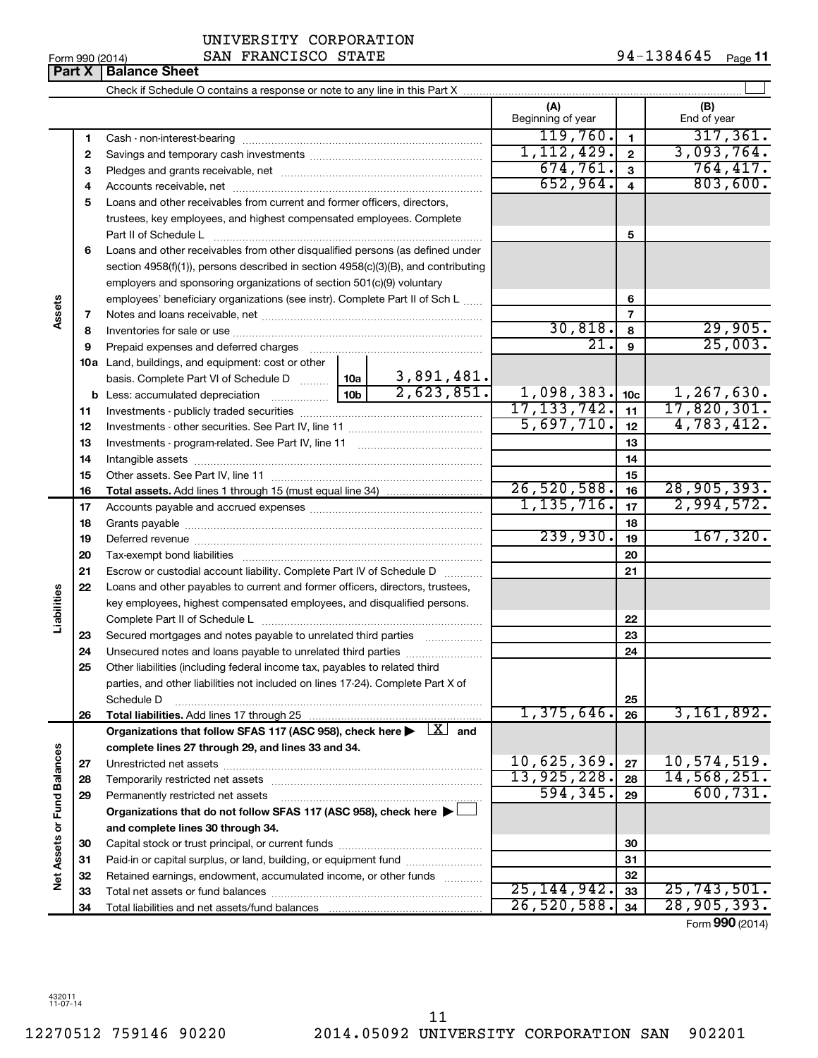**Part X** | **Balance Sheet**  $\perp$ Check if Schedule O contains a response or note to any line in this Part X **(A) (B)** Beginning of year | | End of year  $119,760.$  1 317,361. **1 1** Cash - non-interest-bearing ~~~~~~~~~~~~~~~~~~~~~~~~~ 1,112,429. 3,093,764. **2 2** Savings and temporary cash investments ~~~~~~~~~~~~~~~~~~ 674,761. 764,417. **3 3** Pledges and grants receivable, net ~~~~~~~~~~~~~~~~~~~~~  $652,964.$  4 803,600. **4 4** Accounts receivable, net ~~~~~~~~~~~~~~~~~~~~~~~~~~ **5** Loans and other receivables from current and former officers, directors, trustees, key employees, and highest compensated employees. Complete **5** Part II of Schedule L ~~~~~~~~~~~~~~~~~~~~~~~~~~~~ **6** Loans and other receivables from other disqualified persons (as defined under section 4958(f)(1)), persons described in section 4958(c)(3)(B), and contributing employers and sponsoring organizations of section 501(c)(9) voluntary employees' beneficiary organizations (see instr). Complete Part II of Sch L ...... **6 Assets 7 7** Notes and loans receivable, net ~~~~~~~~~~~~~~~~~~~~~~~ 30,818. 29,905. **8 8** Inventories for sale or use ~~~~~~~~~~~~~~~~~~~~~~~~~~  $21.$  9  $25,003.$ **9 9** Prepaid expenses and deferred charges ~~~~~~~~~~~~~~~~~~ **10 a** Land, buildings, and equipment: cost or other 3,891,481. basis. Complete Part VI of Schedule D  $\frac{1}{10}$  10a  $2,623,851.$  1,098,383. 10c 1,267,630. **10c b** Less: accumulated depreciation  $\ldots$  [10b 17,133,742. 17,820,301. **11 11** Investments - publicly traded securities ~~~~~~~~~~~~~~~~~~~ 5,697,710. 4,783,412. **12 12** Investments - other securities. See Part IV, line 11 ~~~~~~~~~~~~~~ **13 13** Investments - program-related. See Part IV, line 11 ~~~~~~~~~~~~~ **14 14** Intangible assets ~~~~~~~~~~~~~~~~~~~~~~~~~~~~~~ Other assets. See Part IV, line 11 ~~~~~~~~~~~~~~~~~~~~~~ **15 15** 26,520,588. 16 28,905,393. **16 16 Total assets.**  Add lines 1 through 15 (must equal line 34) 1,135,716. 2,994,572. **17 17** Accounts payable and accrued expenses ~~~~~~~~~~~~~~~~~~ **18 18** Grants payable ~~~~~~~~~~~~~~~~~~~~~~~~~~~~~~~ 167,320. **19 19** Deferred revenue ~~~~~~~~~~~~~~~~~~~~~~~~~~~~~~ **20 20** Tax-exempt bond liabilities ~~~~~~~~~~~~~~~~~~~~~~~~~ **21 21** Escrow or custodial account liability. Complete Part IV of Schedule D ........... **22** Loans and other payables to current and former officers, directors, trustees, **Liabilities** key employees, highest compensated employees, and disqualified persons. Complete Part II of Schedule L ~~~~~~~~~~~~~~~~~~~~~~~ **22** Secured mortgages and notes payable to unrelated third parties  $\ldots$  ................. **23 23 24** Unsecured notes and loans payable to unrelated third parties ~~~~~~~~ **24 25** Other liabilities (including federal income tax, payables to related third parties, and other liabilities not included on lines 17-24). Complete Part X of Schedule D ~~~~~~~~~~~~~~~~~~~~~~~~~~~~~~~~ **25** 1,375,646. 3,161,892. **26 26 Total liabilities.**  Add lines 17 through 25 Organizations that follow SFAS 117 (ASC 958), check here  $\blacktriangleright$   $\boxed{X}$  and **complete lines 27 through 29, and lines 33 and 34. Vet Assets or Fund Balances Net Assets or Fund Balances**  $10,625,369.$   $27$  10,574,519. **27 27** Unrestricted net assets ~~~~~~~~~~~~~~~~~~~~~~~~~~~  $13,925,228.$   $28 \mid 14,568,251.$ **28 28** Temporarily restricted net assets ~~~~~~~~~~~~~~~~~~~~~~ 594,345. 600,731. **29 29** Permanently restricted net assets ~~~~~~~~~~~~~~~~~~~~~ **Organizations that do not follow SFAS 117 (ASC 958), check here** | † **and complete lines 30 through 34. 30 30** Capital stock or trust principal, or current funds ~~~~~~~~~~~~~~~ **31 31** Paid-in or capital surplus, or land, building, or equipment fund ....................... **32 32** Retained earnings, endowment, accumulated income, or other funds ............ 25,144,942. 25,743,501. **33** Total net assets or fund balances ~~~~~~~~~~~~~~~~~~~~~~ **33** 26,520,588. 28,905,393. **34 34** Total liabilities and net assets/fund balances Form (2014) **990**

432011 11-07-14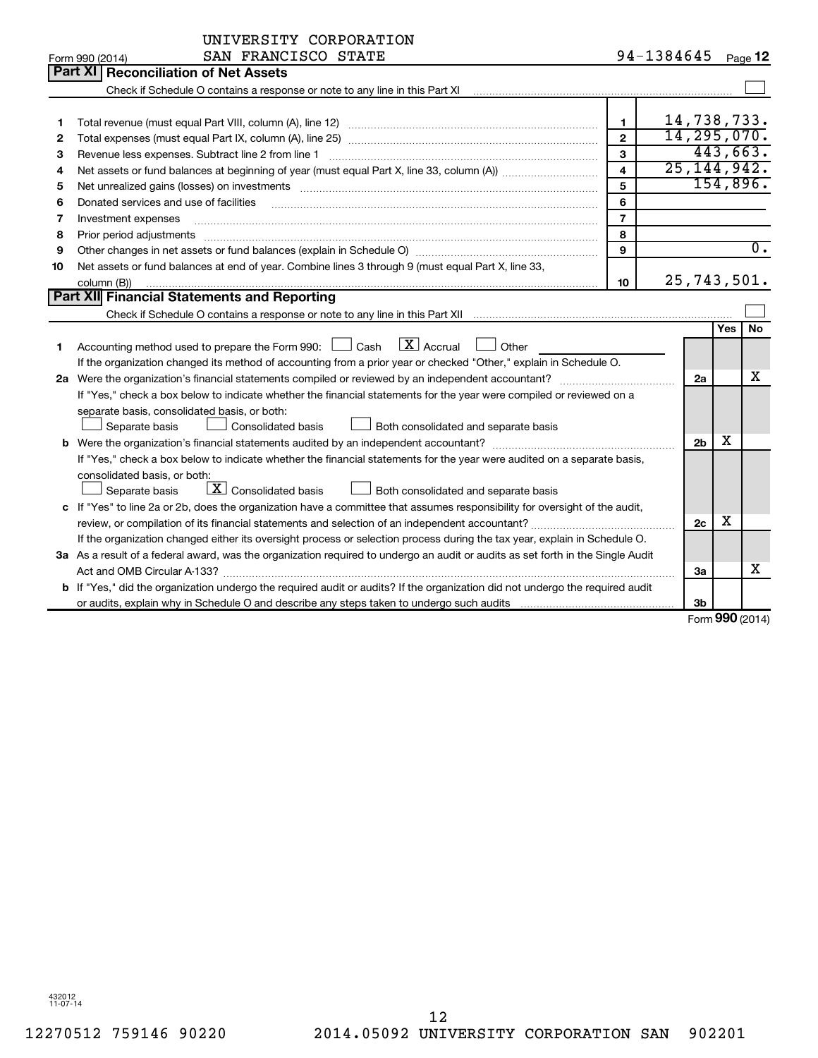|                                                                                                                             | UNIVERSITY CORPORATION                                                                                                                                                                                                                                                                                                                                                                                                                                               |                         |                    |                |                   |                  |
|-----------------------------------------------------------------------------------------------------------------------------|----------------------------------------------------------------------------------------------------------------------------------------------------------------------------------------------------------------------------------------------------------------------------------------------------------------------------------------------------------------------------------------------------------------------------------------------------------------------|-------------------------|--------------------|----------------|-------------------|------------------|
|                                                                                                                             | SAN FRANCISCO STATE<br>Form 990 (2014)                                                                                                                                                                                                                                                                                                                                                                                                                               |                         | 94-1384645 Page 12 |                |                   |                  |
|                                                                                                                             | <b>Reconciliation of Net Assets</b><br>Part XI                                                                                                                                                                                                                                                                                                                                                                                                                       |                         |                    |                |                   |                  |
|                                                                                                                             | Check if Schedule O contains a response or note to any line in this Part XI manufactured in the Schedule O contains a response or note to any line in this Part XI                                                                                                                                                                                                                                                                                                   |                         |                    |                |                   |                  |
|                                                                                                                             |                                                                                                                                                                                                                                                                                                                                                                                                                                                                      |                         |                    |                |                   |                  |
| 1                                                                                                                           |                                                                                                                                                                                                                                                                                                                                                                                                                                                                      | 1                       |                    |                |                   | 14,738,733.      |
| 2                                                                                                                           |                                                                                                                                                                                                                                                                                                                                                                                                                                                                      | $\overline{2}$          |                    |                |                   | 14, 295, 070.    |
| З                                                                                                                           | Revenue less expenses. Subtract line 2 from line 1                                                                                                                                                                                                                                                                                                                                                                                                                   | 3                       |                    |                |                   | 443,663.         |
| 4                                                                                                                           |                                                                                                                                                                                                                                                                                                                                                                                                                                                                      | $\overline{\mathbf{4}}$ |                    |                |                   | 25, 144, 942.    |
| 5                                                                                                                           |                                                                                                                                                                                                                                                                                                                                                                                                                                                                      | 5                       |                    |                |                   | 154,896.         |
| 6                                                                                                                           | Donated services and use of facilities<br>$\overline{a_1, \ldots, a_n, \ldots, a_n, \ldots, a_n, \ldots, a_n, \ldots, a_n, \ldots, a_n, \ldots, a_n, \ldots, a_n, \ldots, a_n, \ldots, a_n, \ldots, a_n, \ldots, a_n, \ldots, a_n, \ldots, a_n, \ldots, a_n, \ldots, a_n, \ldots, a_n, \ldots, a_n, \ldots, a_n, \ldots, a_n, \ldots, a_n, \ldots, a_n, \ldots, a_n, \ldots, a_n, \ldots, a_n, \ldots, a_n, \ldots, a_n, \ldots, a_n, \ldots, a_n, \ldots, a_n, \ld$ | 6                       |                    |                |                   |                  |
| 7                                                                                                                           | Investment expenses                                                                                                                                                                                                                                                                                                                                                                                                                                                  | $\overline{7}$          |                    |                |                   |                  |
| 8                                                                                                                           | Prior period adjustments                                                                                                                                                                                                                                                                                                                                                                                                                                             | 8                       |                    |                |                   |                  |
| 9                                                                                                                           | Other changes in net assets or fund balances (explain in Schedule O)                                                                                                                                                                                                                                                                                                                                                                                                 | 9                       |                    |                |                   | $\overline{0}$ . |
| 10                                                                                                                          | Net assets or fund balances at end of year. Combine lines 3 through 9 (must equal Part X, line 33,                                                                                                                                                                                                                                                                                                                                                                   |                         |                    |                |                   |                  |
|                                                                                                                             | column (B))                                                                                                                                                                                                                                                                                                                                                                                                                                                          | 10                      |                    |                |                   | 25,743,501.      |
|                                                                                                                             | Part XII Financial Statements and Reporting                                                                                                                                                                                                                                                                                                                                                                                                                          |                         |                    |                |                   |                  |
|                                                                                                                             |                                                                                                                                                                                                                                                                                                                                                                                                                                                                      |                         |                    |                |                   |                  |
|                                                                                                                             |                                                                                                                                                                                                                                                                                                                                                                                                                                                                      |                         |                    |                | <b>Yes</b>        | <b>No</b>        |
| 1.                                                                                                                          | $\overline{X}$ Accrual<br>Accounting method used to prepare the Form 990: $\Box$ Cash<br>Other                                                                                                                                                                                                                                                                                                                                                                       |                         |                    |                |                   |                  |
|                                                                                                                             | If the organization changed its method of accounting from a prior year or checked "Other," explain in Schedule O.                                                                                                                                                                                                                                                                                                                                                    |                         |                    |                |                   |                  |
|                                                                                                                             |                                                                                                                                                                                                                                                                                                                                                                                                                                                                      |                         |                    | 2a             |                   | х                |
|                                                                                                                             | If "Yes," check a box below to indicate whether the financial statements for the year were compiled or reviewed on a                                                                                                                                                                                                                                                                                                                                                 |                         |                    |                |                   |                  |
|                                                                                                                             | separate basis, consolidated basis, or both:                                                                                                                                                                                                                                                                                                                                                                                                                         |                         |                    |                |                   |                  |
|                                                                                                                             | Separate basis<br>Consolidated basis<br>Both consolidated and separate basis                                                                                                                                                                                                                                                                                                                                                                                         |                         |                    |                |                   |                  |
|                                                                                                                             | <b>b</b> Were the organization's financial statements audited by an independent accountant?                                                                                                                                                                                                                                                                                                                                                                          |                         |                    | 2 <sub>b</sub> | х                 |                  |
|                                                                                                                             | If "Yes," check a box below to indicate whether the financial statements for the year were audited on a separate basis,                                                                                                                                                                                                                                                                                                                                              |                         |                    |                |                   |                  |
|                                                                                                                             | consolidated basis, or both:                                                                                                                                                                                                                                                                                                                                                                                                                                         |                         |                    |                |                   |                  |
|                                                                                                                             | $\boxed{\textbf{X}}$ Consolidated basis<br>Both consolidated and separate basis<br>Separate basis                                                                                                                                                                                                                                                                                                                                                                    |                         |                    |                |                   |                  |
| c If "Yes" to line 2a or 2b, does the organization have a committee that assumes responsibility for oversight of the audit, |                                                                                                                                                                                                                                                                                                                                                                                                                                                                      |                         |                    |                |                   |                  |
|                                                                                                                             |                                                                                                                                                                                                                                                                                                                                                                                                                                                                      |                         |                    | 2c             | x                 |                  |
|                                                                                                                             | If the organization changed either its oversight process or selection process during the tax year, explain in Schedule O.                                                                                                                                                                                                                                                                                                                                            |                         |                    |                |                   |                  |
|                                                                                                                             | 3a As a result of a federal award, was the organization required to undergo an audit or audits as set forth in the Single Audit                                                                                                                                                                                                                                                                                                                                      |                         |                    |                |                   |                  |
|                                                                                                                             |                                                                                                                                                                                                                                                                                                                                                                                                                                                                      |                         |                    | За             |                   | х                |
|                                                                                                                             | b If "Yes," did the organization undergo the required audit or audits? If the organization did not undergo the required audit                                                                                                                                                                                                                                                                                                                                        |                         |                    |                |                   |                  |
|                                                                                                                             |                                                                                                                                                                                                                                                                                                                                                                                                                                                                      |                         |                    | 3 <sub>b</sub> | $000 \, \text{m}$ |                  |

Form (2014) **990**

432012 11-07-14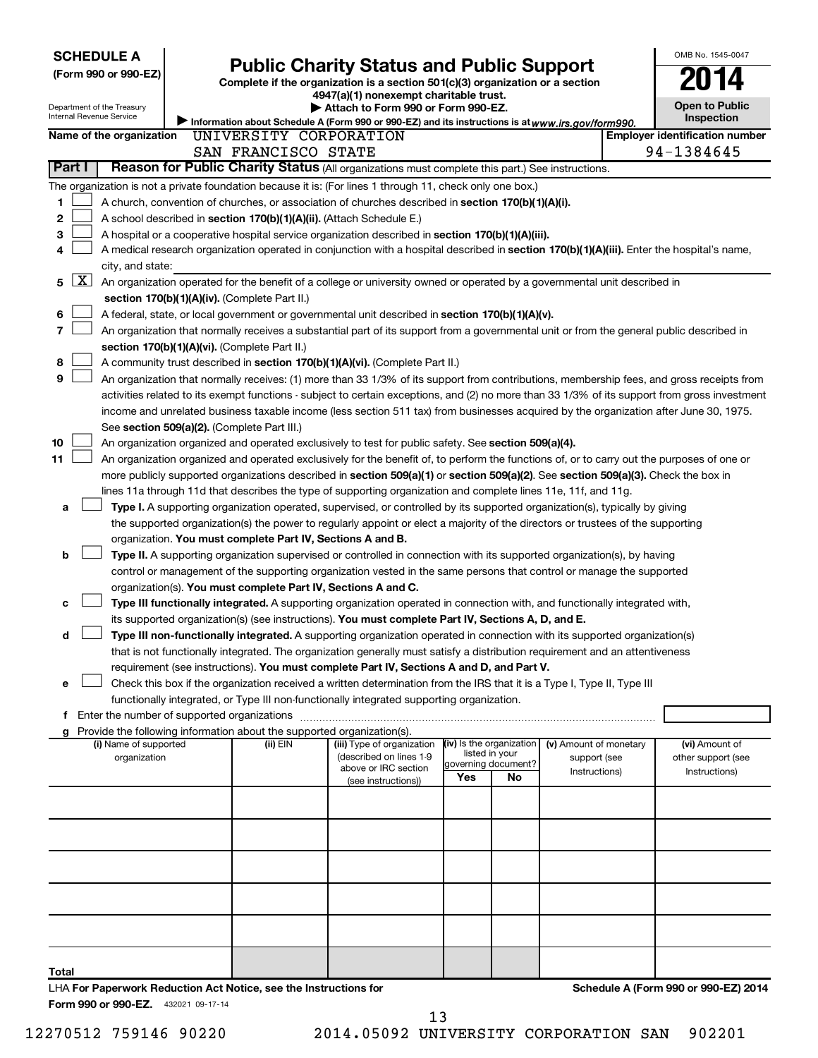| <b>SCHEDULE A</b><br>(Form 990 or 990-EZ)              |                                                                                                                                                                                                                                                    |                                               | <b>Public Charity Status and Public Support</b><br>Complete if the organization is a section 501(c)(3) organization or a section |                            |    |                        | OMB No. 1545-0047                                   |
|--------------------------------------------------------|----------------------------------------------------------------------------------------------------------------------------------------------------------------------------------------------------------------------------------------------------|-----------------------------------------------|----------------------------------------------------------------------------------------------------------------------------------|----------------------------|----|------------------------|-----------------------------------------------------|
|                                                        |                                                                                                                                                                                                                                                    |                                               | 4947(a)(1) nonexempt charitable trust.                                                                                           |                            |    |                        |                                                     |
| Department of the Treasury<br>Internal Revenue Service |                                                                                                                                                                                                                                                    |                                               | Attach to Form 990 or Form 990-EZ.                                                                                               |                            |    |                        | <b>Open to Public</b><br>Inspection                 |
|                                                        | Name of the organization                                                                                                                                                                                                                           |                                               | Information about Schedule A (Form 990 or 990-EZ) and its instructions is at www.irs.gov/form990.                                |                            |    |                        |                                                     |
|                                                        |                                                                                                                                                                                                                                                    | UNIVERSITY CORPORATION<br>SAN FRANCISCO STATE |                                                                                                                                  |                            |    |                        | <b>Employer identification number</b><br>94-1384645 |
| Part I                                                 | Reason for Public Charity Status (All organizations must complete this part.) See instructions.                                                                                                                                                    |                                               |                                                                                                                                  |                            |    |                        |                                                     |
|                                                        | The organization is not a private foundation because it is: (For lines 1 through 11, check only one box.)                                                                                                                                          |                                               |                                                                                                                                  |                            |    |                        |                                                     |
| 1                                                      | A church, convention of churches, or association of churches described in section 170(b)(1)(A)(i).                                                                                                                                                 |                                               |                                                                                                                                  |                            |    |                        |                                                     |
| 2                                                      | A school described in section 170(b)(1)(A)(ii). (Attach Schedule E.)                                                                                                                                                                               |                                               |                                                                                                                                  |                            |    |                        |                                                     |
| 3                                                      | A hospital or a cooperative hospital service organization described in section 170(b)(1)(A)(iii).                                                                                                                                                  |                                               |                                                                                                                                  |                            |    |                        |                                                     |
| 4                                                      | A medical research organization operated in conjunction with a hospital described in section 170(b)(1)(A)(iii). Enter the hospital's name,                                                                                                         |                                               |                                                                                                                                  |                            |    |                        |                                                     |
|                                                        | city, and state:                                                                                                                                                                                                                                   |                                               |                                                                                                                                  |                            |    |                        |                                                     |
| $\mathbf{X}$<br>5                                      | An organization operated for the benefit of a college or university owned or operated by a governmental unit described in                                                                                                                          |                                               |                                                                                                                                  |                            |    |                        |                                                     |
|                                                        | section 170(b)(1)(A)(iv). (Complete Part II.)                                                                                                                                                                                                      |                                               |                                                                                                                                  |                            |    |                        |                                                     |
| 6                                                      | A federal, state, or local government or governmental unit described in section 170(b)(1)(A)(v).                                                                                                                                                   |                                               |                                                                                                                                  |                            |    |                        |                                                     |
| 7                                                      | An organization that normally receives a substantial part of its support from a governmental unit or from the general public described in                                                                                                          |                                               |                                                                                                                                  |                            |    |                        |                                                     |
|                                                        | section 170(b)(1)(A)(vi). (Complete Part II.)                                                                                                                                                                                                      |                                               |                                                                                                                                  |                            |    |                        |                                                     |
| 8                                                      | A community trust described in section 170(b)(1)(A)(vi). (Complete Part II.)                                                                                                                                                                       |                                               |                                                                                                                                  |                            |    |                        |                                                     |
| 9                                                      | An organization that normally receives: (1) more than 33 1/3% of its support from contributions, membership fees, and gross receipts from                                                                                                          |                                               |                                                                                                                                  |                            |    |                        |                                                     |
|                                                        | activities related to its exempt functions - subject to certain exceptions, and (2) no more than 33 1/3% of its support from gross investment                                                                                                      |                                               |                                                                                                                                  |                            |    |                        |                                                     |
|                                                        | income and unrelated business taxable income (less section 511 tax) from businesses acquired by the organization after June 30, 1975.                                                                                                              |                                               |                                                                                                                                  |                            |    |                        |                                                     |
| 10                                                     | See section 509(a)(2). (Complete Part III.)                                                                                                                                                                                                        |                                               |                                                                                                                                  |                            |    |                        |                                                     |
| 11                                                     | An organization organized and operated exclusively to test for public safety. See section 509(a)(4).<br>An organization organized and operated exclusively for the benefit of, to perform the functions of, or to carry out the purposes of one or |                                               |                                                                                                                                  |                            |    |                        |                                                     |
|                                                        | more publicly supported organizations described in section 509(a)(1) or section 509(a)(2). See section 509(a)(3). Check the box in                                                                                                                 |                                               |                                                                                                                                  |                            |    |                        |                                                     |
|                                                        | lines 11a through 11d that describes the type of supporting organization and complete lines 11e, 11f, and 11g.                                                                                                                                     |                                               |                                                                                                                                  |                            |    |                        |                                                     |
| а                                                      | Type I. A supporting organization operated, supervised, or controlled by its supported organization(s), typically by giving                                                                                                                        |                                               |                                                                                                                                  |                            |    |                        |                                                     |
|                                                        | the supported organization(s) the power to regularly appoint or elect a majority of the directors or trustees of the supporting                                                                                                                    |                                               |                                                                                                                                  |                            |    |                        |                                                     |
|                                                        | organization. You must complete Part IV, Sections A and B.                                                                                                                                                                                         |                                               |                                                                                                                                  |                            |    |                        |                                                     |
| b                                                      | Type II. A supporting organization supervised or controlled in connection with its supported organization(s), by having                                                                                                                            |                                               |                                                                                                                                  |                            |    |                        |                                                     |
|                                                        | control or management of the supporting organization vested in the same persons that control or manage the supported                                                                                                                               |                                               |                                                                                                                                  |                            |    |                        |                                                     |
|                                                        | organization(s). You must complete Part IV, Sections A and C.                                                                                                                                                                                      |                                               |                                                                                                                                  |                            |    |                        |                                                     |
| c                                                      | Type III functionally integrated. A supporting organization operated in connection with, and functionally integrated with,                                                                                                                         |                                               |                                                                                                                                  |                            |    |                        |                                                     |
|                                                        | its supported organization(s) (see instructions). You must complete Part IV, Sections A, D, and E.                                                                                                                                                 |                                               |                                                                                                                                  |                            |    |                        |                                                     |
| d                                                      | Type III non-functionally integrated. A supporting organization operated in connection with its supported organization(s)                                                                                                                          |                                               |                                                                                                                                  |                            |    |                        |                                                     |
|                                                        | that is not functionally integrated. The organization generally must satisfy a distribution requirement and an attentiveness                                                                                                                       |                                               |                                                                                                                                  |                            |    |                        |                                                     |
|                                                        | requirement (see instructions). You must complete Part IV, Sections A and D, and Part V.                                                                                                                                                           |                                               |                                                                                                                                  |                            |    |                        |                                                     |
| е                                                      | Check this box if the organization received a written determination from the IRS that it is a Type I, Type II, Type III                                                                                                                            |                                               |                                                                                                                                  |                            |    |                        |                                                     |
|                                                        | functionally integrated, or Type III non-functionally integrated supporting organization.                                                                                                                                                          |                                               |                                                                                                                                  |                            |    |                        |                                                     |
|                                                        |                                                                                                                                                                                                                                                    |                                               |                                                                                                                                  |                            |    |                        |                                                     |
|                                                        | Provide the following information about the supported organization(s).<br>(i) Name of supported                                                                                                                                                    | (ii) EIN                                      | (iii) Type of organization                                                                                                       | (iv) Is the organization   |    | (v) Amount of monetary | (vi) Amount of                                      |
|                                                        | organization                                                                                                                                                                                                                                       |                                               | (described on lines 1-9                                                                                                          | listed in your             |    | support (see           | other support (see                                  |
|                                                        |                                                                                                                                                                                                                                                    |                                               | above or IRC section                                                                                                             | governing document?<br>Yes | No | Instructions)          | Instructions)                                       |
|                                                        |                                                                                                                                                                                                                                                    |                                               | (see instructions))                                                                                                              |                            |    |                        |                                                     |
|                                                        |                                                                                                                                                                                                                                                    |                                               |                                                                                                                                  |                            |    |                        |                                                     |
|                                                        |                                                                                                                                                                                                                                                    |                                               |                                                                                                                                  |                            |    |                        |                                                     |
|                                                        |                                                                                                                                                                                                                                                    |                                               |                                                                                                                                  |                            |    |                        |                                                     |
|                                                        |                                                                                                                                                                                                                                                    |                                               |                                                                                                                                  |                            |    |                        |                                                     |
|                                                        |                                                                                                                                                                                                                                                    |                                               |                                                                                                                                  |                            |    |                        |                                                     |
|                                                        |                                                                                                                                                                                                                                                    |                                               |                                                                                                                                  |                            |    |                        |                                                     |
|                                                        |                                                                                                                                                                                                                                                    |                                               |                                                                                                                                  |                            |    |                        |                                                     |
|                                                        |                                                                                                                                                                                                                                                    |                                               |                                                                                                                                  |                            |    |                        |                                                     |
|                                                        |                                                                                                                                                                                                                                                    |                                               |                                                                                                                                  |                            |    |                        |                                                     |
|                                                        |                                                                                                                                                                                                                                                    |                                               |                                                                                                                                  |                            |    |                        |                                                     |
| Total                                                  |                                                                                                                                                                                                                                                    |                                               |                                                                                                                                  |                            |    |                        |                                                     |
|                                                        | LHA For Paperwork Reduction Act Notice, see the Instructions for<br>Form 990 or 990-EZ. 432021 09-17-14                                                                                                                                            |                                               |                                                                                                                                  |                            |    |                        | Schedule A (Form 990 or 990-EZ) 2014                |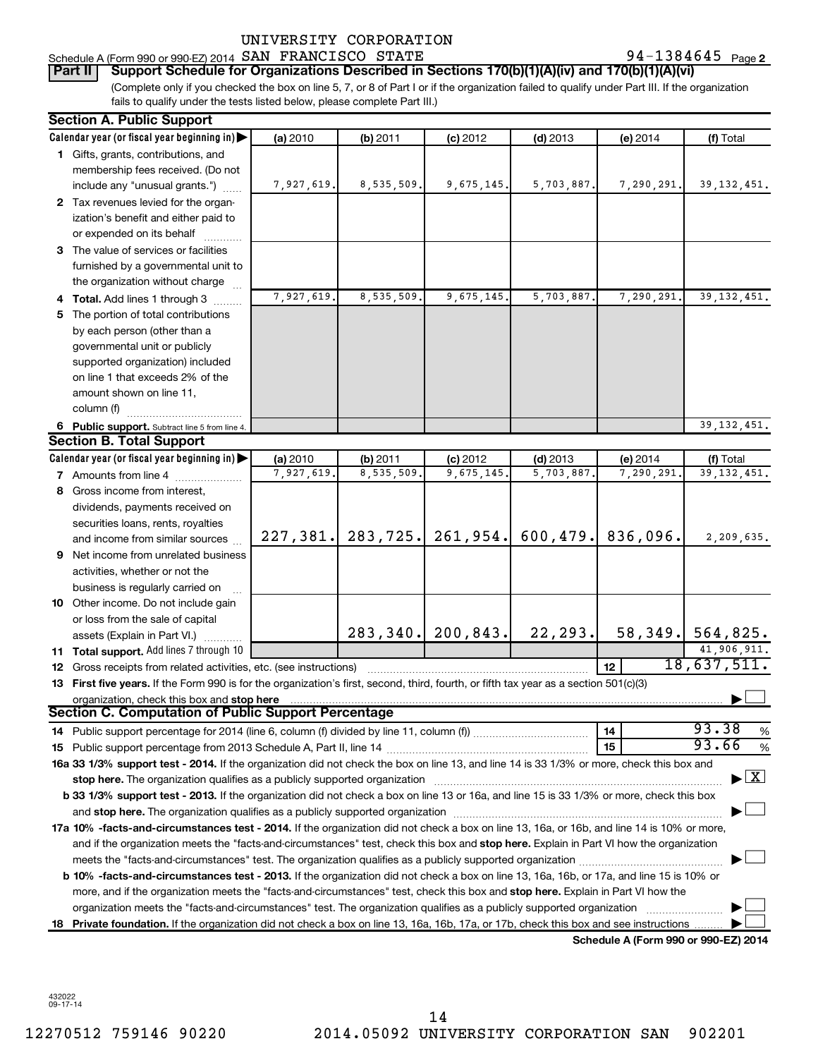### Schedule A (Form 990 or 990-EZ) 2014 Page SAN FRANCISCO STATE 94-1384645

94-1384645 Page 2

(Complete only if you checked the box on line 5, 7, or 8 of Part I or if the organization failed to qualify under Part III. If the organization fails to qualify under the tests listed below, please complete Part III.) **Part II Support Schedule for Organizations Described in Sections 170(b)(1)(A)(iv) and 170(b)(1)(A)(vi)**

|     | <b>Section A. Public Support</b>                                                                                                                                                                                               |            |            |            |            |                                      |                                          |
|-----|--------------------------------------------------------------------------------------------------------------------------------------------------------------------------------------------------------------------------------|------------|------------|------------|------------|--------------------------------------|------------------------------------------|
|     | Calendar year (or fiscal year beginning in)                                                                                                                                                                                    | (a) 2010   | (b) 2011   | $(c)$ 2012 | $(d)$ 2013 | $(e)$ 2014                           | (f) Total                                |
|     | 1 Gifts, grants, contributions, and                                                                                                                                                                                            |            |            |            |            |                                      |                                          |
|     | membership fees received. (Do not                                                                                                                                                                                              |            |            |            |            |                                      |                                          |
|     | include any "unusual grants.")                                                                                                                                                                                                 | 7,927,619. | 8,535,509. | 9,675,145. | 5,703,887. | 7,290,291.                           | 39, 132, 451.                            |
|     | 2 Tax revenues levied for the organ-                                                                                                                                                                                           |            |            |            |            |                                      |                                          |
|     | ization's benefit and either paid to                                                                                                                                                                                           |            |            |            |            |                                      |                                          |
|     | or expended on its behalf                                                                                                                                                                                                      |            |            |            |            |                                      |                                          |
|     | 3 The value of services or facilities                                                                                                                                                                                          |            |            |            |            |                                      |                                          |
|     | furnished by a governmental unit to                                                                                                                                                                                            |            |            |            |            |                                      |                                          |
|     | the organization without charge                                                                                                                                                                                                |            |            |            |            |                                      |                                          |
|     | 4 Total. Add lines 1 through 3                                                                                                                                                                                                 | 7,927,619. | 8,535,509. | 9,675,145  | 5,703,887. | 7,290,291.                           | 39, 132, 451.                            |
| 5.  | The portion of total contributions                                                                                                                                                                                             |            |            |            |            |                                      |                                          |
|     | by each person (other than a                                                                                                                                                                                                   |            |            |            |            |                                      |                                          |
|     | governmental unit or publicly                                                                                                                                                                                                  |            |            |            |            |                                      |                                          |
|     | supported organization) included                                                                                                                                                                                               |            |            |            |            |                                      |                                          |
|     | on line 1 that exceeds 2% of the                                                                                                                                                                                               |            |            |            |            |                                      |                                          |
|     | amount shown on line 11,                                                                                                                                                                                                       |            |            |            |            |                                      |                                          |
|     | column (f)                                                                                                                                                                                                                     |            |            |            |            |                                      |                                          |
|     | 6 Public support. Subtract line 5 from line 4.                                                                                                                                                                                 |            |            |            |            |                                      | 39, 132, 451.                            |
|     | <b>Section B. Total Support</b>                                                                                                                                                                                                |            |            |            |            |                                      |                                          |
|     | Calendar year (or fiscal year beginning in)                                                                                                                                                                                    | (a) 2010   | (b) 2011   | (c) 2012   | $(d)$ 2013 | (e) 2014                             | (f) Total                                |
|     | <b>7</b> Amounts from line 4                                                                                                                                                                                                   | 7,927,619. | 8,535,509  | 9,675,145  | 5,703,887  | 7,290,291                            | 39, 132, 451.                            |
|     | 8 Gross income from interest,                                                                                                                                                                                                  |            |            |            |            |                                      |                                          |
|     | dividends, payments received on                                                                                                                                                                                                |            |            |            |            |                                      |                                          |
|     | securities loans, rents, royalties                                                                                                                                                                                             |            |            |            |            |                                      |                                          |
|     | and income from similar sources                                                                                                                                                                                                | 227, 381.  | 283, 725.  | 261,954.   | 600,479.   | 836,096.                             | 2,209,635.                               |
|     | 9 Net income from unrelated business                                                                                                                                                                                           |            |            |            |            |                                      |                                          |
|     | activities, whether or not the                                                                                                                                                                                                 |            |            |            |            |                                      |                                          |
|     | business is regularly carried on                                                                                                                                                                                               |            |            |            |            |                                      |                                          |
|     | 10 Other income. Do not include gain                                                                                                                                                                                           |            |            |            |            |                                      |                                          |
|     | or loss from the sale of capital                                                                                                                                                                                               |            |            |            |            |                                      |                                          |
|     | assets (Explain in Part VI.)                                                                                                                                                                                                   |            | 283, 340.  | 200, 843.  | 22, 293.   |                                      | 58, 349. 564, 825.                       |
|     | <b>11 Total support.</b> Add lines 7 through 10                                                                                                                                                                                |            |            |            |            |                                      | 41,906,911.                              |
|     | <b>12</b> Gross receipts from related activities, etc. (see instructions)                                                                                                                                                      |            |            |            |            | 12 <sup>2</sup>                      | 18,637,511.                              |
|     | 13 First five years. If the Form 990 is for the organization's first, second, third, fourth, or fifth tax year as a section 501(c)(3)                                                                                          |            |            |            |            |                                      |                                          |
|     | organization, check this box and stop here                                                                                                                                                                                     |            |            |            |            |                                      |                                          |
|     | Section C. Computation of Public Support Percentage                                                                                                                                                                            |            |            |            |            |                                      | 93.38                                    |
|     |                                                                                                                                                                                                                                |            |            |            |            | 14                                   | %<br>93.66                               |
|     |                                                                                                                                                                                                                                |            |            |            |            | 15                                   | $\%$                                     |
|     | 16a 33 1/3% support test - 2014. If the organization did not check the box on line 13, and line 14 is 33 1/3% or more, check this box and                                                                                      |            |            |            |            |                                      |                                          |
|     | stop here. The organization qualifies as a publicly supported organization manufaction manufacture or manufacture or the organization manufacture or the organization of the state of the state of the state of the state of t |            |            |            |            |                                      | $\blacktriangleright$ $\boxed{\text{X}}$ |
|     | b 33 1/3% support test - 2013. If the organization did not check a box on line 13 or 16a, and line 15 is 33 1/3% or more, check this box                                                                                       |            |            |            |            |                                      |                                          |
|     |                                                                                                                                                                                                                                |            |            |            |            |                                      |                                          |
|     | 17a 10% -facts-and-circumstances test - 2014. If the organization did not check a box on line 13, 16a, or 16b, and line 14 is 10% or more,                                                                                     |            |            |            |            |                                      |                                          |
|     | and if the organization meets the "facts-and-circumstances" test, check this box and stop here. Explain in Part VI how the organization                                                                                        |            |            |            |            |                                      |                                          |
|     |                                                                                                                                                                                                                                |            |            |            |            |                                      |                                          |
|     | b 10% -facts-and-circumstances test - 2013. If the organization did not check a box on line 13, 16a, 16b, or 17a, and line 15 is 10% or                                                                                        |            |            |            |            |                                      |                                          |
|     | more, and if the organization meets the "facts-and-circumstances" test, check this box and stop here. Explain in Part VI how the                                                                                               |            |            |            |            |                                      |                                          |
|     | organization meets the "facts-and-circumstances" test. The organization qualifies as a publicly supported organization                                                                                                         |            |            |            |            |                                      |                                          |
| 18. | Private foundation. If the organization did not check a box on line 13, 16a, 16b, 17a, or 17b, check this box and see instructions                                                                                             |            |            |            |            | Schedule A (Form 990 or 990-EZ) 2014 |                                          |
|     |                                                                                                                                                                                                                                |            |            |            |            |                                      |                                          |

432022 09-17-14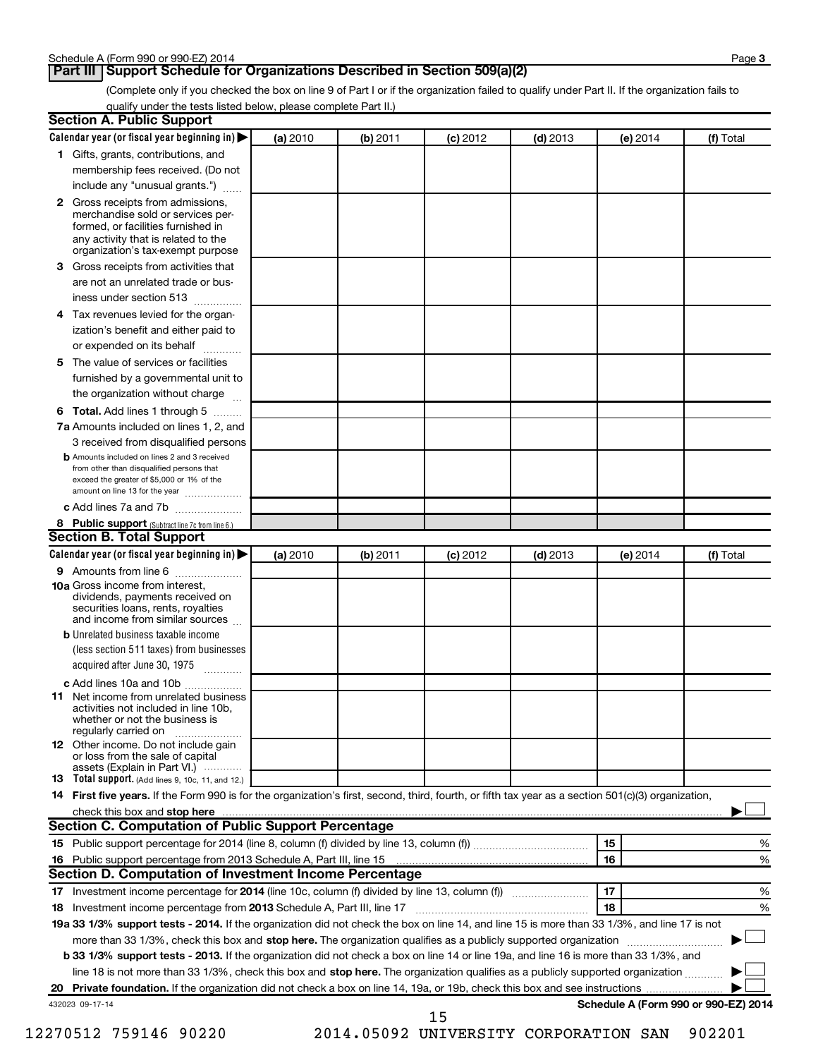#### **Part III Support Schedule for Organizations Described in Section 509(a)(2)**

(Complete only if you checked the box on line 9 of Part I or if the organization failed to qualify under Part II. If the organization fails to qualify under the tests listed below, please complete Part II.)

| <b>Section A. Public Support</b>                                                                                                                                                         |          |          |            |            |                                      |           |
|------------------------------------------------------------------------------------------------------------------------------------------------------------------------------------------|----------|----------|------------|------------|--------------------------------------|-----------|
| Calendar year (or fiscal year beginning in)                                                                                                                                              | (a) 2010 | (b) 2011 | $(c)$ 2012 | $(d)$ 2013 | (e) 2014                             | (f) Total |
| 1 Gifts, grants, contributions, and                                                                                                                                                      |          |          |            |            |                                      |           |
| membership fees received. (Do not                                                                                                                                                        |          |          |            |            |                                      |           |
| include any "unusual grants.")                                                                                                                                                           |          |          |            |            |                                      |           |
| 2 Gross receipts from admissions,<br>merchandise sold or services per-<br>formed, or facilities furnished in<br>any activity that is related to the<br>organization's tax-exempt purpose |          |          |            |            |                                      |           |
| 3 Gross receipts from activities that                                                                                                                                                    |          |          |            |            |                                      |           |
| are not an unrelated trade or bus-                                                                                                                                                       |          |          |            |            |                                      |           |
| iness under section 513                                                                                                                                                                  |          |          |            |            |                                      |           |
| 4 Tax revenues levied for the organ-                                                                                                                                                     |          |          |            |            |                                      |           |
| ization's benefit and either paid to                                                                                                                                                     |          |          |            |            |                                      |           |
| or expended on its behalf<br>.                                                                                                                                                           |          |          |            |            |                                      |           |
| 5 The value of services or facilities                                                                                                                                                    |          |          |            |            |                                      |           |
| furnished by a governmental unit to                                                                                                                                                      |          |          |            |            |                                      |           |
| the organization without charge                                                                                                                                                          |          |          |            |            |                                      |           |
| 6 Total. Add lines 1 through 5                                                                                                                                                           |          |          |            |            |                                      |           |
| 7a Amounts included on lines 1, 2, and                                                                                                                                                   |          |          |            |            |                                      |           |
| 3 received from disqualified persons                                                                                                                                                     |          |          |            |            |                                      |           |
| <b>b</b> Amounts included on lines 2 and 3 received<br>from other than disqualified persons that<br>exceed the greater of \$5,000 or 1% of the<br>amount on line 13 for the year         |          |          |            |            |                                      |           |
| c Add lines 7a and 7b                                                                                                                                                                    |          |          |            |            |                                      |           |
| 8 Public support (Subtract line 7c from line 6.)                                                                                                                                         |          |          |            |            |                                      |           |
| <b>Section B. Total Support</b>                                                                                                                                                          |          |          |            |            |                                      |           |
| Calendar year (or fiscal year beginning in)                                                                                                                                              | (a) 2010 | (b) 2011 | $(c)$ 2012 | $(d)$ 2013 | (e) 2014                             | (f) Total |
| 9 Amounts from line 6                                                                                                                                                                    |          |          |            |            |                                      |           |
| <b>10a</b> Gross income from interest,<br>dividends, payments received on<br>securities loans, rents, royalties<br>and income from similar sources                                       |          |          |            |            |                                      |           |
| <b>b</b> Unrelated business taxable income<br>(less section 511 taxes) from businesses                                                                                                   |          |          |            |            |                                      |           |
| acquired after June 30, 1975<br>$\overline{\phantom{a}}$                                                                                                                                 |          |          |            |            |                                      |           |
| c Add lines 10a and 10b                                                                                                                                                                  |          |          |            |            |                                      |           |
| <b>11</b> Net income from unrelated business<br>activities not included in line 10b.<br>whether or not the business is<br>regularly carried on                                           |          |          |            |            |                                      |           |
| 12 Other income. Do not include gain<br>or loss from the sale of capital<br>assets (Explain in Part VI.)                                                                                 |          |          |            |            |                                      |           |
| <b>13</b> Total support. (Add lines 9, 10c, 11, and 12.)                                                                                                                                 |          |          |            |            |                                      |           |
| 14 First five years. If the Form 990 is for the organization's first, second, third, fourth, or fifth tax year as a section 501(c)(3) organization,                                      |          |          |            |            |                                      |           |
| check this box and stop here                                                                                                                                                             |          |          |            |            |                                      |           |
| <b>Section C. Computation of Public Support Percentage</b>                                                                                                                               |          |          |            |            |                                      |           |
|                                                                                                                                                                                          |          |          |            |            | 15                                   | %         |
|                                                                                                                                                                                          |          |          |            |            | 16                                   | %         |
| Section D. Computation of Investment Income Percentage                                                                                                                                   |          |          |            |            |                                      |           |
|                                                                                                                                                                                          |          |          |            |            | 17                                   | %         |
| 18 Investment income percentage from 2013 Schedule A, Part III, line 17                                                                                                                  |          |          |            |            | 18                                   | %         |
| 19a 33 1/3% support tests - 2014. If the organization did not check the box on line 14, and line 15 is more than 33 1/3%, and line 17 is not                                             |          |          |            |            |                                      |           |
| more than 33 1/3%, check this box and stop here. The organization qualifies as a publicly supported organization                                                                         |          |          |            |            |                                      |           |
| b 33 1/3% support tests - 2013. If the organization did not check a box on line 14 or line 19a, and line 16 is more than 33 1/3%, and                                                    |          |          |            |            |                                      |           |
| line 18 is not more than 33 1/3%, check this box and stop here. The organization qualifies as a publicly supported organization                                                          |          |          |            |            |                                      |           |
|                                                                                                                                                                                          |          |          |            |            |                                      |           |
| 432023 09-17-14                                                                                                                                                                          |          |          | 15         |            | Schedule A (Form 990 or 990-EZ) 2014 |           |

12270512 759146 90220 2014.05092 UNIVERSITY CORPORATION SAN 902201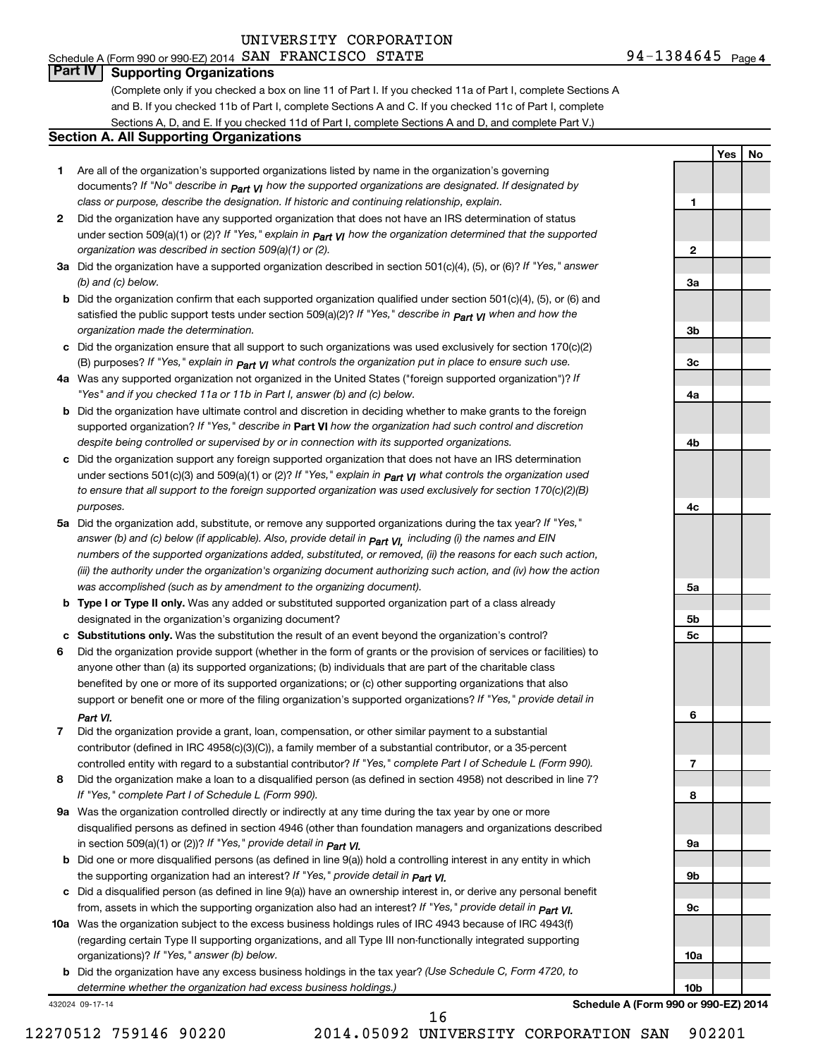**1**

**2**

**3a**

**3b**

**3c**

**4a**

**4b**

**4c**

**5a**

**5b 5c**

**6**

**7**

**8**

**9a**

**9b**

**9c**

**10a**

**10b**

**Yes No**

#### **Part IV Supporting Organizations**

(Complete only if you checked a box on line 11 of Part I. If you checked 11a of Part I, complete Sections A and B. If you checked 11b of Part I, complete Sections A and C. If you checked 11c of Part I, complete Sections A, D, and E. If you checked 11d of Part I, complete Sections A and D, and complete Part V.)

#### **Section A. All Supporting Organizations**

- **1** Are all of the organization's supported organizations listed by name in the organization's governing documents? If "No" describe in  $_{\mathsf{Part}}$   $_{\mathsf{V}}$  how the supported organizations are designated. If designated by *class or purpose, describe the designation. If historic and continuing relationship, explain.*
- **2** Did the organization have any supported organization that does not have an IRS determination of status under section 509(a)(1) or (2)? If "Yes," explain in  $_{\sf Part}$   $_{\sf VI}$  how the organization determined that the supported *organization was described in section 509(a)(1) or (2).*
- **3a** Did the organization have a supported organization described in section 501(c)(4), (5), or (6)? If "Yes," answer *(b) and (c) below.*
- **b** Did the organization confirm that each supported organization qualified under section 501(c)(4), (5), or (6) and satisfied the public support tests under section 509(a)(2)? If "Yes," describe in  $_{\rm Part}$   $_{\rm VI}$  when and how the *organization made the determination.*
- **c** Did the organization ensure that all support to such organizations was used exclusively for section 170(c)(2) (B) purposes? If "Yes," explain in  $_{\mathsf{Part}}$   $_{\mathsf{V}}$  what controls the organization put in place to ensure such use.
- **4 a** *If* Was any supported organization not organized in the United States ("foreign supported organization")? *"Yes" and if you checked 11a or 11b in Part I, answer (b) and (c) below.*
- **b** Did the organization have ultimate control and discretion in deciding whether to make grants to the foreign supported organization? If "Yes," describe in Part VI how the organization had such control and discretion *despite being controlled or supervised by or in connection with its supported organizations.*
- **c** Did the organization support any foreign supported organization that does not have an IRS determination under sections 501(c)(3) and 509(a)(1) or (2)? If "Yes," ex*plain in*  $_{\sf Part}$  *v*J what controls the organization used *to ensure that all support to the foreign supported organization was used exclusively for section 170(c)(2)(B) purposes.*
- **5a** Did the organization add, substitute, or remove any supported organizations during the tax year? If "Yes," answer (b) and (c) below (if applicable). Also, provide detail in  $_{\mathsf{Part}}$   $_{\mathsf{V{\mathsf{I}}}}$ , including (i) the names and EIN *numbers of the supported organizations added, substituted, or removed, (ii) the reasons for each such action, (iii) the authority under the organization's organizing document authorizing such action, and (iv) how the action was accomplished (such as by amendment to the organizing document).*
- **b** Type I or Type II only. Was any added or substituted supported organization part of a class already designated in the organization's organizing document?
- **c Substitutions only.**  Was the substitution the result of an event beyond the organization's control?
- **6** Did the organization provide support (whether in the form of grants or the provision of services or facilities) to support or benefit one or more of the filing organization's supported organizations? If "Yes," provide detail in anyone other than (a) its supported organizations; (b) individuals that are part of the charitable class benefited by one or more of its supported organizations; or (c) other supporting organizations that also *Part VI.*
- **7** Did the organization provide a grant, loan, compensation, or other similar payment to a substantial controlled entity with regard to a substantial contributor? If "Yes," complete Part I of Schedule L (Form 990). contributor (defined in IRC 4958(c)(3)(C)), a family member of a substantial contributor, or a 35-percent
- **8** Did the organization make a loan to a disqualified person (as defined in section 4958) not described in line 7? *If "Yes," complete Part I of Schedule L (Form 990).*
- **9 a** Was the organization controlled directly or indirectly at any time during the tax year by one or more *If "Yes," provide detail in*  in section 509(a)(1) or (2))? *Part VI.* disqualified persons as defined in section 4946 (other than foundation managers and organizations described
- **b** Did one or more disqualified persons (as defined in line 9(a)) hold a controlling interest in any entity in which  *If "Yes," provide detail in*  the supporting organization had an interest? *Part VI.*
- **c** Did a disqualified person (as defined in line 9(a)) have an ownership interest in, or derive any personal benefit from, assets in which the supporting organization also had an interest? If "Yes," *provide detail in Part VI.*
- **10 a** Was the organization subject to the excess business holdings rules of IRC 4943 because of IRC 4943(f)  *If "Yes," answer (b) below.* organizations)? (regarding certain Type II supporting organizations, and all Type III non-functionally integrated supporting
- **b** Did the organization have any excess business holdings in the tax year? (Use Schedule C, Form 4720, to *determine whether the organization had excess business holdings.)*

432024 09-17-14

**Schedule A (Form 990 or 990-EZ) 2014**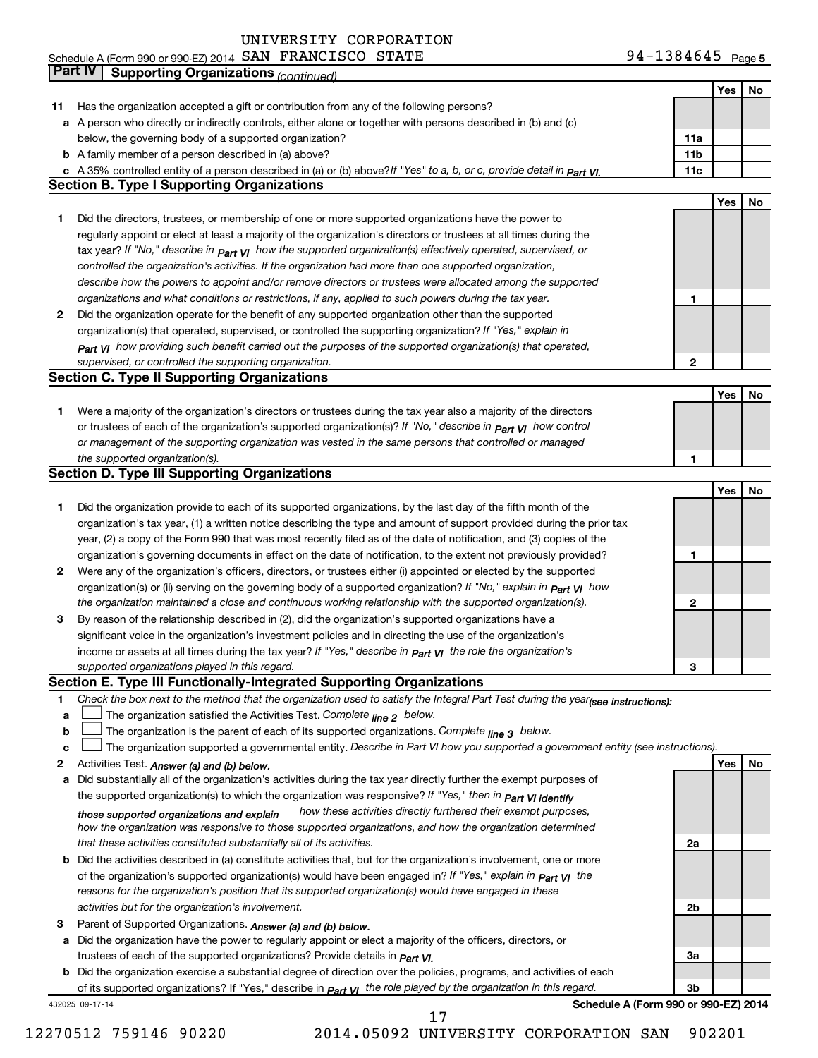94-1384645 Page 5 Schedule A (Form 990 or 990-EZ) 2014 SAN FRANCISCO STATE  $94-138404$  Page SAN FRANCISCO STATE 94-1384645

|    | Part IV<br><b>Supporting Organizations (continued)</b>                                                                           |                 |     |    |
|----|----------------------------------------------------------------------------------------------------------------------------------|-----------------|-----|----|
|    |                                                                                                                                  |                 | Yes | No |
| 11 | Has the organization accepted a gift or contribution from any of the following persons?                                          |                 |     |    |
|    | a A person who directly or indirectly controls, either alone or together with persons described in (b) and (c)                   |                 |     |    |
|    | below, the governing body of a supported organization?                                                                           | 11a             |     |    |
|    | <b>b</b> A family member of a person described in (a) above?                                                                     | 11 <sub>b</sub> |     |    |
|    | c A 35% controlled entity of a person described in (a) or (b) above?If "Yes" to a, b, or c, provide detail in Part VI.           | 11c             |     |    |
|    | <b>Section B. Type I Supporting Organizations</b>                                                                                |                 |     |    |
|    |                                                                                                                                  |                 | Yes | No |
|    |                                                                                                                                  |                 |     |    |
| 1  | Did the directors, trustees, or membership of one or more supported organizations have the power to                              |                 |     |    |
|    | regularly appoint or elect at least a majority of the organization's directors or trustees at all times during the               |                 |     |    |
|    | tax year? If "No," describe in $P_{art}$ VI how the supported organization(s) effectively operated, supervised, or               |                 |     |    |
|    | controlled the organization's activities. If the organization had more than one supported organization,                          |                 |     |    |
|    | describe how the powers to appoint and/or remove directors or trustees were allocated among the supported                        |                 |     |    |
|    | organizations and what conditions or restrictions, if any, applied to such powers during the tax year.                           | 1               |     |    |
| 2  | Did the organization operate for the benefit of any supported organization other than the supported                              |                 |     |    |
|    | organization(s) that operated, supervised, or controlled the supporting organization? If "Yes," explain in                       |                 |     |    |
|    | $_{Part}$ v <sub>1</sub> how providing such benefit carried out the purposes of the supported organization(s) that operated,     |                 |     |    |
|    | supervised, or controlled the supporting organization.                                                                           | $\mathbf{2}$    |     |    |
|    | <b>Section C. Type II Supporting Organizations</b>                                                                               |                 |     |    |
|    |                                                                                                                                  |                 | Yes | No |
| 1  | Were a majority of the organization's directors or trustees during the tax year also a majority of the directors                 |                 |     |    |
|    | or trustees of each of the organization's supported organization(s)? If "No," describe in <b>Part VI</b> how control             |                 |     |    |
|    | or management of the supporting organization was vested in the same persons that controlled or managed                           |                 |     |    |
|    | the supported organization(s).                                                                                                   | 1               |     |    |
|    | <b>Section D. Type III Supporting Organizations</b>                                                                              |                 |     |    |
|    |                                                                                                                                  |                 | Yes | No |
| 1  | Did the organization provide to each of its supported organizations, by the last day of the fifth month of the                   |                 |     |    |
|    | organization's tax year, (1) a written notice describing the type and amount of support provided during the prior tax            |                 |     |    |
|    | year, (2) a copy of the Form 990 that was most recently filed as of the date of notification, and (3) copies of the              |                 |     |    |
|    | organization's governing documents in effect on the date of notification, to the extent not previously provided?                 | 1               |     |    |
| 2  | Were any of the organization's officers, directors, or trustees either (i) appointed or elected by the supported                 |                 |     |    |
|    | organization(s) or (ii) serving on the governing body of a supported organization? If "No," explain in part VI how               |                 |     |    |
|    | the organization maintained a close and continuous working relationship with the supported organization(s).                      | 2               |     |    |
|    |                                                                                                                                  |                 |     |    |
| 3  | By reason of the relationship described in (2), did the organization's supported organizations have a                            |                 |     |    |
|    | significant voice in the organization's investment policies and in directing the use of the organization's                       |                 |     |    |
|    | income or assets at all times during the tax year? If "Yes," describe in $P_{\text{part}} \gamma_l$ the role the organization's  |                 |     |    |
|    | supported organizations played in this regard.                                                                                   | З               |     |    |
|    | Section E. Type III Functionally-Integrated Supporting Organizations                                                             |                 |     |    |
| 1  | Check the box next to the method that the organization used to satisfy the Integral Part Test during the year(see instructions): |                 |     |    |
| a  | The organization satisfied the Activities Test. Complete line 2 below.                                                           |                 |     |    |
| b  | The organization is the parent of each of its supported organizations. Complete $_{\text{line 3}}$ below.                        |                 |     |    |
| c  | The organization supported a governmental entity. Describe in Part VI how you supported a government entity (see instructions).  |                 |     |    |
| 2  | Activities Test. Answer (a) and (b) below.                                                                                       |                 | Yes | No |
| а  | Did substantially all of the organization's activities during the tax year directly further the exempt purposes of               |                 |     |    |
|    | the supported organization(s) to which the organization was responsive? If "Yes," then in Part VI identify                       |                 |     |    |
|    | how these activities directly furthered their exempt purposes,<br>those supported organizations and explain                      |                 |     |    |
|    | how the organization was responsive to those supported organizations, and how the organization determined                        |                 |     |    |
|    | that these activities constituted substantially all of its activities.                                                           | 2a              |     |    |
|    | <b>b</b> Did the activities described in (a) constitute activities that, but for the organization's involvement, one or more     |                 |     |    |
|    | of the organization's supported organization(s) would have been engaged in? If "Yes," explain in $P_{art}$ $V_I$ the             |                 |     |    |
|    | reasons for the organization's position that its supported organization(s) would have engaged in these                           |                 |     |    |
|    | activities but for the organization's involvement.                                                                               | 2b              |     |    |
| З  | Parent of Supported Organizations. Answer (a) and (b) below.                                                                     |                 |     |    |
| а  | Did the organization have the power to regularly appoint or elect a majority of the officers, directors, or                      |                 |     |    |
|    | trustees of each of the supported organizations? Provide details in <i>Part VI.</i>                                              | За              |     |    |
|    | <b>b</b> Did the organization exercise a substantial degree of direction over the policies, programs, and activities of each     |                 |     |    |
|    | of its supported organizations? If "Yes," describe in part v <sub>1</sub> the role played by the organization in this regard.    | 3b              |     |    |
|    | Schedule A (Form 990 or 990-EZ) 2014<br>432025 09-17-14                                                                          |                 |     |    |
|    | 17                                                                                                                               |                 |     |    |

<sup>12270512 759146 90220 2014.05092</sup> UNIVERSITY CORPORATION SAN 902201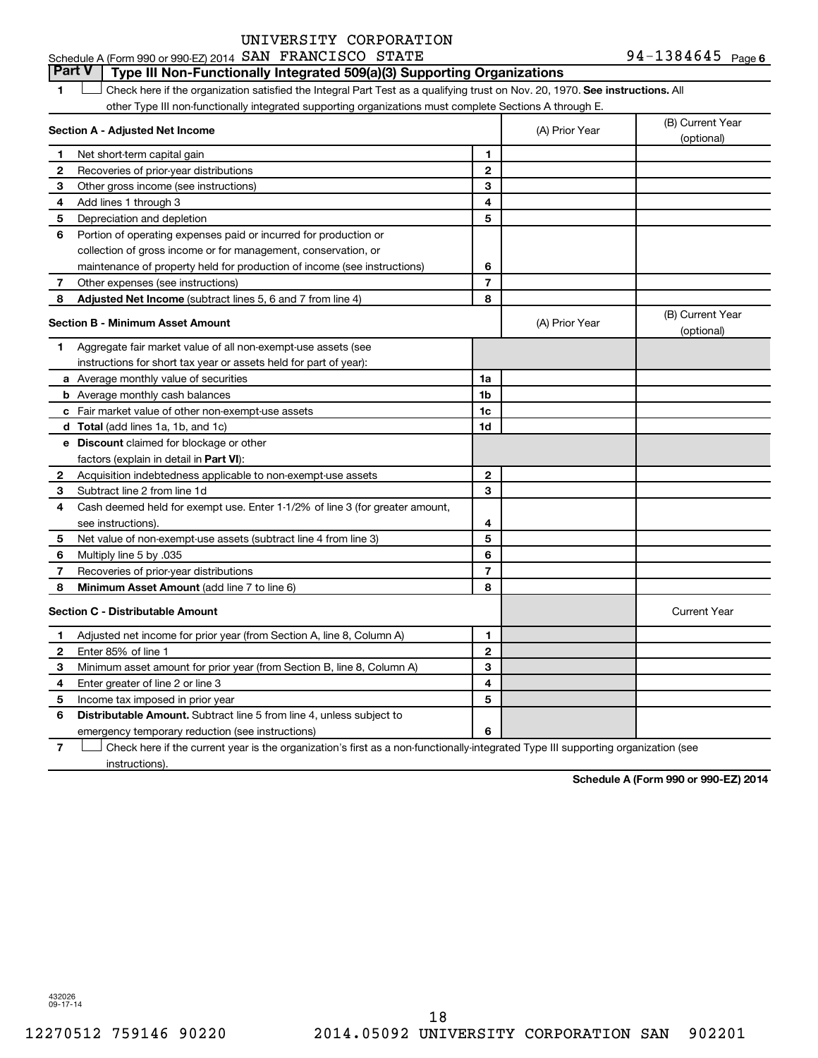#### **Part V Type III Non-Functionally Integrated 509(a)(3) Supporting Organizations**

1 **Letter on Reck here if the organization satisfied the Integral Part Test as a qualifying trust on Nov. 20, 1970. See instructions. All** other Type III non-functionally integrated supporting organizations must complete Sections A through E.

|   | Section A - Adjusted Net Income                                              |                | (A) Prior Year | (B) Current Year<br>(optional) |
|---|------------------------------------------------------------------------------|----------------|----------------|--------------------------------|
| 1 | Net short-term capital gain                                                  | 1              |                |                                |
| 2 | Recoveries of prior-year distributions                                       | $\mathbf{2}$   |                |                                |
| 3 | Other gross income (see instructions)                                        | 3              |                |                                |
| 4 | Add lines 1 through 3                                                        | 4              |                |                                |
| 5 | Depreciation and depletion                                                   | 5              |                |                                |
| 6 | Portion of operating expenses paid or incurred for production or             |                |                |                                |
|   | collection of gross income or for management, conservation, or               |                |                |                                |
|   | maintenance of property held for production of income (see instructions)     | 6              |                |                                |
| 7 | Other expenses (see instructions)                                            | $\overline{7}$ |                |                                |
| 8 | <b>Adjusted Net Income</b> (subtract lines 5, 6 and 7 from line 4)           | 8              |                |                                |
|   | <b>Section B - Minimum Asset Amount</b>                                      |                | (A) Prior Year | (B) Current Year<br>(optional) |
| 1 | Aggregate fair market value of all non-exempt-use assets (see                |                |                |                                |
|   | instructions for short tax year or assets held for part of year):            |                |                |                                |
|   | <b>a</b> Average monthly value of securities                                 | 1a             |                |                                |
|   | <b>b</b> Average monthly cash balances                                       | 1 <sub>b</sub> |                |                                |
|   | c Fair market value of other non-exempt-use assets                           | 1 <sub>c</sub> |                |                                |
|   | d Total (add lines 1a, 1b, and 1c)                                           | 1d             |                |                                |
|   | e Discount claimed for blockage or other                                     |                |                |                                |
|   | factors (explain in detail in <b>Part VI</b> ):                              |                |                |                                |
| 2 | Acquisition indebtedness applicable to non-exempt-use assets                 | $\mathbf{2}$   |                |                                |
| 3 | Subtract line 2 from line 1d                                                 | 3              |                |                                |
| 4 | Cash deemed held for exempt use. Enter 1-1/2% of line 3 (for greater amount, |                |                |                                |
|   | see instructions).                                                           | 4              |                |                                |
| 5 | Net value of non-exempt-use assets (subtract line 4 from line 3)             | 5              |                |                                |
| 6 | Multiply line 5 by .035                                                      | 6              |                |                                |
| 7 | Recoveries of prior-year distributions                                       | $\overline{7}$ |                |                                |
| 8 | Minimum Asset Amount (add line 7 to line 6)                                  | 8              |                |                                |
|   | <b>Section C - Distributable Amount</b>                                      |                |                | <b>Current Year</b>            |
| 1 | Adjusted net income for prior year (from Section A, line 8, Column A)        | 1              |                |                                |
| 2 | Enter 85% of line 1                                                          | $\mathbf{2}$   |                |                                |
| З | Minimum asset amount for prior year (from Section B, line 8, Column A)       | 3              |                |                                |
| 4 | Enter greater of line 2 or line 3                                            | 4              |                |                                |
| 5 | Income tax imposed in prior year                                             | 5              |                |                                |
| 6 | <b>Distributable Amount.</b> Subtract line 5 from line 4, unless subject to  |                |                |                                |
|   | emergency temporary reduction (see instructions)                             | 6              |                |                                |
|   |                                                                              |                |                |                                |

**7** Check here if the current year is the organization's first as a non-functionally-integrated Type III supporting organization (see † instructions).

**Schedule A (Form 990 or 990-EZ) 2014**

432026 09-17-14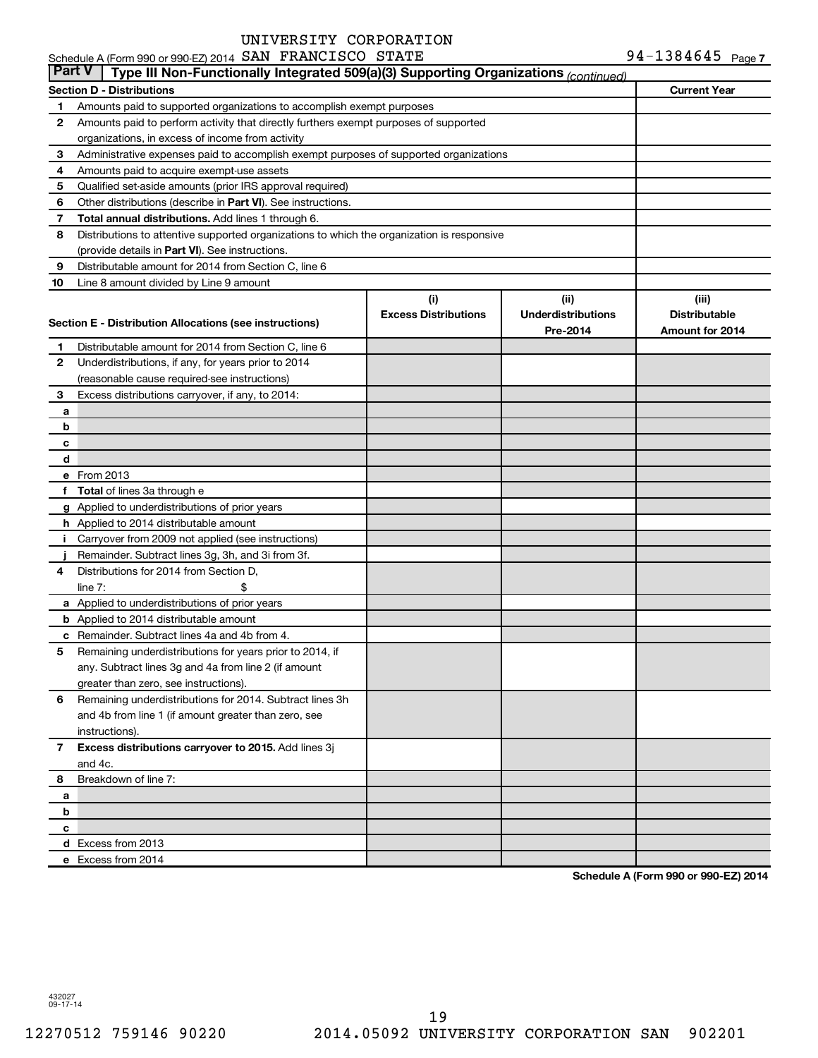|               | Schedule A (Form 990 or 990-EZ) 2014 SAN FRANCISCO STATE                                   |                             |                           | 94-1384645 $_{Page 7}$ |
|---------------|--------------------------------------------------------------------------------------------|-----------------------------|---------------------------|------------------------|
| <b>Part V</b> | Type III Non-Functionally Integrated 509(a)(3) Supporting Organizations (continued)        |                             |                           |                        |
|               | <b>Section D - Distributions</b>                                                           |                             |                           | <b>Current Year</b>    |
| 1             | Amounts paid to supported organizations to accomplish exempt purposes                      |                             |                           |                        |
| 2             | Amounts paid to perform activity that directly furthers exempt purposes of supported       |                             |                           |                        |
|               | organizations, in excess of income from activity                                           |                             |                           |                        |
| 3             | Administrative expenses paid to accomplish exempt purposes of supported organizations      |                             |                           |                        |
| 4             | Amounts paid to acquire exempt-use assets                                                  |                             |                           |                        |
| 5             | Qualified set-aside amounts (prior IRS approval required)                                  |                             |                           |                        |
| 6             | Other distributions (describe in Part VI). See instructions.                               |                             |                           |                        |
| 7             | Total annual distributions. Add lines 1 through 6.                                         |                             |                           |                        |
| 8             | Distributions to attentive supported organizations to which the organization is responsive |                             |                           |                        |
|               | (provide details in Part VI). See instructions.                                            |                             |                           |                        |
| 9             | Distributable amount for 2014 from Section C, line 6                                       |                             |                           |                        |
| 10            | Line 8 amount divided by Line 9 amount                                                     |                             |                           |                        |
|               |                                                                                            | (i)                         | (ii)                      | (iii)                  |
|               | Section E - Distribution Allocations (see instructions)                                    | <b>Excess Distributions</b> | <b>Underdistributions</b> | <b>Distributable</b>   |
|               |                                                                                            |                             | Pre-2014                  | Amount for 2014        |
| 1             | Distributable amount for 2014 from Section C, line 6                                       |                             |                           |                        |
| 2             | Underdistributions, if any, for years prior to 2014                                        |                             |                           |                        |
|               | (reasonable cause required-see instructions)                                               |                             |                           |                        |
| 3             | Excess distributions carryover, if any, to 2014:                                           |                             |                           |                        |
| a             |                                                                                            |                             |                           |                        |
| b             |                                                                                            |                             |                           |                        |
| с             |                                                                                            |                             |                           |                        |
| d             |                                                                                            |                             |                           |                        |
|               | e From 2013                                                                                |                             |                           |                        |
| f             | Total of lines 3a through e                                                                |                             |                           |                        |
|               | g Applied to underdistributions of prior years                                             |                             |                           |                        |
|               | h Applied to 2014 distributable amount                                                     |                             |                           |                        |
| Ť.            | Carryover from 2009 not applied (see instructions)                                         |                             |                           |                        |
|               | Remainder. Subtract lines 3g, 3h, and 3i from 3f.                                          |                             |                           |                        |
| 4             | Distributions for 2014 from Section D,                                                     |                             |                           |                        |
|               | line $7:$                                                                                  |                             |                           |                        |
|               | a Applied to underdistributions of prior years                                             |                             |                           |                        |
|               | <b>b</b> Applied to 2014 distributable amount                                              |                             |                           |                        |
|               | c Remainder. Subtract lines 4a and 4b from 4.                                              |                             |                           |                        |
|               | 5 Remaining underdistributions for years prior to 2014, if                                 |                             |                           |                        |
|               | any. Subtract lines 3g and 4a from line 2 (if amount                                       |                             |                           |                        |
|               | greater than zero, see instructions).                                                      |                             |                           |                        |
| 6             | Remaining underdistributions for 2014. Subtract lines 3h                                   |                             |                           |                        |
|               | and 4b from line 1 (if amount greater than zero, see                                       |                             |                           |                        |
|               | instructions).                                                                             |                             |                           |                        |
| 7             | Excess distributions carryover to 2015. Add lines 3j                                       |                             |                           |                        |
|               | and 4c.                                                                                    |                             |                           |                        |
| 8             | Breakdown of line 7:                                                                       |                             |                           |                        |
| а             |                                                                                            |                             |                           |                        |
| b             |                                                                                            |                             |                           |                        |
| с             |                                                                                            |                             |                           |                        |
|               | d Excess from 2013                                                                         |                             |                           |                        |
|               | e Excess from 2014                                                                         |                             |                           |                        |

**Schedule A (Form 990 or 990-EZ) 2014**

432027 09-17-14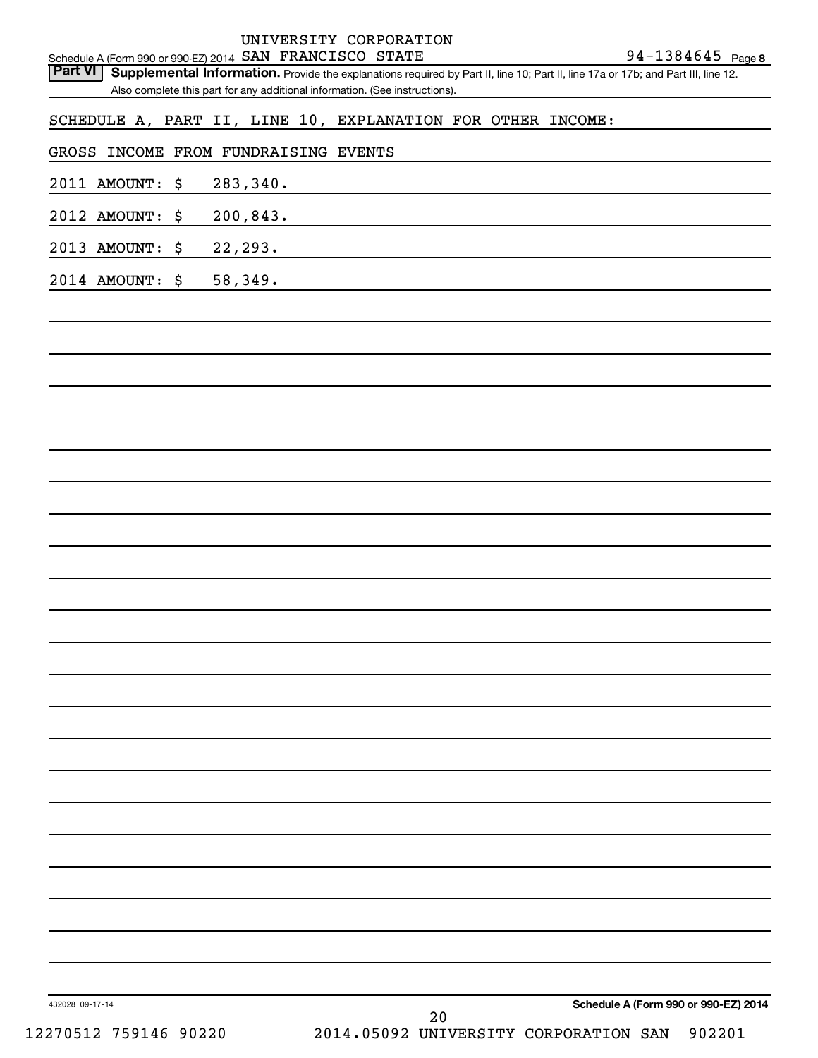| Part VI         |                       |                | Schedule A (Form 990 or 990-EZ) 2014 SAN FRANCISCO STATE<br>Supplemental Information. Provide the explanations required by Part II, line 10; Part II, line 17a or 17b; and Part III, line 12. |    |  |                                       | $94 - 1384645$ Page 8                |
|-----------------|-----------------------|----------------|-----------------------------------------------------------------------------------------------------------------------------------------------------------------------------------------------|----|--|---------------------------------------|--------------------------------------|
|                 |                       |                | Also complete this part for any additional information. (See instructions).                                                                                                                   |    |  |                                       |                                      |
|                 |                       |                | SCHEDULE A, PART II, LINE 10, EXPLANATION FOR OTHER INCOME:                                                                                                                                   |    |  |                                       |                                      |
|                 |                       |                | GROSS INCOME FROM FUNDRAISING EVENTS                                                                                                                                                          |    |  |                                       |                                      |
|                 | 2011 AMOUNT: \$       | 283,340.       |                                                                                                                                                                                               |    |  |                                       |                                      |
|                 | 2012 AMOUNT:          | \$<br>200,843. |                                                                                                                                                                                               |    |  |                                       |                                      |
|                 | 2013 AMOUNT: \$       | 22,293.        |                                                                                                                                                                                               |    |  |                                       |                                      |
|                 | 2014 AMOUNT: \$       | 58,349.        |                                                                                                                                                                                               |    |  |                                       |                                      |
|                 |                       |                |                                                                                                                                                                                               |    |  |                                       |                                      |
|                 |                       |                |                                                                                                                                                                                               |    |  |                                       |                                      |
|                 |                       |                |                                                                                                                                                                                               |    |  |                                       |                                      |
|                 |                       |                |                                                                                                                                                                                               |    |  |                                       |                                      |
|                 |                       |                |                                                                                                                                                                                               |    |  |                                       |                                      |
|                 |                       |                |                                                                                                                                                                                               |    |  |                                       |                                      |
|                 |                       |                |                                                                                                                                                                                               |    |  |                                       |                                      |
|                 |                       |                |                                                                                                                                                                                               |    |  |                                       |                                      |
|                 |                       |                |                                                                                                                                                                                               |    |  |                                       |                                      |
|                 |                       |                |                                                                                                                                                                                               |    |  |                                       |                                      |
|                 |                       |                |                                                                                                                                                                                               |    |  |                                       |                                      |
|                 |                       |                |                                                                                                                                                                                               |    |  |                                       |                                      |
|                 |                       |                |                                                                                                                                                                                               |    |  |                                       |                                      |
|                 |                       |                |                                                                                                                                                                                               |    |  |                                       |                                      |
|                 |                       |                |                                                                                                                                                                                               |    |  |                                       |                                      |
|                 |                       |                |                                                                                                                                                                                               |    |  |                                       |                                      |
|                 |                       |                |                                                                                                                                                                                               |    |  |                                       |                                      |
|                 |                       |                |                                                                                                                                                                                               |    |  |                                       |                                      |
|                 |                       |                |                                                                                                                                                                                               |    |  |                                       |                                      |
|                 |                       |                |                                                                                                                                                                                               |    |  |                                       |                                      |
|                 |                       |                |                                                                                                                                                                                               |    |  |                                       |                                      |
|                 |                       |                |                                                                                                                                                                                               |    |  |                                       |                                      |
|                 |                       |                |                                                                                                                                                                                               |    |  |                                       |                                      |
| 432028 09-17-14 |                       |                |                                                                                                                                                                                               |    |  |                                       | Schedule A (Form 990 or 990-EZ) 2014 |
|                 | 12270512 759146 90220 |                |                                                                                                                                                                                               | 20 |  | 2014.05092 UNIVERSITY CORPORATION SAN | 902201                               |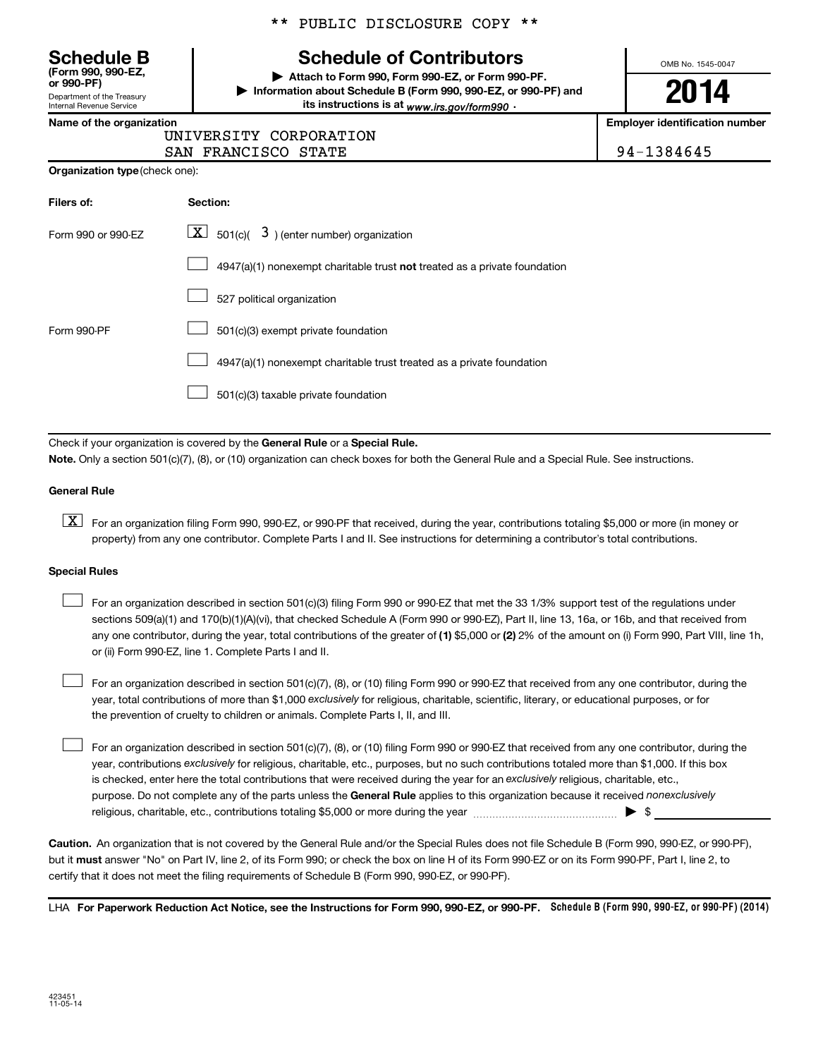Department of the Treasury Internal Revenue Service **(Form 990, 990-EZ,** \*\* PUBLIC DISCLOSURE COPY \*\*

### **Schedule B Schedule of Contributors**

**or 990-PF) | Attach to Form 990, Form 990-EZ, or Form 990-PF. | Information about Schedule B (Form 990, 990-EZ, or 990-PF) and** its instructions is at <sub>www.irs.gov/form990  $\cdot$ </sub>

OMB No. 1545-0047

# **2014**

**Name of the organization Employer identification number**

|                      | UNIVERSITY CORPORATION |
|----------------------|------------------------|
| $\sim$ $\sim$ $\sim$ | <b>PRANGEGGG CEARS</b> |

SAN FRANCISCO STATE 94-1384645

|  | <b>Organization type (check one):</b> |
|--|---------------------------------------|
|--|---------------------------------------|

| Filers of:         | Section:                                                                           |
|--------------------|------------------------------------------------------------------------------------|
| Form 990 or 990-EZ | $\lfloor x \rfloor$ 501(c)( 3) (enter number) organization                         |
|                    | $4947(a)(1)$ nonexempt charitable trust <b>not</b> treated as a private foundation |
|                    | 527 political organization                                                         |
| Form 990-PF        | 501(c)(3) exempt private foundation                                                |
|                    | 4947(a)(1) nonexempt charitable trust treated as a private foundation              |
|                    | 501(c)(3) taxable private foundation                                               |

Check if your organization is covered by the General Rule or a Special Rule.

### **Note.**  Only a section 501(c)(7), (8), or (10) organization can check boxes for both the General Rule and a Special Rule. See instructions.

#### **General Rule**

**K** For an organization filing Form 990, 990-EZ, or 990-PF that received, during the year, contributions totaling \$5,000 or more (in money or property) from any one contributor. Complete Parts I and II. See instructions for determining a contributor's total contributions.

#### **Special Rules**

 $\Box$ 

any one contributor, during the year, total contributions of the greater of **(1)** \$5,000 or **(2)** 2% of the amount on (i) Form 990, Part VIII, line 1h, For an organization described in section 501(c)(3) filing Form 990 or 990-EZ that met the 33 1/3% support test of the regulations under sections 509(a)(1) and 170(b)(1)(A)(vi), that checked Schedule A (Form 990 or 990-EZ), Part II, line 13, 16a, or 16b, and that received from or (ii) Form 990-EZ, line 1. Complete Parts I and II.  $\Box$ 

year, total contributions of more than \$1,000 *exclusively* for religious, charitable, scientific, literary, or educational purposes, or for For an organization described in section 501(c)(7), (8), or (10) filing Form 990 or 990-EZ that received from any one contributor, during the the prevention of cruelty to children or animals. Complete Parts I, II, and III.  $\Box$ 

purpose. Do not complete any of the parts unless the General Rule applies to this organization because it received nonexclusively year, contributions exclusively for religious, charitable, etc., purposes, but no such contributions totaled more than \$1,000. If this box is checked, enter here the total contributions that were received during the year for an exclusively religious, charitable, etc., For an organization described in section 501(c)(7), (8), or (10) filing Form 990 or 990-EZ that received from any one contributor, during the religious, charitable, etc., contributions totaling \$5,000 or more during the year  $\ldots$  $\ldots$  $\ldots$  $\ldots$  $\ldots$  $\ldots$ 

**Caution.** An organization that is not covered by the General Rule and/or the Special Rules does not file Schedule B (Form 990, 990-EZ, or 990-PF),  **must** but it answer "No" on Part IV, line 2, of its Form 990; or check the box on line H of its Form 990-EZ or on its Form 990-PF, Part I, line 2, to certify that it does not meet the filing requirements of Schedule B (Form 990, 990-EZ, or 990-PF).

LHA For Paperwork Reduction Act Notice, see the Instructions for Form 990, 990-EZ, or 990-PF. Schedule B (Form 990, 990-EZ, or 990-PF) (2014)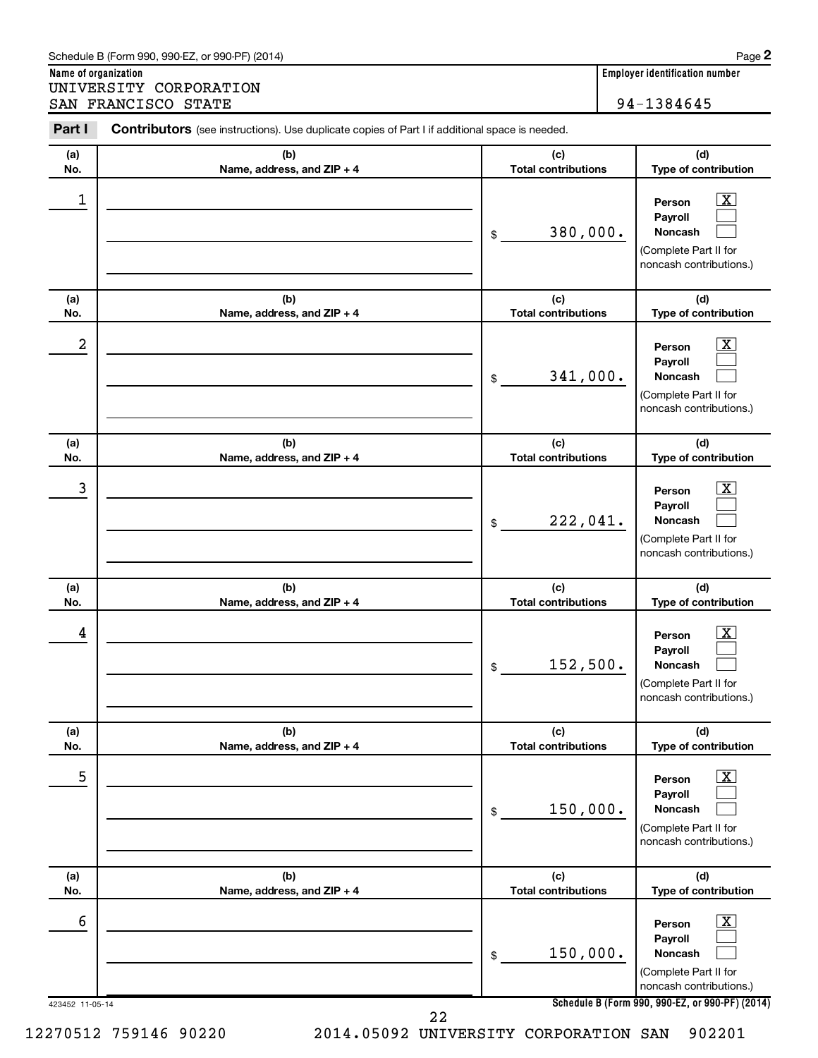| Part I     | Contributors (see instructions). Use duplicate copies of Part I if additional space is needed. |                                              |                                                                                                                                   |
|------------|------------------------------------------------------------------------------------------------|----------------------------------------------|-----------------------------------------------------------------------------------------------------------------------------------|
| (a)        | (b)                                                                                            | (c)                                          | (d)                                                                                                                               |
| No.        | Name, address, and ZIP + 4                                                                     | <b>Total contributions</b>                   | Type of contribution                                                                                                              |
| 1          |                                                                                                | 380,000.<br>\$                               | $\overline{\text{X}}$<br>Person<br>Payroll<br>Noncash<br>(Complete Part II for<br>noncash contributions.)                         |
| (a)        | (b)                                                                                            | (c)                                          | (d)                                                                                                                               |
| No.        | Name, address, and ZIP + 4                                                                     | <b>Total contributions</b>                   | Type of contribution                                                                                                              |
| 2          |                                                                                                | 341,000.<br>\$                               | $\overline{\text{X}}$<br>Person<br>Payroll<br>Noncash<br>(Complete Part II for<br>noncash contributions.)                         |
| (a)<br>No. | (b)<br>Name, address, and ZIP + 4                                                              | (c)<br><b>Total contributions</b>            | (d)<br>Type of contribution                                                                                                       |
| 3          |                                                                                                | 222,041.<br>\$                               | $\overline{\text{X}}$<br>Person<br>Payroll<br>Noncash<br>(Complete Part II for<br>noncash contributions.)                         |
| (a)<br>No. | (b)                                                                                            | (c)<br><b>Total contributions</b>            | (d)<br>Type of contribution                                                                                                       |
| 4          | Name, address, and ZIP + 4                                                                     | 152,500.<br>\$                               | $\overline{\textbf{x}}$<br>Person<br>Payroll<br>Noncash<br>$\sim$ 100 $\pm$<br>(Complete Part II for<br>noncash contributions.)   |
| (a)<br>No. | (b)<br>Name, address, and ZIP + 4                                                              | (c)<br><b>Total contributions</b>            | (d)<br>Type of contribution                                                                                                       |
| 5          |                                                                                                | 150,000.<br>\$                               | $\overline{\text{X}}$<br>Person<br>Payroll<br>Noncash<br>(Complete Part II for<br>noncash contributions.)                         |
| (a)        | (b)                                                                                            | (c)                                          | (d)                                                                                                                               |
| No.<br>6   | Name, address, and ZIP + 4                                                                     | <b>Total contributions</b><br>150,000.<br>\$ | Type of contribution<br>$\overline{\text{X}}$<br>Person<br>Payroll<br>Noncash<br>(Complete Part II for<br>noncash contributions.) |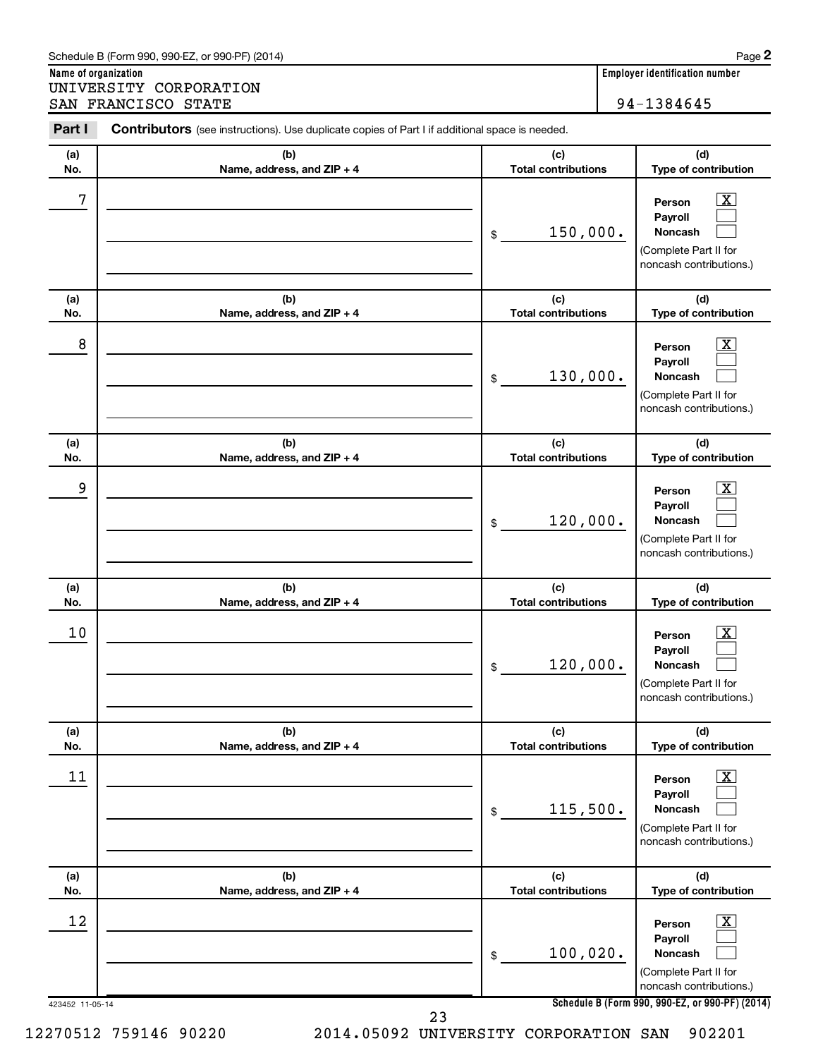| Part I     | Contributors (see instructions). Use duplicate copies of Part I if additional space is needed. |                                                                  |                                                                                                                  |
|------------|------------------------------------------------------------------------------------------------|------------------------------------------------------------------|------------------------------------------------------------------------------------------------------------------|
| (a)<br>No. | (b)<br>Name, address, and ZIP + 4                                                              | (d)<br>(c)<br><b>Total contributions</b><br>Type of contribution |                                                                                                                  |
| 7          |                                                                                                | 150,000.<br>\$                                                   | $\overline{\text{X}}$<br>Person<br>Payroll<br>Noncash<br>(Complete Part II for<br>noncash contributions.)        |
| (a)<br>No. | (b)<br>Name, address, and ZIP + 4                                                              | (c)<br><b>Total contributions</b>                                | (d)<br>Type of contribution                                                                                      |
| 8          |                                                                                                | 130,000.<br>\$                                                   | $\overline{\text{X}}$<br>Person<br>Payroll<br><b>Noncash</b><br>(Complete Part II for<br>noncash contributions.) |
| (a)<br>No. | (b)<br>Name, address, and ZIP + 4                                                              | (c)<br><b>Total contributions</b>                                | (d)<br>Type of contribution                                                                                      |
| 9          |                                                                                                | 120,000.<br>\$                                                   | $\overline{\text{X}}$<br>Person<br>Payroll<br><b>Noncash</b><br>(Complete Part II for<br>noncash contributions.) |
| (a)<br>No. | (b)<br>Name, address, and ZIP + 4                                                              | (c)<br><b>Total contributions</b>                                | (d)<br>Type of contribution                                                                                      |
| 10         |                                                                                                | 120,000.<br>\$                                                   | x<br>Person<br>Payroll<br>Noncash<br>$\sim$ 100 $\pm$<br>(Complete Part II for<br>noncash contributions.)        |
| (a)<br>No. | (b)<br>Name, address, and ZIP + 4                                                              | (c)<br><b>Total contributions</b>                                | (d)<br>Type of contribution                                                                                      |
| 11         |                                                                                                | 115,500.<br>\$                                                   | $\overline{\text{X}}$<br>Person<br>Payroll<br><b>Noncash</b><br>(Complete Part II for<br>noncash contributions.) |
| (a)<br>No. | (b)<br>Name, address, and ZIP + 4                                                              | (c)<br><b>Total contributions</b>                                | (d)<br>Type of contribution                                                                                      |
| 12         |                                                                                                | 100,020.<br>\$                                                   | $\overline{\text{X}}$<br>Person<br>Payroll<br>Noncash<br>(Complete Part II for<br>noncash contributions.)        |

**<sup>2</sup>**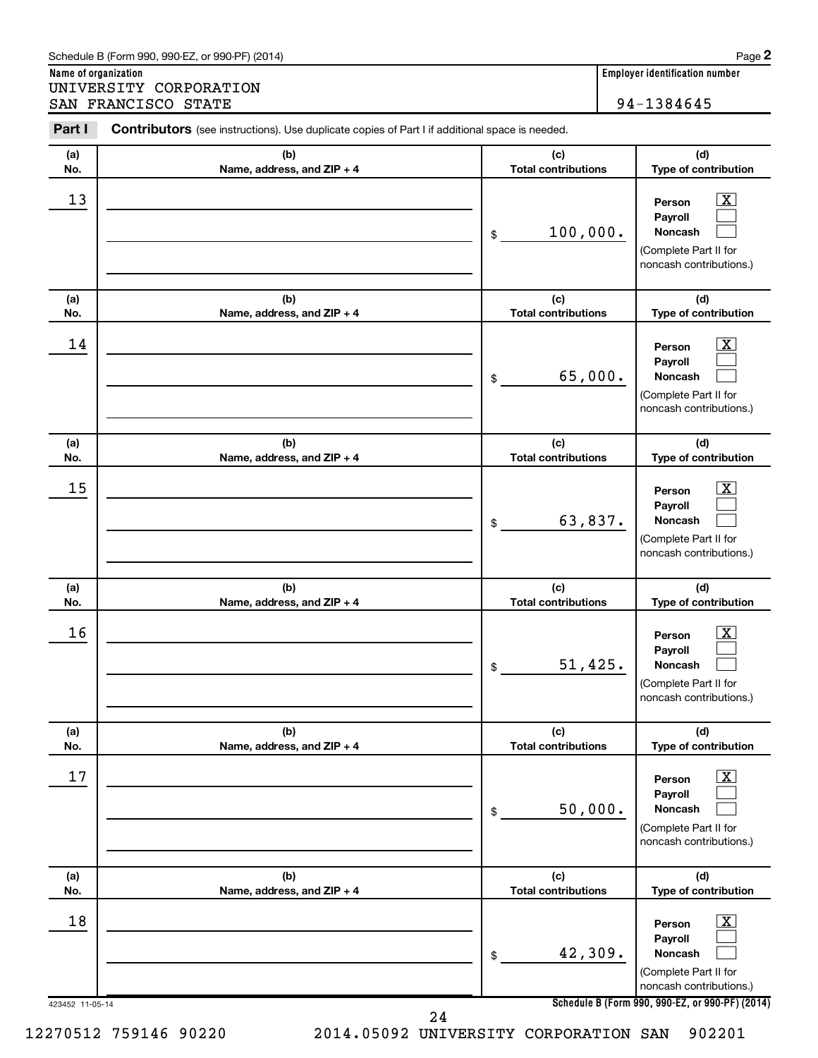| Part I     | Contributors (see instructions). Use duplicate copies of Part I if additional space is needed. |                                   |                                                                                                                    |
|------------|------------------------------------------------------------------------------------------------|-----------------------------------|--------------------------------------------------------------------------------------------------------------------|
|            |                                                                                                |                                   |                                                                                                                    |
| (a)<br>No. | (b)<br>Name, address, and ZIP + 4                                                              | (c)<br><b>Total contributions</b> | (d)<br>Type of contribution                                                                                        |
| 13         |                                                                                                | 100,000.<br>\$                    | $\mathbf{X}$<br>Person<br>Payroll<br><b>Noncash</b><br>(Complete Part II for<br>noncash contributions.)            |
| (a)<br>No. | (b)<br>Name, address, and ZIP + 4                                                              | (c)<br><b>Total contributions</b> | (d)<br>Type of contribution                                                                                        |
| 14         |                                                                                                | 65,000.<br>\$                     | $\mathbf{X}$<br>Person<br>Payroll<br>Noncash<br>(Complete Part II for<br>noncash contributions.)                   |
| (a)<br>No. | (b)<br>Name, address, and ZIP + 4                                                              | (c)<br><b>Total contributions</b> | (d)<br>Type of contribution                                                                                        |
| 15         |                                                                                                | 63,837.<br>\$                     | $\overline{\mathbf{X}}$<br>Person<br>Payroll<br>Noncash<br>(Complete Part II for<br>noncash contributions.)        |
| (a)<br>No. | (b)<br>Name, address, and ZIP + 4                                                              | (c)<br><b>Total contributions</b> | (d)<br>Type of contribution                                                                                        |
| 16         |                                                                                                | 51,425.<br>\$                     | $\overline{\text{X}}$<br>Person<br>Payroll<br>Noncash<br>(Complete Part II for<br>noncash contributions.)          |
| (a)<br>No. | (b)<br>Name, address, and ZIP + 4                                                              | (c)<br><b>Total contributions</b> | (d)<br>Type of contribution                                                                                        |
| 17         |                                                                                                | 50,000.<br>\$                     | $\overline{\mathbf{X}}$<br>Person<br>Payroll<br><b>Noncash</b><br>(Complete Part II for<br>noncash contributions.) |
| (a)<br>No. | (b)<br>Name, address, and ZIP + 4                                                              | (c)<br><b>Total contributions</b> | (d)<br>Type of contribution                                                                                        |
| 18         |                                                                                                | 42,309.<br>\$                     | $\overline{\mathbf{X}}$<br>Person<br>Payroll<br><b>Noncash</b><br>(Complete Part II for<br>noncash contributions.) |

**Name of organization Employer identification number**

Schedule B (Form 990, 990-EZ, or 990-PF) (2014)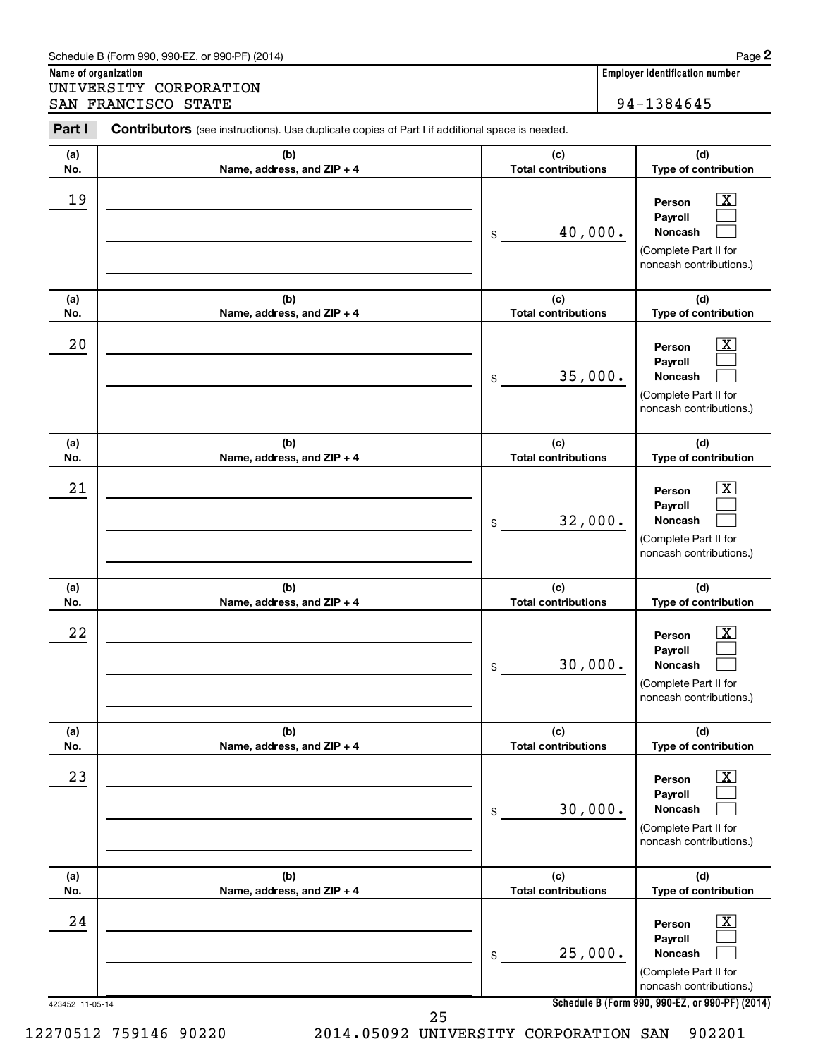| Part I     | Contributors (see instructions). Use duplicate copies of Part I if additional space is needed. |                                   |                                                                                                                    |
|------------|------------------------------------------------------------------------------------------------|-----------------------------------|--------------------------------------------------------------------------------------------------------------------|
|            |                                                                                                |                                   |                                                                                                                    |
| (a)<br>No. | (b)<br>Name, address, and ZIP + 4                                                              | (c)<br><b>Total contributions</b> | (d)<br>Type of contribution                                                                                        |
| 19         |                                                                                                | 40,000.<br>\$                     | $\mathbf{X}$<br>Person<br>Payroll<br><b>Noncash</b><br>(Complete Part II for<br>noncash contributions.)            |
| (a)<br>No. | (b)<br>Name, address, and ZIP + 4                                                              | (c)<br><b>Total contributions</b> | (d)<br>Type of contribution                                                                                        |
| 20         |                                                                                                | 35,000.<br>\$                     | $\mathbf{X}$<br>Person<br>Payroll<br>Noncash<br>(Complete Part II for<br>noncash contributions.)                   |
| (a)<br>No. | (b)<br>Name, address, and ZIP + 4                                                              | (c)<br><b>Total contributions</b> | (d)<br>Type of contribution                                                                                        |
| 21         |                                                                                                | 32,000.<br>\$                     | $\overline{\text{X}}$<br>Person<br>Payroll<br>Noncash<br>(Complete Part II for<br>noncash contributions.)          |
| (a)<br>No. | (b)<br>Name, address, and ZIP + 4                                                              | (c)<br><b>Total contributions</b> | (d)<br>Type of contribution                                                                                        |
| 22         |                                                                                                | 30,000.<br>\$                     | $\overline{\text{X}}$<br>Person<br>Payroll<br>Noncash<br>(Complete Part II for<br>noncash contributions.)          |
| (a)<br>No. | (b)<br>Name, address, and ZIP + 4                                                              | (c)<br><b>Total contributions</b> | (d)<br>Type of contribution                                                                                        |
| 23         |                                                                                                | 30,000.<br>\$                     | $\overline{\mathbf{X}}$<br>Person<br>Payroll<br><b>Noncash</b><br>(Complete Part II for<br>noncash contributions.) |
| (a)<br>No. | (b)<br>Name, address, and ZIP + 4                                                              | (c)<br><b>Total contributions</b> | (d)<br>Type of contribution                                                                                        |
| 24         |                                                                                                | 25,000.<br>\$                     | $\overline{\mathbf{X}}$<br>Person<br>Payroll<br><b>Noncash</b><br>(Complete Part II for<br>noncash contributions.) |

Schedule B (Form 990, 990-EZ, or 990-PF) (2014)

**Name of organization Employer identification number**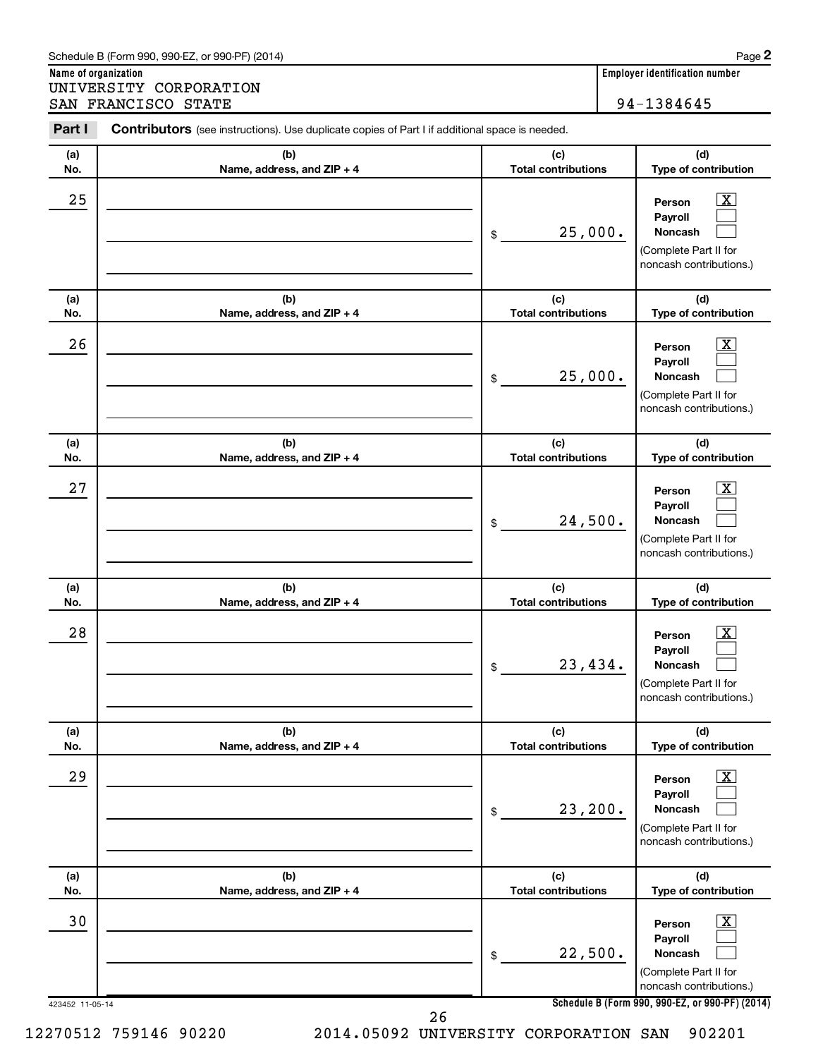| Part I     |                                                                                                       |                                   |                                                                                                           |
|------------|-------------------------------------------------------------------------------------------------------|-----------------------------------|-----------------------------------------------------------------------------------------------------------|
|            | <b>Contributors</b> (see instructions). Use duplicate copies of Part I if additional space is needed. |                                   |                                                                                                           |
| (a)<br>No. | (b)<br>Name, address, and ZIP + 4                                                                     | (c)<br><b>Total contributions</b> | (d)<br>Type of contribution                                                                               |
| 25         |                                                                                                       | 25,000.<br>\$                     | x<br>Person<br>Payroll<br>Noncash<br>(Complete Part II for<br>noncash contributions.)                     |
| (a)<br>No. | (b)<br>Name, address, and ZIP + 4                                                                     | (c)<br><b>Total contributions</b> | (d)<br>Type of contribution                                                                               |
| 26         |                                                                                                       | 25,000.<br>\$                     | X.<br>Person<br>Payroll<br>Noncash<br>(Complete Part II for<br>noncash contributions.)                    |
| (a)<br>No. | (b)<br>Name, address, and ZIP + 4                                                                     | (c)<br><b>Total contributions</b> | (d)<br>Type of contribution                                                                               |
| 27         |                                                                                                       | 24,500.<br>\$                     | X.<br>Person<br>Payroll<br>Noncash<br>(Complete Part II for<br>noncash contributions.)                    |
| (a)<br>No. | (b)<br>Name, address, and ZIP + 4                                                                     | (c)<br><b>Total contributions</b> | (d)<br>Type of contribution                                                                               |
| 28         |                                                                                                       | 23,434.<br>\$                     | Person<br>Payroll<br><b>Noncash</b><br>(Complete Part II for<br>noncash contributions.)                   |
| (a)<br>No. | (b)<br>Name, address, and ZIP + 4                                                                     | (c)<br><b>Total contributions</b> | (d)<br>Type of contribution                                                                               |
| 29         |                                                                                                       | 23,200.<br>\$                     | $\overline{\text{X}}$<br>Person<br>Payroll<br>Noncash<br>(Complete Part II for<br>noncash contributions.) |
| (a)<br>No. | (b)<br>Name, address, and ZIP + 4                                                                     | (c)<br><b>Total contributions</b> | (d)<br>Type of contribution                                                                               |
| 30         |                                                                                                       | 22,500.<br>\$                     | <u>x</u><br>Person<br>Payroll<br>Noncash<br>(Complete Part II for<br>noncash contributions.)              |

Schedule B (Form 990, 990-EZ, or 990-PF) (2014)

| oyer identification number |  |
|----------------------------|--|

**2**

**Name of organization Employ**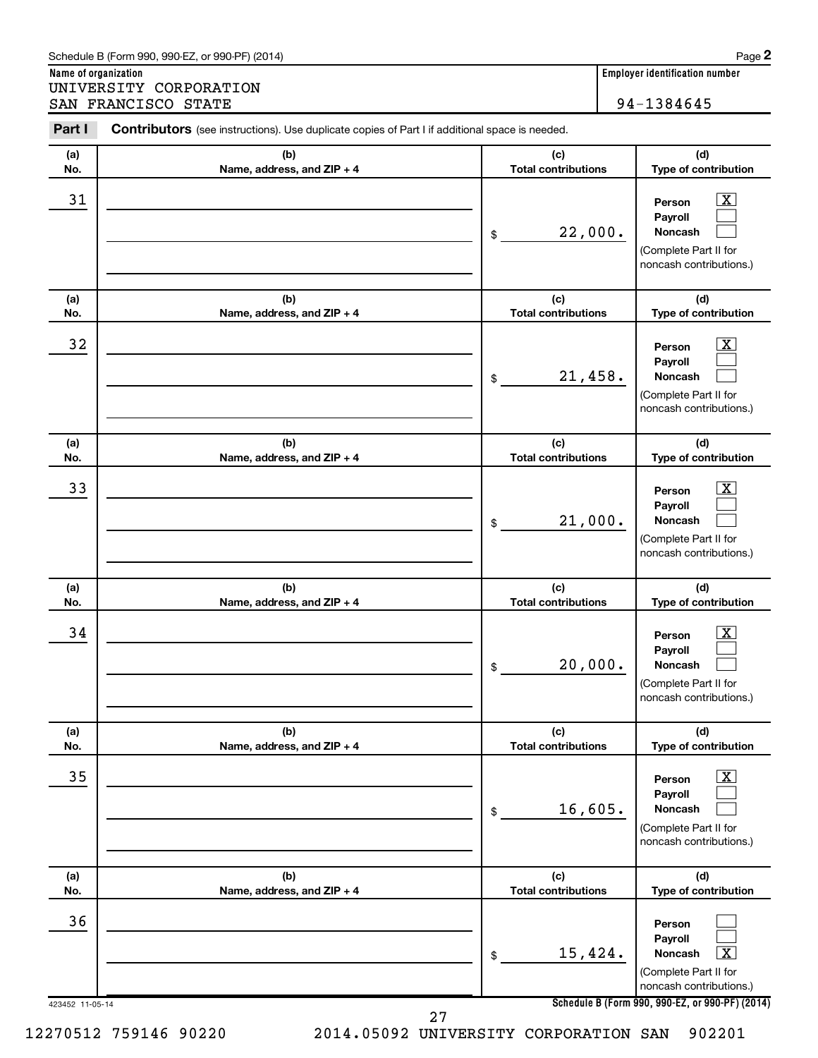| 990-F <sub>7</sub><br>. (2014)<br>.)-PF<br>$\sim$ $\sim$<br>Form) ن<br>990<br>Schedule<br>Ωr<br>uur<br><u>JJU</u> |  | Page |
|-------------------------------------------------------------------------------------------------------------------|--|------|
| . .<br>. .                                                                                                        |  |      |

UNIVERSITY CORPORATION SAN FRANCISCO STATE 94-1384645

| Part I                | Contributors (see instructions). Use duplicate copies of Part I if additional space is needed. |                                   |                                                                                                                                                                |
|-----------------------|------------------------------------------------------------------------------------------------|-----------------------------------|----------------------------------------------------------------------------------------------------------------------------------------------------------------|
| (a)<br>No.            | (b)<br>Name, address, and ZIP + 4                                                              | (c)<br><b>Total contributions</b> | (d)<br>Type of contribution                                                                                                                                    |
| 31                    |                                                                                                | 22,000.<br>$\$$                   | $\overline{\text{X}}$<br>Person<br>Payroll<br>Noncash<br>(Complete Part II for<br>noncash contributions.)                                                      |
| (a)<br>No.            | (b)<br>Name, address, and ZIP + 4                                                              | (c)<br><b>Total contributions</b> | (d)<br>Type of contribution                                                                                                                                    |
| 32                    |                                                                                                | 21,458.<br>\$                     | X.<br>Person<br>Payroll<br>Noncash<br>(Complete Part II for<br>noncash contributions.)                                                                         |
| (a)<br>No.            | (b)<br>Name, address, and ZIP + 4                                                              | (c)<br><b>Total contributions</b> | (d)<br>Type of contribution                                                                                                                                    |
| 33                    |                                                                                                | 21,000.<br>\$                     | x<br>Person<br>Payroll<br>Noncash<br>(Complete Part II for<br>noncash contributions.)                                                                          |
| (a)<br>No.            | (b)<br>Name, address, and ZIP + 4                                                              | (c)<br><b>Total contributions</b> | (d)<br>Type of contribution                                                                                                                                    |
| 34                    |                                                                                                | 20,000.<br>\$                     | X.<br>Person<br>Payroll<br>Noncash<br>(Complete Part II for<br>noncash contributions.)                                                                         |
| (a)<br>No.            | (b)<br>Name, address, and ZIP + 4                                                              | (c)<br><b>Total contributions</b> | (d)<br>Type of contribution                                                                                                                                    |
| 35                    |                                                                                                | 16,605.<br>\$                     | $\overline{\textbf{X}}$<br>Person<br>Payroll<br>Noncash<br>(Complete Part II for<br>noncash contributions.)                                                    |
| (a)<br>No.            | (b)<br>Name, address, and ZIP + 4                                                              | (c)<br><b>Total contributions</b> | (d)<br>Type of contribution                                                                                                                                    |
| 36<br>423452 11-05-14 |                                                                                                | 15,424.<br>$\$$                   | Person<br>Payroll<br>$\overline{\textbf{x}}$<br>Noncash<br>(Complete Part II for<br>noncash contributions.)<br>Schedule B (Form 990, 990-EZ, or 990-PF) (2014) |
|                       | $27\,$                                                                                         |                                   |                                                                                                                                                                |

12270512 759146 90220 2014.05092 UNIVERSITY CORPORATION SAN 902201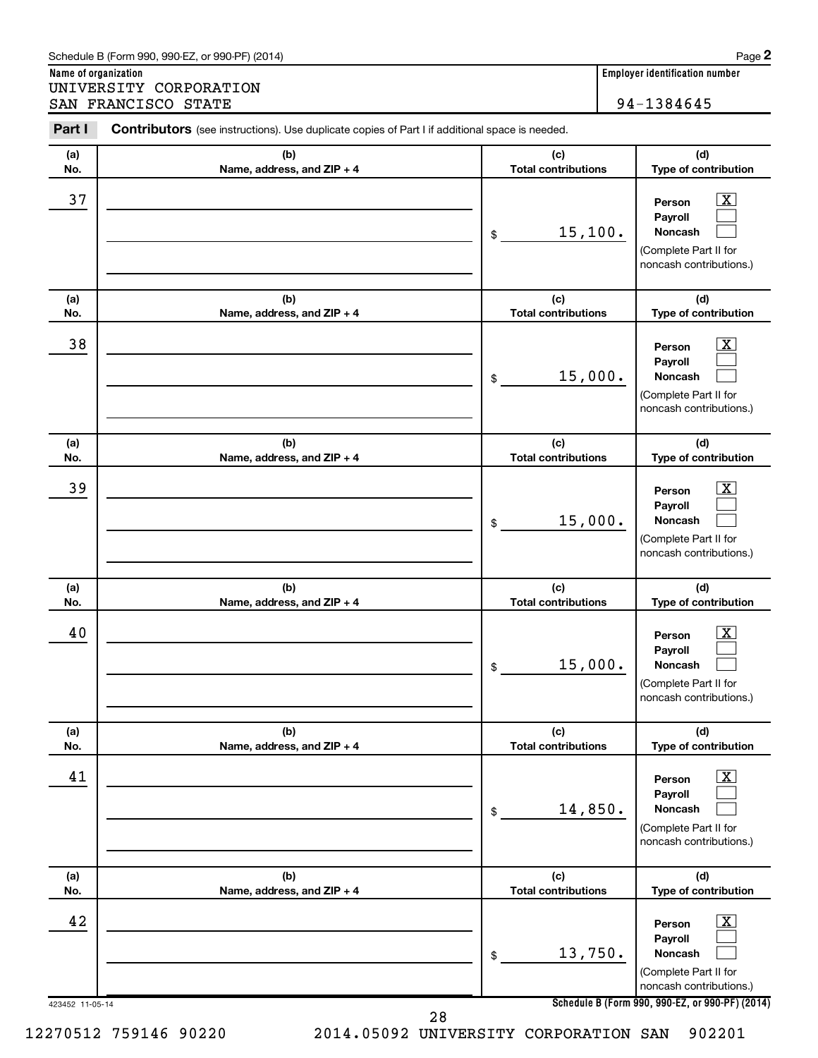| Part I     | <b>Contributors</b> (see instructions). Use duplicate copies of Part I if additional space is needed. |                                   |                                                                                                                                     |
|------------|-------------------------------------------------------------------------------------------------------|-----------------------------------|-------------------------------------------------------------------------------------------------------------------------------------|
| (a)        | (b)                                                                                                   | (c)                               | (d)                                                                                                                                 |
| No.<br>37  | Name, address, and ZIP + 4                                                                            | <b>Total contributions</b><br>\$  | Type of contribution<br>$\mathbf{X}$<br>Person<br>Payroll<br>15,100.<br>Noncash<br>(Complete Part II for<br>noncash contributions.) |
| (a)<br>No. | (b)<br>Name, address, and ZIP + 4                                                                     | (c)<br><b>Total contributions</b> | (d)<br>Type of contribution                                                                                                         |
| 38         |                                                                                                       | \$                                | $\mathbf{X}$<br>Person<br>Payroll<br>15,000.<br>Noncash<br>(Complete Part II for<br>noncash contributions.)                         |
| (a)<br>No. | (b)<br>Name, address, and ZIP + 4                                                                     | (c)<br><b>Total contributions</b> | (d)<br>Type of contribution                                                                                                         |
| 39         |                                                                                                       | \$                                | $\mathbf{X}$<br>Person<br>Payroll<br>15,000.<br>Noncash<br>(Complete Part II for<br>noncash contributions.)                         |
| (a)<br>No. | (b)<br>Name, address, and ZIP + 4                                                                     | (c)<br><b>Total contributions</b> | (d)<br>Type of contribution                                                                                                         |
| 40         |                                                                                                       | \$                                | $\overline{\text{X}}$<br>Person<br>Payroll<br>15,000.<br>Noncash<br>(Complete Part II for<br>noncash contributions.)                |
| (a)<br>No. | (b)<br>Name, address, and ZIP + 4                                                                     | (c)<br><b>Total contributions</b> | (d)<br>Type of contribution                                                                                                         |
| 41         |                                                                                                       | \$                                | $\overline{\mathbf{X}}$<br>Person<br>Payroll<br>14,850.<br>Noncash<br>(Complete Part II for<br>noncash contributions.)              |
| (a)<br>No. | (b)<br>Name, address, and ZIP + 4                                                                     | (c)<br><b>Total contributions</b> | (d)<br>Type of contribution                                                                                                         |
| 42         |                                                                                                       | \$                                | $\overline{\text{X}}$<br>Person<br>Payroll<br>13,750.<br>Noncash<br>(Complete Part II for<br>noncash contributions.)                |

**Name of organization Employer identification number**

**2**

12270512 759146 90220 2014.05092 UNIVERSITY CORPORATION SAN 902201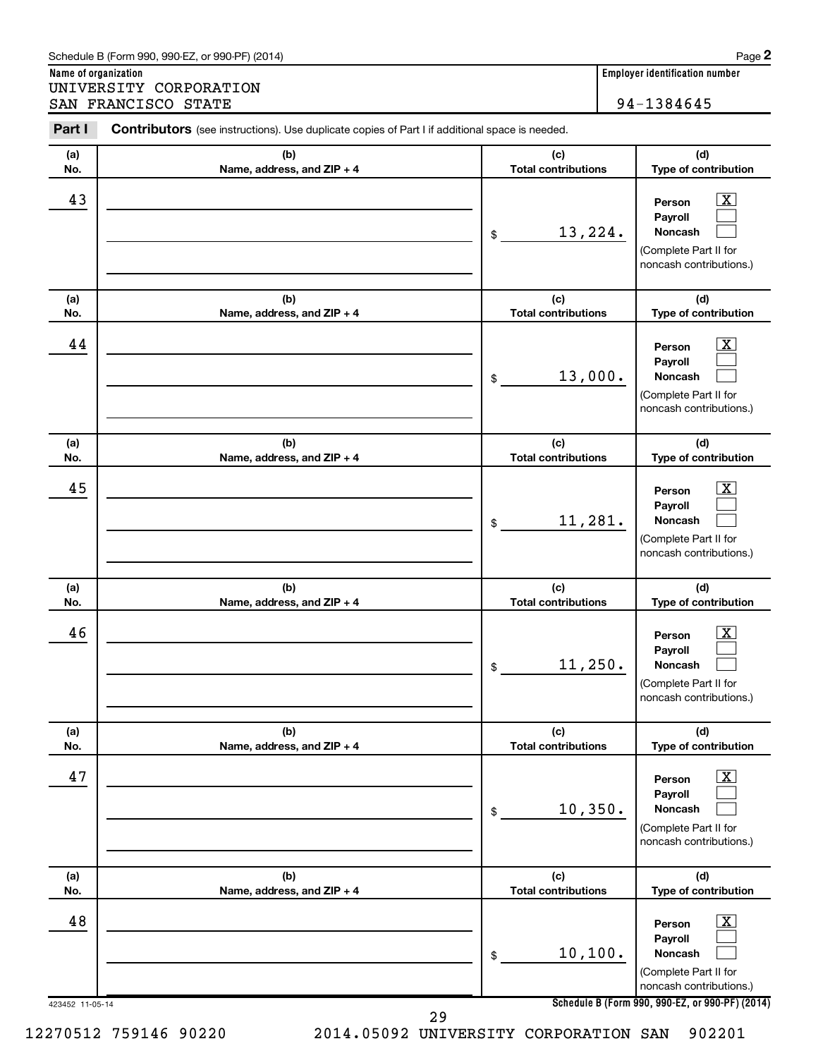| Part I     | <b>Contributors</b> (see instructions). Use duplicate copies of Part I if additional space is needed. |                                   |                                                                                                             |
|------------|-------------------------------------------------------------------------------------------------------|-----------------------------------|-------------------------------------------------------------------------------------------------------------|
| (a)        | (b)                                                                                                   | (c)                               | (d)                                                                                                         |
| No.        | Name, address, and ZIP + 4                                                                            | <b>Total contributions</b>        | Type of contribution                                                                                        |
| 43         |                                                                                                       | 13,224.<br>\$                     | <u>x</u><br>Person<br>Payroll<br><b>Noncash</b><br>(Complete Part II for<br>noncash contributions.)         |
| (a)<br>No. | (b)<br>Name, address, and ZIP + 4                                                                     | (c)<br><b>Total contributions</b> | (d)<br>Type of contribution                                                                                 |
| 44         |                                                                                                       | 13,000.<br>\$                     | <u>x</u><br>Person<br>Payroll<br><b>Noncash</b><br>(Complete Part II for<br>noncash contributions.)         |
| (a)<br>No. | (b)<br>Name, address, and ZIP + 4                                                                     | (c)<br><b>Total contributions</b> | (d)<br>Type of contribution                                                                                 |
| 45         |                                                                                                       | 11,281.<br>\$                     | <u>x</u><br>Person<br>Payroll<br>Noncash<br>(Complete Part II for<br>noncash contributions.)                |
| (a)<br>No. | (b)<br>Name, address, and ZIP + 4                                                                     | (c)<br><b>Total contributions</b> | (d)<br>Type of contribution                                                                                 |
| 46         |                                                                                                       | 11,250.<br>\$                     | x<br>Person<br>Payroll<br><b>Noncash</b><br>(Complete Part II for<br>noncash contributions.)                |
| (a)<br>No. | (b)<br>Name, address, and ZIP + 4                                                                     | (c)<br><b>Total contributions</b> | (d)<br>Type of contribution                                                                                 |
| 47         |                                                                                                       | 10, 350.<br>\$                    | $\overline{\text{X}}$<br>Person<br>Payroll<br>Noncash<br>(Complete Part II for<br>noncash contributions.)   |
| (a)<br>No. | (b)<br>Name, address, and ZIP + 4                                                                     | (c)<br><b>Total contributions</b> | (d)<br>Type of contribution                                                                                 |
| 48         |                                                                                                       | 10, 100.<br>\$                    | $\overline{\mathbf{X}}$<br>Person<br>Payroll<br>Noncash<br>(Complete Part II for<br>noncash contributions.) |

| 990, 990-EZ, or 990-PF) (2014) |  |
|--------------------------------|--|

Schedule B (Form

**Name of organization Employer identification number**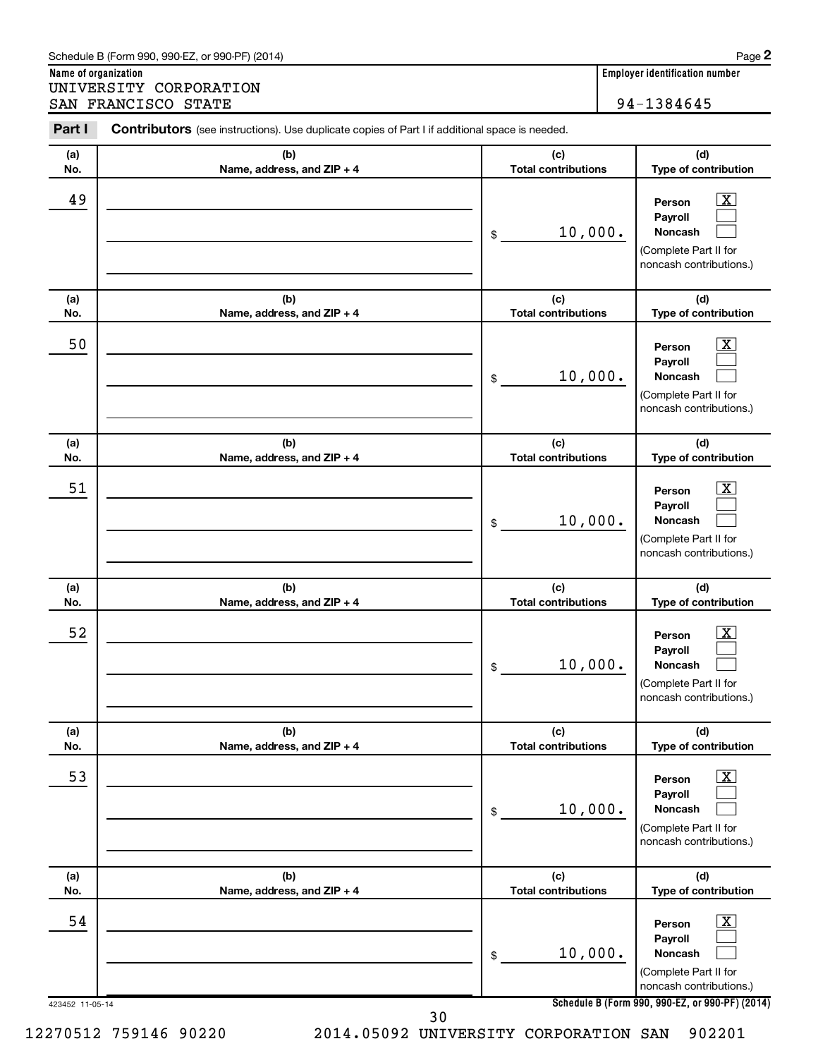| Part I     | <b>Contributors</b> (see instructions). Use duplicate copies of Part I if additional space is needed. |                                   |                                                                                                                        |
|------------|-------------------------------------------------------------------------------------------------------|-----------------------------------|------------------------------------------------------------------------------------------------------------------------|
| (a)        | (b)                                                                                                   | (c)                               | (d)                                                                                                                    |
| No.        | Name, address, and ZIP + 4                                                                            | <b>Total contributions</b>        | Type of contribution                                                                                                   |
| 49         |                                                                                                       | \$                                | $\mathbf{X}$<br>Person<br>Payroll<br>10,000.<br>Noncash<br>(Complete Part II for<br>noncash contributions.)            |
| (a)<br>No. | (b)<br>Name, address, and ZIP + 4                                                                     | (c)<br><b>Total contributions</b> | (d)<br>Type of contribution                                                                                            |
| 50         |                                                                                                       | \$                                | $\overline{\mathbf{X}}$<br>Person<br>Payroll<br>10,000.<br>Noncash<br>(Complete Part II for<br>noncash contributions.) |
| (a)<br>No. | (b)<br>Name, address, and ZIP + 4                                                                     | (c)<br><b>Total contributions</b> | (d)<br>Type of contribution                                                                                            |
| 51         |                                                                                                       | \$                                | $\overline{\mathbf{X}}$<br>Person<br>Payroll<br>10,000.<br>Noncash<br>(Complete Part II for<br>noncash contributions.) |
| (a)<br>No. | (b)<br>Name, address, and ZIP + 4                                                                     | (c)<br><b>Total contributions</b> | (d)<br>Type of contribution                                                                                            |
| 52         |                                                                                                       | \$                                | $\overline{\mathbf{X}}$<br>Person<br>Payroll<br>10,000.<br>Noncash<br>(Complete Part II for<br>noncash contributions.) |
| (a)<br>No. | (b)<br>Name, address, and ZIP + 4                                                                     | (c)<br><b>Total contributions</b> | (d)<br>Type of contribution                                                                                            |
| 53         |                                                                                                       | \$                                | $\overline{\mathbf{x}}$<br>Person<br>Payroll<br>10,000.<br>Noncash<br>(Complete Part II for<br>noncash contributions.) |
| (a)<br>No. | (b)<br>Name, address, and ZIP + 4                                                                     | (c)<br><b>Total contributions</b> | (d)<br>Type of contribution                                                                                            |
| 54         |                                                                                                       | \$                                | $\mathbf{X}$<br>Person<br>Payroll<br>10,000.<br>Noncash<br>(Complete Part II for<br>noncash contributions.)            |

**Name of organization Employer identification number**

Schedule B (Form 990, 990-EZ, or 990-PF) (2014)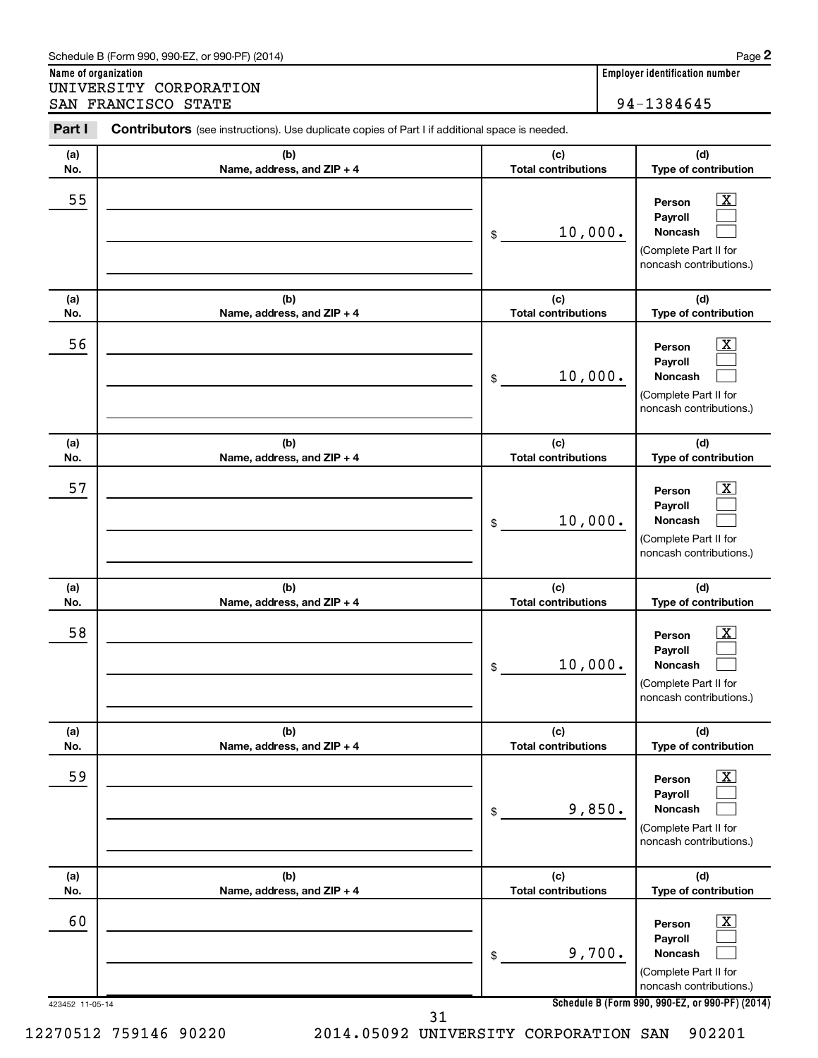| Part I     | Contributors (see instructions). Use duplicate copies of Part I if additional space is needed. |                                             |                                                                                                                          |
|------------|------------------------------------------------------------------------------------------------|---------------------------------------------|--------------------------------------------------------------------------------------------------------------------------|
| (a)        | (b)                                                                                            | (c)                                         | (d)                                                                                                                      |
| No.<br>55  | Name, address, and ZIP + 4                                                                     | <b>Total contributions</b><br>10,000.<br>\$ | Type of contribution<br>$\mathbf{X}$<br>Person<br>Payroll<br>Noncash<br>(Complete Part II for<br>noncash contributions.) |
| (a)<br>No. | (b)<br>Name, address, and ZIP + 4                                                              | (c)<br><b>Total contributions</b>           | (d)<br>Type of contribution                                                                                              |
| 56         |                                                                                                | 10,000.<br>\$                               | $\overline{\mathbf{X}}$<br>Person<br>Payroll<br>Noncash<br>(Complete Part II for<br>noncash contributions.)              |
| (a)<br>No. | (b)<br>Name, address, and ZIP + 4                                                              | (c)<br><b>Total contributions</b>           | (d)<br>Type of contribution                                                                                              |
| 57         |                                                                                                | 10,000.<br>\$                               | $\mathbf{X}$<br>Person<br>Payroll<br>Noncash<br>(Complete Part II for<br>noncash contributions.)                         |
| (a)<br>No. | (b)<br>Name, address, and ZIP + 4                                                              | (c)<br><b>Total contributions</b>           | (d)<br>Type of contribution                                                                                              |
| 58         |                                                                                                | 10,000.<br>\$                               | $\overline{\text{X}}$<br>Person<br>Payroll<br><b>Noncash</b><br>(Complete Part II for<br>noncash contributions.)         |
| (a)<br>No. | (b)<br>Name, address, and ZIP + 4                                                              | (c)<br><b>Total contributions</b>           | (d)<br>Type of contribution                                                                                              |
| 59         |                                                                                                | 9,850.<br>\$                                | X<br>Person<br>Payroll<br>Noncash<br>(Complete Part II for<br>noncash contributions.)                                    |
| (a)<br>No. | (b)<br>Name, address, and ZIP + 4                                                              | (c)<br><b>Total contributions</b>           | (d)<br>Type of contribution                                                                                              |
| 60         |                                                                                                | 9,700.<br>\$                                | $\overline{\text{X}}$<br>Person<br>Payroll<br>Noncash<br>(Complete Part II for<br>noncash contributions.)                |

Schedule B (Form 990, 990-EZ, or 990-PF) (2014)

**Name of organization Employer identification number** UNIVERSITY CORPORATION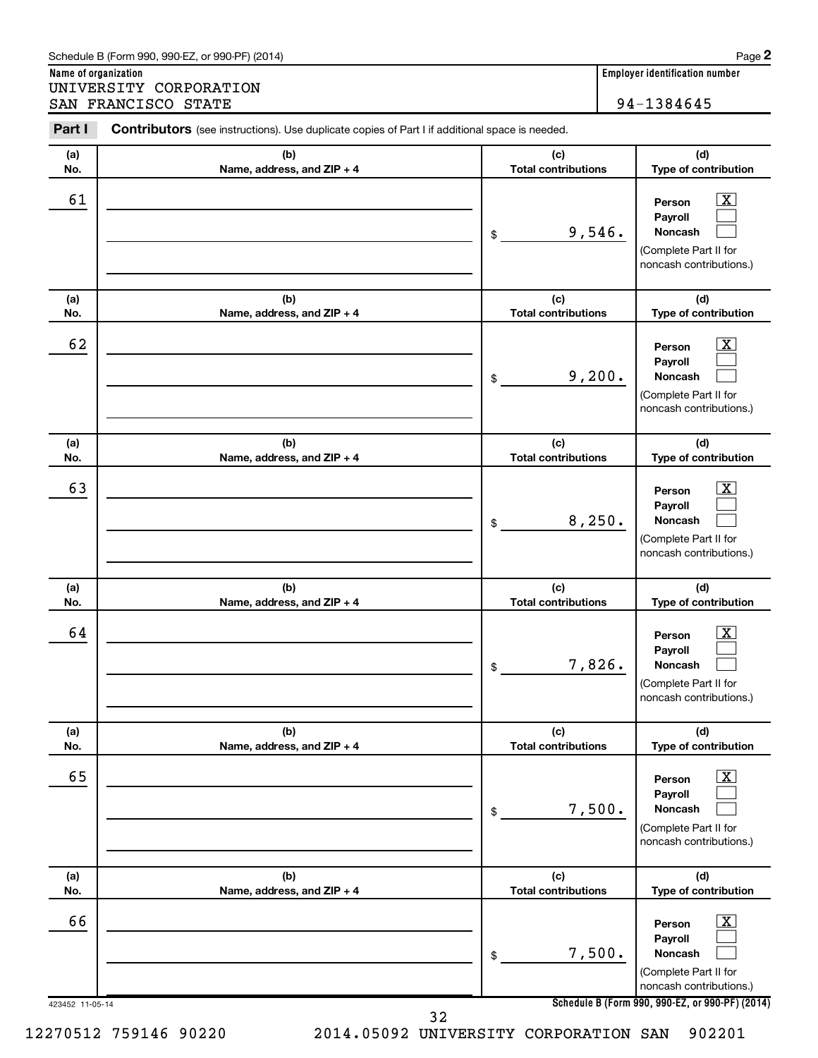|            | SAN FRANCISCO STATE                                                                                   | 94-1384645                                                                                                                       |
|------------|-------------------------------------------------------------------------------------------------------|----------------------------------------------------------------------------------------------------------------------------------|
| Part I     | <b>Contributors</b> (see instructions). Use duplicate copies of Part I if additional space is needed. |                                                                                                                                  |
| (a)<br>No. | (b)<br>Name, address, and ZIP + 4                                                                     | (c)<br>(d)<br><b>Total contributions</b><br>Type of contribution                                                                 |
| 61         |                                                                                                       | <u>x</u><br>Person<br>Payroll<br>9,546.<br>Noncash<br>\$<br>(Complete Part II for<br>noncash contributions.)                     |
| (a)<br>No. | (b)<br>Name, address, and ZIP + 4                                                                     | (c)<br>(d)<br><b>Total contributions</b><br>Type of contribution                                                                 |
| 62         |                                                                                                       | <u>x</u><br>Person<br>Payroll<br>9,200.<br>Noncash<br>\$<br>(Complete Part II for<br>noncash contributions.)                     |
| (a)<br>No. | (b)<br>Name, address, and ZIP + 4                                                                     | (c)<br>(d)<br><b>Total contributions</b><br>Type of contribution                                                                 |
| 63         |                                                                                                       | $\overline{\text{X}}$<br>Person<br>Payroll<br>8,250.<br><b>Noncash</b><br>\$<br>(Complete Part II for<br>noncash contributions.) |
| (a)<br>No. | (b)<br>Name, address, and ZIP + 4                                                                     | (c)<br>(d)<br><b>Total contributions</b><br>Type of contribution                                                                 |
| 64         |                                                                                                       | $\overline{\text{X}}$<br>Person<br>Payroll<br>7,826.<br><b>Noncash</b><br>\$<br>(Complete Part II for<br>noncash contributions.) |
| (a)<br>No. | (b)<br>Name, address, and ZIP + 4                                                                     | (c)<br>(d)<br><b>Total contributions</b><br>Type of contribution                                                                 |
| 65         |                                                                                                       | $\overline{\textbf{X}}$<br>Person<br>Payroll<br>7,500.<br>Noncash<br>\$<br>(Complete Part II for<br>noncash contributions.)      |
| (a)<br>No. | (b)<br>Name, address, and ZIP + 4                                                                     | (c)<br>(d)<br><b>Total contributions</b><br>Type of contribution                                                                 |
| 66         |                                                                                                       | $\overline{\text{X}}$<br>Person<br>Payroll<br>7,500.<br>Noncash<br>\$<br>(Complete Part II for                                   |

**Name of organization Employer identification number**

**2**

12270512 759146 90220 2014.05092 UNIVERSITY CORPORATION SAN 902201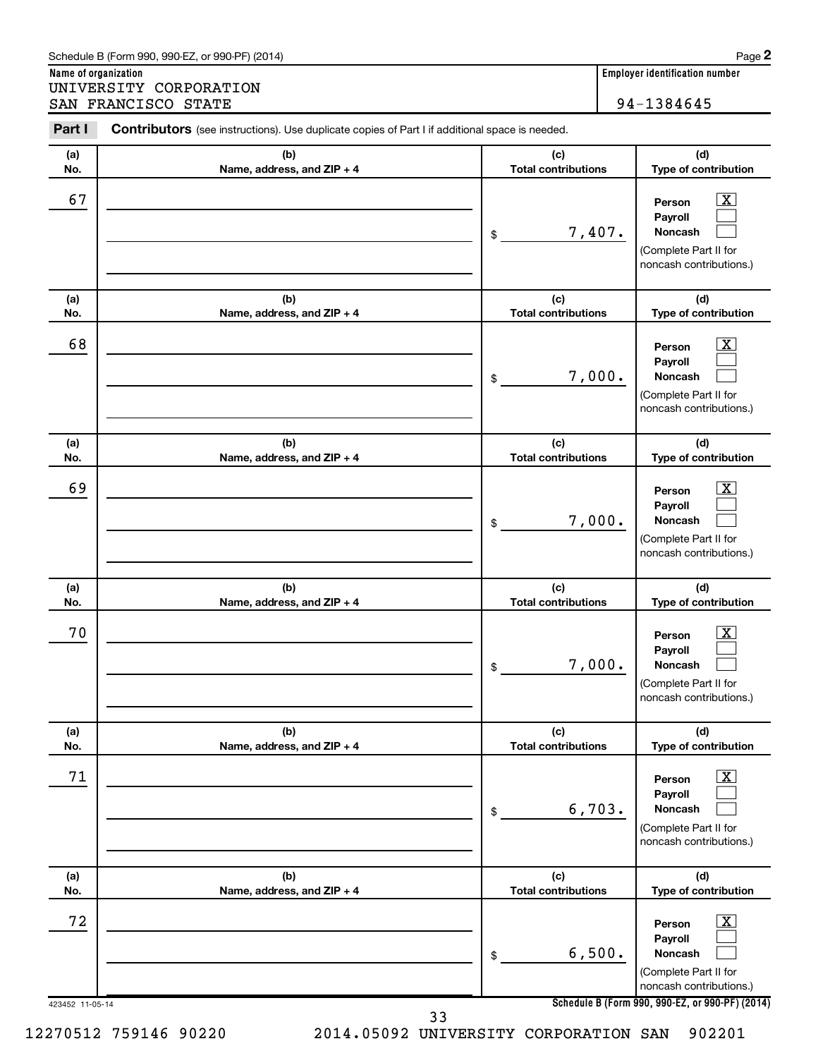| Part I     | <b>Contributors</b> (see instructions). Use duplicate copies of Part I if additional space is needed. |                                   |                                                                                                   |                      |
|------------|-------------------------------------------------------------------------------------------------------|-----------------------------------|---------------------------------------------------------------------------------------------------|----------------------|
| (a)<br>No. | (b)<br>Name, address, and ZIP + 4                                                                     | (c)<br><b>Total contributions</b> | Type of contribution                                                                              | (d)                  |
| 67         |                                                                                                       | $\mathfrak s$                     | Person<br>Payroll<br>7,407.<br><b>Noncash</b><br>(Complete Part II for<br>noncash contributions.) | $\lfloor x \rfloor$  |
| (a)<br>No. | (b)<br>Name, address, and ZIP + 4                                                                     | (c)<br><b>Total contributions</b> | Type of contribution                                                                              | (d)                  |
| 68         |                                                                                                       | \$                                | Person<br>Payroll<br>7,000.<br><b>Noncash</b><br>(Complete Part II for<br>noncash contributions.) | $\mathbf{X}$         |
| (a)<br>No. | (b)<br>Name, address, and ZIP + 4                                                                     | (c)<br><b>Total contributions</b> | Type of contribution                                                                              | (d)                  |
| 69         |                                                                                                       | \$                                | Person<br>Payroll<br>7,000.<br><b>Noncash</b><br>(Complete Part II for<br>noncash contributions.) | $\lfloor x \rfloor$  |
| (a)<br>No. | (b)<br>Name, address, and ZIP + 4                                                                     | (c)<br><b>Total contributions</b> | Type of contribution                                                                              | (d)                  |
| 70         |                                                                                                       | \$                                | Person<br>Payroll<br>7,000.<br><b>Noncash</b><br>(Complete Part II for<br>noncash contributions.) | $\mathbf{X}$         |
| (a)<br>No. | (b)<br>Name, address, and ZIP + 4                                                                     | (c)<br><b>Total contributions</b> | Type of contribution                                                                              | (d)                  |
| 71         |                                                                                                       | \$                                | Person<br>Payroll<br>6,703.<br><b>Noncash</b><br>(Complete Part II for<br>noncash contributions.) | $\lfloor x \rfloor$  |
| (a)<br>No. | (b)<br>Name, address, and ZIP + 4                                                                     | (c)<br><b>Total contributions</b> | Type of contribution                                                                              | (d)                  |
| 72         |                                                                                                       | \$                                | Person<br>Payroll<br>6,500.<br><b>Noncash</b><br>(Complete Part II for<br>noncash contributions.) | $\boxed{\textbf{X}}$ |

**Name of organization Employer identification number**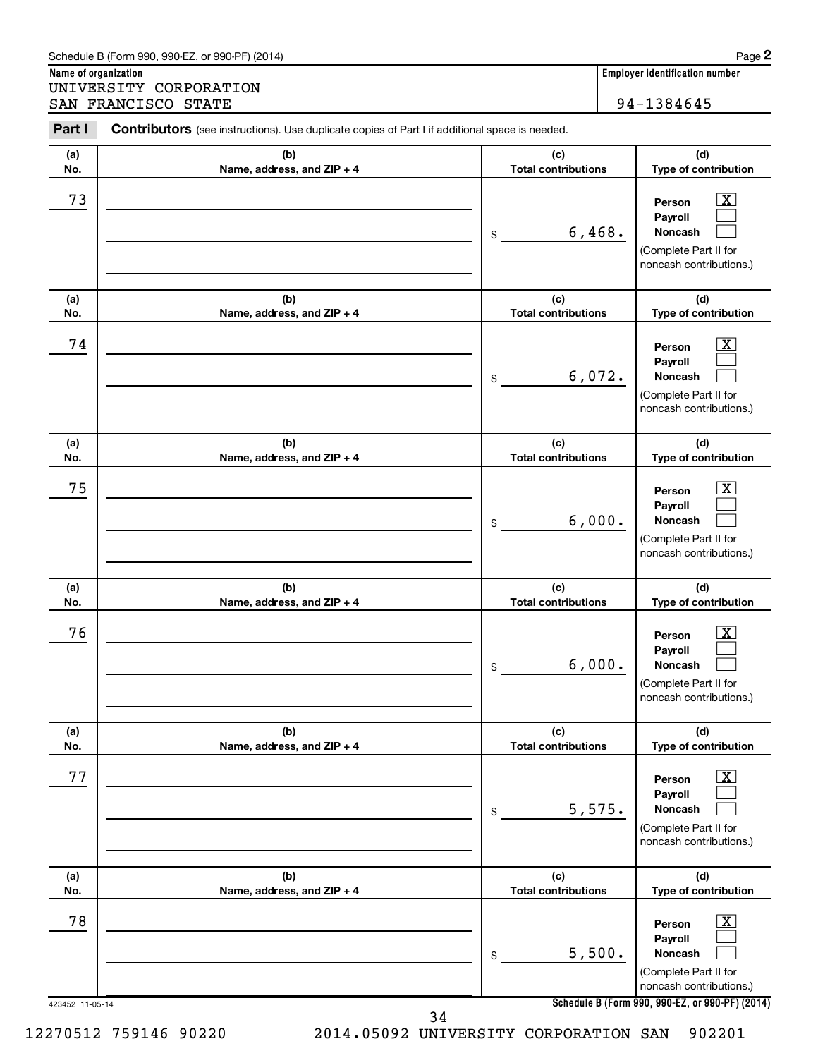| Part I     | <b>Contributors</b> (see instructions). Use duplicate copies of Part I if additional space is needed. |                                            |                                                                                                                                       |
|------------|-------------------------------------------------------------------------------------------------------|--------------------------------------------|---------------------------------------------------------------------------------------------------------------------------------------|
| (a)        | (b)                                                                                                   | (c)                                        | (d)                                                                                                                                   |
| No.        | Name, address, and ZIP + 4                                                                            | <b>Total contributions</b>                 | Type of contribution                                                                                                                  |
| 73         |                                                                                                       | 6,468.<br>\$                               | $\boxed{\textbf{X}}$<br>Person<br>Payroll<br>Noncash<br>(Complete Part II for<br>noncash contributions.)                              |
| (a)<br>No. | (b)<br>Name, address, and ZIP + 4                                                                     | (c)<br><b>Total contributions</b>          | (d)<br>Type of contribution                                                                                                           |
| 74         |                                                                                                       | 6,072.<br>\$                               | $\overline{\mathbf{X}}$<br>Person<br>Payroll<br>Noncash<br>(Complete Part II for<br>noncash contributions.)                           |
| (a)<br>No. | (b)<br>Name, address, and ZIP + 4                                                                     | (c)<br><b>Total contributions</b>          | (d)<br>Type of contribution                                                                                                           |
| 75         |                                                                                                       | 6,000.<br>\$                               | $\mathbf{X}$<br>Person<br>Payroll<br><b>Noncash</b><br>(Complete Part II for<br>noncash contributions.)                               |
| (a)<br>No. | (b)<br>Name, address, and ZIP + 4                                                                     | (c)<br><b>Total contributions</b>          | (d)<br>Type of contribution                                                                                                           |
| 76         |                                                                                                       | 6,000.<br>\$                               | х<br>Person<br>Payroll<br><b>Noncash</b><br>(Complete Part II for<br>noncash contributions.)                                          |
| (a)<br>No. | (b)<br>Name, address, and ZIP + 4                                                                     | (c)<br><b>Total contributions</b>          | (d)<br>Type of contribution                                                                                                           |
| 77         |                                                                                                       | 5,575.<br>\$                               | $\boxed{\textbf{X}}$<br>Person<br>Payroll<br>Noncash<br>(Complete Part II for<br>noncash contributions.)                              |
| (a)        | (b)                                                                                                   | (c)                                        | (d)                                                                                                                                   |
| No.<br>78  | Name, address, and ZIP + 4                                                                            | <b>Total contributions</b><br>5,500.<br>\$ | Type of contribution<br>$\boxed{\text{X}}$<br>Person<br>Payroll<br><b>Noncash</b><br>(Complete Part II for<br>noncash contributions.) |

**Name of organization Employer identification number**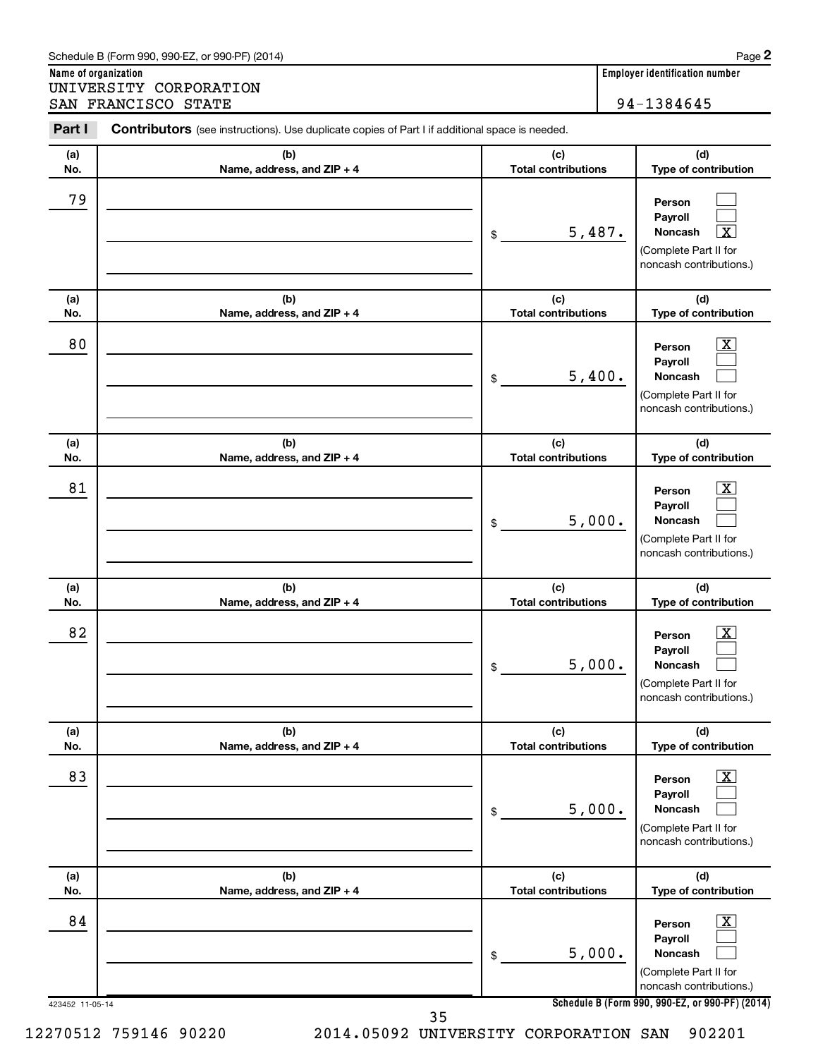| Name of organization | UNIVERSITY CORPORATION                                                                                |                                   | <b>Employer identification number</b>                                                                                 |
|----------------------|-------------------------------------------------------------------------------------------------------|-----------------------------------|-----------------------------------------------------------------------------------------------------------------------|
|                      | SAN FRANCISCO STATE                                                                                   |                                   | 94-1384645                                                                                                            |
| Part I               | <b>Contributors</b> (see instructions). Use duplicate copies of Part I if additional space is needed. |                                   |                                                                                                                       |
| (a)<br>No.           | (b)<br>Name, address, and ZIP + 4                                                                     | (c)<br><b>Total contributions</b> | (d)<br>Type of contribution                                                                                           |
| 79                   |                                                                                                       | \$                                | Person<br>Payroll<br>5,487.<br>$\overline{\mathbf{x}}$<br>Noncash<br>(Complete Part II for<br>noncash contributions.) |
| (a)<br>No.           | (b)<br>Name, address, and ZIP + 4                                                                     | (c)<br><b>Total contributions</b> | (d)<br>Type of contribution                                                                                           |
| 80                   |                                                                                                       | \$                                | $\overline{\mathbf{X}}$<br>Person<br>Payroll<br>5,400.<br>Noncash<br>(Complete Part II for<br>noncash contributions.) |
| (a)<br>No.           | (b)<br>Name, address, and ZIP + 4                                                                     | (c)<br><b>Total contributions</b> | (d)<br>Type of contribution                                                                                           |
| 81                   |                                                                                                       | \$                                | x<br>Person<br>Payroll<br>5,000.<br>Noncash<br>(Complete Part II for<br>noncash contributions.)                       |
| (a)<br>No.           | (b)<br>Name, address, and ZIP + 4                                                                     | (c)<br><b>Total contributions</b> | (d)<br>Type of contribution                                                                                           |
| 82                   |                                                                                                       | \$                                | x<br>Person<br>Payroll<br>5,000.<br>Noncash<br>$\mathbb{R}^n$<br>(Complete Part II for<br>noncash contributions.)     |
| (a)<br>No.           | (b)<br>Name, address, and ZIP + 4                                                                     | (c)<br><b>Total contributions</b> | (d)<br>Type of contribution                                                                                           |
| 83                   |                                                                                                       | \$                                | $\mathbf{X}$<br>Person<br>Payroll<br>5,000.<br>Noncash<br>(Complete Part II for<br>noncash contributions.)            |
| (a)<br>No.           | (b)<br>Name, address, and ZIP + 4                                                                     | (c)<br><b>Total contributions</b> | (d)<br>Type of contribution                                                                                           |
| 84                   |                                                                                                       | \$                                | $\overline{\mathbf{X}}$<br>Person<br>Payroll<br>5,000.<br>Noncash<br>(Complete Part II for<br>noncash contributions.) |
| 423452 11-05-14      | 35                                                                                                    |                                   | Schedule B (Form 990, 990-EZ, or 990-PF) (2014)                                                                       |

**2**

12270512 759146 90220 2014.05092 UNIVERSITY CORPORATION SAN 902201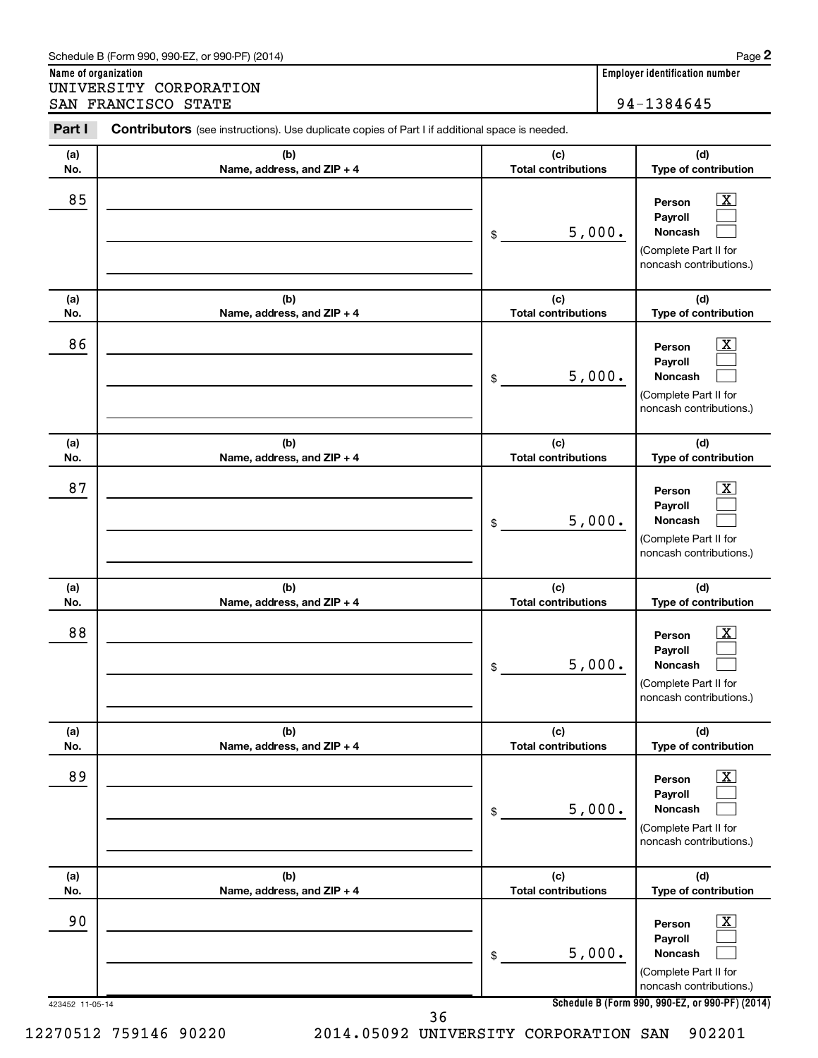| SAN FRANCISCO STATE |                                                                                                |                                   | 94-1384645                                                                                                |
|---------------------|------------------------------------------------------------------------------------------------|-----------------------------------|-----------------------------------------------------------------------------------------------------------|
| Part I              | Contributors (see instructions). Use duplicate copies of Part I if additional space is needed. |                                   |                                                                                                           |
| (a)<br>No.          | (b)<br>Name, address, and ZIP + 4                                                              | (c)<br><b>Total contributions</b> | (d)<br>Type of contribution                                                                               |
| 85                  |                                                                                                | 5,000.<br>\$                      | $\overline{\text{X}}$<br>Person<br>Payroll<br>Noncash<br>(Complete Part II for<br>noncash contributions.) |
| (a)<br>No.          | (b)<br>Name, address, and ZIP + 4                                                              | (c)<br><b>Total contributions</b> | (d)<br>Type of contribution                                                                               |
| 86                  |                                                                                                | 5,000.<br>\$                      | <u>x</u><br>Person<br>Payroll<br>Noncash<br>(Complete Part II for<br>noncash contributions.)              |
| (a)<br>No.          | (b)<br>Name, address, and ZIP + 4                                                              | (c)<br><b>Total contributions</b> | (d)<br>Type of contribution                                                                               |
| 87                  |                                                                                                | 5,000.<br>\$                      | $\overline{\text{X}}$<br>Person<br>Payroll<br>Noncash<br>(Complete Part II for<br>noncash contributions.) |
| (a)<br>No.          | (b)<br>Name, address, and ZIP + 4                                                              | (c)<br><b>Total contributions</b> | (d)<br>Type of contribution                                                                               |
| 88                  |                                                                                                | 5,000.<br>\$                      | X<br>Person<br>Payroll<br>Noncash<br>(Complete Part II for<br>noncash contributions.)                     |
| (a)<br>No.          | (b)<br>Name, address, and ZIP + 4                                                              | (c)<br><b>Total contributions</b> | (d)<br>Type of contribution                                                                               |
| 89                  |                                                                                                | 5,000.<br>\$                      | $\mathbf{X}$<br>Person<br>Payroll<br>Noncash<br>(Complete Part II for<br>noncash contributions.)          |
| (a)<br>No.          | (b)<br>Name, address, and ZIP + 4                                                              | (c)<br><b>Total contributions</b> | (d)<br>Type of contribution                                                                               |
| 90                  |                                                                                                | 5,000.<br>\$                      | $\mathbf{X}$<br>Person<br>Payroll<br>Noncash<br>(Complete Part II for<br>noncash contributions.)          |

**Name of organization Employer identification number** Schedule B (Form 990, 990-EZ, or 990-PF) (2014)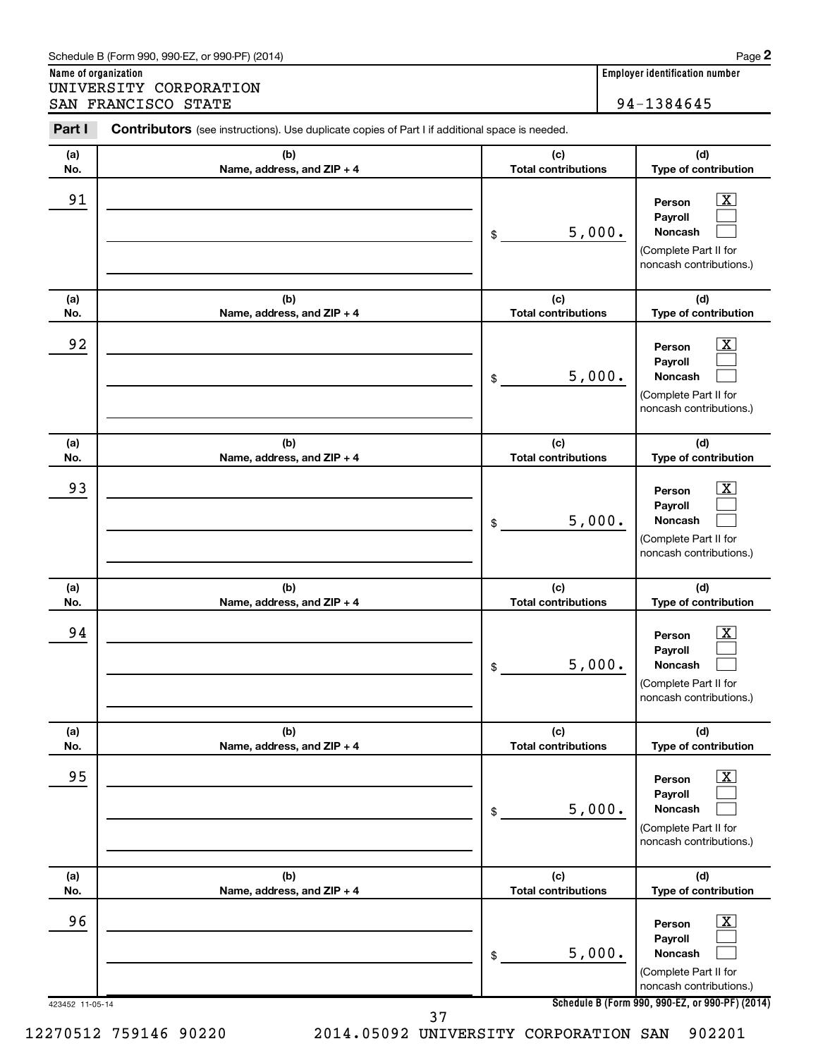| Part I     | <b>Contributors</b> (see instructions). Use duplicate copies of Part I if additional space is needed. |                                   |                                                                                                                              |
|------------|-------------------------------------------------------------------------------------------------------|-----------------------------------|------------------------------------------------------------------------------------------------------------------------------|
| (a)<br>No. | (b)<br>Name, address, and ZIP + 4                                                                     | (c)<br><b>Total contributions</b> | (d)<br>Type of contribution                                                                                                  |
| 91         |                                                                                                       | \$                                | $\overline{\mathbf{X}}$<br>Person<br>Payroll<br>5,000.<br><b>Noncash</b><br>(Complete Part II for<br>noncash contributions.) |
| (a)<br>No. | (b)<br>Name, address, and ZIP + 4                                                                     | (c)<br><b>Total contributions</b> | (d)<br>Type of contribution                                                                                                  |
| 92         |                                                                                                       | \$                                | X<br>Person<br>Payroll<br>5,000.<br>Noncash<br>(Complete Part II for<br>noncash contributions.)                              |
| (a)<br>No. | (b)<br>Name, address, and ZIP + 4                                                                     | (c)<br><b>Total contributions</b> | (d)<br>Type of contribution                                                                                                  |
| 93         |                                                                                                       | \$                                | X<br>Person<br>Payroll<br>5,000.<br>Noncash<br>(Complete Part II for<br>noncash contributions.)                              |
| (a)<br>No. | (b)<br>Name, address, and ZIP + 4                                                                     | (c)<br><b>Total contributions</b> | (d)<br>Type of contribution                                                                                                  |
| 94         |                                                                                                       | \$                                | Person<br>Payroll<br>5,000.<br><b>Noncash</b><br>(Complete Part II for<br>noncash contributions.)                            |
| (a)<br>No. | (b)<br>Name, address, and ZIP + 4                                                                     | (c)<br><b>Total contributions</b> | (d)<br>Type of contribution                                                                                                  |
| 95         |                                                                                                       | \$                                | $\lfloor x \rfloor$<br>Person<br>Payroll<br>5,000.<br><b>Noncash</b><br>(Complete Part II for<br>noncash contributions.)     |
| (a)<br>No. | (b)<br>Name, address, and ZIP + 4                                                                     | (c)<br><b>Total contributions</b> | (d)<br>Type of contribution                                                                                                  |
| 96         |                                                                                                       | \$                                | $\boxed{\textbf{X}}$<br>Person<br>Payroll<br>5,000.<br>Noncash<br>(Complete Part II for<br>noncash contributions.)           |

**Name of organization Employer identification number**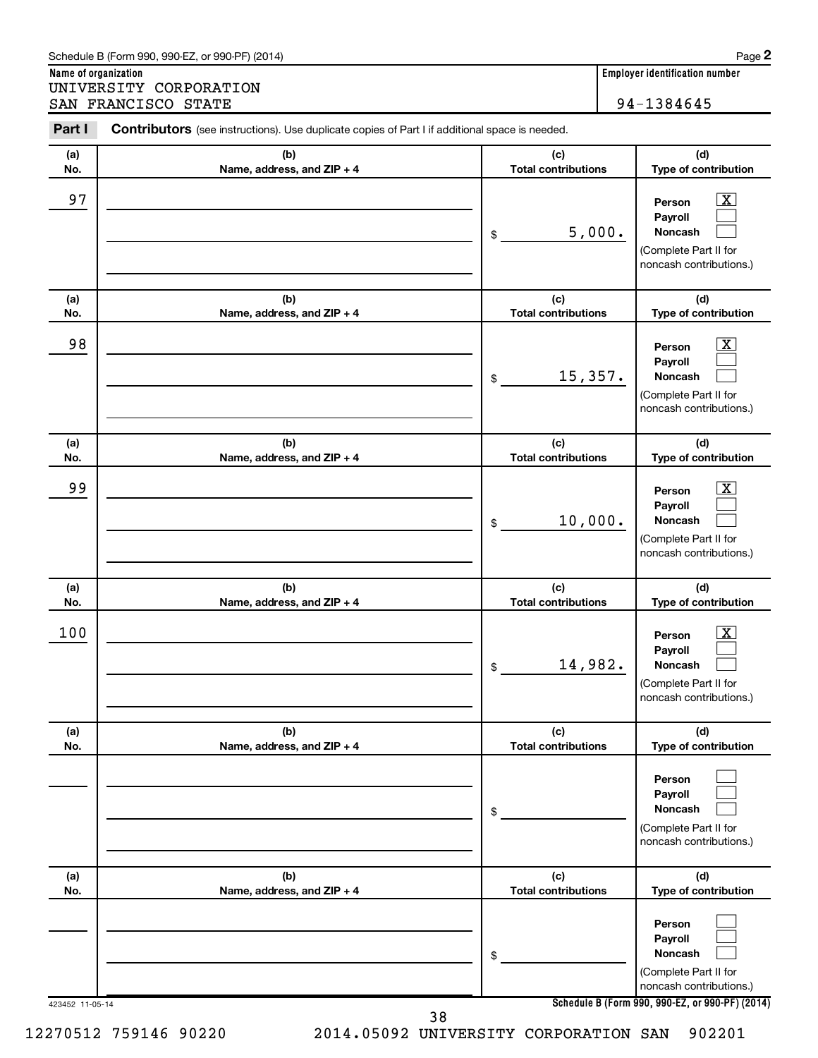| UNIVERSITY CORPORATION<br>SAN FRANCISCO STATE |                                                                                                |                                   | 94-1384645                                                                                                  |  |  |
|-----------------------------------------------|------------------------------------------------------------------------------------------------|-----------------------------------|-------------------------------------------------------------------------------------------------------------|--|--|
| Part I                                        | Contributors (see instructions). Use duplicate copies of Part I if additional space is needed. |                                   |                                                                                                             |  |  |
| (a)<br>No.                                    | (b)<br>Name, address, and ZIP + 4                                                              | (c)<br><b>Total contributions</b> | (d)<br>Type of contribution                                                                                 |  |  |
| 97                                            |                                                                                                | 5,000.<br>\$                      | $\overline{\mathbf{X}}$<br>Person<br>Payroll<br>Noncash<br>(Complete Part II for<br>noncash contributions.) |  |  |
| (a)<br>No.                                    | (b)<br>Name, address, and ZIP + 4                                                              | (c)<br><b>Total contributions</b> | (d)<br>Type of contribution                                                                                 |  |  |
| 98                                            |                                                                                                | 15,357.<br>\$                     | $\overline{\mathbf{X}}$<br>Person<br>Payroll<br>Noncash<br>(Complete Part II for<br>noncash contributions.) |  |  |
| (a)<br>No.                                    | (b)<br>Name, address, and ZIP + 4                                                              | (c)<br><b>Total contributions</b> | (d)<br>Type of contribution                                                                                 |  |  |
| 99                                            |                                                                                                | 10,000.<br>\$                     | $\mathbf{X}$<br>Person<br>Payroll<br>Noncash<br>(Complete Part II for<br>noncash contributions.)            |  |  |
| (a)<br>No.                                    | (b)<br>Name, address, and ZIP + 4                                                              | (c)<br><b>Total contributions</b> | (d)<br>Type of contribution                                                                                 |  |  |
| 100                                           |                                                                                                | 14,982.<br>\$                     | $\overline{\mathbf{X}}$<br>Person<br>Payroll<br>Noncash<br>(Complete Part II for<br>noncash contributions.) |  |  |
| (a)<br>No.                                    | (b)<br>Name, address, and ZIP + 4                                                              | (c)<br><b>Total contributions</b> | (d)<br>Type of contribution                                                                                 |  |  |
|                                               |                                                                                                | \$                                | Person<br>Payroll<br>Noncash<br>(Complete Part II for<br>noncash contributions.)                            |  |  |
| (a)<br>No.                                    | (b)<br>Name, address, and ZIP + 4                                                              | (c)<br><b>Total contributions</b> | (d)<br>Type of contribution                                                                                 |  |  |
|                                               |                                                                                                | \$                                | Person<br>Payroll<br>Noncash<br>(Complete Part II for<br>noncash contributions.)                            |  |  |
| 423452 11-05-14                               | 38                                                                                             |                                   | Schedule B (Form 990, 990-EZ, or 990-PF) (2014)                                                             |  |  |

**Name of organization Employer identification number**

Schedule B (Form 990, 990-EZ, or 990-PF) (2014)

12270512 759146 90220 2014.05092 UNIVERSITY CORPORATION SAN 902201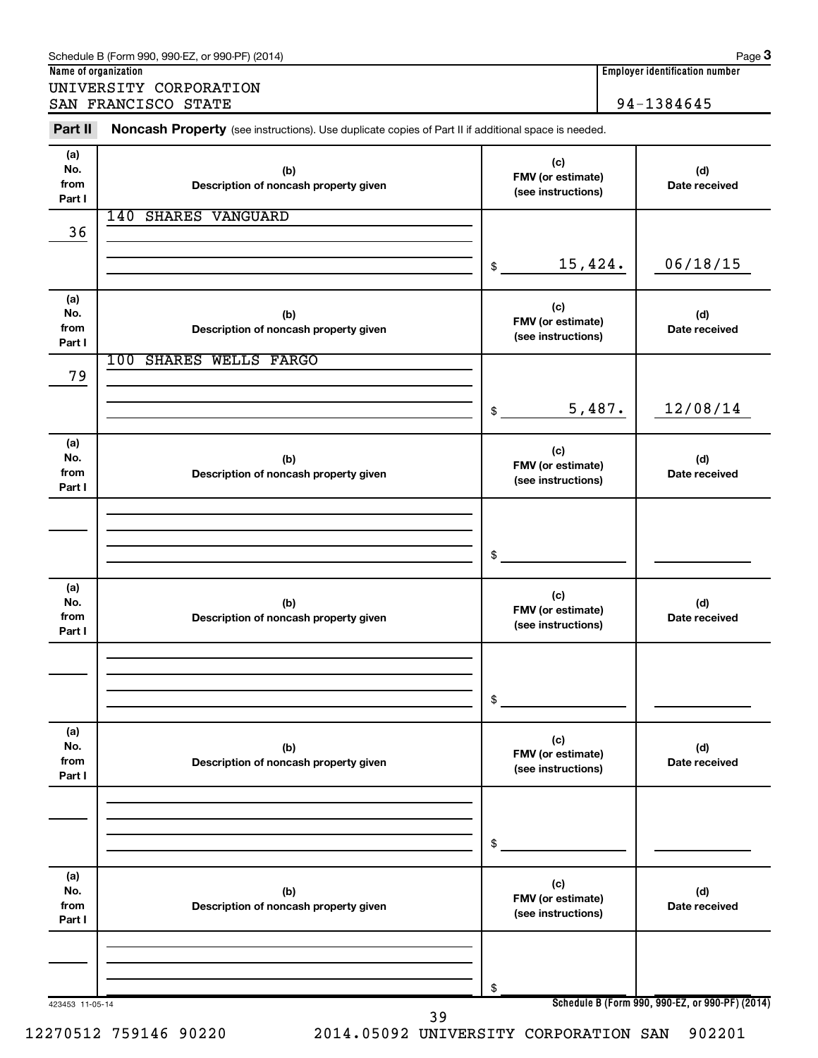| Part II                      | SAN FRANCISCO STATE<br>Noncash Property (see instructions). Use duplicate copies of Part II if additional space is needed. |                                                | 94-1384645           |  |
|------------------------------|----------------------------------------------------------------------------------------------------------------------------|------------------------------------------------|----------------------|--|
| (a)                          |                                                                                                                            |                                                |                      |  |
| No.<br>from                  | (b)<br>Description of noncash property given                                                                               | (c)<br>FMV (or estimate)<br>(see instructions) | (d)<br>Date received |  |
| Part I                       | 140 SHARES VANGUARD                                                                                                        |                                                |                      |  |
| 36                           |                                                                                                                            |                                                |                      |  |
|                              |                                                                                                                            | 15,424.<br>\$                                  | 06/18/15             |  |
| (a)<br>No.                   | (b)                                                                                                                        | (c)                                            | (d)                  |  |
| from<br>Part I               | Description of noncash property given                                                                                      | FMV (or estimate)<br>(see instructions)        | Date received        |  |
| 79                           | 100 SHARES WELLS FARGO                                                                                                     |                                                |                      |  |
|                              |                                                                                                                            | 5,487.<br>\$                                   | 12/08/14             |  |
| (a)                          |                                                                                                                            |                                                |                      |  |
| No.<br>from                  | (b)<br>Description of noncash property given                                                                               | (c)<br>FMV (or estimate)                       | (d)<br>Date received |  |
| Part I                       |                                                                                                                            | (see instructions)                             |                      |  |
|                              |                                                                                                                            |                                                |                      |  |
|                              |                                                                                                                            | \$                                             |                      |  |
| (a)<br>No.<br>from<br>Part I | (b)<br>Description of noncash property given                                                                               | (c)<br>FMV (or estimate)<br>(see instructions) | (d)<br>Date received |  |
|                              |                                                                                                                            |                                                |                      |  |
|                              |                                                                                                                            | \$                                             |                      |  |
| (a)<br>No.                   |                                                                                                                            | (c)                                            |                      |  |
| from<br>Part I               | (b)<br>Description of noncash property given                                                                               | FMV (or estimate)<br>(see instructions)        | (d)<br>Date received |  |
|                              |                                                                                                                            |                                                |                      |  |
|                              |                                                                                                                            | \$                                             |                      |  |
| (a)<br>No.<br>from<br>Part I | (b)<br>Description of noncash property given                                                                               | (c)<br>FMV (or estimate)<br>(see instructions) | (d)<br>Date received |  |
|                              |                                                                                                                            |                                                |                      |  |
|                              |                                                                                                                            | \$                                             |                      |  |

 $\lambda$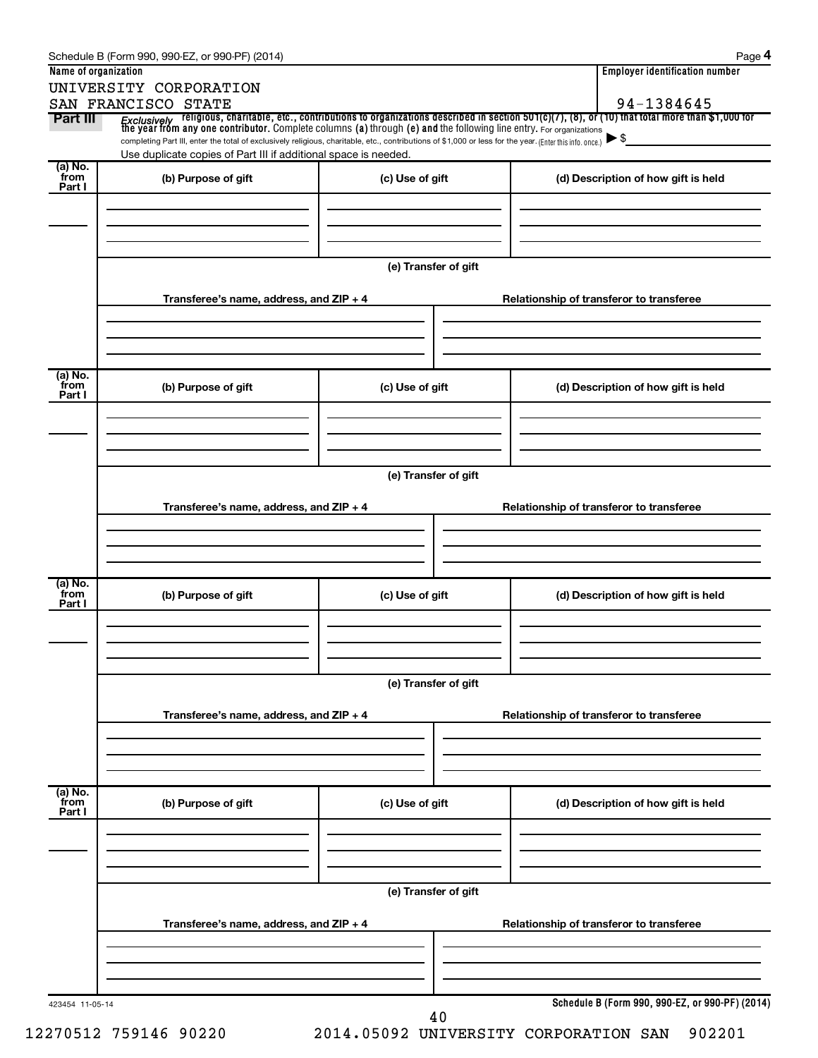|                      | Schedule B (Form 990, 990-EZ, or 990-PF) (2014)                                                                                                                                                                                         |                      |                                          | Page 4                                          |  |  |
|----------------------|-----------------------------------------------------------------------------------------------------------------------------------------------------------------------------------------------------------------------------------------|----------------------|------------------------------------------|-------------------------------------------------|--|--|
| Name of organization |                                                                                                                                                                                                                                         |                      |                                          | <b>Employer identification number</b>           |  |  |
|                      | UNIVERSITY CORPORATION                                                                                                                                                                                                                  |                      |                                          |                                                 |  |  |
|                      | SAN FRANCISCO STATE                                                                                                                                                                                                                     |                      |                                          | 94-1384645                                      |  |  |
| Part III             | <i>Exclusively</i> religious, charitable, etc., contributions to organizations described in section 501(c)(7), (8), or (10) that total more than \$1,000 for<br>the year from any one contributor. Complete columns (a) through (e) and |                      |                                          |                                                 |  |  |
|                      | completing Part III, enter the total of exclusively religious, charitable, etc., contributions of \$1,000 or less for the year. (Enter this info. once.)                                                                                |                      |                                          | $\blacktriangleright$ \$                        |  |  |
|                      | Use duplicate copies of Part III if additional space is needed.                                                                                                                                                                         |                      |                                          |                                                 |  |  |
| (a) No.<br>from      | (b) Purpose of gift                                                                                                                                                                                                                     | (c) Use of gift      |                                          | (d) Description of how gift is held             |  |  |
| Part I               |                                                                                                                                                                                                                                         |                      |                                          |                                                 |  |  |
|                      |                                                                                                                                                                                                                                         |                      |                                          |                                                 |  |  |
|                      |                                                                                                                                                                                                                                         |                      |                                          |                                                 |  |  |
|                      |                                                                                                                                                                                                                                         |                      |                                          |                                                 |  |  |
|                      |                                                                                                                                                                                                                                         | (e) Transfer of gift |                                          |                                                 |  |  |
|                      |                                                                                                                                                                                                                                         |                      |                                          |                                                 |  |  |
|                      | Transferee's name, address, and ZIP + 4                                                                                                                                                                                                 |                      | Relationship of transferor to transferee |                                                 |  |  |
|                      |                                                                                                                                                                                                                                         |                      |                                          |                                                 |  |  |
|                      |                                                                                                                                                                                                                                         |                      |                                          |                                                 |  |  |
|                      |                                                                                                                                                                                                                                         |                      |                                          |                                                 |  |  |
| (a) No.<br>from      |                                                                                                                                                                                                                                         |                      |                                          |                                                 |  |  |
| Part I               | (b) Purpose of gift                                                                                                                                                                                                                     | (c) Use of gift      |                                          | (d) Description of how gift is held             |  |  |
|                      |                                                                                                                                                                                                                                         |                      |                                          |                                                 |  |  |
|                      |                                                                                                                                                                                                                                         |                      |                                          |                                                 |  |  |
|                      |                                                                                                                                                                                                                                         |                      |                                          |                                                 |  |  |
|                      |                                                                                                                                                                                                                                         |                      |                                          |                                                 |  |  |
|                      |                                                                                                                                                                                                                                         | (e) Transfer of gift |                                          |                                                 |  |  |
|                      | Transferee's name, address, and ZIP + 4                                                                                                                                                                                                 |                      | Relationship of transferor to transferee |                                                 |  |  |
|                      |                                                                                                                                                                                                                                         |                      |                                          |                                                 |  |  |
|                      |                                                                                                                                                                                                                                         |                      |                                          |                                                 |  |  |
|                      |                                                                                                                                                                                                                                         |                      |                                          |                                                 |  |  |
|                      |                                                                                                                                                                                                                                         |                      |                                          |                                                 |  |  |
| (a) No.<br>from      | (b) Purpose of gift                                                                                                                                                                                                                     | (c) Use of gift      |                                          | (d) Description of how gift is held             |  |  |
| Part I               |                                                                                                                                                                                                                                         |                      |                                          |                                                 |  |  |
|                      |                                                                                                                                                                                                                                         |                      |                                          |                                                 |  |  |
|                      |                                                                                                                                                                                                                                         |                      |                                          |                                                 |  |  |
|                      |                                                                                                                                                                                                                                         |                      |                                          |                                                 |  |  |
|                      | (e) Transfer of gift                                                                                                                                                                                                                    |                      |                                          |                                                 |  |  |
|                      |                                                                                                                                                                                                                                         |                      |                                          |                                                 |  |  |
|                      | Transferee's name, address, and $ZIP + 4$                                                                                                                                                                                               |                      | Relationship of transferor to transferee |                                                 |  |  |
|                      |                                                                                                                                                                                                                                         |                      |                                          |                                                 |  |  |
|                      |                                                                                                                                                                                                                                         |                      |                                          |                                                 |  |  |
|                      |                                                                                                                                                                                                                                         |                      |                                          |                                                 |  |  |
| (a) No.<br>from      | (b) Purpose of gift                                                                                                                                                                                                                     |                      |                                          |                                                 |  |  |
| Part I               |                                                                                                                                                                                                                                         | (c) Use of gift      |                                          | (d) Description of how gift is held             |  |  |
|                      |                                                                                                                                                                                                                                         |                      |                                          |                                                 |  |  |
|                      |                                                                                                                                                                                                                                         |                      |                                          |                                                 |  |  |
|                      |                                                                                                                                                                                                                                         |                      |                                          |                                                 |  |  |
|                      |                                                                                                                                                                                                                                         | (e) Transfer of gift |                                          |                                                 |  |  |
|                      |                                                                                                                                                                                                                                         |                      |                                          |                                                 |  |  |
|                      | Transferee's name, address, and ZIP + 4                                                                                                                                                                                                 |                      | Relationship of transferor to transferee |                                                 |  |  |
|                      |                                                                                                                                                                                                                                         |                      |                                          |                                                 |  |  |
|                      |                                                                                                                                                                                                                                         |                      |                                          |                                                 |  |  |
|                      |                                                                                                                                                                                                                                         |                      |                                          |                                                 |  |  |
|                      |                                                                                                                                                                                                                                         |                      |                                          |                                                 |  |  |
| 423454 11-05-14      |                                                                                                                                                                                                                                         | 40                   |                                          | Schedule B (Form 990, 990-EZ, or 990-PF) (2014) |  |  |
|                      |                                                                                                                                                                                                                                         |                      |                                          |                                                 |  |  |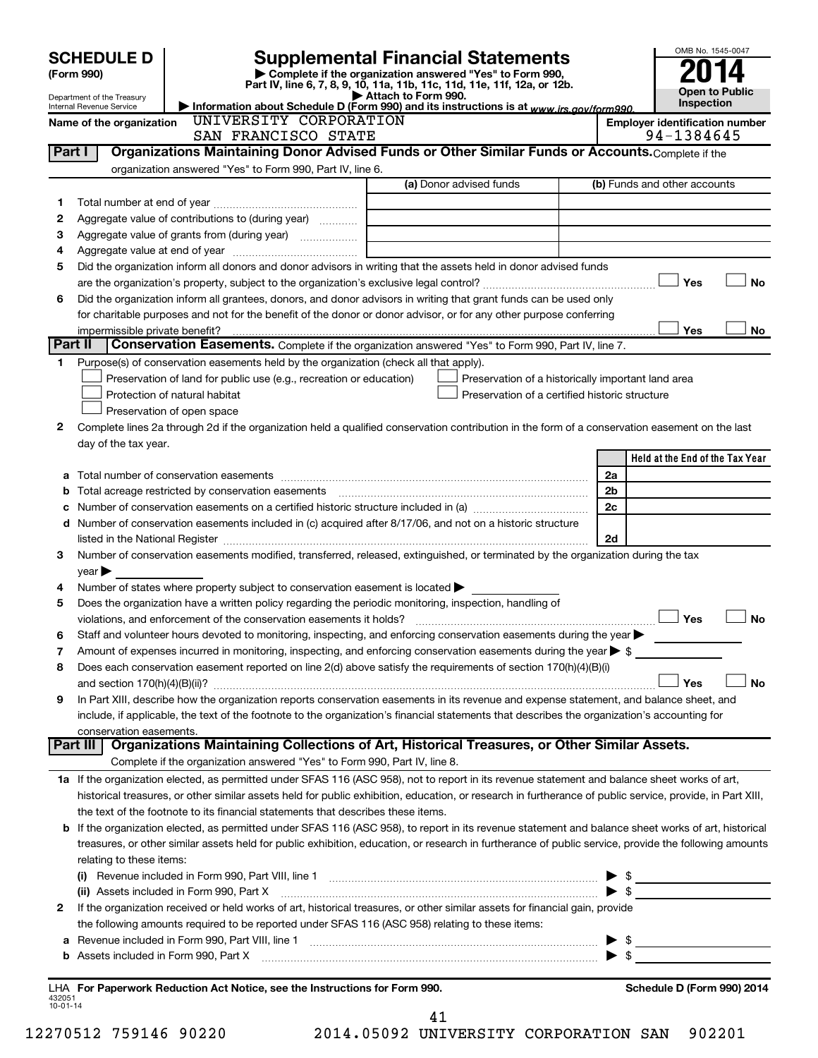|                          | <b>SCHEDULE D</b>                                    |                                                                                                        | <b>Supplemental Financial Statements</b>                                                                                                                                                                                       |                          | OMB No. 1545-0047                                   |
|--------------------------|------------------------------------------------------|--------------------------------------------------------------------------------------------------------|--------------------------------------------------------------------------------------------------------------------------------------------------------------------------------------------------------------------------------|--------------------------|-----------------------------------------------------|
|                          | (Form 990)                                           |                                                                                                        | Complete if the organization answered "Yes" to Form 990,<br>Part IV, line 6, 7, 8, 9, 10, 11a, 11b, 11c, 11d, 11e, 11f, 12a, or 12b.                                                                                           |                          |                                                     |
|                          | Department of the Treasury                           |                                                                                                        | Attach to Form 990.                                                                                                                                                                                                            |                          | <b>Open to Public</b><br>Inspection                 |
|                          | Internal Revenue Service<br>Name of the organization | UNIVERSITY CORPORATION                                                                                 | Information about Schedule D (Form 990) and its instructions is at www.irs.gov/form990.                                                                                                                                        |                          |                                                     |
|                          |                                                      | SAN FRANCISCO STATE                                                                                    |                                                                                                                                                                                                                                |                          | <b>Employer identification number</b><br>94-1384645 |
| Part I                   |                                                      |                                                                                                        | Organizations Maintaining Donor Advised Funds or Other Similar Funds or Accounts. Complete if the                                                                                                                              |                          |                                                     |
|                          |                                                      | organization answered "Yes" to Form 990, Part IV, line 6.                                              |                                                                                                                                                                                                                                |                          |                                                     |
|                          |                                                      |                                                                                                        | (a) Donor advised funds                                                                                                                                                                                                        |                          | (b) Funds and other accounts                        |
| 1                        |                                                      |                                                                                                        |                                                                                                                                                                                                                                |                          |                                                     |
| 2                        |                                                      | Aggregate value of contributions to (during year)                                                      |                                                                                                                                                                                                                                |                          |                                                     |
| з                        |                                                      |                                                                                                        |                                                                                                                                                                                                                                |                          |                                                     |
| 4<br>5                   |                                                      |                                                                                                        | Did the organization inform all donors and donor advisors in writing that the assets held in donor advised funds                                                                                                               |                          |                                                     |
|                          |                                                      |                                                                                                        |                                                                                                                                                                                                                                |                          | Yes<br><b>No</b>                                    |
| 6                        |                                                      |                                                                                                        | Did the organization inform all grantees, donors, and donor advisors in writing that grant funds can be used only                                                                                                              |                          |                                                     |
|                          |                                                      |                                                                                                        | for charitable purposes and not for the benefit of the donor or donor advisor, or for any other purpose conferring                                                                                                             |                          |                                                     |
|                          | impermissible private benefit?                       |                                                                                                        |                                                                                                                                                                                                                                |                          | Yes<br>No                                           |
| Part II                  |                                                      |                                                                                                        | <b>Conservation Easements.</b> Complete if the organization answered "Yes" to Form 990, Part IV, line 7.                                                                                                                       |                          |                                                     |
| 1                        |                                                      | Purpose(s) of conservation easements held by the organization (check all that apply).                  |                                                                                                                                                                                                                                |                          |                                                     |
|                          |                                                      | Preservation of land for public use (e.g., recreation or education)                                    | Preservation of a historically important land area                                                                                                                                                                             |                          |                                                     |
|                          |                                                      | Protection of natural habitat                                                                          | Preservation of a certified historic structure                                                                                                                                                                                 |                          |                                                     |
|                          |                                                      | Preservation of open space                                                                             |                                                                                                                                                                                                                                |                          |                                                     |
| 2                        |                                                      |                                                                                                        | Complete lines 2a through 2d if the organization held a qualified conservation contribution in the form of a conservation easement on the last                                                                                 |                          |                                                     |
|                          | day of the tax year.                                 |                                                                                                        |                                                                                                                                                                                                                                |                          | Held at the End of the Tax Year                     |
|                          |                                                      |                                                                                                        |                                                                                                                                                                                                                                | 2a                       |                                                     |
| b                        |                                                      |                                                                                                        |                                                                                                                                                                                                                                | 2b                       |                                                     |
| с                        |                                                      |                                                                                                        |                                                                                                                                                                                                                                | 2c                       |                                                     |
|                          |                                                      |                                                                                                        | d Number of conservation easements included in (c) acquired after 8/17/06, and not on a historic structure                                                                                                                     |                          |                                                     |
|                          |                                                      |                                                                                                        |                                                                                                                                                                                                                                | 2d                       |                                                     |
| З                        |                                                      |                                                                                                        | Number of conservation easements modified, transferred, released, extinguished, or terminated by the organization during the tax                                                                                               |                          |                                                     |
|                          | year                                                 |                                                                                                        |                                                                                                                                                                                                                                |                          |                                                     |
| 4                        |                                                      | Number of states where property subject to conservation easement is located $\blacktriangleright$      |                                                                                                                                                                                                                                |                          |                                                     |
| 5                        |                                                      | Does the organization have a written policy regarding the periodic monitoring, inspection, handling of |                                                                                                                                                                                                                                |                          | Yes<br><b>No</b>                                    |
|                          |                                                      |                                                                                                        | Staff and volunteer hours devoted to monitoring, inspecting, and enforcing conservation easements during the year $\blacktriangleright$                                                                                        |                          |                                                     |
| 7                        |                                                      |                                                                                                        | Amount of expenses incurred in monitoring, inspecting, and enforcing conservation easements during the year $\triangleright$ \$                                                                                                |                          |                                                     |
| 8                        |                                                      |                                                                                                        | Does each conservation easement reported on line 2(d) above satisfy the requirements of section 170(h)(4)(B)(i)                                                                                                                |                          |                                                     |
|                          |                                                      |                                                                                                        |                                                                                                                                                                                                                                |                          | Yes<br><b>No</b>                                    |
| 9                        |                                                      |                                                                                                        | In Part XIII, describe how the organization reports conservation easements in its revenue and expense statement, and balance sheet, and                                                                                        |                          |                                                     |
|                          |                                                      |                                                                                                        | include, if applicable, the text of the footnote to the organization's financial statements that describes the organization's accounting for                                                                                   |                          |                                                     |
|                          | conservation easements.                              |                                                                                                        |                                                                                                                                                                                                                                |                          |                                                     |
|                          |                                                      |                                                                                                        | Part III   Organizations Maintaining Collections of Art, Historical Treasures, or Other Similar Assets.                                                                                                                        |                          |                                                     |
|                          |                                                      | Complete if the organization answered "Yes" to Form 990, Part IV, line 8.                              | 1a If the organization elected, as permitted under SFAS 116 (ASC 958), not to report in its revenue statement and balance sheet works of art,                                                                                  |                          |                                                     |
|                          |                                                      |                                                                                                        | historical treasures, or other similar assets held for public exhibition, education, or research in furtherance of public service, provide, in Part XIII,                                                                      |                          |                                                     |
|                          |                                                      | the text of the footnote to its financial statements that describes these items.                       |                                                                                                                                                                                                                                |                          |                                                     |
|                          |                                                      |                                                                                                        | <b>b</b> If the organization elected, as permitted under SFAS 116 (ASC 958), to report in its revenue statement and balance sheet works of art, historical                                                                     |                          |                                                     |
|                          |                                                      |                                                                                                        | treasures, or other similar assets held for public exhibition, education, or research in furtherance of public service, provide the following amounts                                                                          |                          |                                                     |
|                          | relating to these items:                             |                                                                                                        |                                                                                                                                                                                                                                |                          |                                                     |
|                          |                                                      |                                                                                                        | (i) Revenue included in Form 990, Part VIII, line 1 [2000] [2010] CHERRY MELTING IN THE REVENUE IN THE REVENUE IN THE REVENUE IN THE REVENUE IN THE REVENUE IN THE REVENUE IN THE REVENUE IN THE REVENUE IN THE REVENUE IN THE | $\blacktriangleright$ \$ |                                                     |
|                          |                                                      | (ii) Assets included in Form 990, Part X                                                               |                                                                                                                                                                                                                                | $\blacktriangleright$ \$ |                                                     |
| 2                        |                                                      |                                                                                                        | If the organization received or held works of art, historical treasures, or other similar assets for financial gain, provide                                                                                                   |                          |                                                     |
|                          |                                                      | the following amounts required to be reported under SFAS 116 (ASC 958) relating to these items:        |                                                                                                                                                                                                                                |                          |                                                     |
| а                        |                                                      |                                                                                                        |                                                                                                                                                                                                                                | $\blacktriangleright$ s  |                                                     |
|                          |                                                      |                                                                                                        | b Assets included in Form 990, Part X [11] matter contract the control of Assets included in Form 990, Part X [11] matter contract the control of Assets included in Form 990, Part X [11] matter control of the control of th | $\blacktriangleright$ \$ |                                                     |
|                          |                                                      | LHA For Paperwork Reduction Act Notice, see the Instructions for Form 990.                             |                                                                                                                                                                                                                                |                          | Schedule D (Form 990) 2014                          |
| 432051<br>$10 - 01 - 14$ |                                                      |                                                                                                        |                                                                                                                                                                                                                                |                          |                                                     |
|                          |                                                      |                                                                                                        | 41                                                                                                                                                                                                                             |                          |                                                     |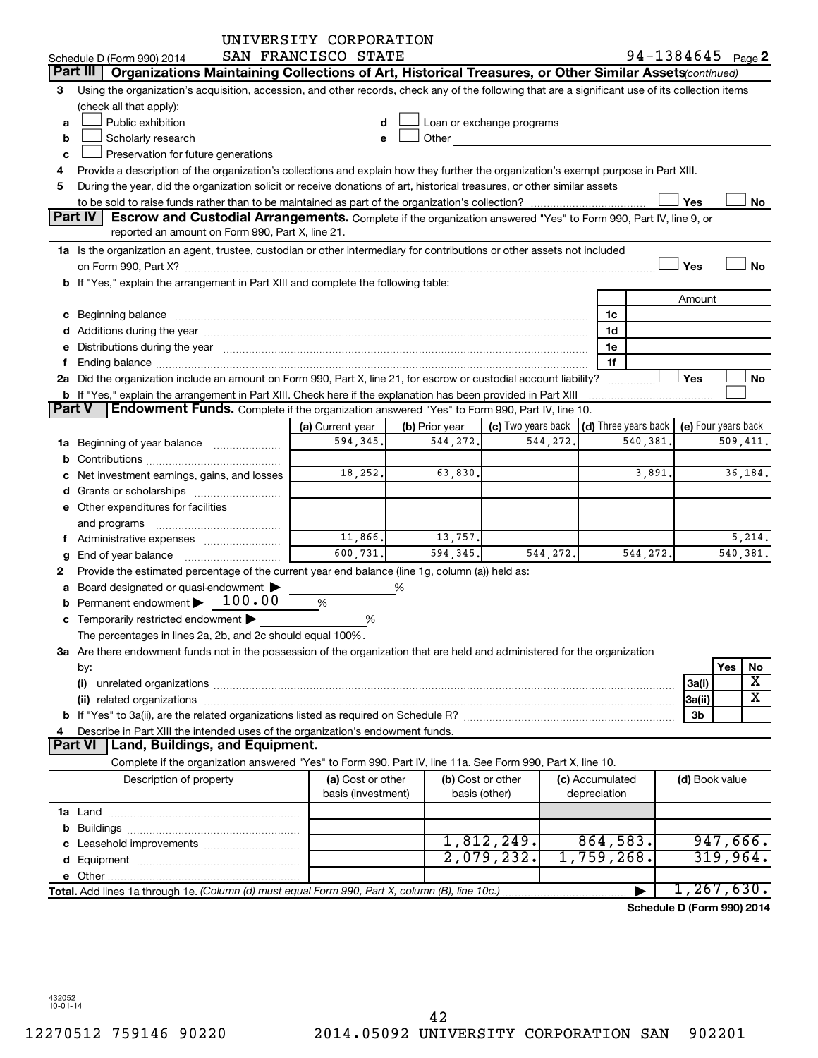|        |                                                                                                                                                                                                                                | UNIVERSITY CORPORATION |                |                                                                                                                                                                                                                               |                      |                            |     |                         |
|--------|--------------------------------------------------------------------------------------------------------------------------------------------------------------------------------------------------------------------------------|------------------------|----------------|-------------------------------------------------------------------------------------------------------------------------------------------------------------------------------------------------------------------------------|----------------------|----------------------------|-----|-------------------------|
|        | Schedule D (Form 990) 2014                                                                                                                                                                                                     | SAN FRANCISCO STATE    |                |                                                                                                                                                                                                                               |                      | $94 - 1384645$ Page 2      |     |                         |
|        | Part III<br>Organizations Maintaining Collections of Art, Historical Treasures, or Other Similar Assets (continued)                                                                                                            |                        |                |                                                                                                                                                                                                                               |                      |                            |     |                         |
| 3      | Using the organization's acquisition, accession, and other records, check any of the following that are a significant use of its collection items                                                                              |                        |                |                                                                                                                                                                                                                               |                      |                            |     |                         |
|        | (check all that apply):                                                                                                                                                                                                        |                        |                |                                                                                                                                                                                                                               |                      |                            |     |                         |
| a      | Public exhibition                                                                                                                                                                                                              | d                      |                | Loan or exchange programs                                                                                                                                                                                                     |                      |                            |     |                         |
| b      | Scholarly research                                                                                                                                                                                                             | e                      |                | Other and the contract of the contract of the contract of the contract of the contract of the contract of the contract of the contract of the contract of the contract of the contract of the contract of the contract of the |                      |                            |     |                         |
| c      | Preservation for future generations                                                                                                                                                                                            |                        |                |                                                                                                                                                                                                                               |                      |                            |     |                         |
| 4      | Provide a description of the organization's collections and explain how they further the organization's exempt purpose in Part XIII.                                                                                           |                        |                |                                                                                                                                                                                                                               |                      |                            |     |                         |
| 5      | During the year, did the organization solicit or receive donations of art, historical treasures, or other similar assets                                                                                                       |                        |                |                                                                                                                                                                                                                               |                      |                            |     |                         |
|        |                                                                                                                                                                                                                                |                        |                |                                                                                                                                                                                                                               |                      | Yes                        |     | No                      |
|        | Part IV<br><b>Escrow and Custodial Arrangements.</b> Complete if the organization answered "Yes" to Form 990, Part IV, line 9, or                                                                                              |                        |                |                                                                                                                                                                                                                               |                      |                            |     |                         |
|        | reported an amount on Form 990, Part X, line 21.                                                                                                                                                                               |                        |                |                                                                                                                                                                                                                               |                      |                            |     |                         |
|        | 1a Is the organization an agent, trustee, custodian or other intermediary for contributions or other assets not included                                                                                                       |                        |                |                                                                                                                                                                                                                               |                      |                            |     |                         |
|        |                                                                                                                                                                                                                                |                        |                |                                                                                                                                                                                                                               |                      | Yes                        |     | <b>No</b>               |
|        | b If "Yes," explain the arrangement in Part XIII and complete the following table:                                                                                                                                             |                        |                |                                                                                                                                                                                                                               |                      |                            |     |                         |
|        |                                                                                                                                                                                                                                |                        |                |                                                                                                                                                                                                                               |                      | Amount                     |     |                         |
|        | c Beginning balance measurements and the contract of the contract of the contract of the contract of the contract of the contract of the contract of the contract of the contract of the contract of the contract of the contr |                        |                |                                                                                                                                                                                                                               | 1c                   |                            |     |                         |
|        |                                                                                                                                                                                                                                |                        |                |                                                                                                                                                                                                                               | 1d                   |                            |     |                         |
|        | e Distributions during the year manufactured and a control of the year manufactured and a Distributions during                                                                                                                 |                        |                |                                                                                                                                                                                                                               | 1e                   |                            |     |                         |
| f.     |                                                                                                                                                                                                                                |                        |                |                                                                                                                                                                                                                               | 1f                   |                            |     |                         |
|        | 2a Did the organization include an amount on Form 990, Part X, line 21, for escrow or custodial account liability?                                                                                                             |                        |                |                                                                                                                                                                                                                               | .                    | Yes                        |     | No                      |
|        | b If "Yes," explain the arrangement in Part XIII. Check here if the explanation has been provided in Part XIII                                                                                                                 |                        |                |                                                                                                                                                                                                                               |                      |                            |     |                         |
| Part V | Endowment Funds. Complete if the organization answered "Yes" to Form 990, Part IV, line 10.                                                                                                                                    |                        |                |                                                                                                                                                                                                                               |                      |                            |     |                         |
|        |                                                                                                                                                                                                                                | (a) Current year       | (b) Prior year | (c) Two years back                                                                                                                                                                                                            | (d) Three years back | (e) Four years back        |     |                         |
|        | 1a Beginning of year balance                                                                                                                                                                                                   | 594,345.               | 544,272.       | 544,272.                                                                                                                                                                                                                      | 540,381.             |                            |     | 509, 411.               |
| b      |                                                                                                                                                                                                                                |                        |                |                                                                                                                                                                                                                               |                      |                            |     |                         |
|        | c Net investment earnings, gains, and losses                                                                                                                                                                                   | 18,252.                | 63,830.        |                                                                                                                                                                                                                               | 3,891.               |                            |     | 36,184.                 |
|        | d Grants or scholarships                                                                                                                                                                                                       |                        |                |                                                                                                                                                                                                                               |                      |                            |     |                         |
|        | e Other expenditures for facilities                                                                                                                                                                                            |                        |                |                                                                                                                                                                                                                               |                      |                            |     |                         |
|        | and programs                                                                                                                                                                                                                   |                        |                |                                                                                                                                                                                                                               |                      |                            |     |                         |
|        | f Administrative expenses                                                                                                                                                                                                      | 11,866.                | 13,757.        |                                                                                                                                                                                                                               |                      |                            |     | 5,214.                  |
|        |                                                                                                                                                                                                                                | 600,731.               | 594, 345.      | 544,272.                                                                                                                                                                                                                      | 544,272.             |                            |     | 540,381.                |
| g<br>2 | Provide the estimated percentage of the current year end balance (line 1g, column (a)) held as:                                                                                                                                |                        |                |                                                                                                                                                                                                                               |                      |                            |     |                         |
|        | a Board designated or quasi-endowment                                                                                                                                                                                          |                        | %              |                                                                                                                                                                                                                               |                      |                            |     |                         |
|        | 100.00<br>Permanent endowment                                                                                                                                                                                                  | %                      |                |                                                                                                                                                                                                                               |                      |                            |     |                         |
| b      | c Temporarily restricted endowment $\blacktriangleright$                                                                                                                                                                       |                        |                |                                                                                                                                                                                                                               |                      |                            |     |                         |
|        |                                                                                                                                                                                                                                | %                      |                |                                                                                                                                                                                                                               |                      |                            |     |                         |
|        | The percentages in lines 2a, 2b, and 2c should equal 100%.                                                                                                                                                                     |                        |                |                                                                                                                                                                                                                               |                      |                            |     |                         |
|        | 3a Are there endowment funds not in the possession of the organization that are held and administered for the organization                                                                                                     |                        |                |                                                                                                                                                                                                                               |                      |                            |     |                         |
|        | by:                                                                                                                                                                                                                            |                        |                |                                                                                                                                                                                                                               |                      |                            | Yes | No<br>х                 |
|        | (i)                                                                                                                                                                                                                            |                        |                |                                                                                                                                                                                                                               |                      | 3a(i)                      |     | $\overline{\textbf{X}}$ |
|        |                                                                                                                                                                                                                                |                        |                |                                                                                                                                                                                                                               |                      | 3a(ii)                     |     |                         |
|        |                                                                                                                                                                                                                                |                        |                |                                                                                                                                                                                                                               |                      | 3b                         |     |                         |
| 4      | Describe in Part XIII the intended uses of the organization's endowment funds.<br><b>Part VI</b><br>Land, Buildings, and Equipment.                                                                                            |                        |                |                                                                                                                                                                                                                               |                      |                            |     |                         |
|        |                                                                                                                                                                                                                                |                        |                |                                                                                                                                                                                                                               |                      |                            |     |                         |
|        | Complete if the organization answered "Yes" to Form 990, Part IV, line 11a. See Form 990, Part X, line 10.                                                                                                                     |                        |                |                                                                                                                                                                                                                               |                      |                            |     |                         |
|        | Description of property                                                                                                                                                                                                        | (a) Cost or other      |                | (b) Cost or other                                                                                                                                                                                                             | (c) Accumulated      | (d) Book value             |     |                         |
|        |                                                                                                                                                                                                                                | basis (investment)     | basis (other)  |                                                                                                                                                                                                                               | depreciation         |                            |     |                         |
|        |                                                                                                                                                                                                                                |                        |                |                                                                                                                                                                                                                               |                      |                            |     |                         |
|        |                                                                                                                                                                                                                                |                        |                |                                                                                                                                                                                                                               |                      |                            |     |                         |
|        |                                                                                                                                                                                                                                |                        |                | 1,812,249.                                                                                                                                                                                                                    | 864,583.             |                            |     | 947,666.                |
| d      |                                                                                                                                                                                                                                |                        |                | 2,079,232.                                                                                                                                                                                                                    | $1,759,268$ .        |                            |     | 319,964.                |
|        |                                                                                                                                                                                                                                |                        |                |                                                                                                                                                                                                                               |                      |                            |     |                         |
|        | Total. Add lines 1a through 1e. (Column (d) must equal Form 990, Part X, column (B), line 10c.)                                                                                                                                |                        |                |                                                                                                                                                                                                                               |                      | 1, 267, 630.               |     |                         |
|        |                                                                                                                                                                                                                                |                        |                |                                                                                                                                                                                                                               |                      | Schedule D (Form 990) 2014 |     |                         |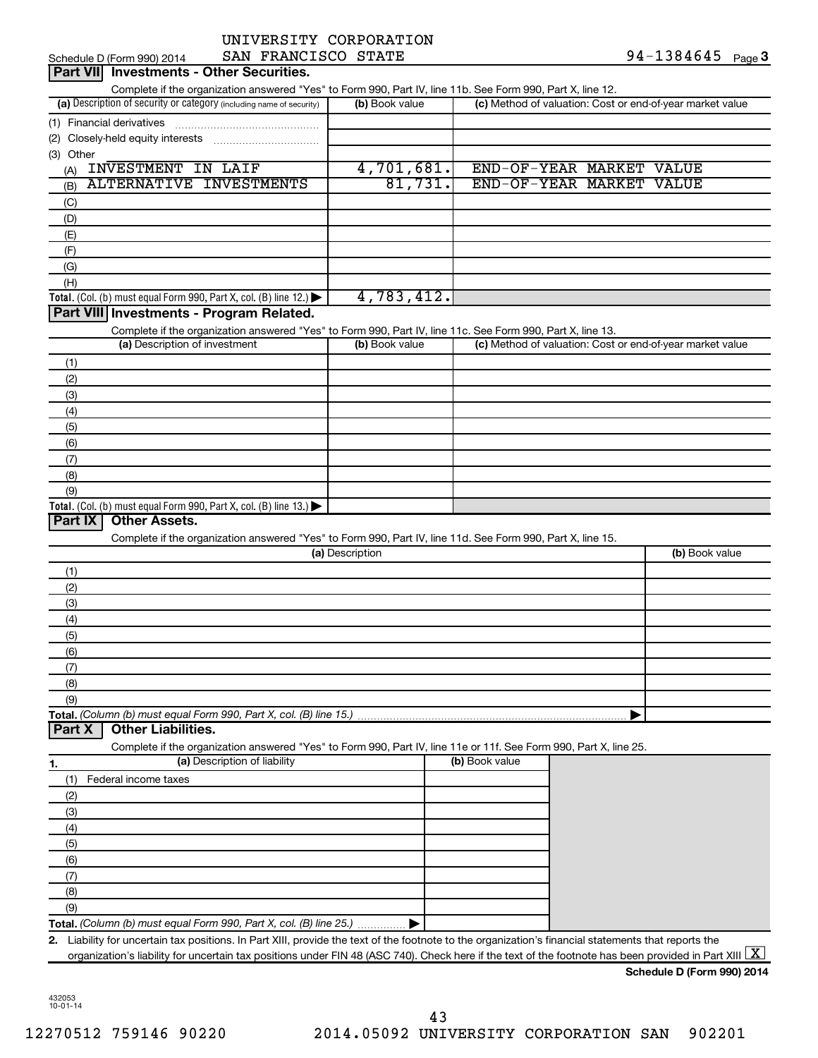|                     | UNIVERSITY CORPORATION |
|---------------------|------------------------|
| CAN DRANGTOOO COAMD |                        |

| SAN FRANCISCO STATE<br>Schedule D (Form 990) 2014                                                                                                        |                 |                |                                                           | $94 - 1384645$ Page 3      |
|----------------------------------------------------------------------------------------------------------------------------------------------------------|-----------------|----------------|-----------------------------------------------------------|----------------------------|
| Part VII Investments - Other Securities.                                                                                                                 |                 |                |                                                           |                            |
| Complete if the organization answered "Yes" to Form 990, Part IV, line 11b. See Form 990, Part X, line 12.                                               |                 |                |                                                           |                            |
| (a) Description of security or category (including name of security)                                                                                     | (b) Book value  |                | (c) Method of valuation: Cost or end-of-year market value |                            |
| (1) Financial derivatives                                                                                                                                |                 |                |                                                           |                            |
|                                                                                                                                                          |                 |                |                                                           |                            |
| (3) Other                                                                                                                                                |                 |                |                                                           |                            |
| INVESTMENT IN LAIF<br>(A)                                                                                                                                | 4,701,681.      |                | END-OF-YEAR MARKET VALUE                                  |                            |
| ALTERNATIVE INVESTMENTS<br>(B)                                                                                                                           | 81,731.         |                | END-OF-YEAR MARKET VALUE                                  |                            |
|                                                                                                                                                          |                 |                |                                                           |                            |
| (C)                                                                                                                                                      |                 |                |                                                           |                            |
| (D)                                                                                                                                                      |                 |                |                                                           |                            |
| (E)                                                                                                                                                      |                 |                |                                                           |                            |
| (F)                                                                                                                                                      |                 |                |                                                           |                            |
| (G)                                                                                                                                                      |                 |                |                                                           |                            |
| (H)                                                                                                                                                      |                 |                |                                                           |                            |
| Total. (Col. (b) must equal Form 990, Part X, col. (B) line 12.) $\blacktriangleright$                                                                   | 4,783,412.      |                |                                                           |                            |
| Part VIII Investments - Program Related.                                                                                                                 |                 |                |                                                           |                            |
| Complete if the organization answered "Yes" to Form 990, Part IV, line 11c. See Form 990, Part X, line 13.                                               |                 |                |                                                           |                            |
| (a) Description of investment                                                                                                                            | (b) Book value  |                | (c) Method of valuation: Cost or end-of-year market value |                            |
| (1)                                                                                                                                                      |                 |                |                                                           |                            |
| (2)                                                                                                                                                      |                 |                |                                                           |                            |
| (3)                                                                                                                                                      |                 |                |                                                           |                            |
| (4)                                                                                                                                                      |                 |                |                                                           |                            |
|                                                                                                                                                          |                 |                |                                                           |                            |
| (5)                                                                                                                                                      |                 |                |                                                           |                            |
| (6)                                                                                                                                                      |                 |                |                                                           |                            |
| (7)                                                                                                                                                      |                 |                |                                                           |                            |
| (8)                                                                                                                                                      |                 |                |                                                           |                            |
| (9)                                                                                                                                                      |                 |                |                                                           |                            |
| Total. (Col. (b) must equal Form 990, Part X, col. (B) line 13.)                                                                                         |                 |                |                                                           |                            |
| Part IX<br><b>Other Assets.</b>                                                                                                                          |                 |                |                                                           |                            |
| Complete if the organization answered "Yes" to Form 990, Part IV, line 11d. See Form 990, Part X, line 15.                                               |                 |                |                                                           |                            |
|                                                                                                                                                          | (a) Description |                |                                                           | (b) Book value             |
| (1)                                                                                                                                                      |                 |                |                                                           |                            |
| (2)                                                                                                                                                      |                 |                |                                                           |                            |
| (3)                                                                                                                                                      |                 |                |                                                           |                            |
| (4)                                                                                                                                                      |                 |                |                                                           |                            |
| (5)                                                                                                                                                      |                 |                |                                                           |                            |
| (6)                                                                                                                                                      |                 |                |                                                           |                            |
| (7)                                                                                                                                                      |                 |                |                                                           |                            |
|                                                                                                                                                          |                 |                |                                                           |                            |
| (8)                                                                                                                                                      |                 |                |                                                           |                            |
| (9)                                                                                                                                                      |                 |                |                                                           |                            |
| Total. (Column (b) must equal Form 990, Part X, col. (B) line 15.)                                                                                       |                 |                |                                                           |                            |
| <b>Other Liabilities.</b><br>Part X                                                                                                                      |                 |                |                                                           |                            |
|                                                                                                                                                          |                 |                |                                                           |                            |
| Complete if the organization answered "Yes" to Form 990, Part IV, line 11e or 11f. See Form 990, Part X, line 25.                                        |                 |                |                                                           |                            |
| (a) Description of liability<br>1.                                                                                                                       |                 | (b) Book value |                                                           |                            |
| (1)<br>Federal income taxes                                                                                                                              |                 |                |                                                           |                            |
|                                                                                                                                                          |                 |                |                                                           |                            |
| (2)                                                                                                                                                      |                 |                |                                                           |                            |
| (3)                                                                                                                                                      |                 |                |                                                           |                            |
| (4)                                                                                                                                                      |                 |                |                                                           |                            |
| (5)                                                                                                                                                      |                 |                |                                                           |                            |
| (6)                                                                                                                                                      |                 |                |                                                           |                            |
| (7)                                                                                                                                                      |                 |                |                                                           |                            |
| (8)                                                                                                                                                      |                 |                |                                                           |                            |
| (9)                                                                                                                                                      |                 |                |                                                           |                            |
| Total. (Column (b) must equal Form 990, Part X, col. (B) line 25.)                                                                                       |                 |                |                                                           |                            |
| 2. Liability for uncertain tax positions. In Part XIII, provide the text of the footnote to the organization's financial statements that reports the     |                 |                |                                                           |                            |
| organization's liability for uncertain tax positions under FIN 48 (ASC 740). Check here if the text of the footnote has been provided in Part XIII $ X $ |                 |                |                                                           | Schedule D (Form 990) 2014 |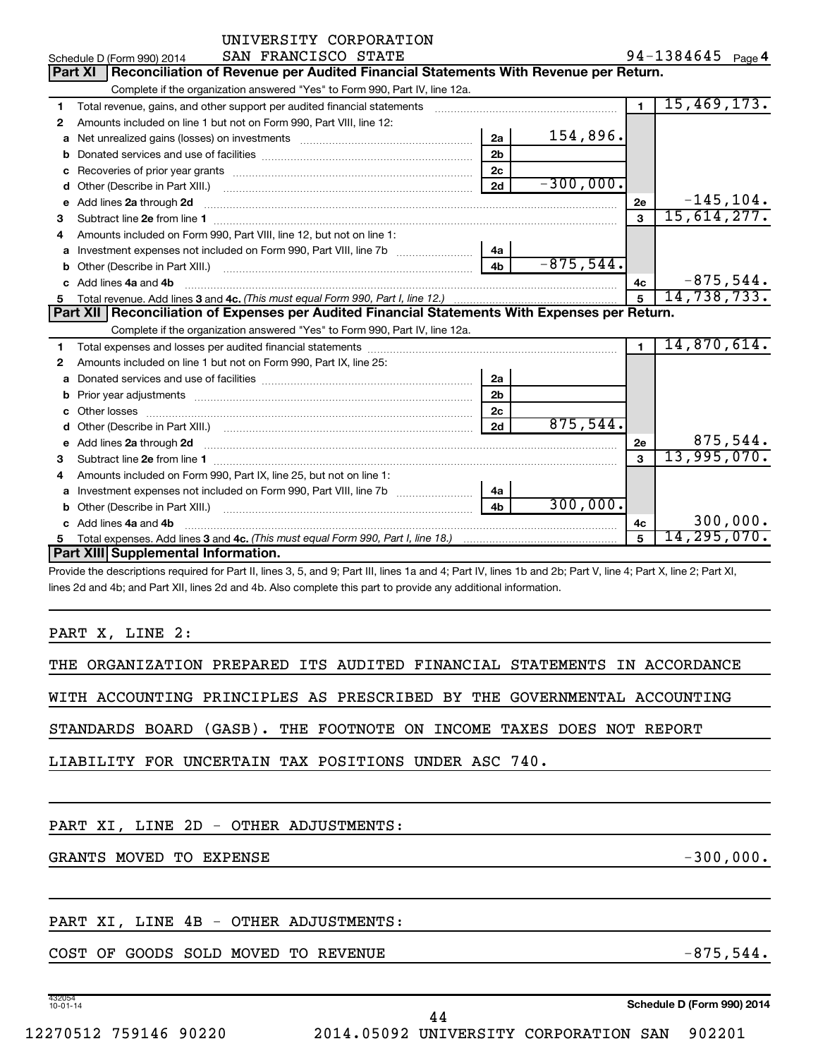|    | UNIVERSITY CORPORATION                                                                                                                                                                                                              |                |             |                |                   |
|----|-------------------------------------------------------------------------------------------------------------------------------------------------------------------------------------------------------------------------------------|----------------|-------------|----------------|-------------------|
|    | SAN FRANCISCO STATE<br>Schedule D (Form 990) 2014                                                                                                                                                                                   |                |             |                | 94-1384645 Page 4 |
|    | Reconciliation of Revenue per Audited Financial Statements With Revenue per Return.<br><b>Part XI</b>                                                                                                                               |                |             |                |                   |
|    | Complete if the organization answered "Yes" to Form 990, Part IV, line 12a.                                                                                                                                                         |                |             |                |                   |
| 1  | Total revenue, gains, and other support per audited financial statements [11] [11] Total revenue, gains, and other support per audited financial statements                                                                         |                |             | $\mathbf{1}$   | 15,469,173.       |
| 2  | Amounts included on line 1 but not on Form 990, Part VIII, line 12:                                                                                                                                                                 |                |             |                |                   |
| a  |                                                                                                                                                                                                                                     | 2a             | 154,896.    |                |                   |
|    |                                                                                                                                                                                                                                     | 2 <sub>b</sub> |             |                |                   |
|    |                                                                                                                                                                                                                                     | 2c             |             |                |                   |
| d  |                                                                                                                                                                                                                                     | 2d             | $-300,000.$ |                |                   |
| e  | Add lines 2a through 2d                                                                                                                                                                                                             |                |             | 2e             | $-145, 104.$      |
| 3  |                                                                                                                                                                                                                                     |                |             | $\mathbf{a}$   | 15,614,277.       |
| 4  | Amounts included on Form 990, Part VIII, line 12, but not on line 1:                                                                                                                                                                |                |             |                |                   |
| a  |                                                                                                                                                                                                                                     | 4a             |             |                |                   |
| b  |                                                                                                                                                                                                                                     | 4 <sub>h</sub> | $-875,544.$ |                |                   |
|    | Add lines 4a and 4b                                                                                                                                                                                                                 |                |             | 4c             | $-875,544.$       |
| 5. |                                                                                                                                                                                                                                     |                |             | 5              | 14, 738, 733.     |
|    | Part XII   Reconciliation of Expenses per Audited Financial Statements With Expenses per Return.                                                                                                                                    |                |             |                |                   |
|    | Complete if the organization answered "Yes" to Form 990, Part IV, line 12a.                                                                                                                                                         |                |             |                |                   |
| 1  |                                                                                                                                                                                                                                     |                |             | $\blacksquare$ | 14,870,614.       |
| 2  | Amounts included on line 1 but not on Form 990, Part IX, line 25:                                                                                                                                                                   |                |             |                |                   |
| a  |                                                                                                                                                                                                                                     | 2a             |             |                |                   |
| b  |                                                                                                                                                                                                                                     | 2 <sub>b</sub> |             |                |                   |
|    |                                                                                                                                                                                                                                     | 2c             |             |                |                   |
|    |                                                                                                                                                                                                                                     | 2d             | 875,544.    |                |                   |
| e  | Add lines 2a through 2d <b>contained a contained a contained a contained a</b> contained a contained a contained a contained a contained a contained a contained a contained a contained a contained a contained a contained a cont |                |             | 2e             | 875,544.          |
| 3  | Subtract line 2e from line 1                                                                                                                                                                                                        |                |             | $\mathbf{3}$   | 13,995,070.       |
| 4  | Amounts included on Form 990, Part IX, line 25, but not on line 1:                                                                                                                                                                  |                |             |                |                   |
| a  |                                                                                                                                                                                                                                     | 4a             |             |                |                   |
| b  |                                                                                                                                                                                                                                     | 4 <sub>b</sub> | 300,000.    |                |                   |
|    | Add lines 4a and 4b                                                                                                                                                                                                                 |                |             | 4 <sub>c</sub> | 300,000.          |
|    |                                                                                                                                                                                                                                     |                |             | 5              | 14,295,070.       |
|    | Part XIII Supplemental Information.                                                                                                                                                                                                 |                |             |                |                   |

Provide the descriptions required for Part II, lines 3, 5, and 9; Part III, lines 1a and 4; Part IV, lines 1b and 2b; Part V, line 4; Part X, line 2; Part XI, lines 2d and 4b; and Part XII, lines 2d and 4b. Also complete this part to provide any additional information.

#### PART X, LINE 2:

|  | THE ORGANIZATION PREPARED ITS AUDITED FINANCIAL STATEMENTS IN ACCORDANCE |  |  |  |  |  |  |  |
|--|--------------------------------------------------------------------------|--|--|--|--|--|--|--|
|--|--------------------------------------------------------------------------|--|--|--|--|--|--|--|

WITH ACCOUNTING PRINCIPLES AS PRESCRIBED BY THE GOVERNMENTAL ACCOUNTING

STANDARDS BOARD (GASB). THE FOOTNOTE ON INCOME TAXES DOES NOT REPORT

LIABILITY FOR UNCERTAIN TAX POSITIONS UNDER ASC 740.

#### PART XI, LINE 2D - OTHER ADJUSTMENTS:

#### GRANTS MOVED TO EXPENSE  $-300,000$ .

#### PART XI, LINE 4B - OTHER ADJUSTMENTS:

#### COST OF GOODS SOLD MOVED TO REVENUE  $-875,544$ .

432054 10-01-14

**Schedule D (Form 990) 2014**

12270512 759146 90220 2014.05092 UNIVERSITY CORPORATION SAN 902201 44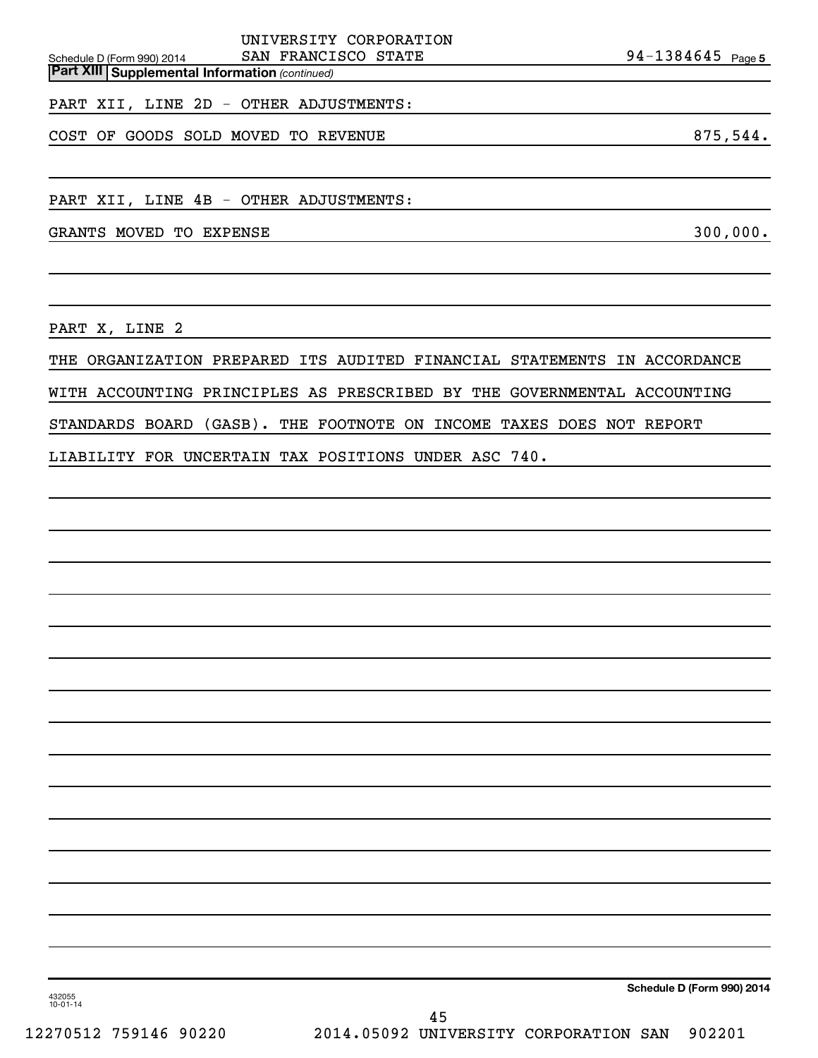*(continued)* **Part XIII Supplemental Information**  Schedule D (Form 990) 2014 Page SAN FRANCISCO STATE 94-1384645

PART XII, LINE 2D - OTHER ADJUSTMENTS:

COST OF GOODS SOLD MOVED TO REVENUE **875,544.** 

PART XII, LINE 4B - OTHER ADJUSTMENTS:

GRANTS MOVED TO EXPENSE **300,000.** The set of the set of the set of the set of the set of the set of the set of the set of the set of the set of the set of the set of the set of the set of the set of the set of the set of

PART X, LINE 2

THE ORGANIZATION PREPARED ITS AUDITED FINANCIAL STATEMENTS IN ACCORDANCE

WITH ACCOUNTING PRINCIPLES AS PRESCRIBED BY THE GOVERNMENTAL ACCOUNTING

STANDARDS BOARD (GASB). THE FOOTNOTE ON INCOME TAXES DOES NOT REPORT

UNIVERSITY CORPORATION

LIABILITY FOR UNCERTAIN TAX POSITIONS UNDER ASC 740.

**Schedule D (Form 990) 2014**

432055 10-01-14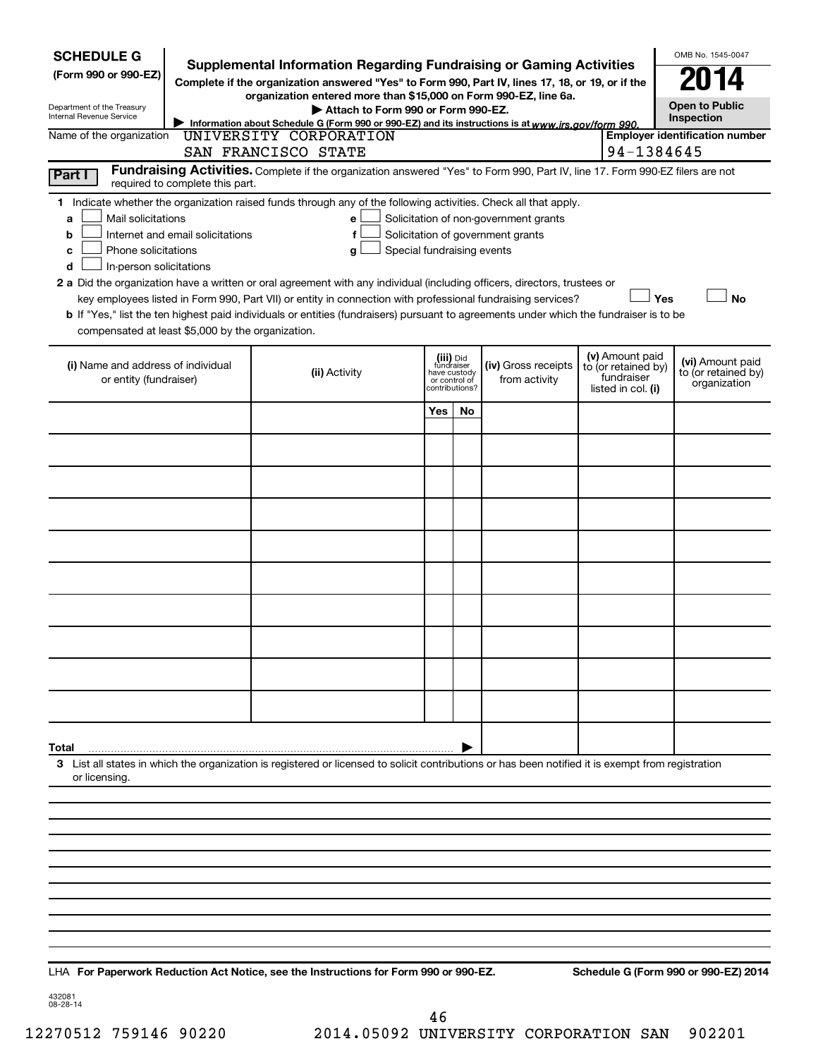| <b>SCHEDULE G</b><br>(Form 990 or 990-EZ)<br>Department of the Treasury<br><b>Internal Revenue Service</b>                                                                                                                                                                                                                                                                                                                                                                                                                                                                  | <b>Supplemental Information Regarding Fundraising or Gaming Activities</b><br>Complete if the organization answered "Yes" to Form 990, Part IV, lines 17, 18, or 19, or if the<br>organization entered more than \$15,000 on Form 990-EZ, line 6a.<br>Attach to Form 990 or Form 990-EZ.<br>Information about Schedule G (Form 990 or 990-EZ) and its instructions is at www.irs.gov/form 990. |     |    |                                                                            |  |                                                                            | OMB No. 1545-0047<br><b>Open to Public</b><br>Inspection |
|-----------------------------------------------------------------------------------------------------------------------------------------------------------------------------------------------------------------------------------------------------------------------------------------------------------------------------------------------------------------------------------------------------------------------------------------------------------------------------------------------------------------------------------------------------------------------------|------------------------------------------------------------------------------------------------------------------------------------------------------------------------------------------------------------------------------------------------------------------------------------------------------------------------------------------------------------------------------------------------|-----|----|----------------------------------------------------------------------------|--|----------------------------------------------------------------------------|----------------------------------------------------------|
| Name of the organization                                                                                                                                                                                                                                                                                                                                                                                                                                                                                                                                                    | UNIVERSITY CORPORATION<br>SAN FRANCISCO STATE                                                                                                                                                                                                                                                                                                                                                  |     |    |                                                                            |  | 94-1384645                                                                 | <b>Employer identification number</b>                    |
| Part I<br>required to complete this part.                                                                                                                                                                                                                                                                                                                                                                                                                                                                                                                                   | Fundraising Activities. Complete if the organization answered "Yes" to Form 990, Part IV, line 17. Form 990-EZ filers are not                                                                                                                                                                                                                                                                  |     |    |                                                                            |  |                                                                            |                                                          |
| 1 Indicate whether the organization raised funds through any of the following activities. Check all that apply.<br>Mail solicitations<br>a<br>Internet and email solicitations<br>b<br>Phone solicitations<br>c<br>In-person solicitations<br>d<br>2 a Did the organization have a written or oral agreement with any individual (including officers, directors, trustees or<br>b If "Yes," list the ten highest paid individuals or entities (fundraisers) pursuant to agreements under which the fundraiser is to be<br>compensated at least \$5,000 by the organization. | е<br>f<br>Special fundraising events<br>g<br>key employees listed in Form 990, Part VII) or entity in connection with professional fundraising services?                                                                                                                                                                                                                                       |     |    | Solicitation of non-government grants<br>Solicitation of government grants |  | Yes                                                                        | <b>No</b>                                                |
| (i) Name and address of individual<br>or entity (fundraiser)                                                                                                                                                                                                                                                                                                                                                                                                                                                                                                                | (iii) Did<br>fundraiser<br>(iv) Gross receipts<br>(ii) Activity<br>have custody<br>from activity<br>or control of<br>contributions?                                                                                                                                                                                                                                                            |     |    |                                                                            |  | (v) Amount paid<br>to (or retained by)<br>fundraiser<br>listed in col. (i) | (vi) Amount paid<br>to (or retained by)<br>organization  |
|                                                                                                                                                                                                                                                                                                                                                                                                                                                                                                                                                                             |                                                                                                                                                                                                                                                                                                                                                                                                | Yes | No |                                                                            |  |                                                                            |                                                          |
|                                                                                                                                                                                                                                                                                                                                                                                                                                                                                                                                                                             |                                                                                                                                                                                                                                                                                                                                                                                                |     |    |                                                                            |  |                                                                            |                                                          |
|                                                                                                                                                                                                                                                                                                                                                                                                                                                                                                                                                                             |                                                                                                                                                                                                                                                                                                                                                                                                |     |    |                                                                            |  |                                                                            |                                                          |
|                                                                                                                                                                                                                                                                                                                                                                                                                                                                                                                                                                             |                                                                                                                                                                                                                                                                                                                                                                                                |     |    |                                                                            |  |                                                                            |                                                          |
|                                                                                                                                                                                                                                                                                                                                                                                                                                                                                                                                                                             |                                                                                                                                                                                                                                                                                                                                                                                                |     |    |                                                                            |  |                                                                            |                                                          |
|                                                                                                                                                                                                                                                                                                                                                                                                                                                                                                                                                                             |                                                                                                                                                                                                                                                                                                                                                                                                |     |    |                                                                            |  |                                                                            |                                                          |
|                                                                                                                                                                                                                                                                                                                                                                                                                                                                                                                                                                             |                                                                                                                                                                                                                                                                                                                                                                                                |     |    |                                                                            |  |                                                                            |                                                          |
|                                                                                                                                                                                                                                                                                                                                                                                                                                                                                                                                                                             |                                                                                                                                                                                                                                                                                                                                                                                                |     |    |                                                                            |  |                                                                            |                                                          |
|                                                                                                                                                                                                                                                                                                                                                                                                                                                                                                                                                                             |                                                                                                                                                                                                                                                                                                                                                                                                |     |    |                                                                            |  |                                                                            |                                                          |
|                                                                                                                                                                                                                                                                                                                                                                                                                                                                                                                                                                             |                                                                                                                                                                                                                                                                                                                                                                                                |     |    |                                                                            |  |                                                                            |                                                          |
|                                                                                                                                                                                                                                                                                                                                                                                                                                                                                                                                                                             |                                                                                                                                                                                                                                                                                                                                                                                                |     |    |                                                                            |  |                                                                            |                                                          |
| Total<br>3 List all states in which the organization is registered or licensed to solicit contributions or has been notified it is exempt from registration                                                                                                                                                                                                                                                                                                                                                                                                                 |                                                                                                                                                                                                                                                                                                                                                                                                |     |    |                                                                            |  |                                                                            |                                                          |
| or licensing.                                                                                                                                                                                                                                                                                                                                                                                                                                                                                                                                                               |                                                                                                                                                                                                                                                                                                                                                                                                |     |    |                                                                            |  |                                                                            |                                                          |
|                                                                                                                                                                                                                                                                                                                                                                                                                                                                                                                                                                             |                                                                                                                                                                                                                                                                                                                                                                                                |     |    |                                                                            |  |                                                                            |                                                          |
|                                                                                                                                                                                                                                                                                                                                                                                                                                                                                                                                                                             |                                                                                                                                                                                                                                                                                                                                                                                                |     |    |                                                                            |  |                                                                            |                                                          |
|                                                                                                                                                                                                                                                                                                                                                                                                                                                                                                                                                                             |                                                                                                                                                                                                                                                                                                                                                                                                |     |    |                                                                            |  |                                                                            |                                                          |
|                                                                                                                                                                                                                                                                                                                                                                                                                                                                                                                                                                             |                                                                                                                                                                                                                                                                                                                                                                                                |     |    |                                                                            |  |                                                                            |                                                          |
|                                                                                                                                                                                                                                                                                                                                                                                                                                                                                                                                                                             |                                                                                                                                                                                                                                                                                                                                                                                                |     |    |                                                                            |  |                                                                            |                                                          |

**For Paperwork Reduction Act Notice, see the Instructions for Form 990 or 990-EZ. Schedule G (Form 990 or 990-EZ) 2014** LHA

432081 08-28-14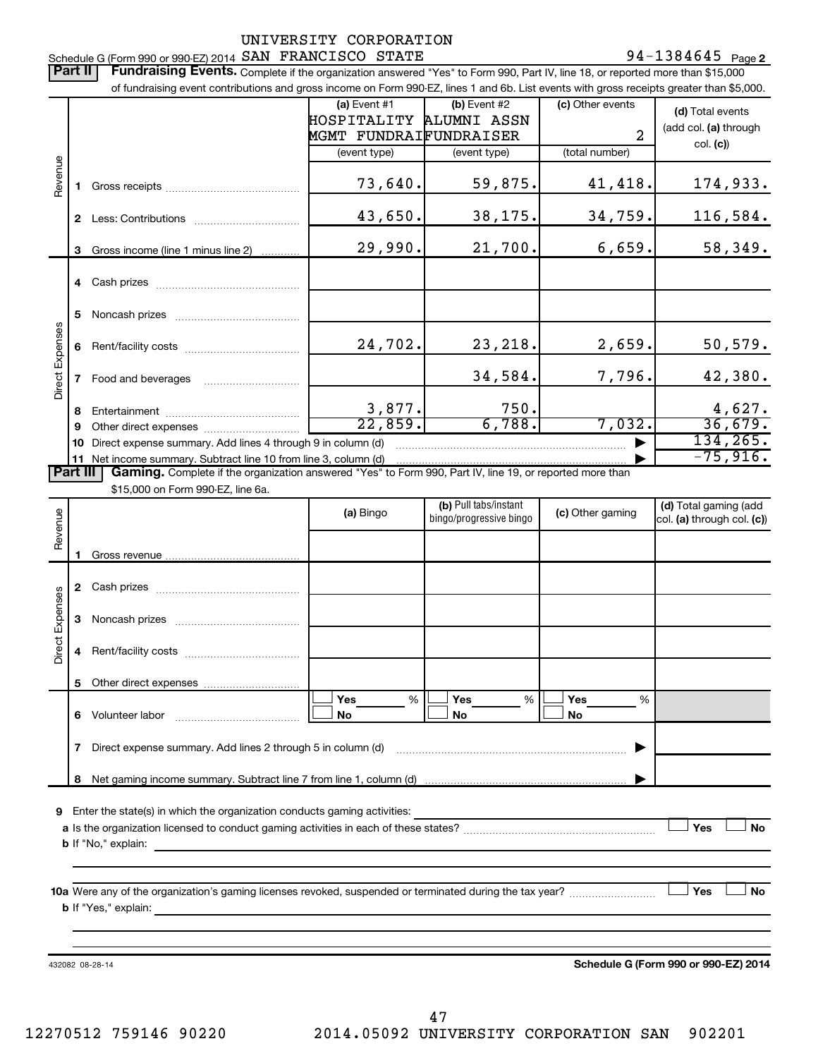UNIVERSITY CORPORATION 94-1384645 <sub>Page 2</sub> Schedule G (Form 990 or 990-EZ) 2014 Page SAN FRANCISCO STATE 94-1384645 Part II | Fundraising Events. Complete if the organization answered "Yes" to Form 990, Part IV, line 18, or reported more than \$15,000 of fundraising event contributions and gross income on Form 990-EZ, lines 1 and 6b. List events with gross receipts greater than \$5,000. (c) Other events **(a)** Event  $#1$  **(b)** Event  $#2$ **(d)**  Total events HOSPITALITY ALUMNI ASSN (add col. (a) through MGMT FUNDRAI FUNDRAISER 2 col. **(c)**) (event type) (event type) (total number) Revenue 73,640. 59,875. 41,418. 174,933. **1** Gross receipts ~~~~~~~~~~~~~~ 43,650. 38,175. 34,759. 116,584. **2** Less: Contributions ~~~~~~~~~~~ 29,990. 21,700. 6,659. 58,349. **3** Gross income (line 1 minus line 2) . . . . . . . . . . . . **4** Cash prizes ~~~~~~~~~~~~~~~ **5** Noncash prizes ~~~~~~~~~~~~~ Direct Expenses Direct Expenses 24,702. 23,218. 2,659. 50,579. **6** Rent/facility costs ~~~~~~~~~~~~

|                 |   | \$15,000 on Form 990-EZ, line 6a. |                       |                                                  |                  |                                                     |
|-----------------|---|-----------------------------------|-----------------------|--------------------------------------------------|------------------|-----------------------------------------------------|
| Revenue         |   |                                   | (a) Bingo             | (b) Pull tabs/instant<br>bingo/progressive bingo | (c) Other gaming | (d) Total gaming (add<br>col. (a) through col. (c)) |
|                 |   |                                   |                       |                                                  |                  |                                                     |
|                 | 2 |                                   |                       |                                                  |                  |                                                     |
| Direct Expenses | 3 |                                   |                       |                                                  |                  |                                                     |
|                 | 4 |                                   |                       |                                                  |                  |                                                     |
|                 | 5 |                                   |                       |                                                  |                  |                                                     |
|                 | 6 |                                   | Yes<br>%<br><b>No</b> | Yes<br>%<br>No                                   | Yes<br>%<br>No   |                                                     |
|                 | 7 |                                   |                       |                                                  |                  |                                                     |
|                 | 8 |                                   |                       |                                                  |                  |                                                     |
| 9               |   |                                   |                       |                                                  |                  |                                                     |
|                 |   |                                   |                       |                                                  |                  | Yes<br><b>No</b>                                    |
|                 |   |                                   |                       |                                                  |                  |                                                     |
|                 |   |                                   |                       |                                                  |                  | Yes<br><b>No</b>                                    |
|                 |   |                                   |                       |                                                  |                  |                                                     |

432082 08-28-14

**Schedule G (Form 990 or 990-EZ) 2014**

~~~~~~~~~~~~~~~~~~~~~~~~~~~~~~~~~~~ ▶ |

 $3,877.$  750.  $4,627.$ 22,859. 6,788. 7,032. 36,679.

34,584. 7,796. 42,380.

134,265.  $-75,916.$ 

**7** Food and beverages

**8** Entertainment ~~~~~~~~~~~~~~ **9** Other direct expenses  $\ldots$  **............................** 

**10** Direct expense summary. Add lines 4 through 9 in column (d) **11** Net income summary. Subtract line 10 from line 3, column (d)

………………………………

Part III | Gaming. Complete if the organization answered "Yes" to Form 990, Part IV, line 19, or reported more than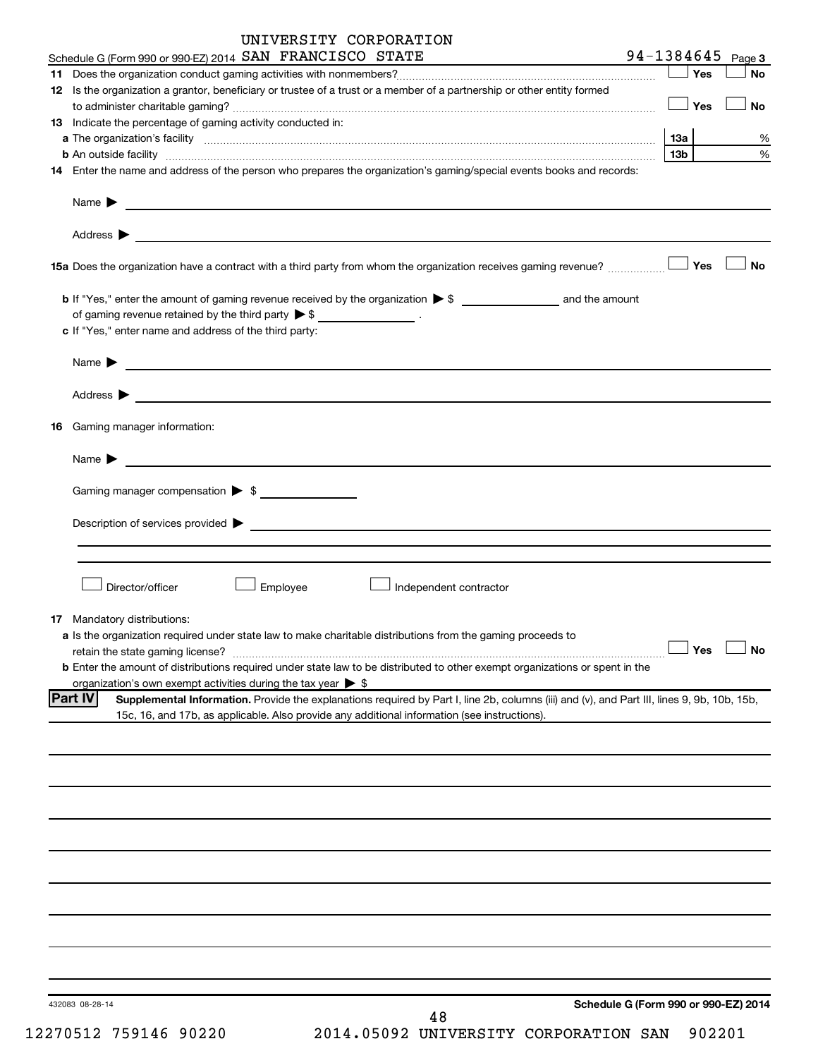|     | Schedule G (Form 990 or 990-EZ) 2014 SAN FRANCISCO STATE                                                                                                                                                                                               | 94-1384645           | Page 3                               |
|-----|--------------------------------------------------------------------------------------------------------------------------------------------------------------------------------------------------------------------------------------------------------|----------------------|--------------------------------------|
| 11. |                                                                                                                                                                                                                                                        | Yes                  | No                                   |
|     | 12 Is the organization a grantor, beneficiary or trustee of a trust or a member of a partnership or other entity formed                                                                                                                                | Yes                  | No                                   |
|     | 13 Indicate the percentage of gaming activity conducted in:                                                                                                                                                                                            |                      |                                      |
|     |                                                                                                                                                                                                                                                        | 13а                  | %                                    |
|     |                                                                                                                                                                                                                                                        | 13 <sub>b</sub>      | %                                    |
|     | 14 Enter the name and address of the person who prepares the organization's gaming/special events books and records:                                                                                                                                   |                      |                                      |
|     | Name $\blacktriangleright$<br><u> 1989 - Johann Barbara, martin a bhaile ann an t-</u>                                                                                                                                                                 |                      |                                      |
|     |                                                                                                                                                                                                                                                        |                      |                                      |
|     |                                                                                                                                                                                                                                                        | Yes                  | No                                   |
|     | of gaming revenue retained by the third party $\triangleright$ \$ __________________.                                                                                                                                                                  |                      |                                      |
|     | c If "Yes," enter name and address of the third party:                                                                                                                                                                                                 |                      |                                      |
|     | Name $\blacktriangleright$                                                                                                                                                                                                                             |                      |                                      |
|     |                                                                                                                                                                                                                                                        |                      |                                      |
| 16  | Gaming manager information:                                                                                                                                                                                                                            |                      |                                      |
|     | Name $\blacktriangleright$ $\lrcorner$                                                                                                                                                                                                                 |                      |                                      |
|     | Gaming manager compensation > \$                                                                                                                                                                                                                       |                      |                                      |
|     | Description of services provided <b>Denote the Constantine Constantine Constantine Constantine Constantine Constantine Constantine Constantine Constantine Constantine Constantine Constantine Constantine Constantine Constanti</b>                   |                      |                                      |
|     |                                                                                                                                                                                                                                                        |                      |                                      |
|     | Director/officer<br>Employee<br>Independent contractor                                                                                                                                                                                                 |                      |                                      |
|     | <b>17</b> Mandatory distributions:                                                                                                                                                                                                                     |                      |                                      |
|     | <b>a</b> Is the organization required under state law to make charitable distributions from the gaming proceeds to                                                                                                                                     |                      |                                      |
|     |                                                                                                                                                                                                                                                        | $\Box$ Yes $\Box$ No |                                      |
|     | <b>b</b> Enter the amount of distributions required under state law to be distributed to other exempt organizations or spent in the<br>organization's own exempt activities during the tax year $\triangleright$ \$                                    |                      |                                      |
|     | Part IV<br>Supplemental Information. Provide the explanations required by Part I, line 2b, columns (iii) and (v), and Part III, lines 9, 9b, 10b, 15b,<br>15c, 16, and 17b, as applicable. Also provide any additional information (see instructions). |                      |                                      |
|     |                                                                                                                                                                                                                                                        |                      |                                      |
|     |                                                                                                                                                                                                                                                        |                      |                                      |
|     |                                                                                                                                                                                                                                                        |                      |                                      |
|     |                                                                                                                                                                                                                                                        |                      |                                      |
|     |                                                                                                                                                                                                                                                        |                      |                                      |
|     |                                                                                                                                                                                                                                                        |                      |                                      |
|     |                                                                                                                                                                                                                                                        |                      |                                      |
|     |                                                                                                                                                                                                                                                        |                      |                                      |
|     |                                                                                                                                                                                                                                                        |                      |                                      |
|     | 432083 08-28-14                                                                                                                                                                                                                                        |                      | Schedule G (Form 990 or 990-EZ) 2014 |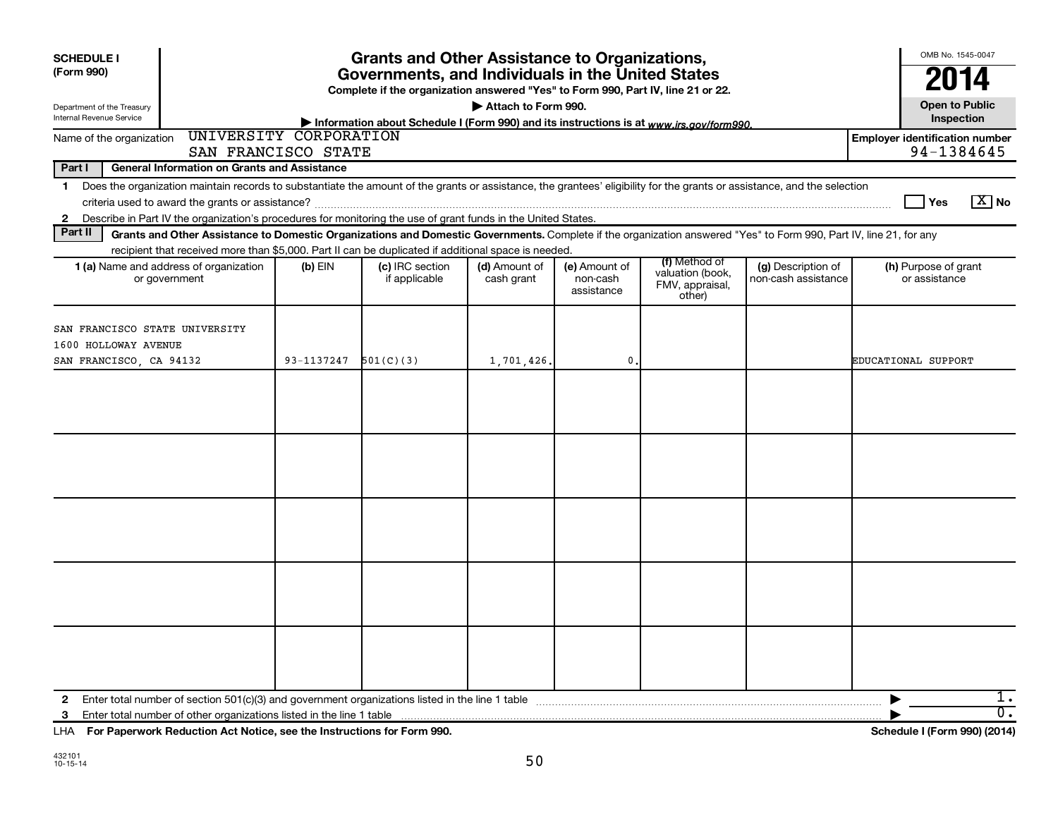| <b>SCHEDULE I</b><br>(Form 990)<br>Department of the Treasury                                                                                                                           | <b>Grants and Other Assistance to Organizations,</b><br>Governments, and Individuals in the United States<br>Complete if the organization answered "Yes" to Form 990, Part IV, line 21 or 22.<br>Attach to Form 990. |                                  |                             |                                         |                                                                |                                           |                                                     |  |  |  |  |
|-----------------------------------------------------------------------------------------------------------------------------------------------------------------------------------------|----------------------------------------------------------------------------------------------------------------------------------------------------------------------------------------------------------------------|----------------------------------|-----------------------------|-----------------------------------------|----------------------------------------------------------------|-------------------------------------------|-----------------------------------------------------|--|--|--|--|
| Internal Revenue Service<br>Inspection<br>Information about Schedule I (Form 990) and its instructions is at www.irs.gov/form990.<br>UNIVERSITY CORPORATION                             |                                                                                                                                                                                                                      |                                  |                             |                                         |                                                                |                                           |                                                     |  |  |  |  |
| Name of the organization                                                                                                                                                                | SAN FRANCISCO STATE                                                                                                                                                                                                  |                                  |                             |                                         |                                                                |                                           | <b>Employer identification number</b><br>94-1384645 |  |  |  |  |
| Part I<br><b>General Information on Grants and Assistance</b>                                                                                                                           |                                                                                                                                                                                                                      |                                  |                             |                                         |                                                                |                                           |                                                     |  |  |  |  |
| Does the organization maintain records to substantiate the amount of the grants or assistance, the grantees' eligibility for the grants or assistance, and the selection<br>$\mathbf 1$ |                                                                                                                                                                                                                      |                                  |                             |                                         |                                                                |                                           |                                                     |  |  |  |  |
|                                                                                                                                                                                         |                                                                                                                                                                                                                      |                                  |                             |                                         |                                                                |                                           | $X$ No<br>Yes                                       |  |  |  |  |
| Describe in Part IV the organization's procedures for monitoring the use of grant funds in the United States.<br>$\mathbf{2}$                                                           |                                                                                                                                                                                                                      |                                  |                             |                                         |                                                                |                                           |                                                     |  |  |  |  |
| Part II<br>Grants and Other Assistance to Domestic Organizations and Domestic Governments. Complete if the organization answered "Yes" to Form 990, Part IV, line 21, for any           |                                                                                                                                                                                                                      |                                  |                             |                                         |                                                                |                                           |                                                     |  |  |  |  |
| recipient that received more than \$5,000. Part II can be duplicated if additional space is needed.<br><b>1 (a)</b> Name and address of organization<br>or government                   | $(b)$ EIN                                                                                                                                                                                                            | (c) IRC section<br>if applicable | (d) Amount of<br>cash grant | (e) Amount of<br>non-cash<br>assistance | (f) Method of<br>valuation (book,<br>FMV, appraisal,<br>other) | (g) Description of<br>non-cash assistance | (h) Purpose of grant<br>or assistance               |  |  |  |  |
| SAN FRANCISCO STATE UNIVERSITY<br>1600 HOLLOWAY AVENUE<br>SAN FRANCISCO, CA 94132                                                                                                       | 93-1137247                                                                                                                                                                                                           | 501(C)(3)                        | 1,701,426.                  | 0.                                      |                                                                |                                           | EDUCATIONAL SUPPORT                                 |  |  |  |  |
|                                                                                                                                                                                         |                                                                                                                                                                                                                      |                                  |                             |                                         |                                                                |                                           |                                                     |  |  |  |  |
| $\mathbf{2}$                                                                                                                                                                            |                                                                                                                                                                                                                      |                                  |                             |                                         |                                                                |                                           | $1$ .<br>0.                                         |  |  |  |  |
| 3<br>LHA For Paperwork Reduction Act Notice, see the Instructions for Form 990.                                                                                                         |                                                                                                                                                                                                                      |                                  |                             |                                         |                                                                |                                           | Schedule I (Form 990) (2014)                        |  |  |  |  |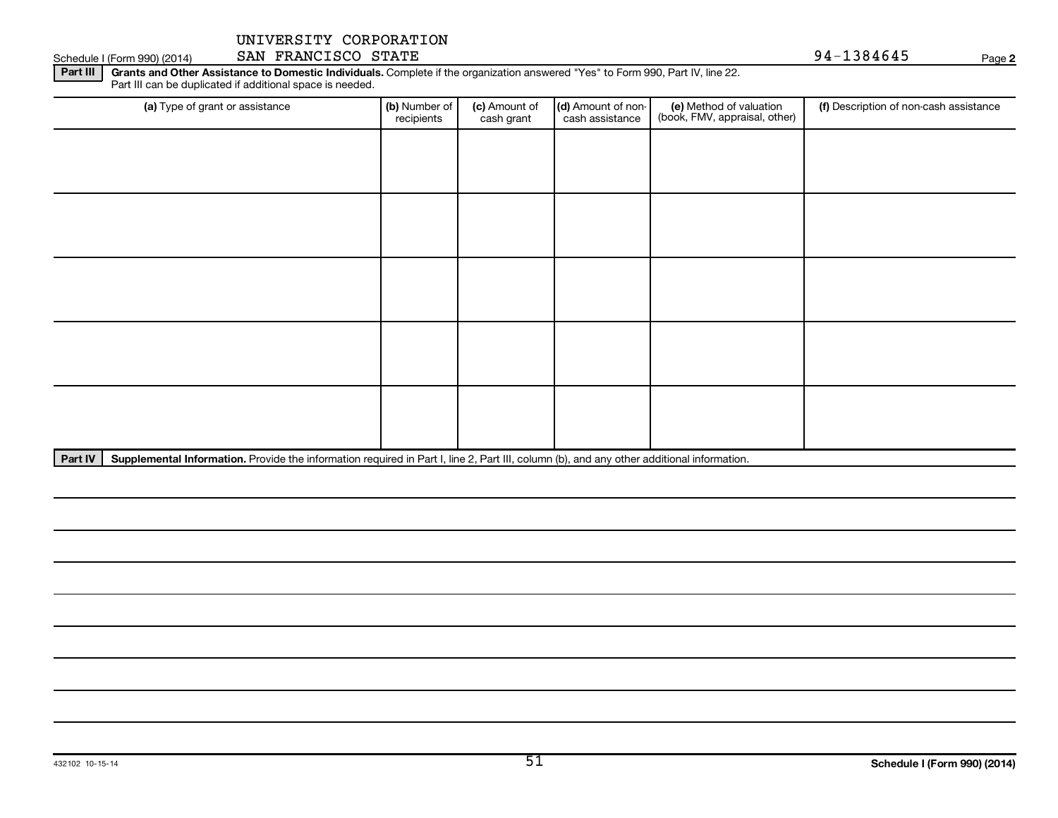Schedule I (Form 990) (2014) SAN FRANCISCO STATE (STATE And The Schedule I (Form 990) (2014) SAN FRANCISCO STATE

**2**

Part III | Grants and Other Assistance to Domestic Individuals. Complete if the organization answered "Yes" to Form 990, Part IV, line 22. Part III can be duplicated if additional space is needed.

| (a) Type of grant or assistance | (b) Number of<br>recipients | (c) Amount of<br>cash grant | (d) Amount of non-<br>cash assistance | (e) Method of valuation<br>(book, FMV, appraisal, other) | (f) Description of non-cash assistance |
|---------------------------------|-----------------------------|-----------------------------|---------------------------------------|----------------------------------------------------------|----------------------------------------|
|                                 |                             |                             |                                       |                                                          |                                        |
|                                 |                             |                             |                                       |                                                          |                                        |
|                                 |                             |                             |                                       |                                                          |                                        |
|                                 |                             |                             |                                       |                                                          |                                        |
|                                 |                             |                             |                                       |                                                          |                                        |
|                                 |                             |                             |                                       |                                                          |                                        |
|                                 |                             |                             |                                       |                                                          |                                        |
|                                 |                             |                             |                                       |                                                          |                                        |
|                                 |                             |                             |                                       |                                                          |                                        |
|                                 |                             |                             |                                       |                                                          |                                        |

Part IV | Supplemental Information. Provide the information required in Part I, line 2, Part III, column (b), and any other additional information.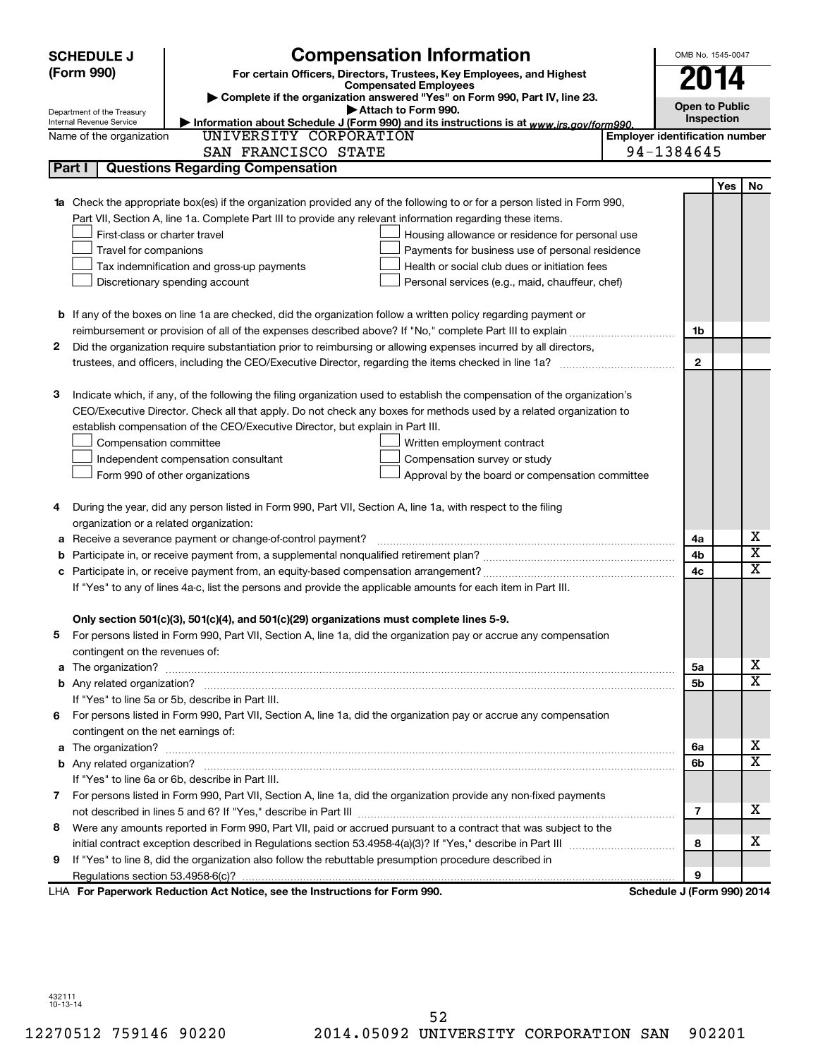| <b>Compensation Information</b><br><b>SCHEDULE J</b><br>(Form 990)<br>For certain Officers, Directors, Trustees, Key Employees, and Highest<br>2014<br><b>Compensated Employees</b><br>Complete if the organization answered "Yes" on Form 990, Part IV, line 23.<br><b>Open to Public</b><br>Attach to Form 990.<br>Department of the Treasury<br>Inspection<br>Information about Schedule J (Form 990) and its instructions is at www.irs.gov/form990.<br>Internal Revenue Service |                              |
|--------------------------------------------------------------------------------------------------------------------------------------------------------------------------------------------------------------------------------------------------------------------------------------------------------------------------------------------------------------------------------------------------------------------------------------------------------------------------------------|------------------------------|
|                                                                                                                                                                                                                                                                                                                                                                                                                                                                                      |                              |
|                                                                                                                                                                                                                                                                                                                                                                                                                                                                                      |                              |
|                                                                                                                                                                                                                                                                                                                                                                                                                                                                                      |                              |
|                                                                                                                                                                                                                                                                                                                                                                                                                                                                                      |                              |
| UNIVERSITY CORPORATION<br><b>Employer identification number</b><br>Name of the organization                                                                                                                                                                                                                                                                                                                                                                                          |                              |
| 94-1384645<br>SAN FRANCISCO STATE                                                                                                                                                                                                                                                                                                                                                                                                                                                    |                              |
| <b>Questions Regarding Compensation</b><br>Part I                                                                                                                                                                                                                                                                                                                                                                                                                                    |                              |
| <b>Yes</b>                                                                                                                                                                                                                                                                                                                                                                                                                                                                           | No                           |
| Check the appropriate box(es) if the organization provided any of the following to or for a person listed in Form 990,                                                                                                                                                                                                                                                                                                                                                               |                              |
| Part VII, Section A, line 1a. Complete Part III to provide any relevant information regarding these items.                                                                                                                                                                                                                                                                                                                                                                           |                              |
| First-class or charter travel<br>Housing allowance or residence for personal use                                                                                                                                                                                                                                                                                                                                                                                                     |                              |
| Travel for companions<br>Payments for business use of personal residence                                                                                                                                                                                                                                                                                                                                                                                                             |                              |
| Tax indemnification and gross-up payments<br>Health or social club dues or initiation fees                                                                                                                                                                                                                                                                                                                                                                                           |                              |
| Discretionary spending account<br>Personal services (e.g., maid, chauffeur, chef)                                                                                                                                                                                                                                                                                                                                                                                                    |                              |
|                                                                                                                                                                                                                                                                                                                                                                                                                                                                                      |                              |
| <b>b</b> If any of the boxes on line 1a are checked, did the organization follow a written policy regarding payment or                                                                                                                                                                                                                                                                                                                                                               |                              |
| reimbursement or provision of all of the expenses described above? If "No," complete Part III to explain<br>1b                                                                                                                                                                                                                                                                                                                                                                       |                              |
| 2<br>Did the organization require substantiation prior to reimbursing or allowing expenses incurred by all directors,                                                                                                                                                                                                                                                                                                                                                                |                              |
| $\mathbf{2}$<br>trustees, and officers, including the CEO/Executive Director, regarding the items checked in line 1a?                                                                                                                                                                                                                                                                                                                                                                |                              |
|                                                                                                                                                                                                                                                                                                                                                                                                                                                                                      |                              |
| З<br>Indicate which, if any, of the following the filing organization used to establish the compensation of the organization's                                                                                                                                                                                                                                                                                                                                                       |                              |
| CEO/Executive Director. Check all that apply. Do not check any boxes for methods used by a related organization to                                                                                                                                                                                                                                                                                                                                                                   |                              |
| establish compensation of the CEO/Executive Director, but explain in Part III.                                                                                                                                                                                                                                                                                                                                                                                                       |                              |
| Compensation committee<br>Written employment contract                                                                                                                                                                                                                                                                                                                                                                                                                                |                              |
| Compensation survey or study<br>Independent compensation consultant                                                                                                                                                                                                                                                                                                                                                                                                                  |                              |
| Form 990 of other organizations<br>Approval by the board or compensation committee                                                                                                                                                                                                                                                                                                                                                                                                   |                              |
|                                                                                                                                                                                                                                                                                                                                                                                                                                                                                      |                              |
| During the year, did any person listed in Form 990, Part VII, Section A, line 1a, with respect to the filing<br>4                                                                                                                                                                                                                                                                                                                                                                    |                              |
| organization or a related organization:                                                                                                                                                                                                                                                                                                                                                                                                                                              |                              |
| Receive a severance payment or change-of-control payment?<br>4a<br>а                                                                                                                                                                                                                                                                                                                                                                                                                 | х                            |
| 4b<br>b                                                                                                                                                                                                                                                                                                                                                                                                                                                                              | $\overline{\textbf{x}}$      |
| 4c<br>с                                                                                                                                                                                                                                                                                                                                                                                                                                                                              | $\overline{\textnormal{x}}$  |
| If "Yes" to any of lines 4a-c, list the persons and provide the applicable amounts for each item in Part III.                                                                                                                                                                                                                                                                                                                                                                        |                              |
|                                                                                                                                                                                                                                                                                                                                                                                                                                                                                      |                              |
| Only section 501(c)(3), 501(c)(4), and 501(c)(29) organizations must complete lines 5-9.                                                                                                                                                                                                                                                                                                                                                                                             |                              |
| For persons listed in Form 990, Part VII, Section A, line 1a, did the organization pay or accrue any compensation                                                                                                                                                                                                                                                                                                                                                                    |                              |
| contingent on the revenues of:                                                                                                                                                                                                                                                                                                                                                                                                                                                       |                              |
| 5a<br>a                                                                                                                                                                                                                                                                                                                                                                                                                                                                              | х<br>$\overline{\mathbf{X}}$ |
| 5b                                                                                                                                                                                                                                                                                                                                                                                                                                                                                   |                              |
| If "Yes" to line 5a or 5b, describe in Part III.                                                                                                                                                                                                                                                                                                                                                                                                                                     |                              |
| For persons listed in Form 990, Part VII, Section A, line 1a, did the organization pay or accrue any compensation<br>6.                                                                                                                                                                                                                                                                                                                                                              |                              |
| contingent on the net earnings of:                                                                                                                                                                                                                                                                                                                                                                                                                                                   | х                            |
| 6a<br>a                                                                                                                                                                                                                                                                                                                                                                                                                                                                              | $\overline{\mathbf{X}}$      |
| 6b                                                                                                                                                                                                                                                                                                                                                                                                                                                                                   |                              |
| If "Yes" to line 6a or 6b, describe in Part III.                                                                                                                                                                                                                                                                                                                                                                                                                                     |                              |
| 7 For persons listed in Form 990, Part VII, Section A, line 1a, did the organization provide any non-fixed payments                                                                                                                                                                                                                                                                                                                                                                  | x                            |
| 7                                                                                                                                                                                                                                                                                                                                                                                                                                                                                    |                              |
| Were any amounts reported in Form 990, Part VII, paid or accrued pursuant to a contract that was subject to the<br>8                                                                                                                                                                                                                                                                                                                                                                 | х                            |
| 8                                                                                                                                                                                                                                                                                                                                                                                                                                                                                    |                              |
| If "Yes" to line 8, did the organization also follow the rebuttable presumption procedure described in<br>9<br>9                                                                                                                                                                                                                                                                                                                                                                     |                              |
| LHA For Paperwork Reduction Act Notice, see the Instructions for Form 990.<br>Schedule J (Form 990) 2014                                                                                                                                                                                                                                                                                                                                                                             |                              |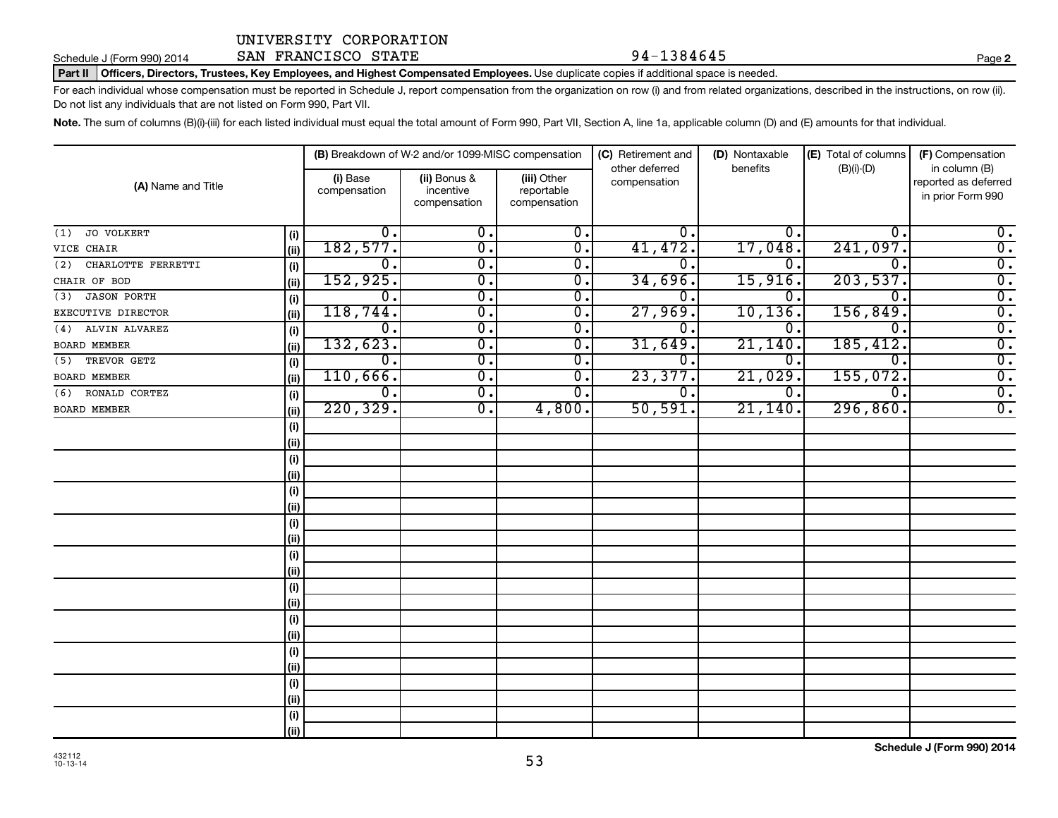Schedule J (Form 990) 2014 SAN FRANCISCO STATE 94-1384645 994-1384645

Part II | Officers, Directors, Trustees, Key Employees, and Highest Compensated Employees. Use duplicate copies if additional space is needed.

For each individual whose compensation must be reported in Schedule J, report compensation from the organization on row (i) and from related organizations, described in the instructions, on row (ii). Do not list any individuals that are not listed on Form 990, Part VII.

Note. The sum of columns (B)(i)-(iii) for each listed individual must equal the total amount of Form 990, Part VII, Section A, line 1a, applicable column (D) and (E) amounts for that individual.

| (A) Name and Title        |       |                          | (B) Breakdown of W-2 and/or 1099-MISC compensation |                                           | (C) Retirement and             | (D) Nontaxable   | (E) Total of columns | (F) Compensation                                           |
|---------------------------|-------|--------------------------|----------------------------------------------------|-------------------------------------------|--------------------------------|------------------|----------------------|------------------------------------------------------------|
|                           |       | (i) Base<br>compensation | (ii) Bonus &<br>incentive<br>compensation          | (iii) Other<br>reportable<br>compensation | other deferred<br>compensation | benefits         | $(B)(i)-(D)$         | in column (B)<br>reported as deferred<br>in prior Form 990 |
| JO VOLKERT<br>(1)         | (i)   | 0.                       | 0.                                                 | $\overline{0}$ .                          | 0.                             | 0.               | $\mathbf{0}$         | $0$ .                                                      |
| VICE CHAIR                | (ii)  | 182,577.                 | $\overline{0}$ .                                   | $\overline{0}$ .                          | 41,472.                        | 17,048.          | 241,097.             | $\overline{0}$ .                                           |
| CHARLOTTE FERRETTI<br>(2) | (i)   | 0.                       | $\overline{0}$ .                                   | Ο.                                        | 0                              | 0.               | 0                    | $\overline{0}$ .                                           |
| CHAIR OF BOD              | (i)   | 152,925.                 | $\overline{0}$ .                                   | $\overline{0}$ .                          | 34,696                         | 15,916.          | 203,537.             | $\overline{0}$ .                                           |
| <b>JASON PORTH</b><br>(3) | (i)   | 0.                       | $\overline{0}$ .                                   | Ο.                                        | 0                              | 0.               | $\mathbf{0}$         | $\overline{0}$ .                                           |
| EXECUTIVE DIRECTOR        | (i)   | 118, 744.                | $\overline{0}$ .                                   | $\overline{0}$ .                          | 27,969                         | 10, 136.         | 156,849.             | $\overline{0}$ .                                           |
| ALVIN ALVAREZ<br>(4)      | (i)   | $\overline{0}$ .         | $\overline{0}$ .                                   | 0.                                        | 0                              | О.               | $\mathbf{0}$         | $\overline{0}$ .                                           |
| <b>BOARD MEMBER</b>       | (i)   | 132,623.                 | 0.                                                 | 0.                                        | 31,649                         | 21,140.          | 185, 412.            | $\overline{0}$ .                                           |
| TREVOR GETZ<br>(5)        | (i)   | $\overline{0}$ .         | $\overline{0}$ .                                   | $\overline{0}$ .                          | 0                              | $\overline{0}$ . | $\overline{0}$ .     | $\overline{0}$ .                                           |
| <b>BOARD MEMBER</b>       | (i)   | 110,666.                 | σ.                                                 | $\overline{0}$ .                          | 23,377.                        | 21,029.          | 155,072.             | $\overline{0}$ .                                           |
| RONALD CORTEZ<br>(6)      | (i)   | $\overline{0}$ .         | σ.                                                 | 0.                                        | $\Omega$ .                     | 0.               | $\overline{0}$ .     | $\overline{0}$ .                                           |
| <b>BOARD MEMBER</b>       | (ii)  | 220, 329.                | $\overline{0}$ .                                   | 4,800.                                    | 50, 591.                       | 21,140.          | 296,860.             | $\overline{0}$ .                                           |
|                           | (i)   |                          |                                                    |                                           |                                |                  |                      |                                                            |
|                           | (i)   |                          |                                                    |                                           |                                |                  |                      |                                                            |
|                           | (i)   |                          |                                                    |                                           |                                |                  |                      |                                                            |
|                           | (i)   |                          |                                                    |                                           |                                |                  |                      |                                                            |
|                           | (i)   |                          |                                                    |                                           |                                |                  |                      |                                                            |
|                           | (i)   |                          |                                                    |                                           |                                |                  |                      |                                                            |
|                           | (i)   |                          |                                                    |                                           |                                |                  |                      |                                                            |
|                           | (i)   |                          |                                                    |                                           |                                |                  |                      |                                                            |
|                           | (i)   |                          |                                                    |                                           |                                |                  |                      |                                                            |
|                           | (i)   |                          |                                                    |                                           |                                |                  |                      |                                                            |
|                           | (i)   |                          |                                                    |                                           |                                |                  |                      |                                                            |
|                           | (ii)  |                          |                                                    |                                           |                                |                  |                      |                                                            |
|                           | (i)   |                          |                                                    |                                           |                                |                  |                      |                                                            |
|                           | (ii)  |                          |                                                    |                                           |                                |                  |                      |                                                            |
|                           | (i)   |                          |                                                    |                                           |                                |                  |                      |                                                            |
|                           | (ii)  |                          |                                                    |                                           |                                |                  |                      |                                                            |
|                           | (i)   |                          |                                                    |                                           |                                |                  |                      |                                                            |
|                           | (ii)  |                          |                                                    |                                           |                                |                  |                      |                                                            |
|                           | (i)   |                          |                                                    |                                           |                                |                  |                      |                                                            |
|                           | (iii) |                          |                                                    |                                           |                                |                  |                      |                                                            |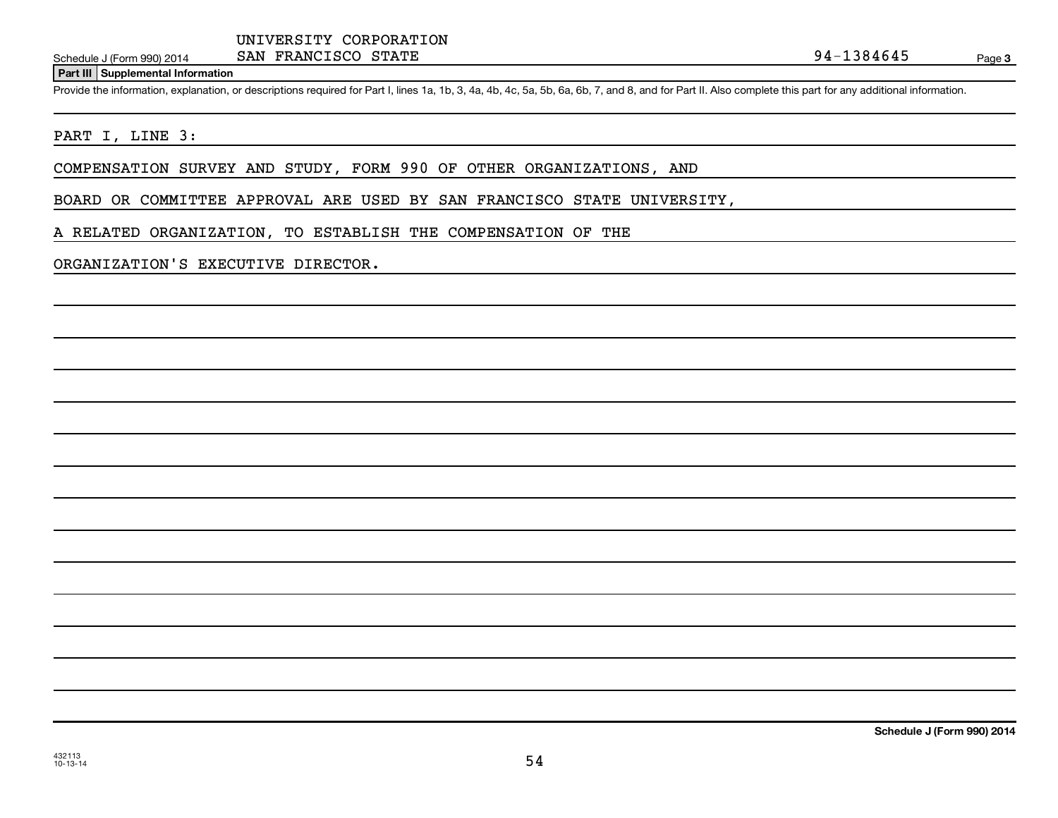#### **Part III Supplemental Information**

Provide the information, explanation, or descriptions required for Part I, lines 1a, 1b, 3, 4a, 4b, 4c, 5a, 5b, 6a, 6b, 7, and 8, and for Part II. Also complete this part for any additional information.

#### PART I, LINE 3:

COMPENSATION SURVEY AND STUDY, FORM 990 OF OTHER ORGANIZATIONS, AND

BOARD OR COMMITTEE APPROVAL ARE USED BY SAN FRANCISCO STATE UNIVERSITY,

A RELATED ORGANIZATION, TO ESTABLISH THE COMPENSATION OF THE

#### ORGANIZATION'S EXECUTIVE DIRECTOR.

**Schedule J (Form 990) 2014**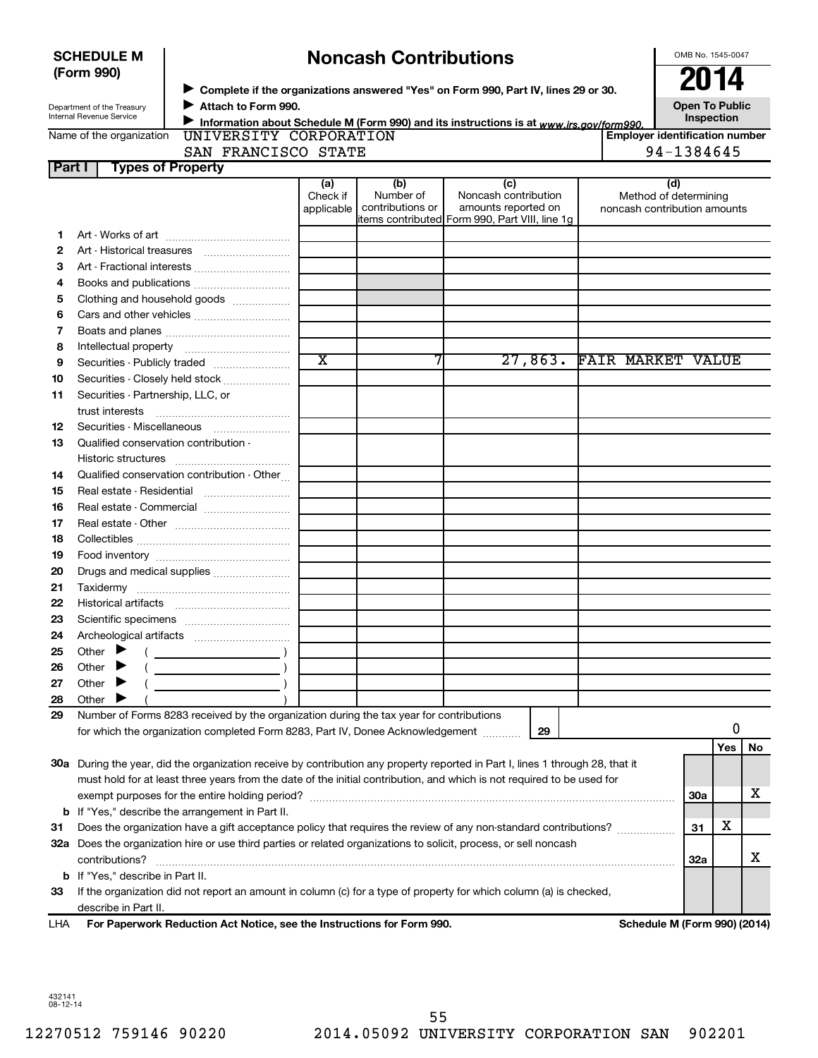| <b>SCHEDULE M</b> |  |
|-------------------|--|
| (Form 990)        |  |

### **Noncash Contributions**

OMB No. 1545-0047

| Department of the Treasury |
|----------------------------|
| Internal Revenue Service   |

◆ Complete if the organizations answered "Yes" on Form 990, Part IV, lines 29 or 30.<br>▶ Complete if the organizations answered "Yes" on Form 990, Part IV, lines 29 or 30. **Attach to Form 990.**  $\blacktriangleright$ 

**Open To Public**

|        | Department of the Treasury<br>► Attach to Form 990.<br>Internal Revenue Service<br>Information about Schedule M (Form 990) and its instructions is at www.irs.gov/form990. |                               |                                      |                                                                                                       |    |                              | Open To Public                        | Inspection |    |
|--------|----------------------------------------------------------------------------------------------------------------------------------------------------------------------------|-------------------------------|--------------------------------------|-------------------------------------------------------------------------------------------------------|----|------------------------------|---------------------------------------|------------|----|
|        | UNIVERSITY CORPORATION<br>Name of the organization                                                                                                                         |                               |                                      |                                                                                                       |    |                              | <b>Employer identification number</b> |            |    |
|        | SAN FRANCISCO STATE                                                                                                                                                        |                               |                                      |                                                                                                       |    |                              | 94-1384645                            |            |    |
| Part I | <b>Types of Property</b>                                                                                                                                                   |                               |                                      |                                                                                                       |    |                              |                                       |            |    |
|        |                                                                                                                                                                            | (a)<br>Check if<br>applicable | (b)<br>Number of<br>contributions or | (c)<br>Noncash contribution<br>amounts reported on<br>litems contributed Form 990, Part VIII, line 1g |    | noncash contribution amounts | (d)<br>Method of determining          |            |    |
| 1.     |                                                                                                                                                                            |                               |                                      |                                                                                                       |    |                              |                                       |            |    |
| 2      |                                                                                                                                                                            |                               |                                      |                                                                                                       |    |                              |                                       |            |    |
| 3      |                                                                                                                                                                            |                               |                                      |                                                                                                       |    |                              |                                       |            |    |
| 4      |                                                                                                                                                                            |                               |                                      |                                                                                                       |    |                              |                                       |            |    |
| 5      | Clothing and household goods                                                                                                                                               |                               |                                      |                                                                                                       |    |                              |                                       |            |    |
| 6      |                                                                                                                                                                            |                               |                                      |                                                                                                       |    |                              |                                       |            |    |
| 7      |                                                                                                                                                                            |                               |                                      |                                                                                                       |    |                              |                                       |            |    |
| 8      |                                                                                                                                                                            | $\overline{\textnormal{x}}$   |                                      |                                                                                                       |    |                              |                                       |            |    |
| 9      |                                                                                                                                                                            |                               |                                      | 27,863.                                                                                               |    | <b>FAIR MARKET VALUE</b>     |                                       |            |    |
| 10     | Securities - Closely held stock                                                                                                                                            |                               |                                      |                                                                                                       |    |                              |                                       |            |    |
| 11     | Securities - Partnership, LLC, or<br>trust interests                                                                                                                       |                               |                                      |                                                                                                       |    |                              |                                       |            |    |
| 12     | Securities - Miscellaneous                                                                                                                                                 |                               |                                      |                                                                                                       |    |                              |                                       |            |    |
| 13     | Qualified conservation contribution -                                                                                                                                      |                               |                                      |                                                                                                       |    |                              |                                       |            |    |
| 14     | Qualified conservation contribution - Other                                                                                                                                |                               |                                      |                                                                                                       |    |                              |                                       |            |    |
| 15     | Real estate - Residential                                                                                                                                                  |                               |                                      |                                                                                                       |    |                              |                                       |            |    |
| 16     | Real estate - Commercial                                                                                                                                                   |                               |                                      |                                                                                                       |    |                              |                                       |            |    |
| 17     |                                                                                                                                                                            |                               |                                      |                                                                                                       |    |                              |                                       |            |    |
| 18     |                                                                                                                                                                            |                               |                                      |                                                                                                       |    |                              |                                       |            |    |
| 19     |                                                                                                                                                                            |                               |                                      |                                                                                                       |    |                              |                                       |            |    |
| 20     | Drugs and medical supplies                                                                                                                                                 |                               |                                      |                                                                                                       |    |                              |                                       |            |    |
| 21     |                                                                                                                                                                            |                               |                                      |                                                                                                       |    |                              |                                       |            |    |
| 22     |                                                                                                                                                                            |                               |                                      |                                                                                                       |    |                              |                                       |            |    |
| 23     |                                                                                                                                                                            |                               |                                      |                                                                                                       |    |                              |                                       |            |    |
| 24     |                                                                                                                                                                            |                               |                                      |                                                                                                       |    |                              |                                       |            |    |
| 25     | Other $\blacktriangleright$<br>$\left(\begin{array}{ccc}\n\end{array}\right)$                                                                                              |                               |                                      |                                                                                                       |    |                              |                                       |            |    |
| 26     | Other $\blacktriangleright$                                                                                                                                                |                               |                                      |                                                                                                       |    |                              |                                       |            |    |
| 27     | Other $\blacktriangleright$                                                                                                                                                |                               |                                      |                                                                                                       |    |                              |                                       |            |    |
| 28     | Other $\blacktriangleright$                                                                                                                                                |                               |                                      |                                                                                                       |    |                              |                                       |            |    |
| 29     | Number of Forms 8283 received by the organization during the tax year for contributions                                                                                    |                               |                                      |                                                                                                       |    |                              |                                       |            |    |
|        | for which the organization completed Form 8283, Part IV, Donee Acknowledgement.                                                                                            |                               |                                      |                                                                                                       | 29 |                              |                                       | 0          |    |
|        | 30a During the year, did the organization receive by contribution any property reported in Part I, lines 1 through 28, that it                                             |                               |                                      |                                                                                                       |    |                              |                                       | <b>Yes</b> | No |
|        | must hold for at least three years from the date of the initial contribution, and which is not required to be used for                                                     |                               |                                      |                                                                                                       |    |                              |                                       |            |    |
|        |                                                                                                                                                                            |                               |                                      |                                                                                                       |    |                              | 30a                                   |            | x  |
|        | <b>b</b> If "Yes," describe the arrangement in Part II.                                                                                                                    |                               |                                      |                                                                                                       |    |                              |                                       |            |    |
| 31     |                                                                                                                                                                            |                               |                                      |                                                                                                       |    |                              | 31                                    | х          |    |
|        | 32a Does the organization hire or use third parties or related organizations to solicit, process, or sell noncash<br>contributions?                                        |                               |                                      |                                                                                                       |    |                              | 32a                                   |            | x  |
|        | <b>b</b> If "Yes," describe in Part II.                                                                                                                                    |                               |                                      |                                                                                                       |    |                              |                                       |            |    |

describe in Part II.

**33** If the organization did not report an amount in column (c) for a type of property for which column (a) is checked,

**For Paperwork Reduction Act Notice, see the Instructions for Form 990. Schedule M (Form 990) (2014)** LHA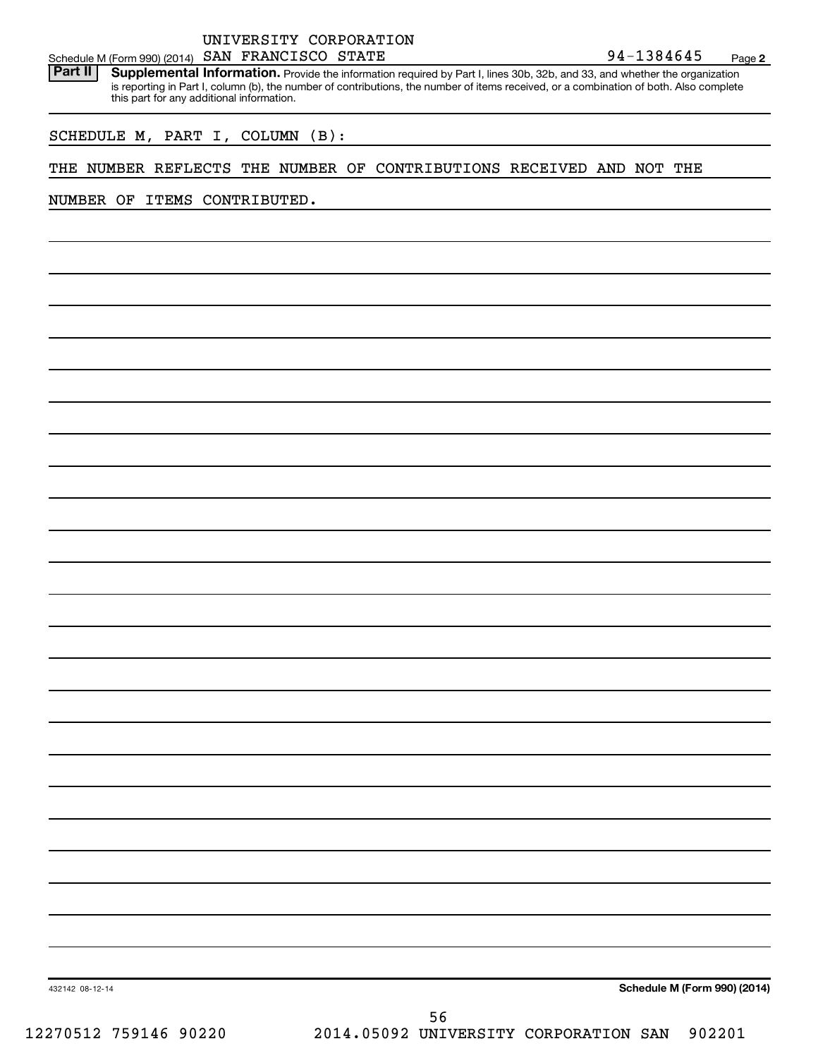**2** Schedule M (Form 990) (2014)  $SAN$  FRANCISCO STATE  $94-1384645$  Page

Part II | Supplemental Information. Provide the information required by Part I, lines 30b, 32b, and 33, and whether the organization is reporting in Part I, column (b), the number of contributions, the number of items received, or a combination of both. Also complete this part for any additional information.

SCHEDULE M, PART I, COLUMN (B):

#### THE NUMBER REFLECTS THE NUMBER OF CONTRIBUTIONS RECEIVED AND NOT THE

NUMBER OF ITEMS CONTRIBUTED.

**Schedule M (Form 990) (2014)**

432142 08-12-14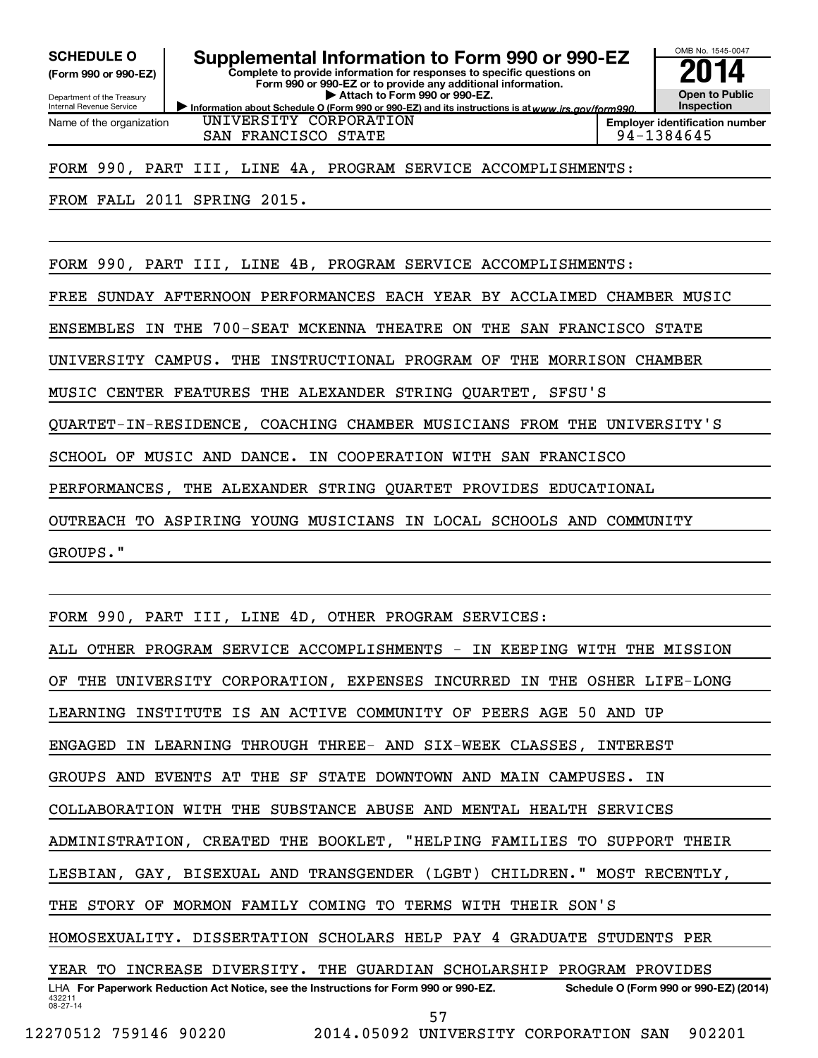**(Form 990 or 990-EZ)**

Department of the Treasury Internal Revenue Service Name of the organization

SCHEDULE O **Supplemental Information to Form 990 or 990-EZ 2014** 

Information about Schedule O (Form 990 or 990-EZ) and its instructions is at www.irs.gov/form990. **Complete to provide information for responses to specific questions on Form 990 or 990-EZ or to provide any additional information. | Attach to Form 990 or 990-EZ.**



**Employer identification number** SAN FRANCISCO STATE 94-1384645

FORM 990, PART III, LINE 4A, PROGRAM SERVICE ACCOMPLISHMENTS:

UNIVERSITY CORPORATION

FROM FALL 2011 SPRING 2015.

FORM 990, PART III, LINE 4B, PROGRAM SERVICE ACCOMPLISHMENTS:

FREE SUNDAY AFTERNOON PERFORMANCES EACH YEAR BY ACCLAIMED CHAMBER MUSIC

ENSEMBLES IN THE 700-SEAT MCKENNA THEATRE ON THE SAN FRANCISCO STATE

UNIVERSITY CAMPUS. THE INSTRUCTIONAL PROGRAM OF THE MORRISON CHAMBER

MUSIC CENTER FEATURES THE ALEXANDER STRING QUARTET, SFSU'S

QUARTET-IN-RESIDENCE, COACHING CHAMBER MUSICIANS FROM THE UNIVERSITY'S

SCHOOL OF MUSIC AND DANCE. IN COOPERATION WITH SAN FRANCISCO

PERFORMANCES, THE ALEXANDER STRING QUARTET PROVIDES EDUCATIONAL

OUTREACH TO ASPIRING YOUNG MUSICIANS IN LOCAL SCHOOLS AND COMMUNITY

GROUPS."

FORM 990, PART III, LINE 4D, OTHER PROGRAM SERVICES:

ALL OTHER PROGRAM SERVICE ACCOMPLISHMENTS - IN KEEPING WITH THE MISSION

OF THE UNIVERSITY CORPORATION, EXPENSES INCURRED IN THE OSHER LIFE-LONG

LEARNING INSTITUTE IS AN ACTIVE COMMUNITY OF PEERS AGE 50 AND UP

ENGAGED IN LEARNING THROUGH THREE- AND SIX-WEEK CLASSES, INTEREST

GROUPS AND EVENTS AT THE SF STATE DOWNTOWN AND MAIN CAMPUSES. IN

COLLABORATION WITH THE SUBSTANCE ABUSE AND MENTAL HEALTH SERVICES

ADMINISTRATION, CREATED THE BOOKLET, "HELPING FAMILIES TO SUPPORT THEIR

LESBIAN, GAY, BISEXUAL AND TRANSGENDER (LGBT) CHILDREN." MOST RECENTLY,

THE STORY OF MORMON FAMILY COMING TO TERMS WITH THEIR SON'S

HOMOSEXUALITY. DISSERTATION SCHOLARS HELP PAY 4 GRADUATE STUDENTS PER

432211 08-27-14 LHA For Paperwork Reduction Act Notice, see the Instructions for Form 990 or 990-EZ. Schedule O (Form 990 or 990-EZ) (2014) YEAR TO INCREASE DIVERSITY. THE GUARDIAN SCHOLARSHIP PROGRAM PROVIDES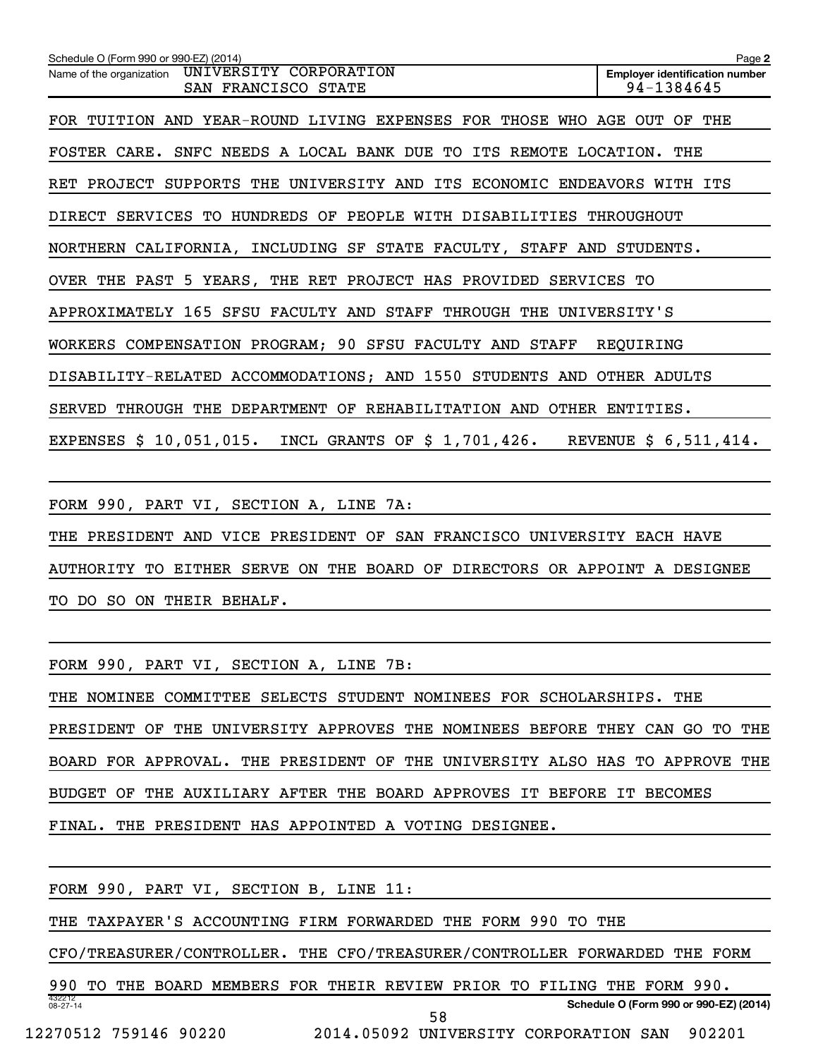| Schedule O (Form 990 or 990-EZ) (2014)                                     | Page 2                                              |
|----------------------------------------------------------------------------|-----------------------------------------------------|
| Name of the organization UNIVERSITY CORPORATION<br>SAN FRANCISCO STATE     | <b>Employer identification number</b><br>94-1384645 |
| FOR TUITION AND YEAR-ROUND LIVING EXPENSES FOR THOSE WHO AGE OUT           | THE<br>OF.                                          |
| FOSTER CARE. SNFC NEEDS A LOCAL BANK DUE TO ITS REMOTE LOCATION. THE       |                                                     |
| RET PROJECT SUPPORTS THE UNIVERSITY AND<br>ITS ECONOMIC ENDEAVORS WITH ITS |                                                     |
| DIRECT SERVICES TO HUNDREDS OF PEOPLE WITH DISABILITIES THROUGHOUT         |                                                     |
| NORTHERN CALIFORNIA, INCLUDING SF STATE FACULTY, STAFF AND STUDENTS.       |                                                     |
| OVER THE PAST 5 YEARS, THE RET PROJECT HAS PROVIDED SERVICES TO            |                                                     |
| APPROXIMATELY 165 SFSU FACULTY AND STAFF THROUGH THE UNIVERSITY'S          |                                                     |
| WORKERS COMPENSATION PROGRAM; 90 SFSU FACULTY AND STAFF REQUIRING          |                                                     |
| DISABILITY-RELATED ACCOMMODATIONS; AND 1550 STUDENTS AND OTHER ADULTS      |                                                     |
| SERVED THROUGH THE DEPARTMENT OF REHABILITATION AND                        | OTHER ENTITIES.                                     |
| EXPENSES \$ 10,051,015. INCL GRANTS OF \$ 1,701,426. REVENUE \$ 6,511,414. |                                                     |
|                                                                            |                                                     |

FORM 990, PART VI, SECTION A, LINE 7A:

THE PRESIDENT AND VICE PRESIDENT OF SAN FRANCISCO UNIVERSITY EACH HAVE AUTHORITY TO EITHER SERVE ON THE BOARD OF DIRECTORS OR APPOINT A DESIGNEE TO DO SO ON THEIR BEHALF.

FORM 990, PART VI, SECTION A, LINE 7B:

THE NOMINEE COMMITTEE SELECTS STUDENT NOMINEES FOR SCHOLARSHIPS. THE PRESIDENT OF THE UNIVERSITY APPROVES THE NOMINEES BEFORE THEY CAN GO TO THE BOARD FOR APPROVAL. THE PRESIDENT OF THE UNIVERSITY ALSO HAS TO APPROVE THE BUDGET OF THE AUXILIARY AFTER THE BOARD APPROVES IT BEFORE IT BECOMES FINAL. THE PRESIDENT HAS APPOINTED A VOTING DESIGNEE.

FORM 990, PART VI, SECTION B, LINE 11:

THE TAXPAYER'S ACCOUNTING FIRM FORWARDED THE FORM 990 TO THE

CFO/TREASURER/CONTROLLER. THE CFO/TREASURER/CONTROLLER FORWARDED THE FORM

432212 08-27-14 **Schedule O (Form 990 or 990-EZ) (2014)** 990 TO THE BOARD MEMBERS FOR THEIR REVIEW PRIOR TO FILING THE FORM 990.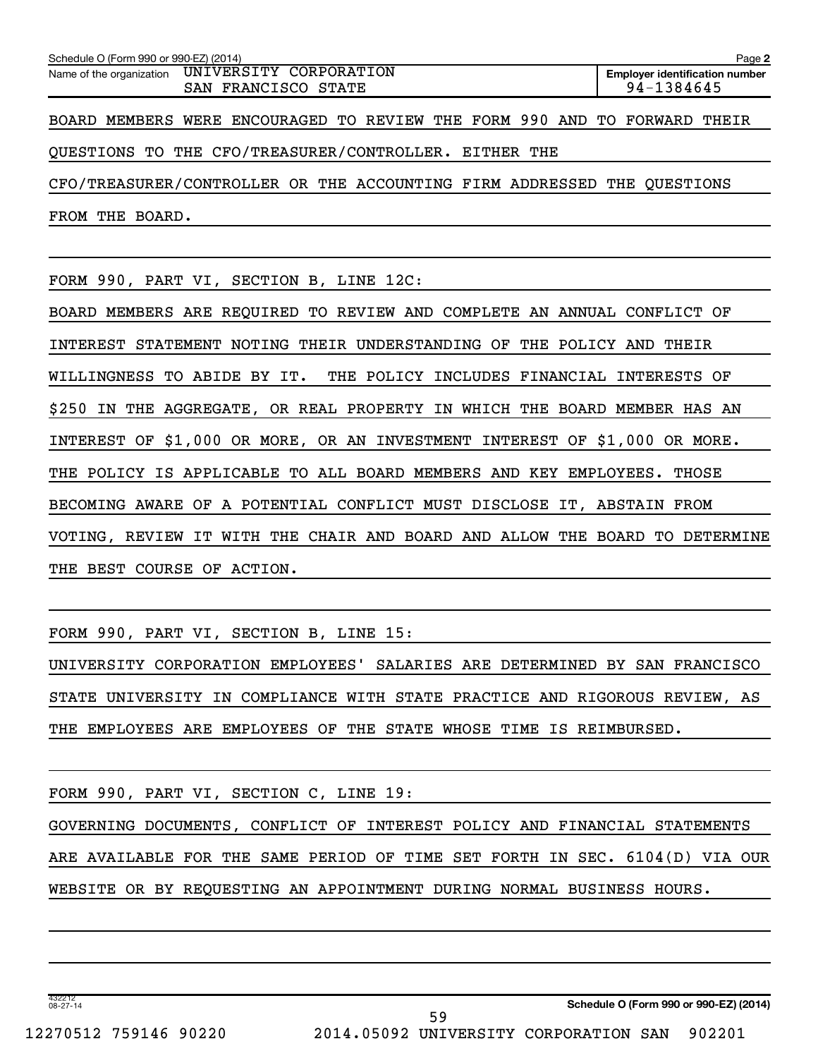**2 Employer identification number** Schedule O (Form 990 or 990-EZ) (2014) Name of the organization UNIVERSITY CORPORATION SAN FRANCISCO STATE 61 and 100 minutes of 1384645 BOARD MEMBERS WERE ENCOURAGED TO REVIEW THE FORM 990 AND TO FORWARD THEIR QUESTIONS TO THE CFO/TREASURER/CONTROLLER. EITHER THE CFO/TREASURER/CONTROLLER OR THE ACCOUNTING FIRM ADDRESSED THE QUESTIONS FROM THE BOARD.

FORM 990, PART VI, SECTION B, LINE 12C:

BOARD MEMBERS ARE REQUIRED TO REVIEW AND COMPLETE AN ANNUAL CONFLICT OF INTEREST STATEMENT NOTING THEIR UNDERSTANDING OF THE POLICY AND THEIR WILLINGNESS TO ABIDE BY IT. THE POLICY INCLUDES FINANCIAL INTERESTS OF \$250 IN THE AGGREGATE, OR REAL PROPERTY IN WHICH THE BOARD MEMBER HAS AN INTEREST OF \$1,000 OR MORE, OR AN INVESTMENT INTEREST OF \$1,000 OR MORE. THE POLICY IS APPLICABLE TO ALL BOARD MEMBERS AND KEY EMPLOYEES. THOSE BECOMING AWARE OF A POTENTIAL CONFLICT MUST DISCLOSE IT, ABSTAIN FROM VOTING, REVIEW IT WITH THE CHAIR AND BOARD AND ALLOW THE BOARD TO DETERMINE THE BEST COURSE OF ACTION.

FORM 990, PART VI, SECTION B, LINE 15:

UNIVERSITY CORPORATION EMPLOYEES' SALARIES ARE DETERMINED BY SAN FRANCISCO STATE UNIVERSITY IN COMPLIANCE WITH STATE PRACTICE AND RIGOROUS REVIEW, AS THE EMPLOYEES ARE EMPLOYEES OF THE STATE WHOSE TIME IS REIMBURSED.

FORM 990, PART VI, SECTION C, LINE 19:

GOVERNING DOCUMENTS, CONFLICT OF INTEREST POLICY AND FINANCIAL STATEMENTS ARE AVAILABLE FOR THE SAME PERIOD OF TIME SET FORTH IN SEC. 6104(D) VIA OUR WEBSITE OR BY REQUESTING AN APPOINTMENT DURING NORMAL BUSINESS HOURS.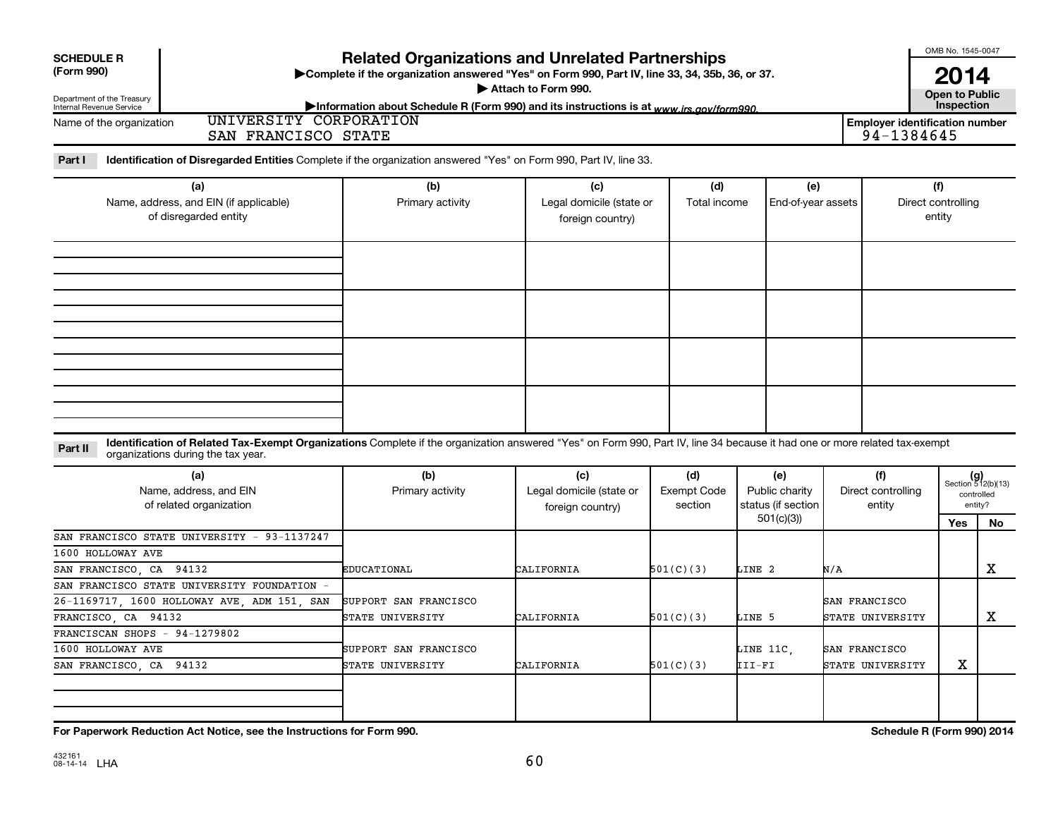| <b>SCHEDULE R</b><br>(Form 990)<br>Department of the Treasury<br>Internal Revenue Service |                                                                                            | <b>Related Organizations and Unrelated Partnerships</b><br>Complete if the organization answered "Yes" on Form 990, Part IV, line 33, 34, 35b, 36, or 37.<br>Attach to Form 990. |                                                     | OMB No. 1545-0047<br>2014<br><b>Open to Public</b><br>Inspection |                                             |                                     |                                   |                                     |                                                      |
|-------------------------------------------------------------------------------------------|--------------------------------------------------------------------------------------------|----------------------------------------------------------------------------------------------------------------------------------------------------------------------------------|-----------------------------------------------------|------------------------------------------------------------------|---------------------------------------------|-------------------------------------|-----------------------------------|-------------------------------------|------------------------------------------------------|
| Name of the organization                                                                  | UNIVERSITY CORPORATION<br>SAN FRANCISCO STATE                                              | Information about Schedule R (Form 990) and its instructions is at www.irs.gov/form990.                                                                                          |                                                     | <b>Employer identification number</b><br>94-1384645              |                                             |                                     |                                   |                                     |                                                      |
| Part I                                                                                    |                                                                                            | Identification of Disregarded Entities Complete if the organization answered "Yes" on Form 990, Part IV, line 33.                                                                |                                                     |                                                                  |                                             |                                     |                                   |                                     |                                                      |
| (a)<br>Name, address, and EIN (if applicable)<br>of disregarded entity                    |                                                                                            | (b)<br>Primary activity                                                                                                                                                          | (c)<br>Legal domicile (state or<br>foreign country) | (d)<br>Total income                                              | (e)<br>End-of-year assets                   |                                     |                                   | (f)<br>Direct controlling<br>entity |                                                      |
|                                                                                           |                                                                                            |                                                                                                                                                                                  |                                                     |                                                                  |                                             |                                     |                                   |                                     |                                                      |
| Part II<br>organizations during the tax year.                                             |                                                                                            | Identification of Related Tax-Exempt Organizations Complete if the organization answered "Yes" on Form 990, Part IV, line 34 because it had one or more related tax-exempt       |                                                     |                                                                  |                                             |                                     |                                   |                                     |                                                      |
|                                                                                           | (a)<br>Name, address, and EIN<br>of related organization                                   | (b)<br>Primary activity                                                                                                                                                          | (c)<br>Legal domicile (state or<br>foreign country) | (d)<br>Exempt Code<br>section                                    | (e)<br>Public charity<br>status (if section | (f)<br>Direct controlling<br>entity |                                   |                                     | $(g)$<br>Section 512(b)(13)<br>controlled<br>entity? |
|                                                                                           | SAN FRANCISCO STATE UNIVERSITY - 93-1137247                                                |                                                                                                                                                                                  |                                                     |                                                                  | 501(c)(3)                                   |                                     |                                   | Yes                                 | No                                                   |
| 1600 HOLLOWAY AVE<br>SAN FRANCISCO, CA 94132                                              |                                                                                            | EDUCATIONAL                                                                                                                                                                      | CALIFORNIA                                          | 501(C)(3)                                                        | LINE 2                                      | N/A                                 |                                   |                                     | X                                                    |
| FRANCISCO, CA 94132                                                                       | SAN FRANCISCO STATE UNIVERSITY FOUNDATION -<br>26-1169717, 1600 HOLLOWAY AVE, ADM 151, SAN | SUPPORT SAN FRANCISCO<br><b>STATE UNIVERSITY</b>                                                                                                                                 | CALIFORNIA                                          | 501(C)(3)                                                        | <b>JINE 5</b>                               |                                     | SAN FRANCISCO<br>STATE UNIVERSITY |                                     | $\mathbf X$                                          |
| FRANCISCAN SHOPS - 94-1279802<br>1600 HOLLOWAY AVE<br>SAN FRANCISCO, CA 94132             |                                                                                            | SUPPORT SAN FRANCISCO<br>STATE UNIVERSITY                                                                                                                                        | CALIFORNIA                                          | 501(C)(3)                                                        | LINE 11C,<br>III-FI                         |                                     | SAN FRANCISCO<br>STATE UNIVERSITY | х                                   |                                                      |
|                                                                                           | For Paperwork Reduction Act Notice, see the Instructions for Form 990.                     |                                                                                                                                                                                  |                                                     |                                                                  |                                             |                                     | Schedule R (Form 990) 2014        |                                     |                                                      |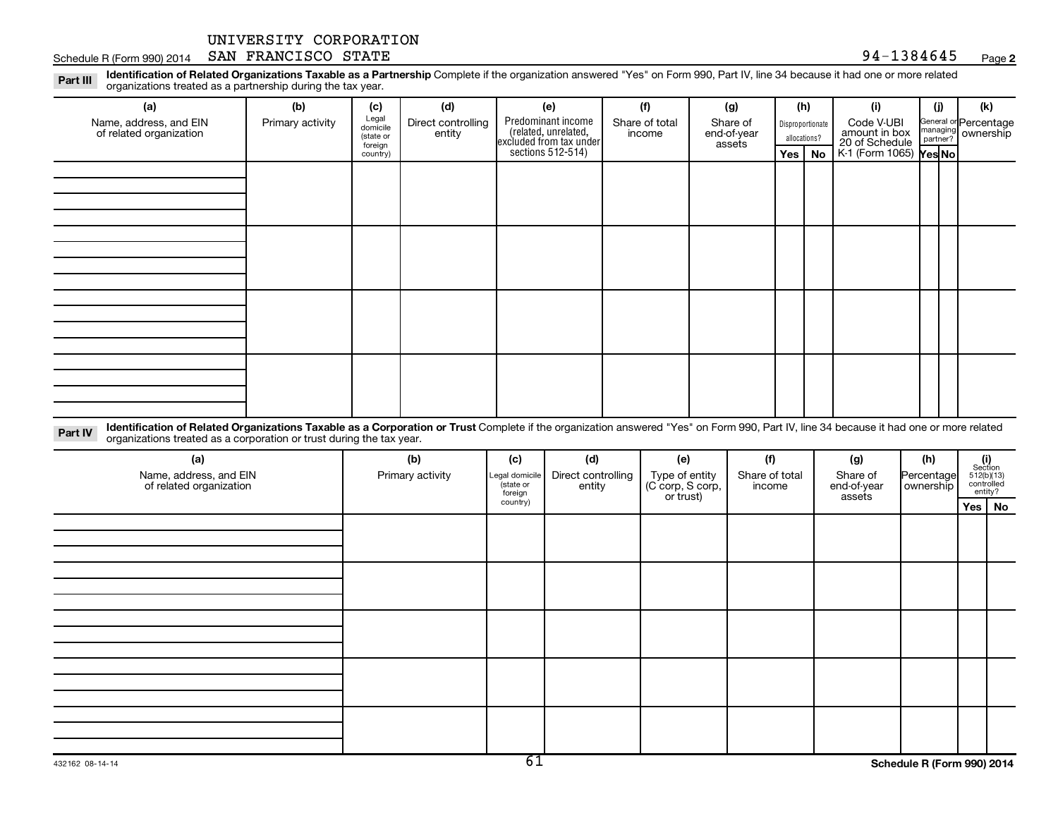**2** Schedule R (Form 990) 2014 SAN FRANCISCO STATE  $94-1384645$  Page

| Identification of Related Organizations Taxable as a Partnership Complete if the organization answered "Yes" on Form 990, Part IV, line 34 because it had one or more related<br>Part III<br>organizations treated as a partnership during the tax year. |                  |                                                       |                              |                                                                                             |                          |                                   |                                           |  |                                                                                           |          |                                               |
|----------------------------------------------------------------------------------------------------------------------------------------------------------------------------------------------------------------------------------------------------------|------------------|-------------------------------------------------------|------------------------------|---------------------------------------------------------------------------------------------|--------------------------|-----------------------------------|-------------------------------------------|--|-------------------------------------------------------------------------------------------|----------|-----------------------------------------------|
| (a)                                                                                                                                                                                                                                                      | (b)              | (c)                                                   | (d)                          |                                                                                             | (f)                      | (a)                               | (h)                                       |  |                                                                                           |          | (k)                                           |
| Name, address, and EIN<br>of related organization                                                                                                                                                                                                        | Primary activity | Legal<br>domicile<br>(state or<br>foreian<br>country) | Direct controlling<br>entity | Predominant income<br>related, unrelated,<br>lexcluded from tax underl<br>sections 512-514) | Share of total<br>income | Share of<br>end-of-vear<br>assets | Disproportionate<br>allocations?<br>Yes . |  | Code V-UBI<br>amount in box<br>20 of Schedule<br>$ $ No $ $ K-1 (Form 1065) <b>Yes</b> No | partner? | General or Percentage<br>managing   ownership |

| Part IV | <b>Identification of Related Organizations Taxable as a Corporation or Trust</b> Complete if the organization answered "Yes" on Form 990. Part IV, line 34 because it had one or more related<br>organizations treated as a corporation or trust during the tax year. |  |  |  |  |
|---------|-----------------------------------------------------------------------------------------------------------------------------------------------------------------------------------------------------------------------------------------------------------------------|--|--|--|--|
|         |                                                                                                                                                                                                                                                                       |  |  |  |  |

| (a)<br>Name, address, and EIN<br>of related organization | (b)<br>Primary activity | (c)<br>Legal domicile<br>(state or<br>foreign | (d)<br>Direct controlling<br>entity | (e)<br>Type of entity<br>(C corp, S corp,<br>or trust) | (f)<br>Share of total<br>income | (g)<br>Share of<br>end-of-year<br>assets | (h)<br>Percentage<br>ownership | $(i)$ Section<br>512(b)(13)<br>controlled<br>entity? |  |
|----------------------------------------------------------|-------------------------|-----------------------------------------------|-------------------------------------|--------------------------------------------------------|---------------------------------|------------------------------------------|--------------------------------|------------------------------------------------------|--|
|                                                          |                         | country)                                      |                                     |                                                        |                                 |                                          |                                | $Yes$ No                                             |  |
|                                                          |                         |                                               |                                     |                                                        |                                 |                                          |                                |                                                      |  |
|                                                          |                         |                                               |                                     |                                                        |                                 |                                          |                                |                                                      |  |
|                                                          |                         |                                               |                                     |                                                        |                                 |                                          |                                |                                                      |  |
|                                                          |                         |                                               |                                     |                                                        |                                 |                                          |                                |                                                      |  |
|                                                          |                         |                                               |                                     |                                                        |                                 |                                          |                                |                                                      |  |
|                                                          |                         |                                               |                                     |                                                        |                                 |                                          |                                |                                                      |  |
|                                                          |                         |                                               |                                     |                                                        |                                 |                                          |                                |                                                      |  |
|                                                          |                         |                                               |                                     |                                                        |                                 |                                          |                                |                                                      |  |
|                                                          |                         |                                               |                                     |                                                        |                                 |                                          |                                |                                                      |  |
|                                                          |                         |                                               |                                     |                                                        |                                 |                                          |                                |                                                      |  |
|                                                          |                         |                                               |                                     |                                                        |                                 |                                          |                                |                                                      |  |
|                                                          |                         |                                               |                                     |                                                        |                                 |                                          |                                |                                                      |  |
|                                                          |                         |                                               |                                     |                                                        |                                 |                                          |                                |                                                      |  |
|                                                          |                         |                                               |                                     |                                                        |                                 |                                          |                                |                                                      |  |
|                                                          |                         |                                               |                                     |                                                        |                                 |                                          |                                |                                                      |  |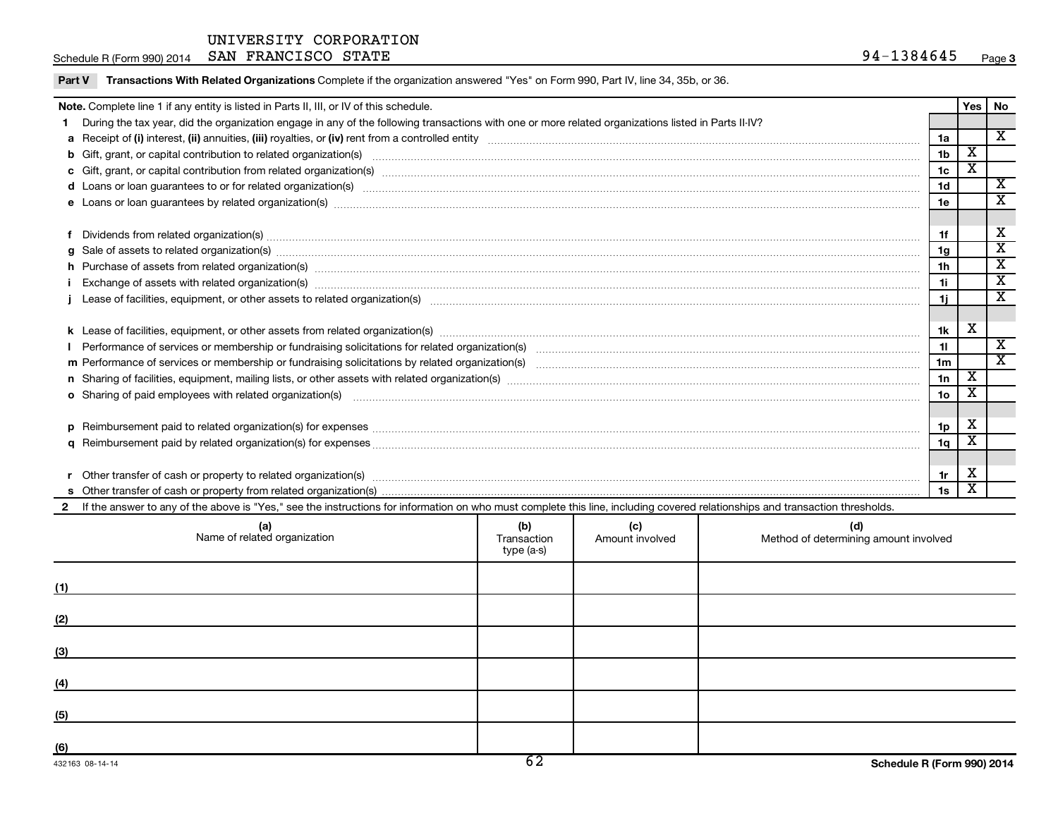Part V Transactions With Related Organizations Complete if the organization answered "Yes" on Form 990, Part IV, line 34, 35b, or 36.

|                                                                                                                                                                                                                                | Note. Complete line 1 if any entity is listed in Parts II, III, or IV of this schedule.                                                                                                                                        |                    |                        |                                              |                 | Yes                     | <b>No</b>               |  |  |
|--------------------------------------------------------------------------------------------------------------------------------------------------------------------------------------------------------------------------------|--------------------------------------------------------------------------------------------------------------------------------------------------------------------------------------------------------------------------------|--------------------|------------------------|----------------------------------------------|-----------------|-------------------------|-------------------------|--|--|
|                                                                                                                                                                                                                                | During the tax year, did the organization engage in any of the following transactions with one or more related organizations listed in Parts II-IV?                                                                            |                    |                        |                                              |                 |                         |                         |  |  |
|                                                                                                                                                                                                                                |                                                                                                                                                                                                                                |                    |                        |                                              | 1a              |                         | $\overline{\mathbf{x}}$ |  |  |
|                                                                                                                                                                                                                                |                                                                                                                                                                                                                                |                    |                        |                                              | 1 <sub>b</sub>  | $\overline{\mathbf{X}}$ |                         |  |  |
|                                                                                                                                                                                                                                |                                                                                                                                                                                                                                |                    |                        |                                              | 1 <sub>c</sub>  | X                       | $\overline{\mathbf{x}}$ |  |  |
|                                                                                                                                                                                                                                |                                                                                                                                                                                                                                |                    |                        |                                              |                 |                         |                         |  |  |
|                                                                                                                                                                                                                                |                                                                                                                                                                                                                                |                    |                        |                                              |                 |                         |                         |  |  |
|                                                                                                                                                                                                                                |                                                                                                                                                                                                                                |                    |                        |                                              |                 |                         |                         |  |  |
| Dividends from related organization(s) material contents and content and content and content and content and content and content and content and content and content and content and content and content and content and conte |                                                                                                                                                                                                                                |                    |                        |                                              |                 |                         |                         |  |  |
|                                                                                                                                                                                                                                | g Sale of assets to related organization(s) manufactured assemblance contract to the contract of the contract or contract or contract or contract or contract or contract or contract or contract or contract or contract or c |                    |                        |                                              | 1 <sub>g</sub>  |                         | $\overline{\texttt{x}}$ |  |  |
|                                                                                                                                                                                                                                | h Purchase of assets from related organization(s) manufactured contains and contained a set of assets from related organization(s) manufactured and contained a set of assets from related organization(s) manufactured and co |                    |                        |                                              | 1 <sub>h</sub>  |                         | $\overline{\textbf{x}}$ |  |  |
|                                                                                                                                                                                                                                |                                                                                                                                                                                                                                |                    |                        |                                              | 1i              |                         | $\overline{\texttt{x}}$ |  |  |
|                                                                                                                                                                                                                                |                                                                                                                                                                                                                                |                    |                        |                                              |                 |                         |                         |  |  |
|                                                                                                                                                                                                                                |                                                                                                                                                                                                                                |                    |                        |                                              |                 |                         |                         |  |  |
|                                                                                                                                                                                                                                |                                                                                                                                                                                                                                |                    |                        |                                              | 1k              | X                       |                         |  |  |
|                                                                                                                                                                                                                                |                                                                                                                                                                                                                                |                    |                        |                                              | 11              |                         | $\overline{\mathbf{X}}$ |  |  |
|                                                                                                                                                                                                                                |                                                                                                                                                                                                                                |                    |                        |                                              | 1 <sub>m</sub>  |                         | $\overline{\mathbf{x}}$ |  |  |
|                                                                                                                                                                                                                                |                                                                                                                                                                                                                                |                    |                        |                                              | 1n              | X                       |                         |  |  |
|                                                                                                                                                                                                                                | o Sharing of paid employees with related organization(s) manufactured and content to the contract of the contract organization(s) manufactured and content and content of the content of the content of the content of the con |                    |                        |                                              | 10 <sub>o</sub> |                         |                         |  |  |
|                                                                                                                                                                                                                                |                                                                                                                                                                                                                                |                    |                        |                                              |                 |                         |                         |  |  |
|                                                                                                                                                                                                                                |                                                                                                                                                                                                                                |                    |                        |                                              | 1p              | X                       |                         |  |  |
|                                                                                                                                                                                                                                |                                                                                                                                                                                                                                |                    |                        |                                              | 1q              | х                       |                         |  |  |
|                                                                                                                                                                                                                                |                                                                                                                                                                                                                                |                    |                        |                                              |                 |                         |                         |  |  |
|                                                                                                                                                                                                                                | Other transfer of cash or property to related organization(s) COLOGY CONSERVING CONSERVING SUPERFECT OF CASH OF DEALER SERVING SUPERFECT OF CASH OF DEALER SERVING SUPERFECT OF CASH OF DEALER SERVING SUPERFECT OF CASH OF DE |                    |                        |                                              | 1r              | $\mathbf x$             |                         |  |  |
|                                                                                                                                                                                                                                |                                                                                                                                                                                                                                |                    |                        |                                              | 1s              | X                       |                         |  |  |
|                                                                                                                                                                                                                                | If the answer to any of the above is "Yes," see the instructions for information on who must complete this line, including covered relationships and transaction thresholds.                                                   |                    |                        |                                              |                 |                         |                         |  |  |
|                                                                                                                                                                                                                                | (a)<br>Name of related organization                                                                                                                                                                                            | (b)<br>Transaction | (c)<br>Amount involved | (d)<br>Method of determining amount involved |                 |                         |                         |  |  |

| (a)<br>Name of related organization | (U)<br>Transaction<br>type (a-s) | (C)<br>Amount involved | Method of determining amount involved |
|-------------------------------------|----------------------------------|------------------------|---------------------------------------|
| (1)                                 |                                  |                        |                                       |
| (2)                                 |                                  |                        |                                       |
| (3)                                 |                                  |                        |                                       |
| (4)                                 |                                  |                        |                                       |
| (5)                                 |                                  |                        |                                       |
| (6)                                 | $\overline{\phantom{a}}$         |                        |                                       |
|                                     |                                  |                        |                                       |